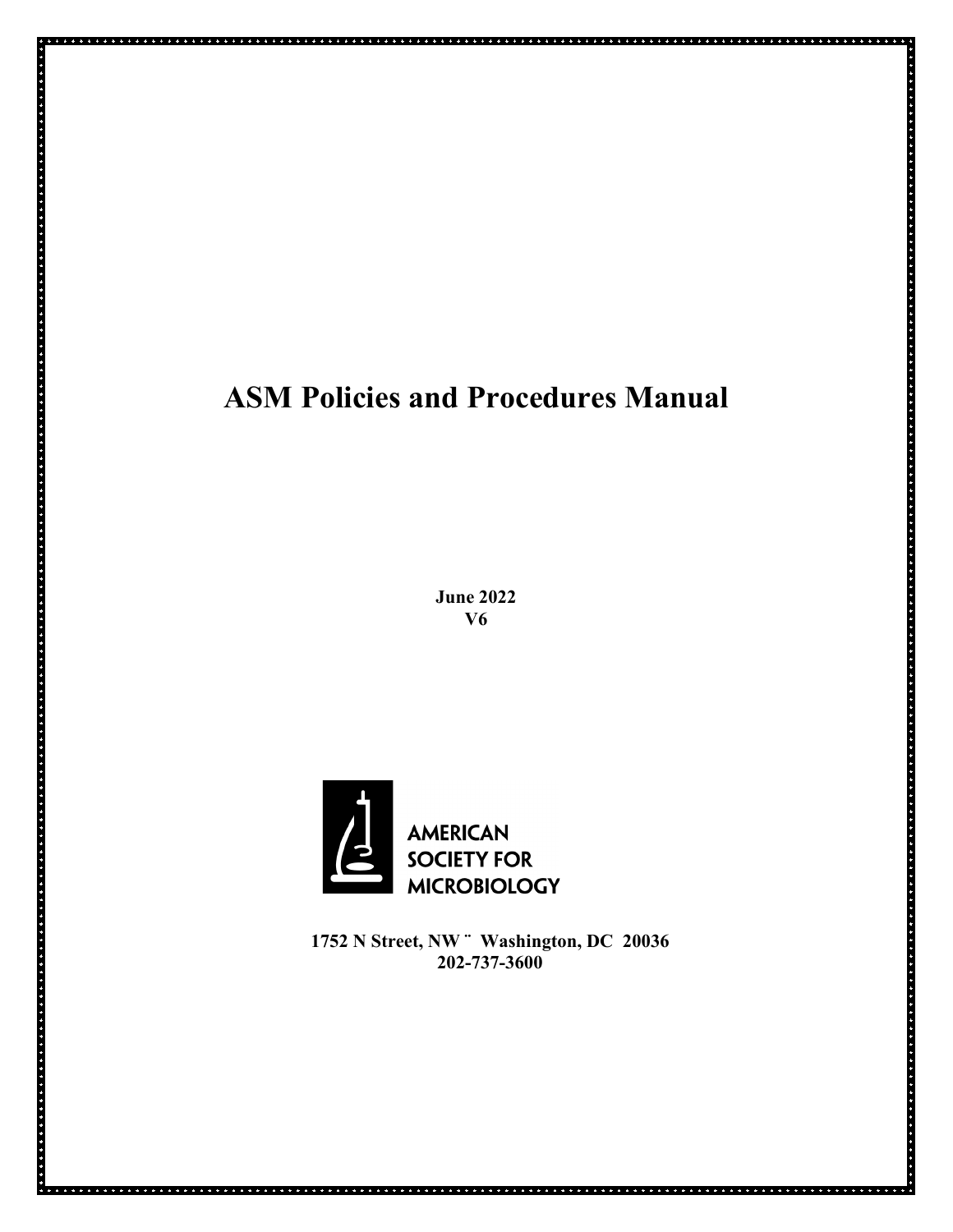# **ASM Policies and Procedures Manual**

**June 2022 V6**



**1752 N Street, NW ¨ Washington, DC 20036 202-737-3600**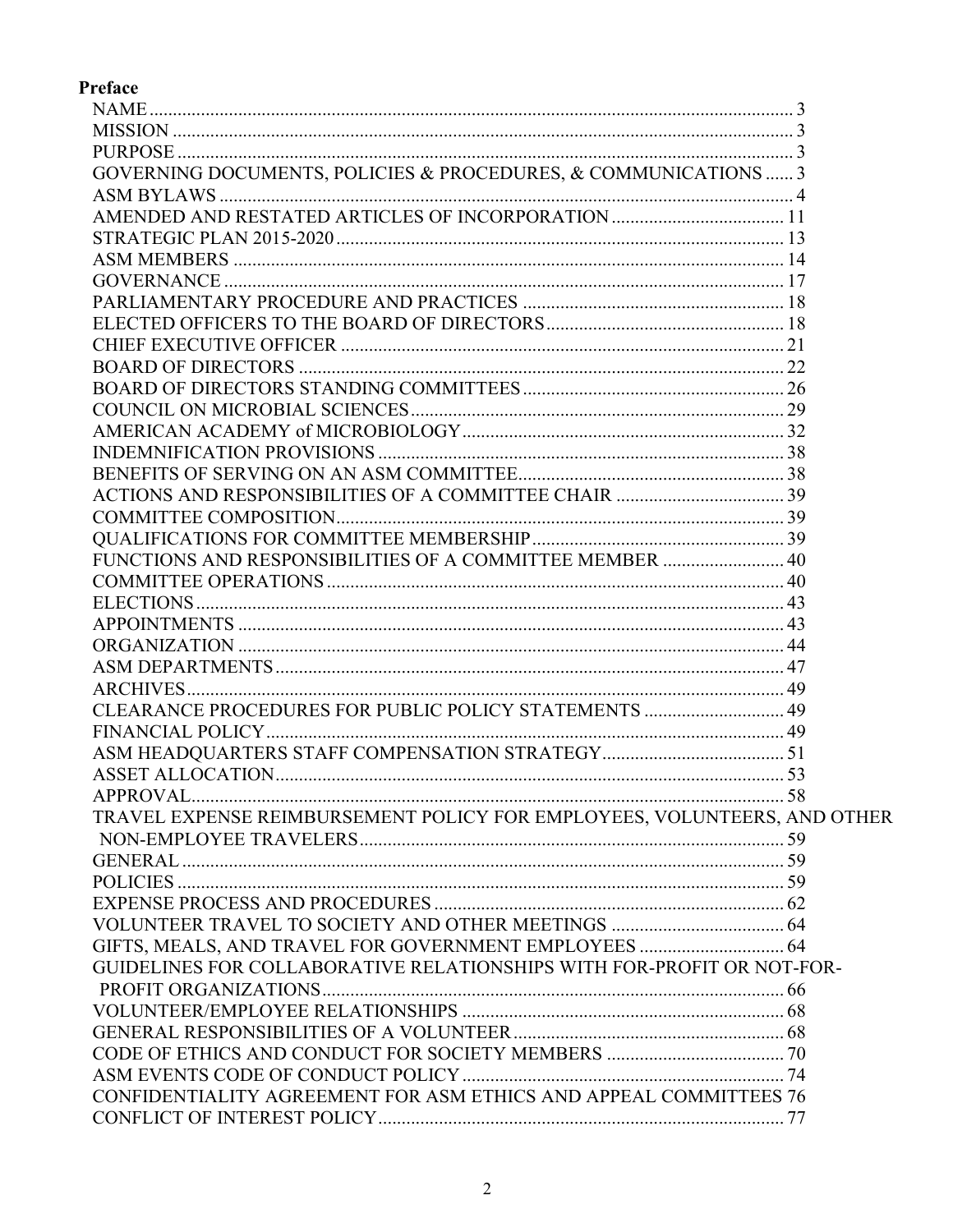# Preface

| GOVERNING DOCUMENTS, POLICIES & PROCEDURES, & COMMUNICATIONS  3          |  |
|--------------------------------------------------------------------------|--|
|                                                                          |  |
|                                                                          |  |
|                                                                          |  |
|                                                                          |  |
|                                                                          |  |
|                                                                          |  |
|                                                                          |  |
|                                                                          |  |
|                                                                          |  |
|                                                                          |  |
|                                                                          |  |
|                                                                          |  |
|                                                                          |  |
|                                                                          |  |
|                                                                          |  |
|                                                                          |  |
|                                                                          |  |
|                                                                          |  |
| FUNCTIONS AND RESPONSIBILITIES OF A COMMITTEE MEMBER  40                 |  |
|                                                                          |  |
|                                                                          |  |
|                                                                          |  |
|                                                                          |  |
|                                                                          |  |
|                                                                          |  |
| CLEARANCE PROCEDURES FOR PUBLIC POLICY STATEMENTS  49                    |  |
|                                                                          |  |
|                                                                          |  |
|                                                                          |  |
|                                                                          |  |
| TRAVEL EXPENSE REIMBURSEMENT POLICY FOR EMPLOYEES, VOLUNTEERS, AND OTHER |  |
|                                                                          |  |
|                                                                          |  |
|                                                                          |  |
|                                                                          |  |
|                                                                          |  |
| GIFTS, MEALS, AND TRAVEL FOR GOVERNMENT EMPLOYEES  64                    |  |
| GUIDELINES FOR COLLABORATIVE RELATIONSHIPS WITH FOR-PROFIT OR NOT-FOR-   |  |
|                                                                          |  |
|                                                                          |  |
|                                                                          |  |
|                                                                          |  |
|                                                                          |  |
| CONFIDENTIALITY AGREEMENT FOR ASM ETHICS AND APPEAL COMMITTEES 76        |  |
|                                                                          |  |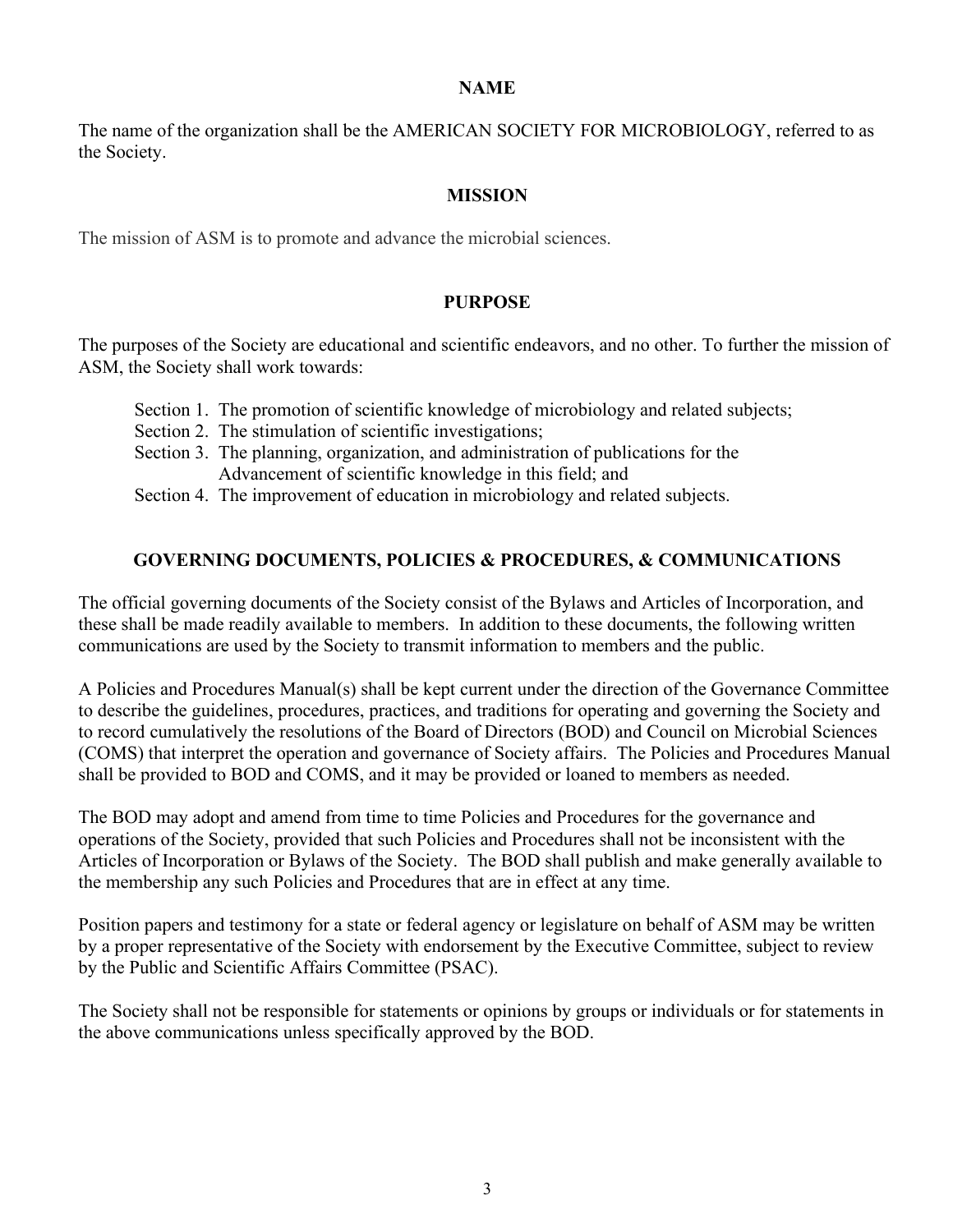#### **NAME**

<span id="page-2-0"></span>The name of the organization shall be the AMERICAN SOCIETY FOR MICROBIOLOGY, referred to as the Society.

### **MISSION**

<span id="page-2-1"></span>The mission of ASM is to promote and advance the microbial sciences.

### **PURPOSE**

<span id="page-2-2"></span>The purposes of the Society are educational and scientific endeavors, and no other. To further the mission of ASM, the Society shall work towards:

- Section 1. The promotion of scientific knowledge of microbiology and related subjects;
- Section 2. The stimulation of scientific investigations:
- Section 3. The planning, organization, and administration of publications for the Advancement of scientific knowledge in this field; and
- Section 4. The improvement of education in microbiology and related subjects.

### **GOVERNING DOCUMENTS, POLICIES & PROCEDURES, & COMMUNICATIONS**

<span id="page-2-3"></span>The official governing documents of the Society consist of the Bylaws and Articles of Incorporation, and these shall be made readily available to members. In addition to these documents, the following written communications are used by the Society to transmit information to members and the public.

A Policies and Procedures Manual(s) shall be kept current under the direction of the Governance Committee to describe the guidelines, procedures, practices, and traditions for operating and governing the Society and to record cumulatively the resolutions of the Board of Directors (BOD) and Council on Microbial Sciences (COMS) that interpret the operation and governance of Society affairs. The Policies and Procedures Manual shall be provided to BOD and COMS, and it may be provided or loaned to members as needed.

The BOD may adopt and amend from time to time Policies and Procedures for the governance and operations of the Society, provided that such Policies and Procedures shall not be inconsistent with the Articles of Incorporation or Bylaws of the Society. The BOD shall publish and make generally available to the membership any such Policies and Procedures that are in effect at any time.

Position papers and testimony for a state or federal agency or legislature on behalf of ASM may be written by a proper representative of the Society with endorsement by the Executive Committee, subject to review by the Public and Scientific Affairs Committee (PSAC).

The Society shall not be responsible for statements or opinions by groups or individuals or for statements in the above communications unless specifically approved by the BOD.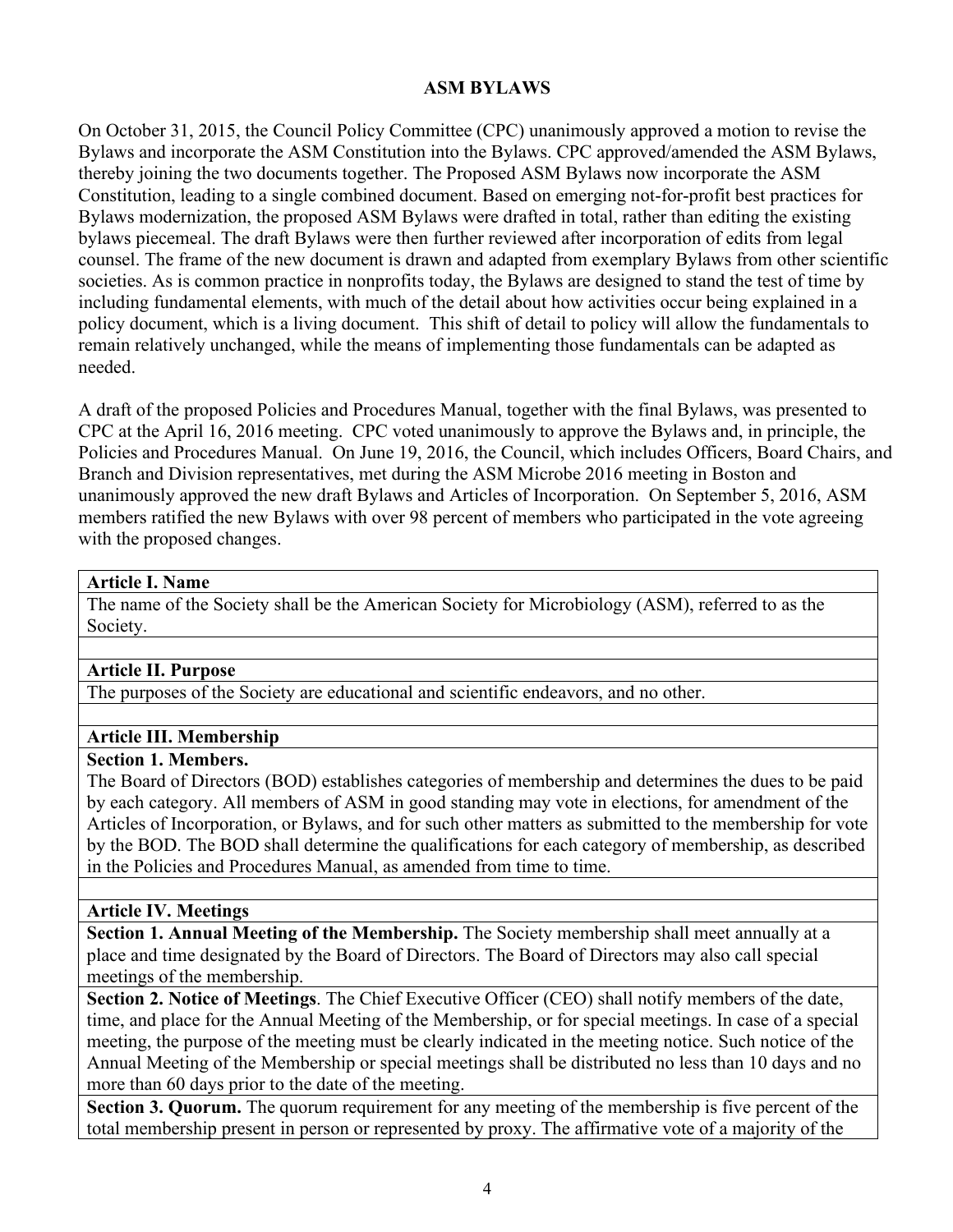### **ASM BYLAWS**

<span id="page-3-0"></span>On October 31, 2015, the Council Policy Committee (CPC) unanimously approved a motion to revise the Bylaws and incorporate the ASM Constitution into the Bylaws. CPC approved/amended the ASM Bylaws, thereby joining the two documents together. The Proposed ASM Bylaws now incorporate the ASM Constitution, leading to a single combined document. Based on emerging not-for-profit best practices for Bylaws modernization, the proposed ASM Bylaws were drafted in total, rather than editing the existing bylaws piecemeal. The draft Bylaws were then further reviewed after incorporation of edits from legal counsel. The frame of the new document is drawn and adapted from exemplary Bylaws from other scientific societies. As is common practice in nonprofits today, the Bylaws are designed to stand the test of time by including fundamental elements, with much of the detail about how activities occur being explained in a policy document, which is a living document. This shift of detail to policy will allow the fundamentals to remain relatively unchanged, while the means of implementing those fundamentals can be adapted as needed.

A draft of the proposed Policies and Procedures Manual, together with the final Bylaws, was presented to CPC at the April 16, 2016 meeting. CPC voted unanimously to approve the Bylaws and, in principle, the Policies and Procedures Manual. On June 19, 2016, the Council, which includes Officers, Board Chairs, and Branch and Division representatives, met during the ASM Microbe 2016 meeting in Boston and unanimously approved the new draft Bylaws and Articles of Incorporation. On September 5, 2016, ASM members ratified the new Bylaws with over 98 percent of members who participated in the vote agreeing with the proposed changes.

### **Article I. Name**

The name of the Society shall be the American Society for Microbiology (ASM), referred to as the Society.

# **Article II. Purpose**

The purposes of the Society are educational and scientific endeavors, and no other.

### **Article III. Membership**

### **Section 1. Members.**

The Board of Directors (BOD) establishes categories of membership and determines the dues to be paid by each category. All members of ASM in good standing may vote in elections, for amendment of the Articles of Incorporation, or Bylaws, and for such other matters as submitted to the membership for vote by the BOD. The BOD shall determine the qualifications for each category of membership, as described in the Policies and Procedures Manual, as amended from time to time.

### **Article IV. Meetings**

**Section 1. Annual Meeting of the Membership.** The Society membership shall meet annually at a place and time designated by the Board of Directors. The Board of Directors may also call special meetings of the membership.

**Section 2. Notice of Meetings**. The Chief Executive Officer (CEO) shall notify members of the date, time, and place for the Annual Meeting of the Membership, or for special meetings. In case of a special meeting, the purpose of the meeting must be clearly indicated in the meeting notice. Such notice of the Annual Meeting of the Membership or special meetings shall be distributed no less than 10 days and no more than 60 days prior to the date of the meeting.

**Section 3. Quorum.** The quorum requirement for any meeting of the membership is five percent of the total membership present in person or represented by proxy. The affirmative vote of a majority of the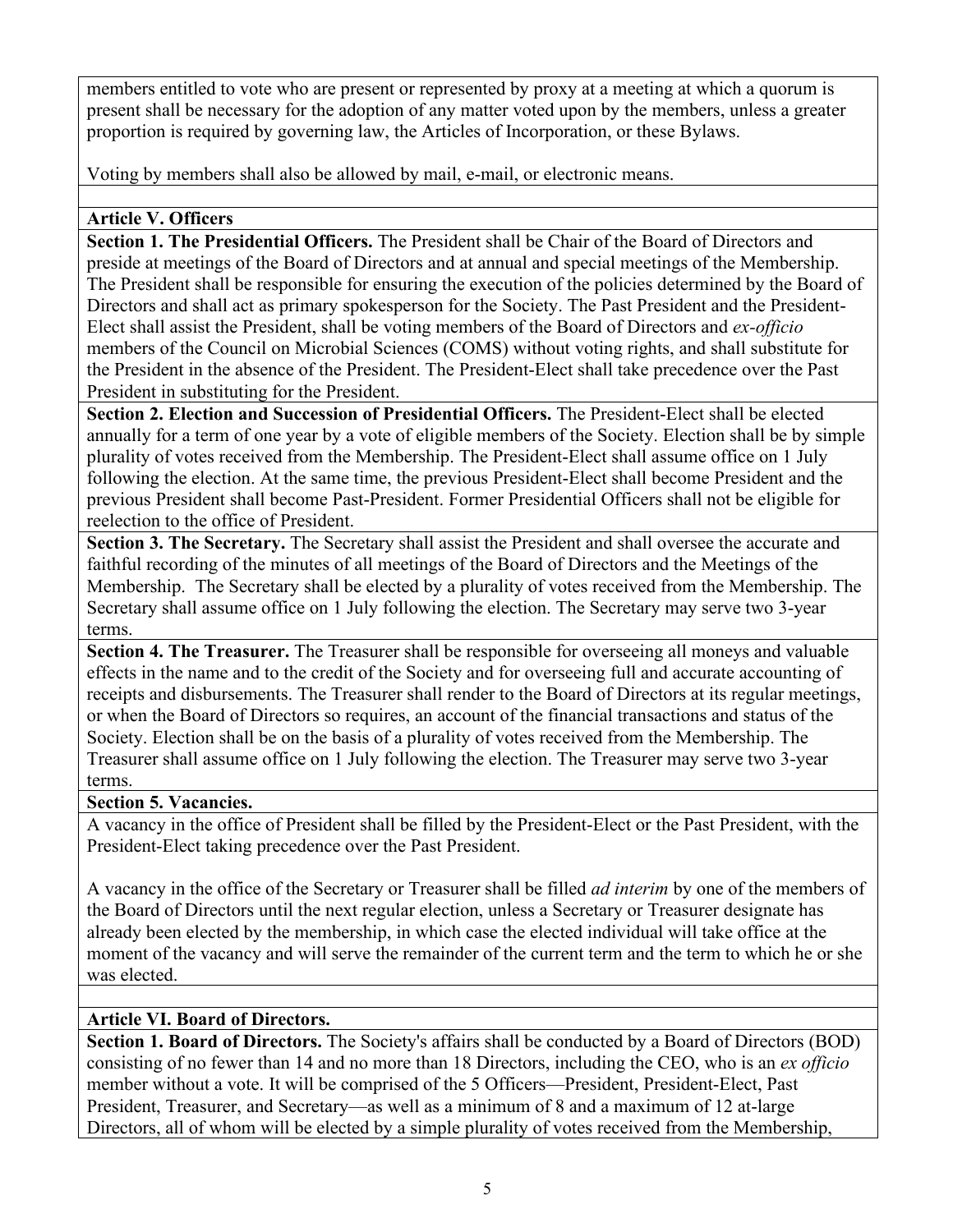members entitled to vote who are present or represented by proxy at a meeting at which a quorum is present shall be necessary for the adoption of any matter voted upon by the members, unless a greater proportion is required by governing law, the Articles of Incorporation, or these Bylaws.

Voting by members shall also be allowed by mail, e-mail, or electronic means.

### **Article V. Officers**

**Section 1. The Presidential Officers.** The President shall be Chair of the Board of Directors and preside at meetings of the Board of Directors and at annual and special meetings of the Membership. The President shall be responsible for ensuring the execution of the policies determined by the Board of Directors and shall act as primary spokesperson for the Society. The Past President and the President-Elect shall assist the President, shall be voting members of the Board of Directors and *ex-officio*  members of the Council on Microbial Sciences (COMS) without voting rights, and shall substitute for the President in the absence of the President. The President-Elect shall take precedence over the Past President in substituting for the President.

**Section 2. Election and Succession of Presidential Officers.** The President-Elect shall be elected annually for a term of one year by a vote of eligible members of the Society. Election shall be by simple plurality of votes received from the Membership. The President-Elect shall assume office on 1 July following the election. At the same time, the previous President-Elect shall become President and the previous President shall become Past-President. Former Presidential Officers shall not be eligible for reelection to the office of President.

**Section 3. The Secretary.** The Secretary shall assist the President and shall oversee the accurate and faithful recording of the minutes of all meetings of the Board of Directors and the Meetings of the Membership. The Secretary shall be elected by a plurality of votes received from the Membership. The Secretary shall assume office on 1 July following the election. The Secretary may serve two 3-year terms.

**Section 4. The Treasurer.** The Treasurer shall be responsible for overseeing all moneys and valuable effects in the name and to the credit of the Society and for overseeing full and accurate accounting of receipts and disbursements. The Treasurer shall render to the Board of Directors at its regular meetings, or when the Board of Directors so requires, an account of the financial transactions and status of the Society. Election shall be on the basis of a plurality of votes received from the Membership. The Treasurer shall assume office on 1 July following the election. The Treasurer may serve two 3-year terms.

### **Section 5. Vacancies.**

A vacancy in the office of President shall be filled by the President-Elect or the Past President, with the President-Elect taking precedence over the Past President.

A vacancy in the office of the Secretary or Treasurer shall be filled *ad interim* by one of the members of the Board of Directors until the next regular election, unless a Secretary or Treasurer designate has already been elected by the membership, in which case the elected individual will take office at the moment of the vacancy and will serve the remainder of the current term and the term to which he or she was elected.

# **Article VI. Board of Directors.**

**Section 1. Board of Directors.** The Society's affairs shall be conducted by a Board of Directors (BOD) consisting of no fewer than 14 and no more than 18 Directors, including the CEO, who is an *ex officio* member without a vote. It will be comprised of the 5 Officers—President, President-Elect, Past President, Treasurer, and Secretary—as well as a minimum of 8 and a maximum of 12 at-large Directors, all of whom will be elected by a simple plurality of votes received from the Membership,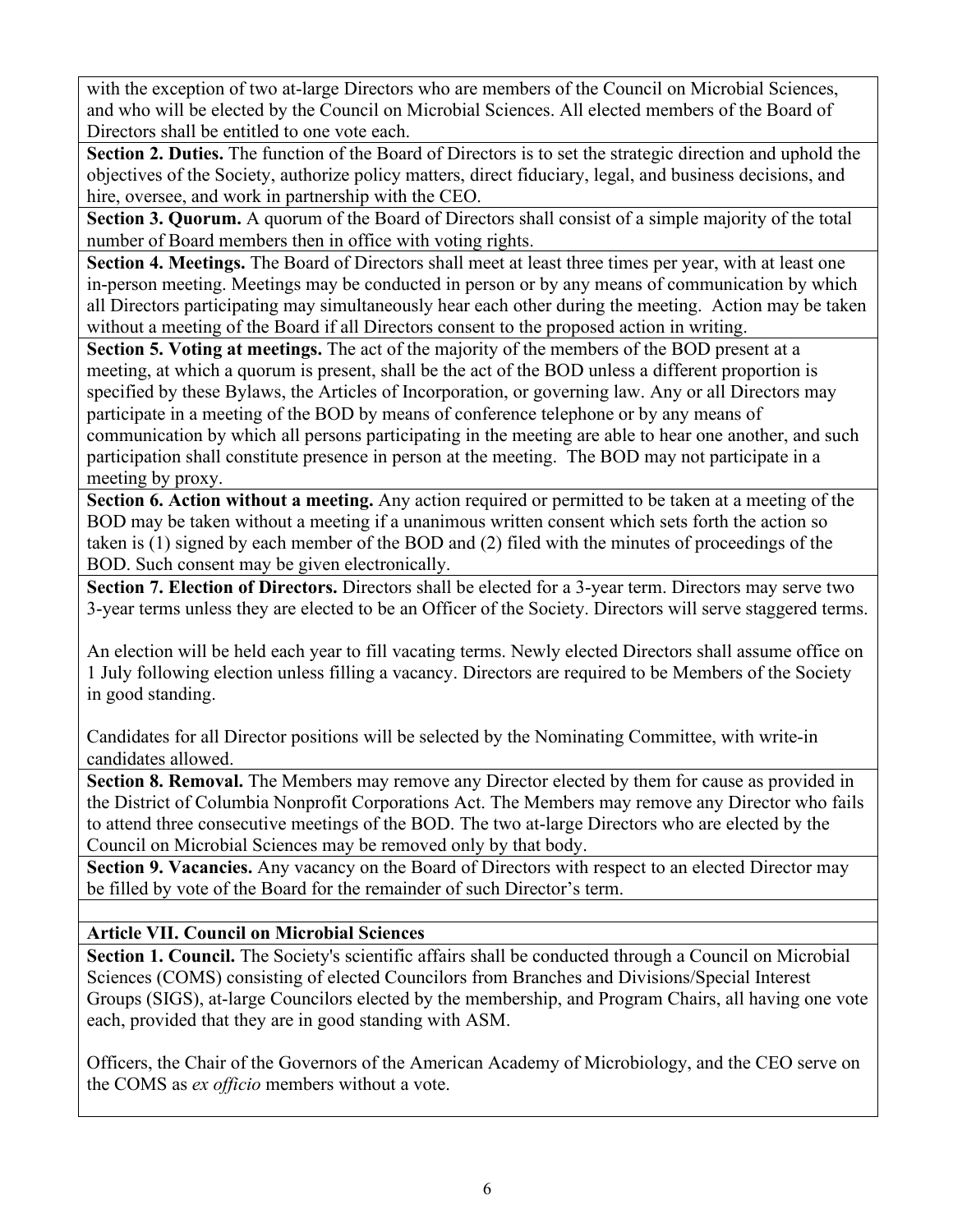with the exception of two at-large Directors who are members of the Council on Microbial Sciences, and who will be elected by the Council on Microbial Sciences. All elected members of the Board of Directors shall be entitled to one vote each.

**Section 2. Duties.** The function of the Board of Directors is to set the strategic direction and uphold the objectives of the Society, authorize policy matters, direct fiduciary, legal, and business decisions, and hire, oversee, and work in partnership with the CEO.

**Section 3. Quorum.** A quorum of the Board of Directors shall consist of a simple majority of the total number of Board members then in office with voting rights.

Section 4. Meetings. The Board of Directors shall meet at least three times per year, with at least one in-person meeting. Meetings may be conducted in person or by any means of communication by which all Directors participating may simultaneously hear each other during the meeting. Action may be taken without a meeting of the Board if all Directors consent to the proposed action in writing.

**Section 5. Voting at meetings.** The act of the majority of the members of the BOD present at a meeting, at which a quorum is present, shall be the act of the BOD unless a different proportion is specified by these Bylaws, the Articles of Incorporation, or governing law. Any or all Directors may participate in a meeting of the BOD by means of conference telephone or by any means of communication by which all persons participating in the meeting are able to hear one another, and such participation shall constitute presence in person at the meeting. The BOD may not participate in a meeting by proxy.

**Section 6. Action without a meeting.** Any action required or permitted to be taken at a meeting of the BOD may be taken without a meeting if a unanimous written consent which sets forth the action so taken is (1) signed by each member of the BOD and (2) filed with the minutes of proceedings of the BOD. Such consent may be given electronically.

**Section 7. Election of Directors.** Directors shall be elected for a 3-year term. Directors may serve two 3-year terms unless they are elected to be an Officer of the Society. Directors will serve staggered terms.

An election will be held each year to fill vacating terms. Newly elected Directors shall assume office on 1 July following election unless filling a vacancy. Directors are required to be Members of the Society in good standing.

Candidates for all Director positions will be selected by the Nominating Committee, with write-in candidates allowed.

**Section 8. Removal.** The Members may remove any Director elected by them for cause as provided in the District of Columbia Nonprofit Corporations Act. The Members may remove any Director who fails to attend three consecutive meetings of the BOD. The two at-large Directors who are elected by the Council on Microbial Sciences may be removed only by that body.

**Section 9. Vacancies.** Any vacancy on the Board of Directors with respect to an elected Director may be filled by vote of the Board for the remainder of such Director's term.

# **Article VII. Council on Microbial Sciences**

**Section 1. Council.** The Society's scientific affairs shall be conducted through a Council on Microbial Sciences (COMS) consisting of elected Councilors from Branches and Divisions/Special Interest Groups (SIGS), at-large Councilors elected by the membership, and Program Chairs, all having one vote each, provided that they are in good standing with ASM.

Officers, the Chair of the Governors of the American Academy of Microbiology, and the CEO serve on the COMS as *ex officio* members without a vote.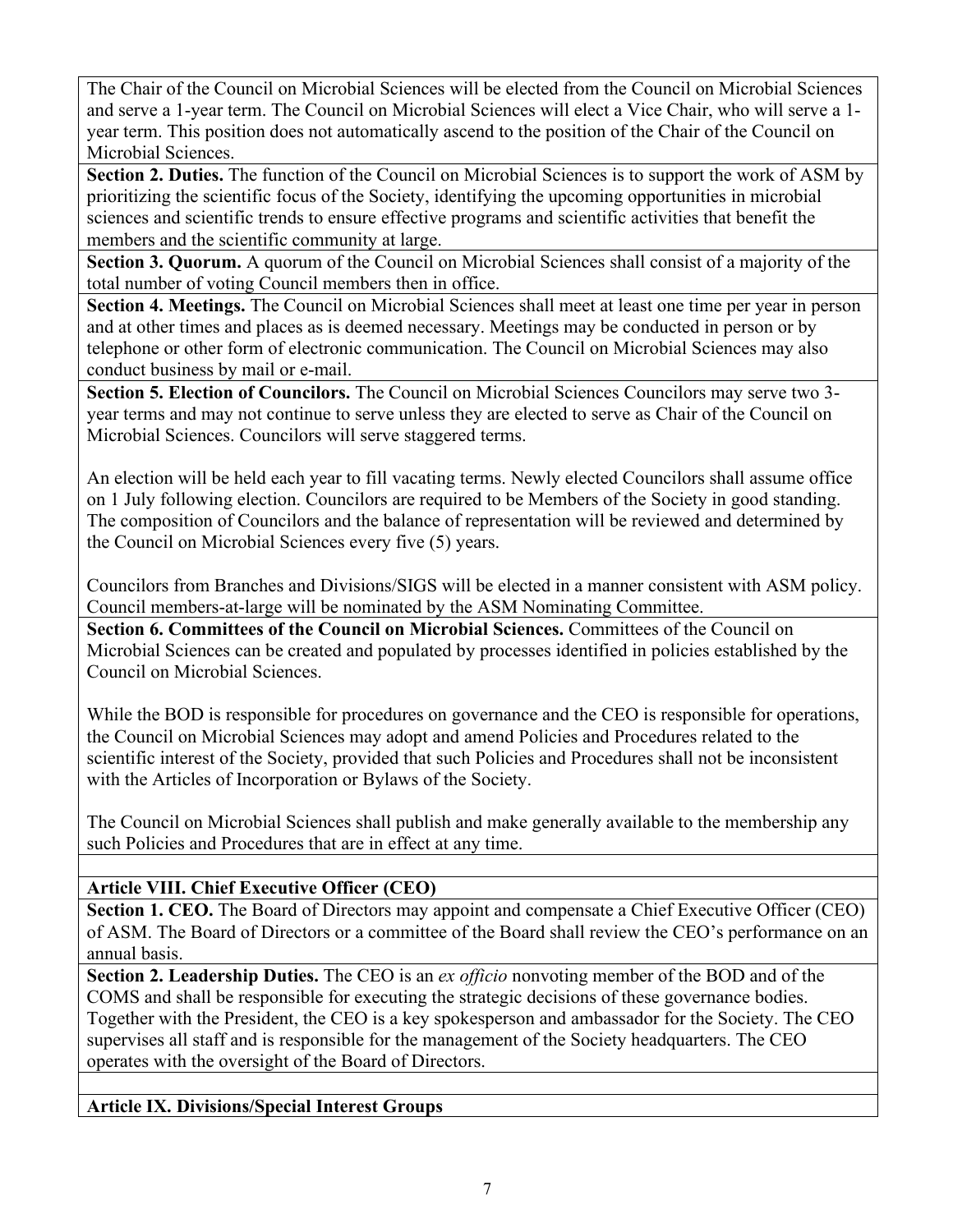The Chair of the Council on Microbial Sciences will be elected from the Council on Microbial Sciences and serve a 1-year term. The Council on Microbial Sciences will elect a Vice Chair, who will serve a 1 year term. This position does not automatically ascend to the position of the Chair of the Council on Microbial Sciences.

**Section 2. Duties.** The function of the Council on Microbial Sciences is to support the work of ASM by prioritizing the scientific focus of the Society, identifying the upcoming opportunities in microbial sciences and scientific trends to ensure effective programs and scientific activities that benefit the members and the scientific community at large.

**Section 3. Quorum.** A quorum of the Council on Microbial Sciences shall consist of a majority of the total number of voting Council members then in office.

**Section 4. Meetings.** The Council on Microbial Sciences shall meet at least one time per year in person and at other times and places as is deemed necessary. Meetings may be conducted in person or by telephone or other form of electronic communication. The Council on Microbial Sciences may also conduct business by mail or e-mail.

**Section 5. Election of Councilors.** The Council on Microbial Sciences Councilors may serve two 3 year terms and may not continue to serve unless they are elected to serve as Chair of the Council on Microbial Sciences. Councilors will serve staggered terms.

An election will be held each year to fill vacating terms. Newly elected Councilors shall assume office on 1 July following election. Councilors are required to be Members of the Society in good standing. The composition of Councilors and the balance of representation will be reviewed and determined by the Council on Microbial Sciences every five (5) years.

Councilors from Branches and Divisions/SIGS will be elected in a manner consistent with ASM policy. Council members-at-large will be nominated by the ASM Nominating Committee.

**Section 6. Committees of the Council on Microbial Sciences. Committees of the Council on** Microbial Sciences can be created and populated by processes identified in policies established by the Council on Microbial Sciences.

While the BOD is responsible for procedures on governance and the CEO is responsible for operations, the Council on Microbial Sciences may adopt and amend Policies and Procedures related to the scientific interest of the Society, provided that such Policies and Procedures shall not be inconsistent with the Articles of Incorporation or Bylaws of the Society.

The Council on Microbial Sciences shall publish and make generally available to the membership any such Policies and Procedures that are in effect at any time.

# **Article VIII. Chief Executive Officer (CEO)**

**Section 1. CEO.** The Board of Directors may appoint and compensate a Chief Executive Officer (CEO) of ASM. The Board of Directors or a committee of the Board shall review the CEO's performance on an annual basis.

**Section 2. Leadership Duties.** The CEO is an *ex officio* nonvoting member of the BOD and of the COMS and shall be responsible for executing the strategic decisions of these governance bodies. Together with the President, the CEO is a key spokesperson and ambassador for the Society. The CEO supervises all staff and is responsible for the management of the Society headquarters. The CEO operates with the oversight of the Board of Directors.

# **Article IX. Divisions/Special Interest Groups**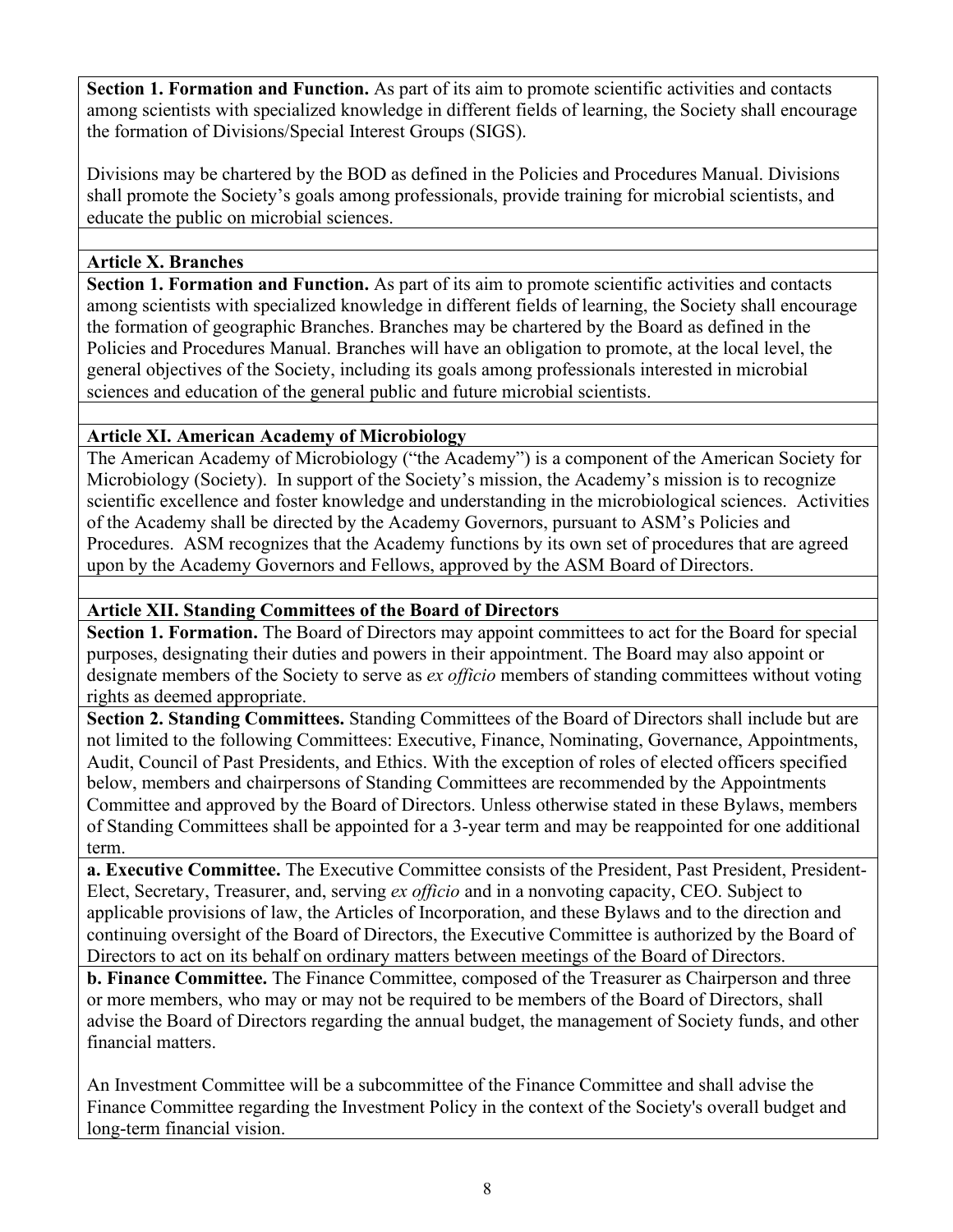**Section 1. Formation and Function.** As part of its aim to promote scientific activities and contacts among scientists with specialized knowledge in different fields of learning, the Society shall encourage the formation of Divisions/Special Interest Groups (SIGS).

Divisions may be chartered by the BOD as defined in the Policies and Procedures Manual. Divisions shall promote the Society's goals among professionals, provide training for microbial scientists, and educate the public on microbial sciences.

# **Article X. Branches**

**Section 1. Formation and Function.** As part of its aim to promote scientific activities and contacts among scientists with specialized knowledge in different fields of learning, the Society shall encourage the formation of geographic Branches. Branches may be chartered by the Board as defined in the Policies and Procedures Manual. Branches will have an obligation to promote, at the local level, the general objectives of the Society, including its goals among professionals interested in microbial sciences and education of the general public and future microbial scientists.

### **Article XI. American Academy of Microbiology**

The American Academy of Microbiology ("the Academy") is a component of the American Society for Microbiology (Society). In support of the Society's mission, the Academy's mission is to recognize scientific excellence and foster knowledge and understanding in the microbiological sciences. Activities of the Academy shall be directed by the Academy Governors, pursuant to ASM's Policies and Procedures. ASM recognizes that the Academy functions by its own set of procedures that are agreed upon by the Academy Governors and Fellows, approved by the ASM Board of Directors.

### **Article XII. Standing Committees of the Board of Directors**

**Section 1. Formation.** The Board of Directors may appoint committees to act for the Board for special purposes, designating their duties and powers in their appointment. The Board may also appoint or designate members of the Society to serve as *ex officio* members of standing committees without voting rights as deemed appropriate.

**Section 2. Standing Committees.** Standing Committees of the Board of Directors shall include but are not limited to the following Committees: Executive, Finance, Nominating, Governance, Appointments, Audit, Council of Past Presidents, and Ethics. With the exception of roles of elected officers specified below, members and chairpersons of Standing Committees are recommended by the Appointments Committee and approved by the Board of Directors. Unless otherwise stated in these Bylaws, members of Standing Committees shall be appointed for a 3-year term and may be reappointed for one additional term.

**a. Executive Committee.** The Executive Committee consists of the President, Past President, President-Elect, Secretary, Treasurer, and, serving *ex officio* and in a nonvoting capacity, CEO. Subject to applicable provisions of law, the Articles of Incorporation, and these Bylaws and to the direction and continuing oversight of the Board of Directors, the Executive Committee is authorized by the Board of Directors to act on its behalf on ordinary matters between meetings of the Board of Directors.

**b. Finance Committee.** The Finance Committee, composed of the Treasurer as Chairperson and three or more members, who may or may not be required to be members of the Board of Directors, shall advise the Board of Directors regarding the annual budget, the management of Society funds, and other financial matters.

An Investment Committee will be a subcommittee of the Finance Committee and shall advise the Finance Committee regarding the Investment Policy in the context of the Society's overall budget and long-term financial vision.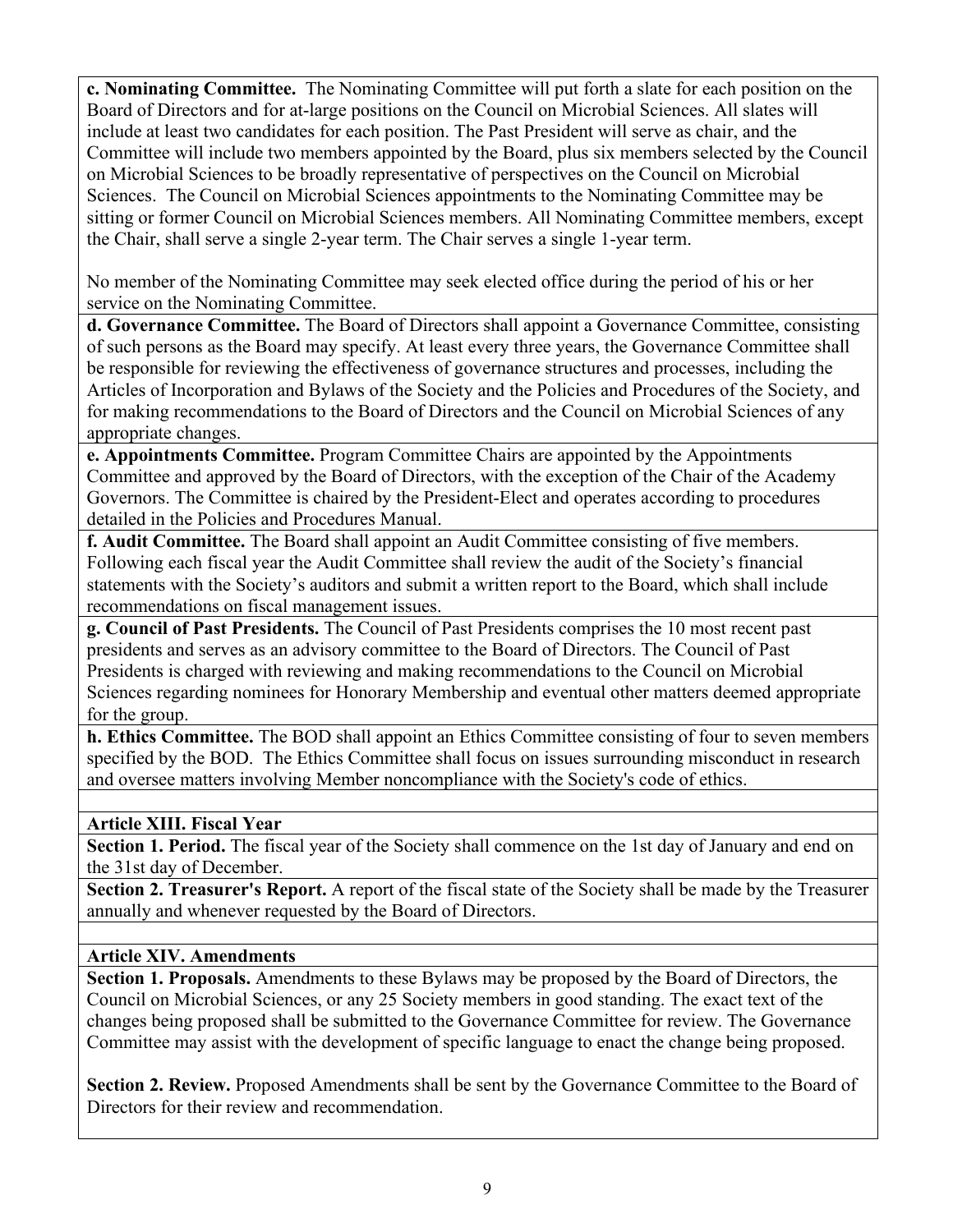**c. Nominating Committee.** The Nominating Committee will put forth a slate for each position on the Board of Directors and for at-large positions on the Council on Microbial Sciences. All slates will include at least two candidates for each position. The Past President will serve as chair, and the Committee will include two members appointed by the Board, plus six members selected by the Council on Microbial Sciences to be broadly representative of perspectives on the Council on Microbial Sciences. The Council on Microbial Sciences appointments to the Nominating Committee may be sitting or former Council on Microbial Sciences members. All Nominating Committee members, except the Chair, shall serve a single 2-year term. The Chair serves a single 1-year term.

No member of the Nominating Committee may seek elected office during the period of his or her service on the Nominating Committee.

**d. Governance Committee.** The Board of Directors shall appoint a Governance Committee, consisting of such persons as the Board may specify. At least every three years, the Governance Committee shall be responsible for reviewing the effectiveness of governance structures and processes, including the Articles of Incorporation and Bylaws of the Society and the Policies and Procedures of the Society, and for making recommendations to the Board of Directors and the Council on Microbial Sciences of any appropriate changes.

**e. Appointments Committee.** Program Committee Chairs are appointed by the Appointments Committee and approved by the Board of Directors, with the exception of the Chair of the Academy Governors. The Committee is chaired by the President-Elect and operates according to procedures detailed in the Policies and Procedures Manual.

**f. Audit Committee.** The Board shall appoint an Audit Committee consisting of five members. Following each fiscal year the Audit Committee shall review the audit of the Society's financial statements with the Society's auditors and submit a written report to the Board, which shall include recommendations on fiscal management issues.

**g. Council of Past Presidents.** The Council of Past Presidents comprises the 10 most recent past presidents and serves as an advisory committee to the Board of Directors. The Council of Past Presidents is charged with reviewing and making recommendations to the Council on Microbial Sciences regarding nominees for Honorary Membership and eventual other matters deemed appropriate for the group.

**h. Ethics Committee.** The BOD shall appoint an Ethics Committee consisting of four to seven members specified by the BOD. The Ethics Committee shall focus on issues surrounding misconduct in research and oversee matters involving Member noncompliance with the Society's code of ethics.

### **Article XIII. Fiscal Year**

Section 1. Period. The fiscal year of the Society shall commence on the 1st day of January and end on the 31st day of December.

**Section 2. Treasurer's Report.** A report of the fiscal state of the Society shall be made by the Treasurer annually and whenever requested by the Board of Directors.

### **Article XIV. Amendments**

**Section 1. Proposals.** Amendments to these Bylaws may be proposed by the Board of Directors, the Council on Microbial Sciences, or any 25 Society members in good standing. The exact text of the changes being proposed shall be submitted to the Governance Committee for review. The Governance Committee may assist with the development of specific language to enact the change being proposed.

**Section 2. Review.** Proposed Amendments shall be sent by the Governance Committee to the Board of Directors for their review and recommendation.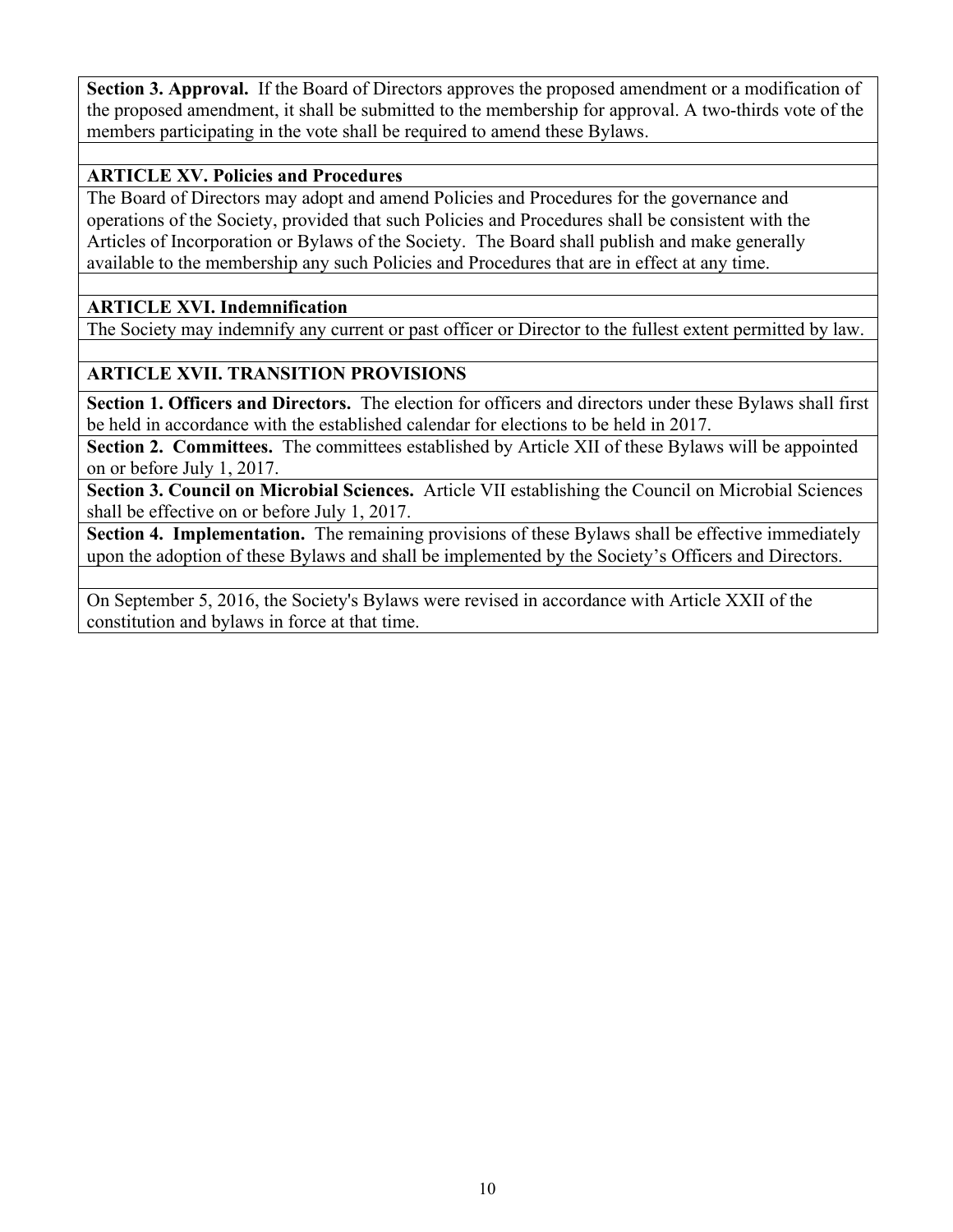**Section 3. Approval.** If the Board of Directors approves the proposed amendment or a modification of the proposed amendment, it shall be submitted to the membership for approval. A two-thirds vote of the members participating in the vote shall be required to amend these Bylaws.

# **ARTICLE XV. Policies and Procedures**

The Board of Directors may adopt and amend Policies and Procedures for the governance and operations of the Society, provided that such Policies and Procedures shall be consistent with the Articles of Incorporation or Bylaws of the Society. The Board shall publish and make generally available to the membership any such Policies and Procedures that are in effect at any time.

### **ARTICLE XVI. Indemnification**

The Society may indemnify any current or past officer or Director to the fullest extent permitted by law.

# **ARTICLE XVII. TRANSITION PROVISIONS**

**Section 1. Officers and Directors.** The election for officers and directors under these Bylaws shall first be held in accordance with the established calendar for elections to be held in 2017.

**Section 2. Committees.** The committees established by Article XII of these Bylaws will be appointed on or before July 1, 2017.

**Section 3. Council on Microbial Sciences.** Article VII establishing the Council on Microbial Sciences shall be effective on or before July 1, 2017.

**Section 4. Implementation.** The remaining provisions of these Bylaws shall be effective immediately upon the adoption of these Bylaws and shall be implemented by the Society's Officers and Directors.

On September 5, 2016, the Society's Bylaws were revised in accordance with Article XXII of the constitution and bylaws in force at that time.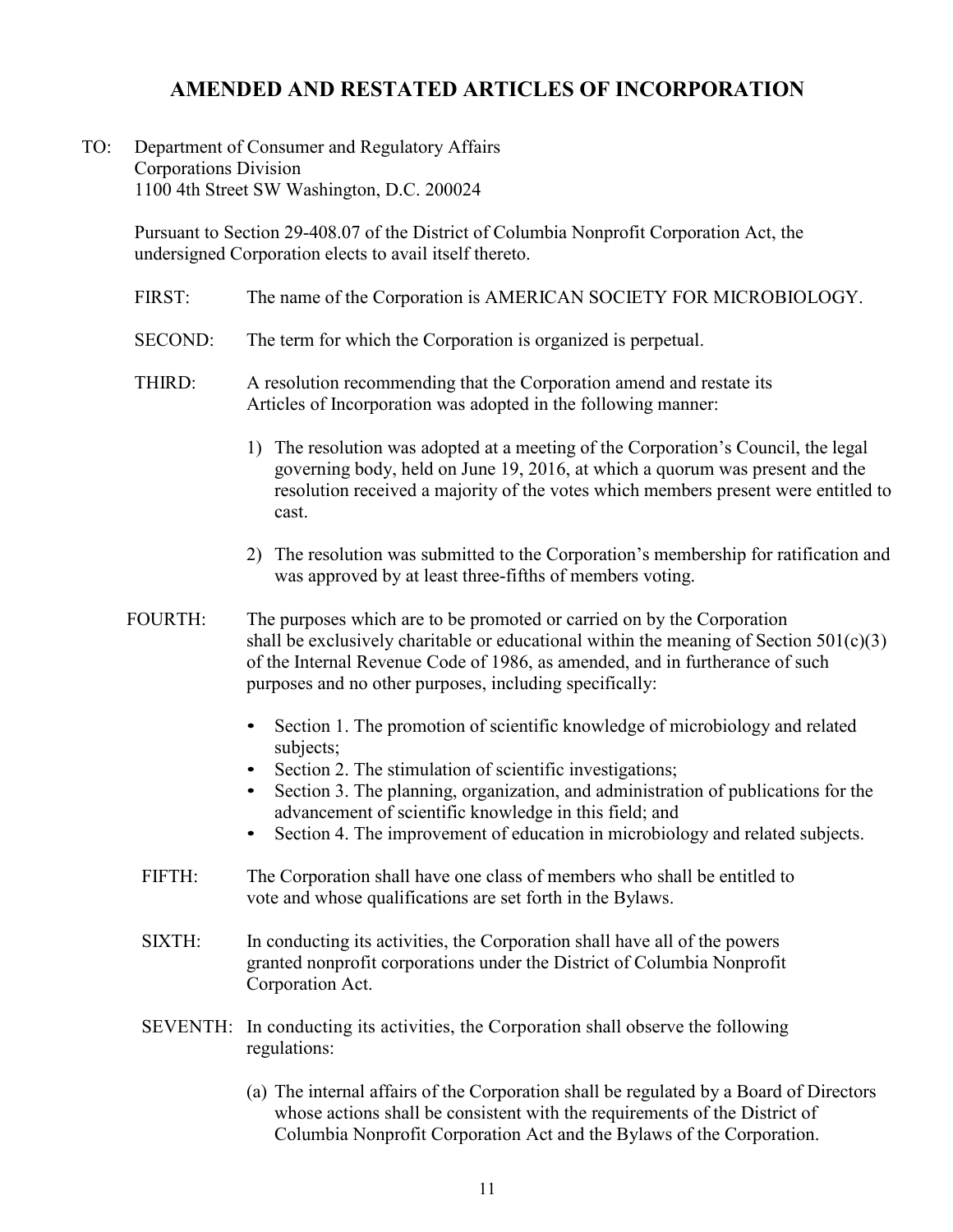# **AMENDED AND RESTATED ARTICLES OF INCORPORATION**

### <span id="page-10-0"></span>TO: Department of Consumer and Regulatory Affairs Corporations Division 1100 4th Street SW Washington, D.C. 200024

Pursuant to Section 29-408.07 of the District of Columbia Nonprofit Corporation Act, the undersigned Corporation elects to avail itself thereto.

- FIRST: The name of the Corporation is AMERICAN SOCIETY FOR MICROBIOLOGY.
- SECOND: The term for which the Corporation is organized is perpetual.
- THIRD: A resolution recommending that the Corporation amend and restate its Articles of Incorporation was adopted in the following manner:
	- 1) The resolution was adopted at a meeting of the Corporation's Council, the legal governing body, held on June 19, 2016, at which a quorum was present and the resolution received a majority of the votes which members present were entitled to cast.
	- 2) The resolution was submitted to the Corporation's membership for ratification and was approved by at least three-fifths of members voting.
- FOURTH: The purposes which are to be promoted or carried on by the Corporation shall be exclusively charitable or educational within the meaning of Section  $501(c)(3)$ of the Internal Revenue Code of 1986, as amended, and in furtherance of such purposes and no other purposes, including specifically:
	- Section 1. The promotion of scientific knowledge of microbiology and related subjects;
	- Section 2. The stimulation of scientific investigations;
	- Section 3. The planning, organization, and administration of publications for the advancement of scientific knowledge in this field; and
	- Section 4. The improvement of education in microbiology and related subjects.
	- FIFTH: The Corporation shall have one class of members who shall be entitled to vote and whose qualifications are set forth in the Bylaws.
	- SIXTH: In conducting its activities, the Corporation shall have all of the powers granted nonprofit corporations under the District of Columbia Nonprofit Corporation Act.
	- SEVENTH: In conducting its activities, the Corporation shall observe the following regulations:
		- (a) The internal affairs of the Corporation shall be regulated by a Board of Directors whose actions shall be consistent with the requirements of the District of Columbia Nonprofit Corporation Act and the Bylaws of the Corporation.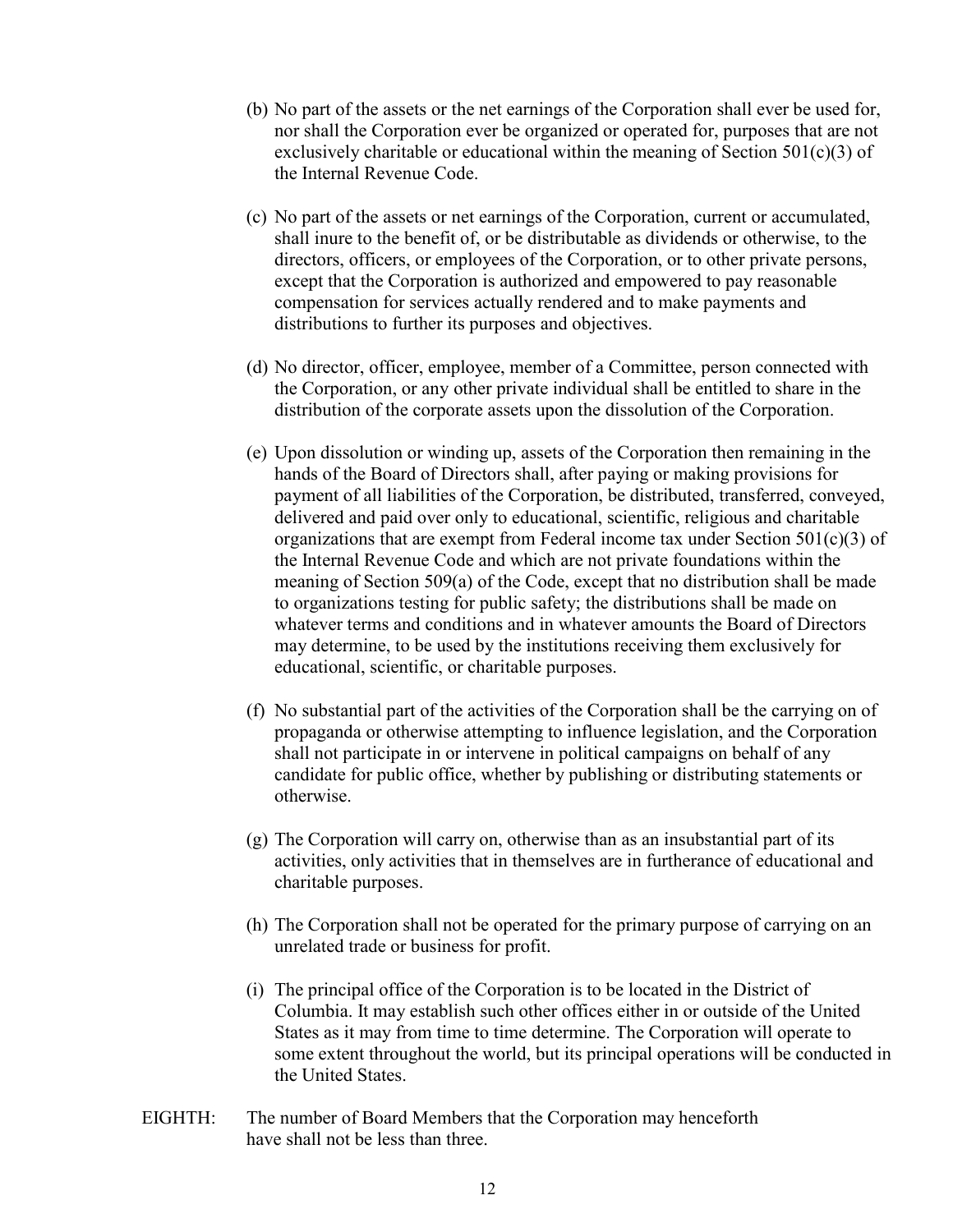- (b) No part of the assets or the net earnings of the Corporation shall ever be used for, nor shall the Corporation ever be organized or operated for, purposes that are not exclusively charitable or educational within the meaning of Section  $501(c)(3)$  of the Internal Revenue Code.
- (c) No part of the assets or net earnings of the Corporation, current or accumulated, shall inure to the benefit of, or be distributable as dividends or otherwise, to the directors, officers, or employees of the Corporation, or to other private persons, except that the Corporation is authorized and empowered to pay reasonable compensation for services actually rendered and to make payments and distributions to further its purposes and objectives.
- (d) No director, officer, employee, member of a Committee, person connected with the Corporation, or any other private individual shall be entitled to share in the distribution of the corporate assets upon the dissolution of the Corporation.
- (e) Upon dissolution or winding up, assets of the Corporation then remaining in the hands of the Board of Directors shall, after paying or making provisions for payment of all liabilities of the Corporation, be distributed, transferred, conveyed, delivered and paid over only to educational, scientific, religious and charitable organizations that are exempt from Federal income tax under Section  $501(c)(3)$  of the Internal Revenue Code and which are not private foundations within the meaning of Section 509(a) of the Code, except that no distribution shall be made to organizations testing for public safety; the distributions shall be made on whatever terms and conditions and in whatever amounts the Board of Directors may determine, to be used by the institutions receiving them exclusively for educational, scientific, or charitable purposes.
- (f) No substantial part of the activities of the Corporation shall be the carrying on of propaganda or otherwise attempting to influence legislation, and the Corporation shall not participate in or intervene in political campaigns on behalf of any candidate for public office, whether by publishing or distributing statements or otherwise.
- (g) The Corporation will carry on, otherwise than as an insubstantial part of its activities, only activities that in themselves are in furtherance of educational and charitable purposes.
- (h) The Corporation shall not be operated for the primary purpose of carrying on an unrelated trade or business for profit.
- (i) The principal office of the Corporation is to be located in the District of Columbia. It may establish such other offices either in or outside of the United States as it may from time to time determine. The Corporation will operate to some extent throughout the world, but its principal operations will be conducted in the United States.
- EIGHTH: The number of Board Members that the Corporation may henceforth have shall not be less than three.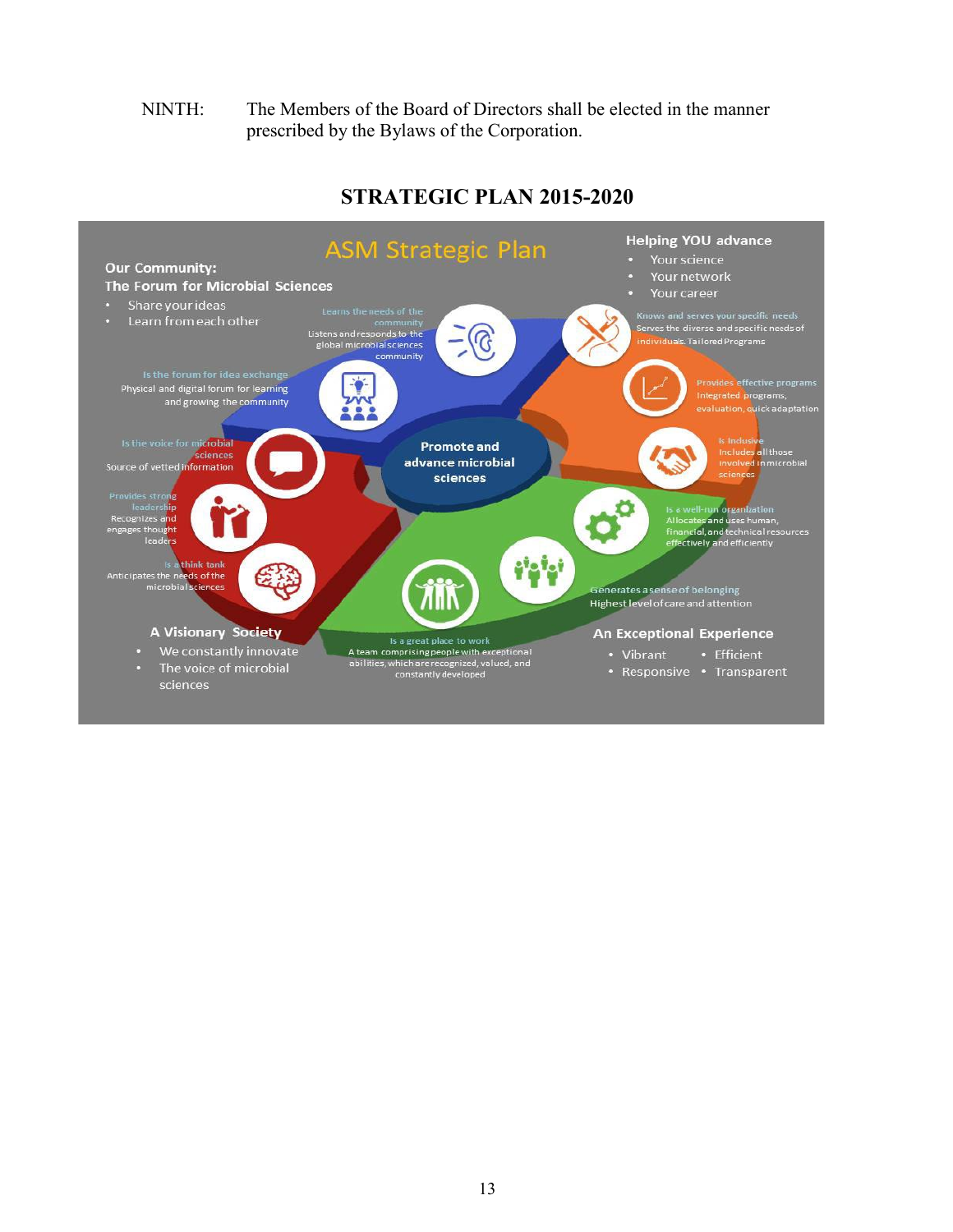### NINTH: The Members of the Board of Directors shall be elected in the manner prescribed by the Bylaws of the Corporation.

<span id="page-12-0"></span>

# **STRATEGIC PLAN 2015-2020**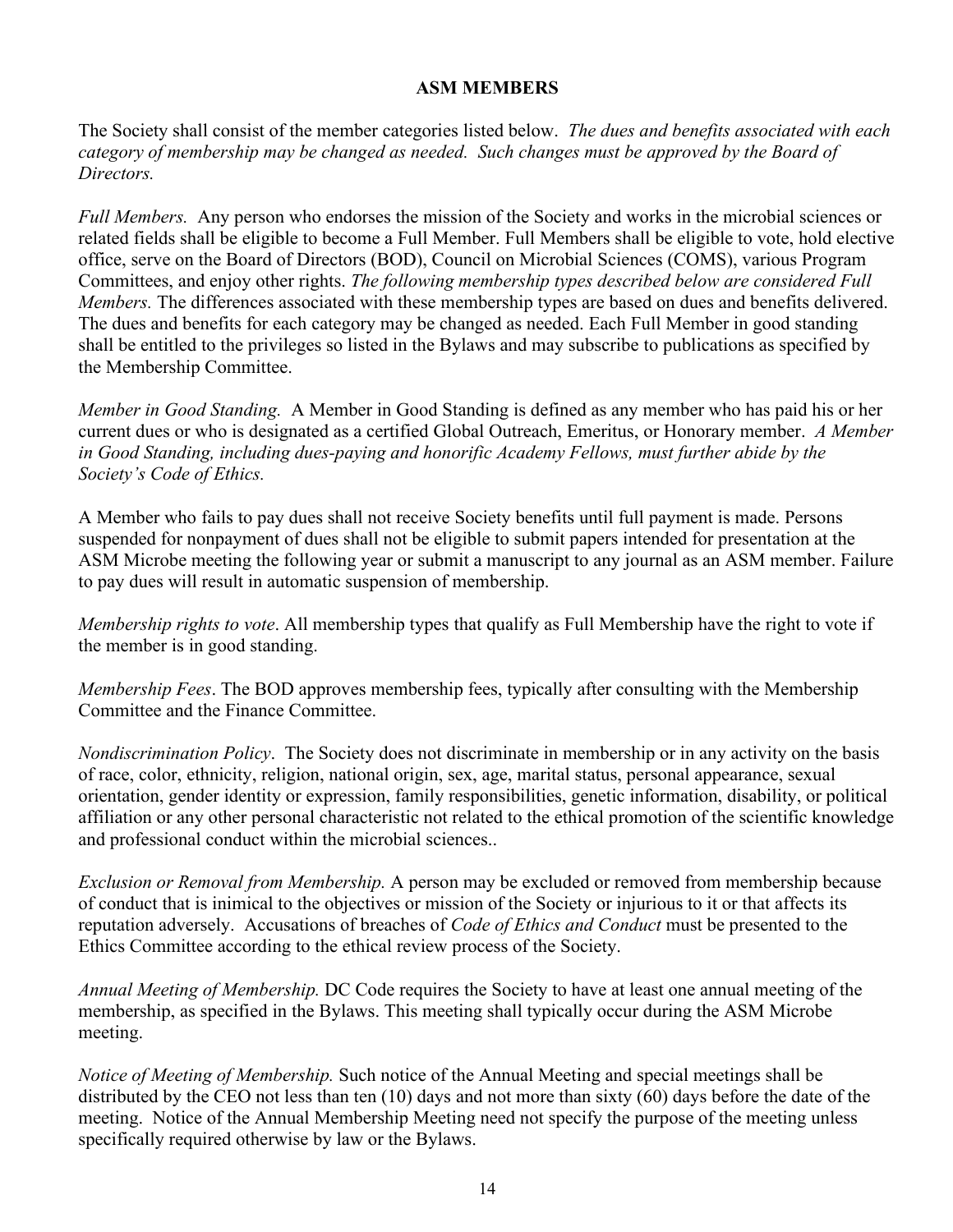### **ASM MEMBERS**

<span id="page-13-0"></span>The Society shall consist of the member categories listed below. *The dues and benefits associated with each category of membership may be changed as needed. Such changes must be approved by the Board of Directors.*

*Full Members.* Any person who endorses the mission of the Society and works in the microbial sciences or related fields shall be eligible to become a Full Member. Full Members shall be eligible to vote, hold elective office, serve on the Board of Directors (BOD), Council on Microbial Sciences (COMS), various Program Committees, and enjoy other rights. *The following membership types described below are considered Full Members.* The differences associated with these membership types are based on dues and benefits delivered. The dues and benefits for each category may be changed as needed. Each Full Member in good standing shall be entitled to the privileges so listed in the Bylaws and may subscribe to publications as specified by the Membership Committee.

*Member in Good Standing.* A Member in Good Standing is defined as any member who has paid his or her current dues or who is designated as a certified Global Outreach, Emeritus, or Honorary member. *A Member in Good Standing, including dues-paying and honorific Academy Fellows, must further abide by the Society's Code of Ethics.*

A Member who fails to pay dues shall not receive Society benefits until full payment is made. Persons suspended for nonpayment of dues shall not be eligible to submit papers intended for presentation at the ASM Microbe meeting the following year or submit a manuscript to any journal as an ASM member. Failure to pay dues will result in automatic suspension of membership.

*Membership rights to vote*. All membership types that qualify as Full Membership have the right to vote if the member is in good standing.

*Membership Fees*. The BOD approves membership fees, typically after consulting with the Membership Committee and the Finance Committee.

*Nondiscrimination Policy*. The Society does not discriminate in membership or in any activity on the basis of race, color, ethnicity, religion, national origin, sex, age, marital status, personal appearance, sexual orientation, gender identity or expression, family responsibilities, genetic information, disability, or political affiliation or any other personal characteristic not related to the ethical promotion of the scientific knowledge and professional conduct within the microbial sciences..

*Exclusion or Removal from Membership.* A person may be excluded or removed from membership because of conduct that is inimical to the objectives or mission of the Society or injurious to it or that affects its reputation adversely. Accusations of breaches of *Code of Ethics and Conduct* must be presented to the Ethics Committee according to the ethical review process of the Society.

*Annual Meeting of Membership.* DC Code requires the Society to have at least one annual meeting of the membership, as specified in the Bylaws. This meeting shall typically occur during the ASM Microbe meeting.

*Notice of Meeting of Membership.* Such notice of the Annual Meeting and special meetings shall be distributed by the CEO not less than ten (10) days and not more than sixty (60) days before the date of the meeting. Notice of the Annual Membership Meeting need not specify the purpose of the meeting unless specifically required otherwise by law or the Bylaws.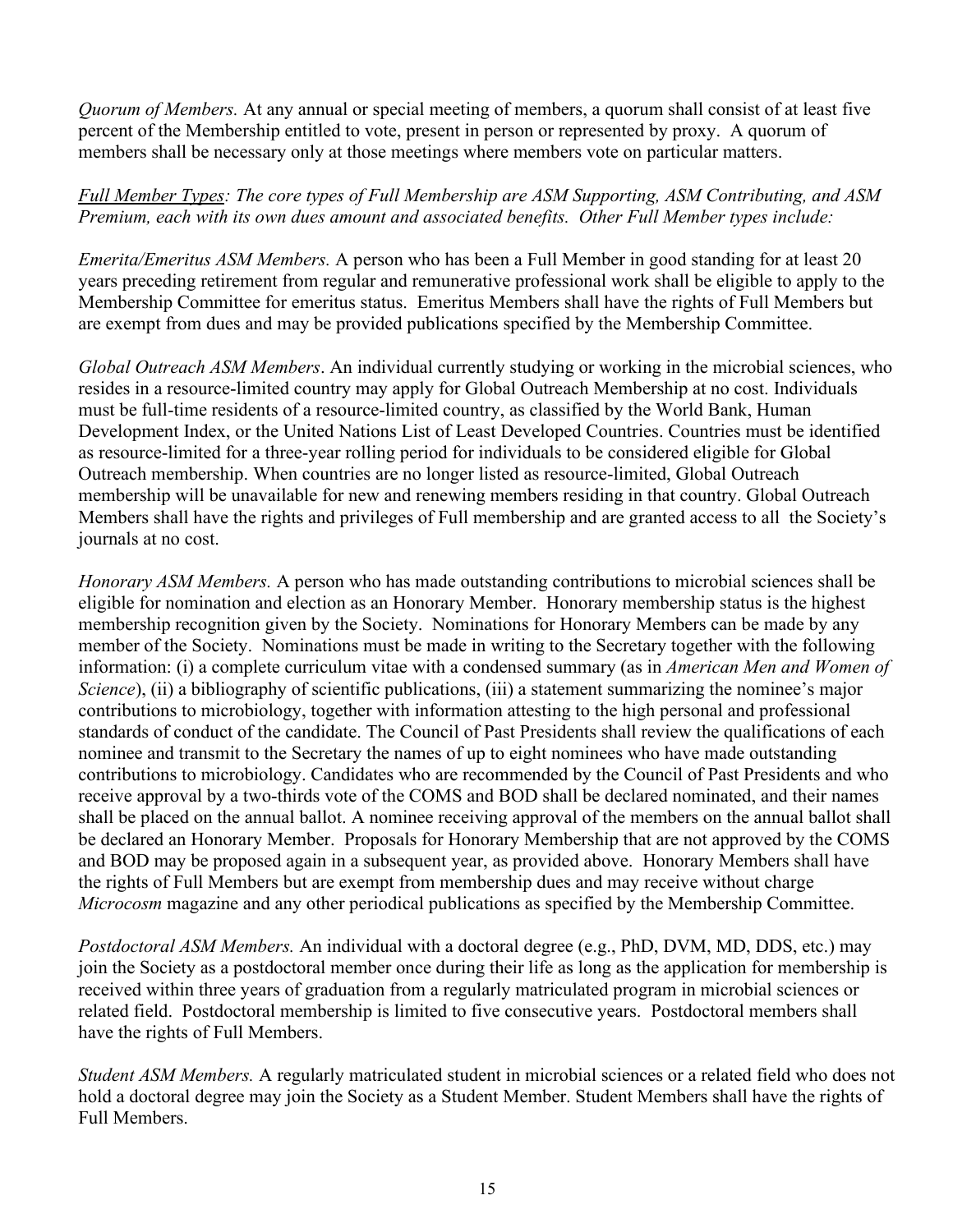*Quorum of Members.* At any annual or special meeting of members, a quorum shall consist of at least five percent of the Membership entitled to vote, present in person or represented by proxy. A quorum of members shall be necessary only at those meetings where members vote on particular matters.

# *Full Member Types: The core types of Full Membership are ASM Supporting, ASM Contributing, and ASM Premium, each with its own dues amount and associated benefits. Other Full Member types include:*

*Emerita/Emeritus ASM Members.* A person who has been a Full Member in good standing for at least 20 years preceding retirement from regular and remunerative professional work shall be eligible to apply to the Membership Committee for emeritus status. Emeritus Members shall have the rights of Full Members but are exempt from dues and may be provided publications specified by the Membership Committee.

*Global Outreach ASM Members*. An individual currently studying or working in the microbial sciences, who resides in a resource-limited country may apply for Global Outreach Membership at no cost. Individuals must be full-time residents of a resource-limited country, as classified by the World Bank, Human Development Index, or the United Nations List of Least Developed Countries. Countries must be identified as resource-limited for a three-year rolling period for individuals to be considered eligible for Global Outreach membership. When countries are no longer listed as resource-limited, Global Outreach membership will be unavailable for new and renewing members residing in that country. Global Outreach Members shall have the rights and privileges of Full membership and are granted access to all the Society's journals at no cost.

*Honorary ASM Members.* A person who has made outstanding contributions to microbial sciences shall be eligible for nomination and election as an Honorary Member. Honorary membership status is the highest membership recognition given by the Society. Nominations for Honorary Members can be made by any member of the Society. Nominations must be made in writing to the Secretary together with the following information: (i) a complete curriculum vitae with a condensed summary (as in *American Men and Women of Science*), (ii) a bibliography of scientific publications, (iii) a statement summarizing the nominee's major contributions to microbiology, together with information attesting to the high personal and professional standards of conduct of the candidate. The Council of Past Presidents shall review the qualifications of each nominee and transmit to the Secretary the names of up to eight nominees who have made outstanding contributions to microbiology. Candidates who are recommended by the Council of Past Presidents and who receive approval by a two-thirds vote of the COMS and BOD shall be declared nominated, and their names shall be placed on the annual ballot. A nominee receiving approval of the members on the annual ballot shall be declared an Honorary Member. Proposals for Honorary Membership that are not approved by the COMS and BOD may be proposed again in a subsequent year, as provided above. Honorary Members shall have the rights of Full Members but are exempt from membership dues and may receive without charge *Microcosm* magazine and any other periodical publications as specified by the Membership Committee.

*Postdoctoral ASM Members.* An individual with a doctoral degree (e.g., PhD, DVM, MD, DDS, etc.) may join the Society as a postdoctoral member once during their life as long as the application for membership is received within three years of graduation from a regularly matriculated program in microbial sciences or related field. Postdoctoral membership is limited to five consecutive years. Postdoctoral members shall have the rights of Full Members.

*Student ASM Members.* A regularly matriculated student in microbial sciences or a related field who does not hold a doctoral degree may join the Society as a Student Member. Student Members shall have the rights of Full Members.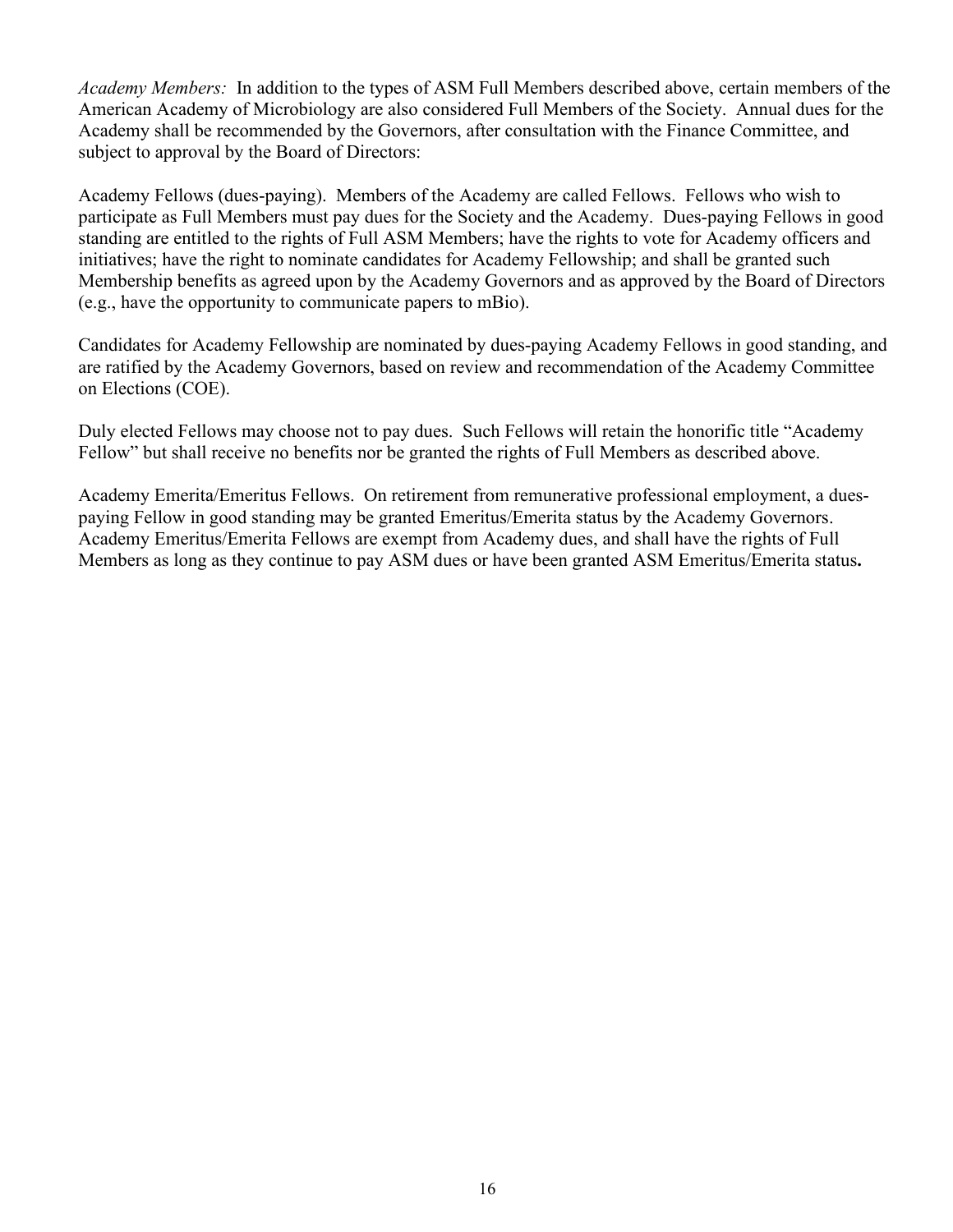*Academy Members:* In addition to the types of ASM Full Members described above, certain members of the American Academy of Microbiology are also considered Full Members of the Society. Annual dues for the Academy shall be recommended by the Governors, after consultation with the Finance Committee, and subject to approval by the Board of Directors:

Academy Fellows (dues-paying). Members of the Academy are called Fellows. Fellows who wish to participate as Full Members must pay dues for the Society and the Academy. Dues-paying Fellows in good standing are entitled to the rights of Full ASM Members; have the rights to vote for Academy officers and initiatives; have the right to nominate candidates for Academy Fellowship; and shall be granted such Membership benefits as agreed upon by the Academy Governors and as approved by the Board of Directors (e.g., have the opportunity to communicate papers to mBio).

Candidates for Academy Fellowship are nominated by dues-paying Academy Fellows in good standing, and are ratified by the Academy Governors, based on review and recommendation of the Academy Committee on Elections (COE).

Duly elected Fellows may choose not to pay dues. Such Fellows will retain the honorific title "Academy Fellow" but shall receive no benefits nor be granted the rights of Full Members as described above.

Academy Emerita/Emeritus Fellows. On retirement from remunerative professional employment, a duespaying Fellow in good standing may be granted Emeritus/Emerita status by the Academy Governors. Academy Emeritus/Emerita Fellows are exempt from Academy dues, and shall have the rights of Full Members as long as they continue to pay ASM dues or have been granted ASM Emeritus/Emerita status**.**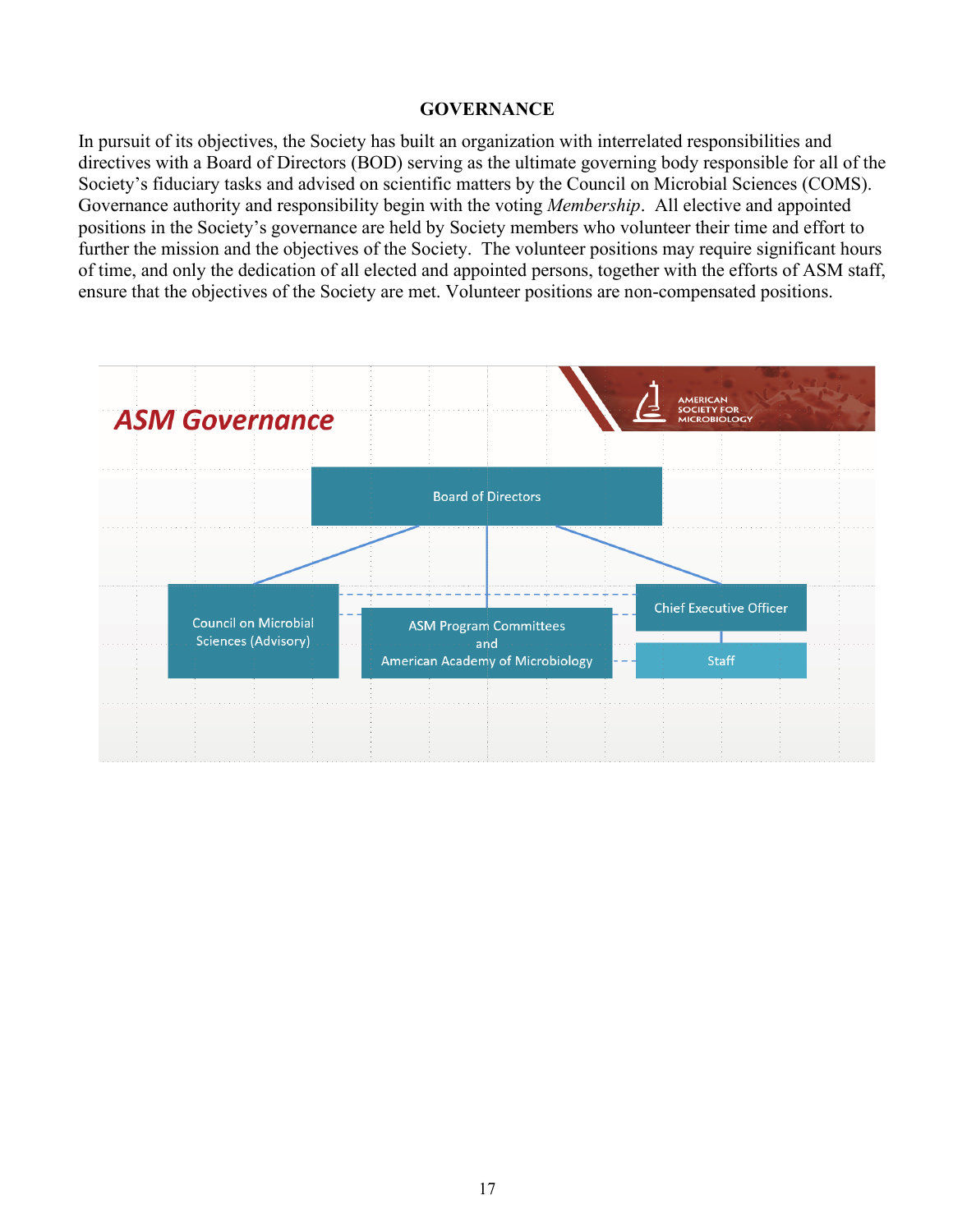#### **GOVERNANCE**

<span id="page-16-0"></span>In pursuit of its objectives, the Society has built an organization with interrelated responsibilities and directives with a Board of Directors (BOD) serving as the ultimate governing body responsible for all of the Society's fiduciary tasks and advised on scientific matters by the Council on Microbial Sciences (COMS). Governance authority and responsibility begin with the voting *Membership*. All elective and appointed positions in the Society's governance are held by Society members who volunteer their time and effort to further the mission and the objectives of the Society. The volunteer positions may require significant hours of time, and only the dedication of all elected and appointed persons, together with the efforts of ASM staff, ensure that the objectives of the Society are met. Volunteer positions are non-compensated positions.

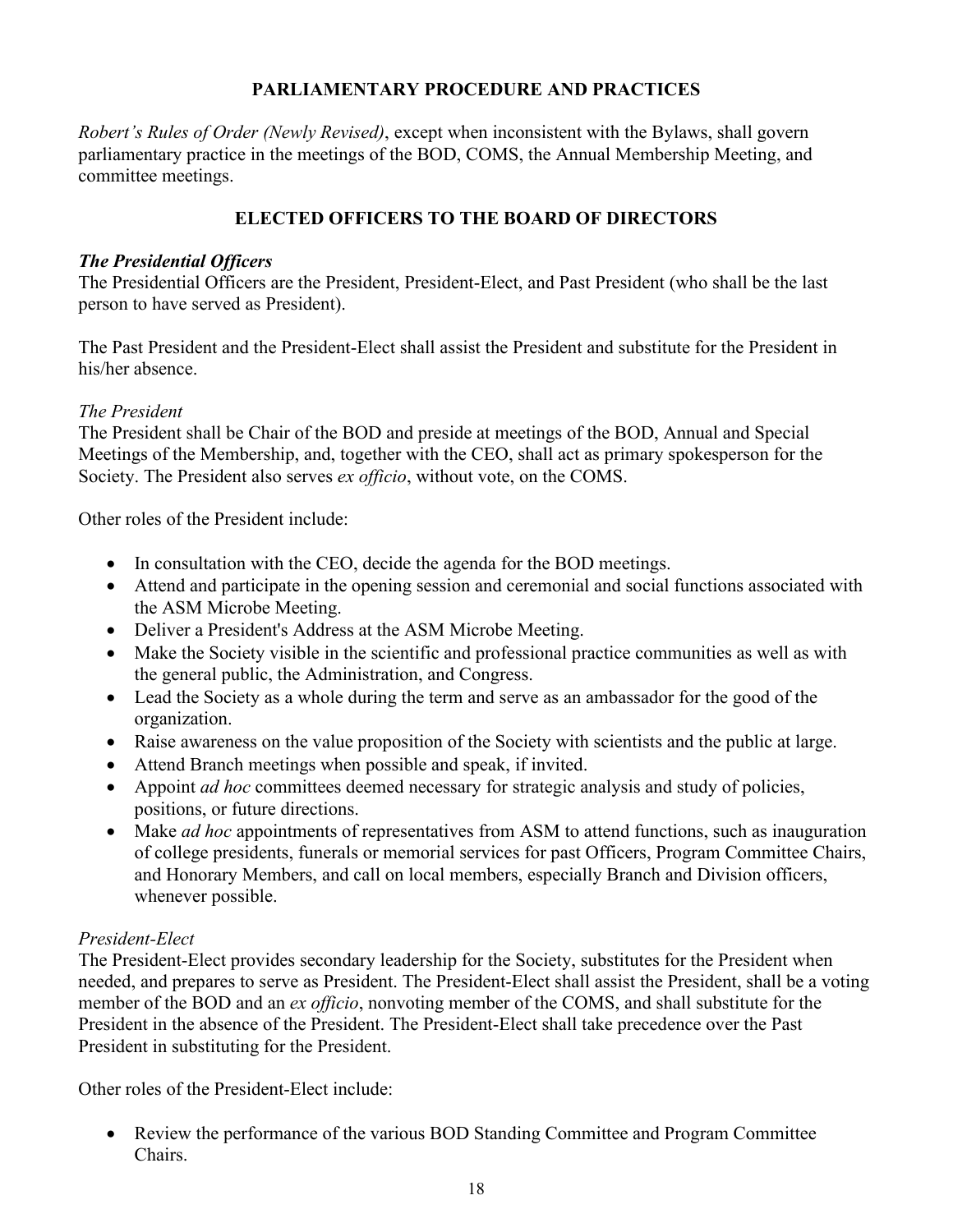# **PARLIAMENTARY PROCEDURE AND PRACTICES**

<span id="page-17-0"></span>*Robert's Rules of Order (Newly Revised)*, except when inconsistent with the Bylaws, shall govern parliamentary practice in the meetings of the BOD, COMS, the Annual Membership Meeting, and committee meetings.

# **ELECTED OFFICERS TO THE BOARD OF DIRECTORS**

### <span id="page-17-1"></span>*The Presidential Officers*

The Presidential Officers are the President, President-Elect, and Past President (who shall be the last person to have served as President).

The Past President and the President-Elect shall assist the President and substitute for the President in his/her absence.

### *The President*

The President shall be Chair of the BOD and preside at meetings of the BOD, Annual and Special Meetings of the Membership, and, together with the CEO, shall act as primary spokesperson for the Society. The President also serves *ex officio*, without vote, on the COMS.

Other roles of the President include:

- In consultation with the CEO, decide the agenda for the BOD meetings.
- Attend and participate in the opening session and ceremonial and social functions associated with the ASM Microbe Meeting.
- Deliver a President's Address at the ASM Microbe Meeting.
- Make the Society visible in the scientific and professional practice communities as well as with the general public, the Administration, and Congress.
- Lead the Society as a whole during the term and serve as an ambassador for the good of the organization.
- Raise awareness on the value proposition of the Society with scientists and the public at large.
- Attend Branch meetings when possible and speak, if invited.
- Appoint *ad hoc* committees deemed necessary for strategic analysis and study of policies, positions, or future directions.
- Make *ad hoc* appointments of representatives from ASM to attend functions, such as inauguration of college presidents, funerals or memorial services for past Officers, Program Committee Chairs, and Honorary Members, and call on local members, especially Branch and Division officers, whenever possible.

# *President-Elect*

The President-Elect provides secondary leadership for the Society, substitutes for the President when needed, and prepares to serve as President. The President-Elect shall assist the President, shall be a voting member of the BOD and an *ex officio*, nonvoting member of the COMS, and shall substitute for the President in the absence of the President. The President-Elect shall take precedence over the Past President in substituting for the President.

Other roles of the President-Elect include:

• Review the performance of the various BOD Standing Committee and Program Committee Chairs.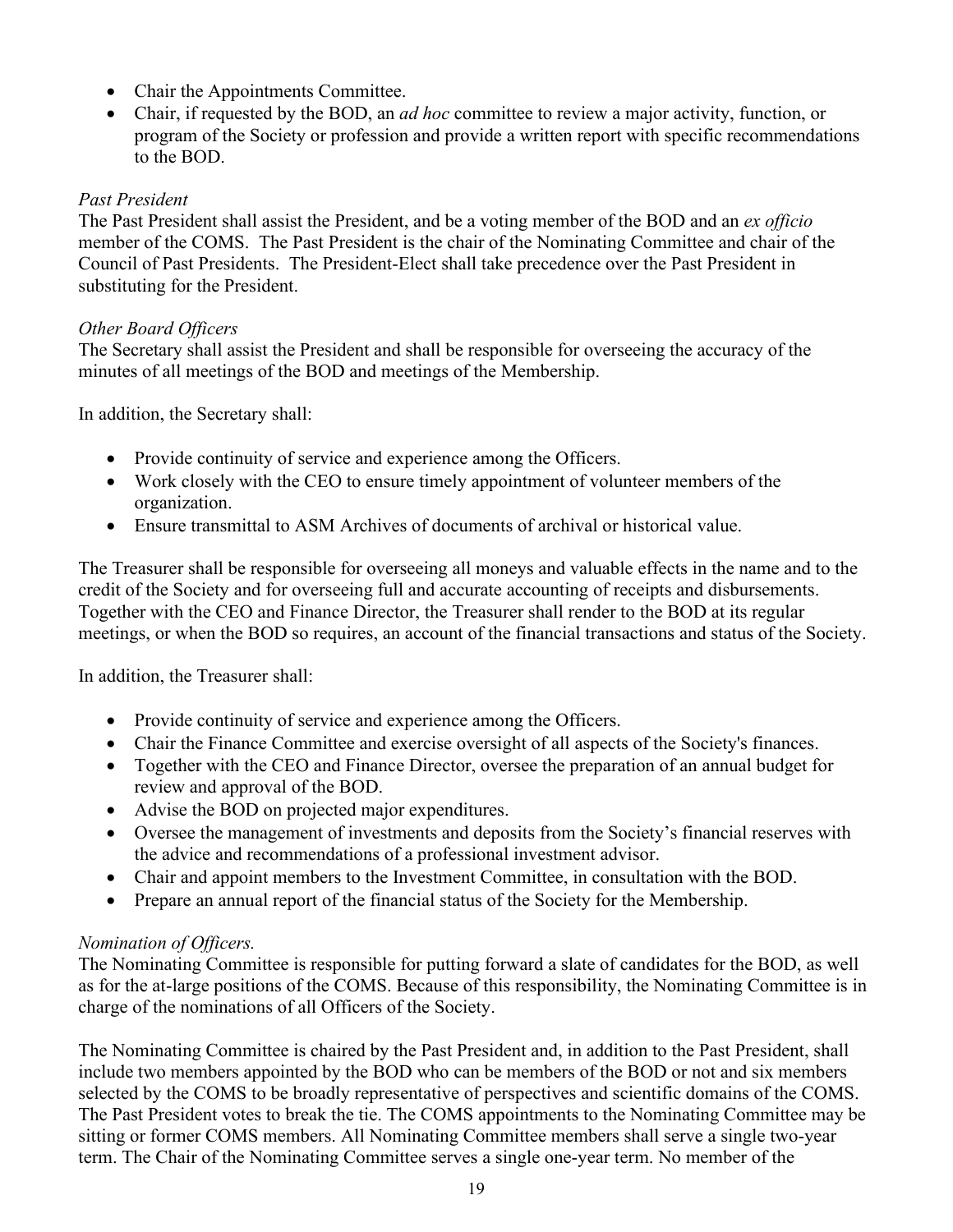- Chair the Appointments Committee.
- Chair, if requested by the BOD, an *ad hoc* committee to review a major activity, function, or program of the Society or profession and provide a written report with specific recommendations to the BOD.

# *Past President*

The Past President shall assist the President, and be a voting member of the BOD and an *ex officio* member of the COMS. The Past President is the chair of the Nominating Committee and chair of the Council of Past Presidents. The President-Elect shall take precedence over the Past President in substituting for the President.

# *Other Board Officers*

The Secretary shall assist the President and shall be responsible for overseeing the accuracy of the minutes of all meetings of the BOD and meetings of the Membership.

In addition, the Secretary shall:

- Provide continuity of service and experience among the Officers.
- Work closely with the CEO to ensure timely appointment of volunteer members of the organization.
- Ensure transmittal to ASM Archives of documents of archival or historical value.

The Treasurer shall be responsible for overseeing all moneys and valuable effects in the name and to the credit of the Society and for overseeing full and accurate accounting of receipts and disbursements. Together with the CEO and Finance Director, the Treasurer shall render to the BOD at its regular meetings, or when the BOD so requires, an account of the financial transactions and status of the Society.

In addition, the Treasurer shall:

- Provide continuity of service and experience among the Officers.
- Chair the Finance Committee and exercise oversight of all aspects of the Society's finances.
- Together with the CEO and Finance Director, oversee the preparation of an annual budget for review and approval of the BOD.
- Advise the BOD on projected major expenditures.
- Oversee the management of investments and deposits from the Society's financial reserves with the advice and recommendations of a professional investment advisor.
- Chair and appoint members to the Investment Committee, in consultation with the BOD.
- Prepare an annual report of the financial status of the Society for the Membership.

# *Nomination of Officers.*

The Nominating Committee is responsible for putting forward a slate of candidates for the BOD, as well as for the at-large positions of the COMS. Because of this responsibility, the Nominating Committee is in charge of the nominations of all Officers of the Society.

The Nominating Committee is chaired by the Past President and, in addition to the Past President, shall include two members appointed by the BOD who can be members of the BOD or not and six members selected by the COMS to be broadly representative of perspectives and scientific domains of the COMS. The Past President votes to break the tie. The COMS appointments to the Nominating Committee may be sitting or former COMS members. All Nominating Committee members shall serve a single two-year term. The Chair of the Nominating Committee serves a single one-year term. No member of the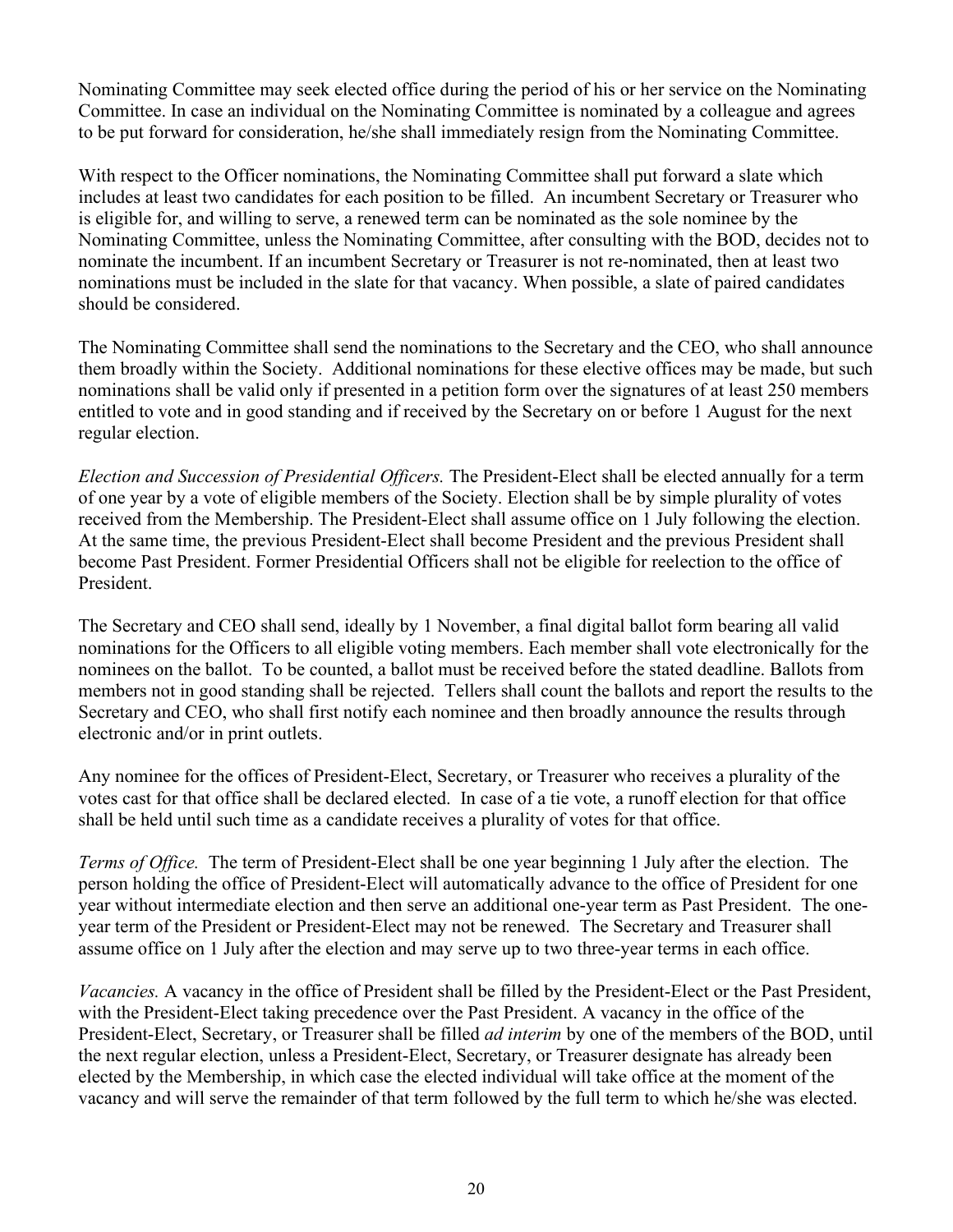Nominating Committee may seek elected office during the period of his or her service on the Nominating Committee. In case an individual on the Nominating Committee is nominated by a colleague and agrees to be put forward for consideration, he/she shall immediately resign from the Nominating Committee.

With respect to the Officer nominations, the Nominating Committee shall put forward a slate which includes at least two candidates for each position to be filled. An incumbent Secretary or Treasurer who is eligible for, and willing to serve, a renewed term can be nominated as the sole nominee by the Nominating Committee, unless the Nominating Committee, after consulting with the BOD, decides not to nominate the incumbent. If an incumbent Secretary or Treasurer is not re-nominated, then at least two nominations must be included in the slate for that vacancy. When possible, a slate of paired candidates should be considered.

The Nominating Committee shall send the nominations to the Secretary and the CEO, who shall announce them broadly within the Society. Additional nominations for these elective offices may be made, but such nominations shall be valid only if presented in a petition form over the signatures of at least 250 members entitled to vote and in good standing and if received by the Secretary on or before 1 August for the next regular election.

*Election and Succession of Presidential Officers.* The President-Elect shall be elected annually for a term of one year by a vote of eligible members of the Society. Election shall be by simple plurality of votes received from the Membership. The President-Elect shall assume office on 1 July following the election. At the same time, the previous President-Elect shall become President and the previous President shall become Past President. Former Presidential Officers shall not be eligible for reelection to the office of President.

The Secretary and CEO shall send, ideally by 1 November, a final digital ballot form bearing all valid nominations for the Officers to all eligible voting members. Each member shall vote electronically for the nominees on the ballot. To be counted, a ballot must be received before the stated deadline. Ballots from members not in good standing shall be rejected. Tellers shall count the ballots and report the results to the Secretary and CEO, who shall first notify each nominee and then broadly announce the results through electronic and/or in print outlets.

Any nominee for the offices of President-Elect, Secretary, or Treasurer who receives a plurality of the votes cast for that office shall be declared elected. In case of a tie vote, a runoff election for that office shall be held until such time as a candidate receives a plurality of votes for that office.

*Terms of Office.* The term of President-Elect shall be one year beginning 1 July after the election. The person holding the office of President-Elect will automatically advance to the office of President for one year without intermediate election and then serve an additional one-year term as Past President. The oneyear term of the President or President-Elect may not be renewed. The Secretary and Treasurer shall assume office on 1 July after the election and may serve up to two three-year terms in each office.

*Vacancies.* A vacancy in the office of President shall be filled by the President-Elect or the Past President, with the President-Elect taking precedence over the Past President. A vacancy in the office of the President-Elect, Secretary, or Treasurer shall be filled *ad interim* by one of the members of the BOD, until the next regular election, unless a President-Elect, Secretary, or Treasurer designate has already been elected by the Membership, in which case the elected individual will take office at the moment of the vacancy and will serve the remainder of that term followed by the full term to which he/she was elected.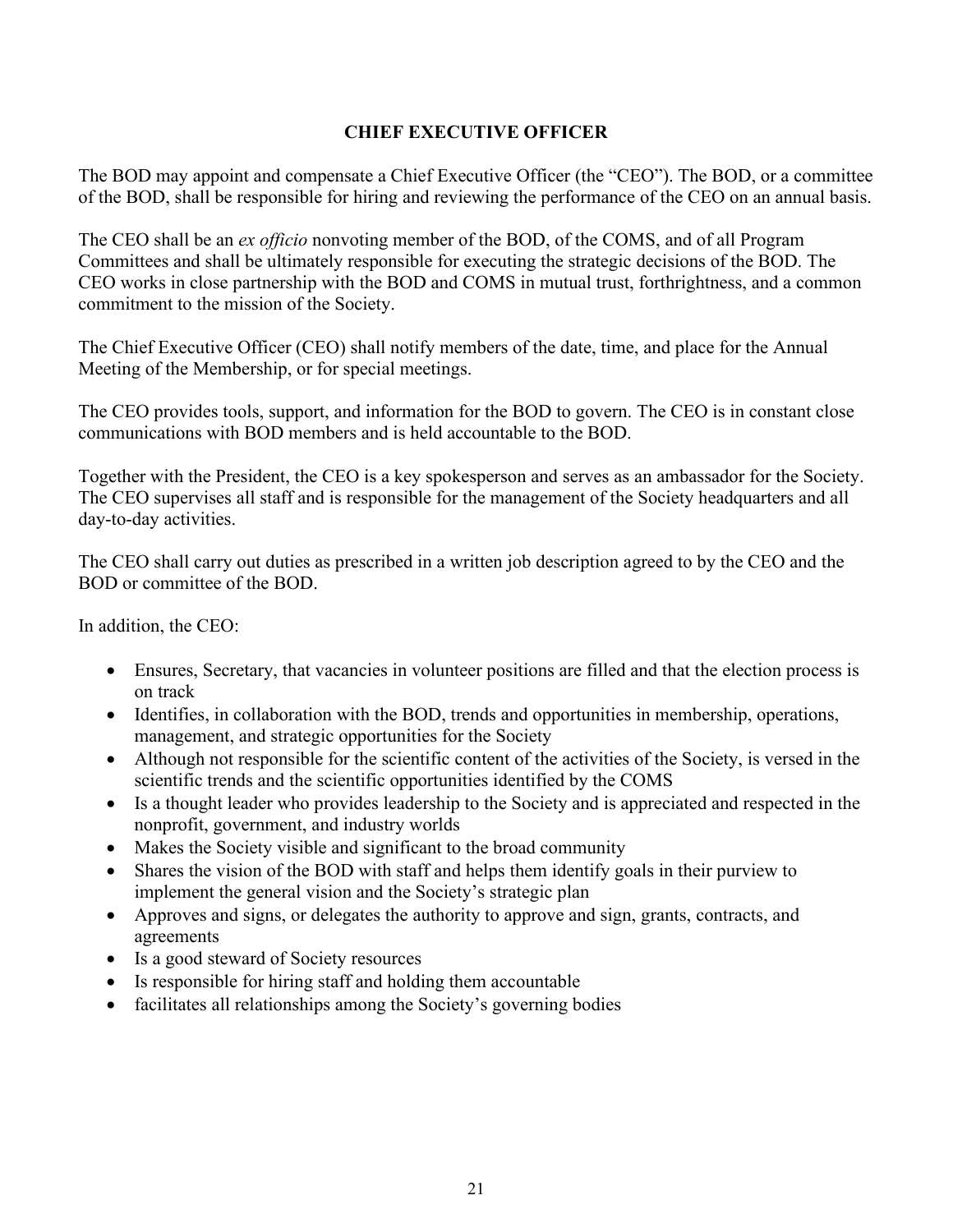# **CHIEF EXECUTIVE OFFICER**

<span id="page-20-0"></span>The BOD may appoint and compensate a Chief Executive Officer (the "CEO"). The BOD, or a committee of the BOD, shall be responsible for hiring and reviewing the performance of the CEO on an annual basis.

The CEO shall be an *ex officio* nonvoting member of the BOD, of the COMS, and of all Program Committees and shall be ultimately responsible for executing the strategic decisions of the BOD. The CEO works in close partnership with the BOD and COMS in mutual trust, forthrightness, and a common commitment to the mission of the Society.

The Chief Executive Officer (CEO) shall notify members of the date, time, and place for the Annual Meeting of the Membership, or for special meetings.

The CEO provides tools, support, and information for the BOD to govern. The CEO is in constant close communications with BOD members and is held accountable to the BOD.

Together with the President, the CEO is a key spokesperson and serves as an ambassador for the Society. The CEO supervises all staff and is responsible for the management of the Society headquarters and all day-to-day activities.

The CEO shall carry out duties as prescribed in a written job description agreed to by the CEO and the BOD or committee of the BOD.

In addition, the CEO:

- Ensures, Secretary, that vacancies in volunteer positions are filled and that the election process is on track
- Identifies, in collaboration with the BOD, trends and opportunities in membership, operations, management, and strategic opportunities for the Society
- Although not responsible for the scientific content of the activities of the Society, is versed in the scientific trends and the scientific opportunities identified by the COMS
- Is a thought leader who provides leadership to the Society and is appreciated and respected in the nonprofit, government, and industry worlds
- Makes the Society visible and significant to the broad community
- Shares the vision of the BOD with staff and helps them identify goals in their purview to implement the general vision and the Society's strategic plan
- Approves and signs, or delegates the authority to approve and sign, grants, contracts, and agreements
- Is a good steward of Society resources
- Is responsible for hiring staff and holding them accountable
- facilitates all relationships among the Society's governing bodies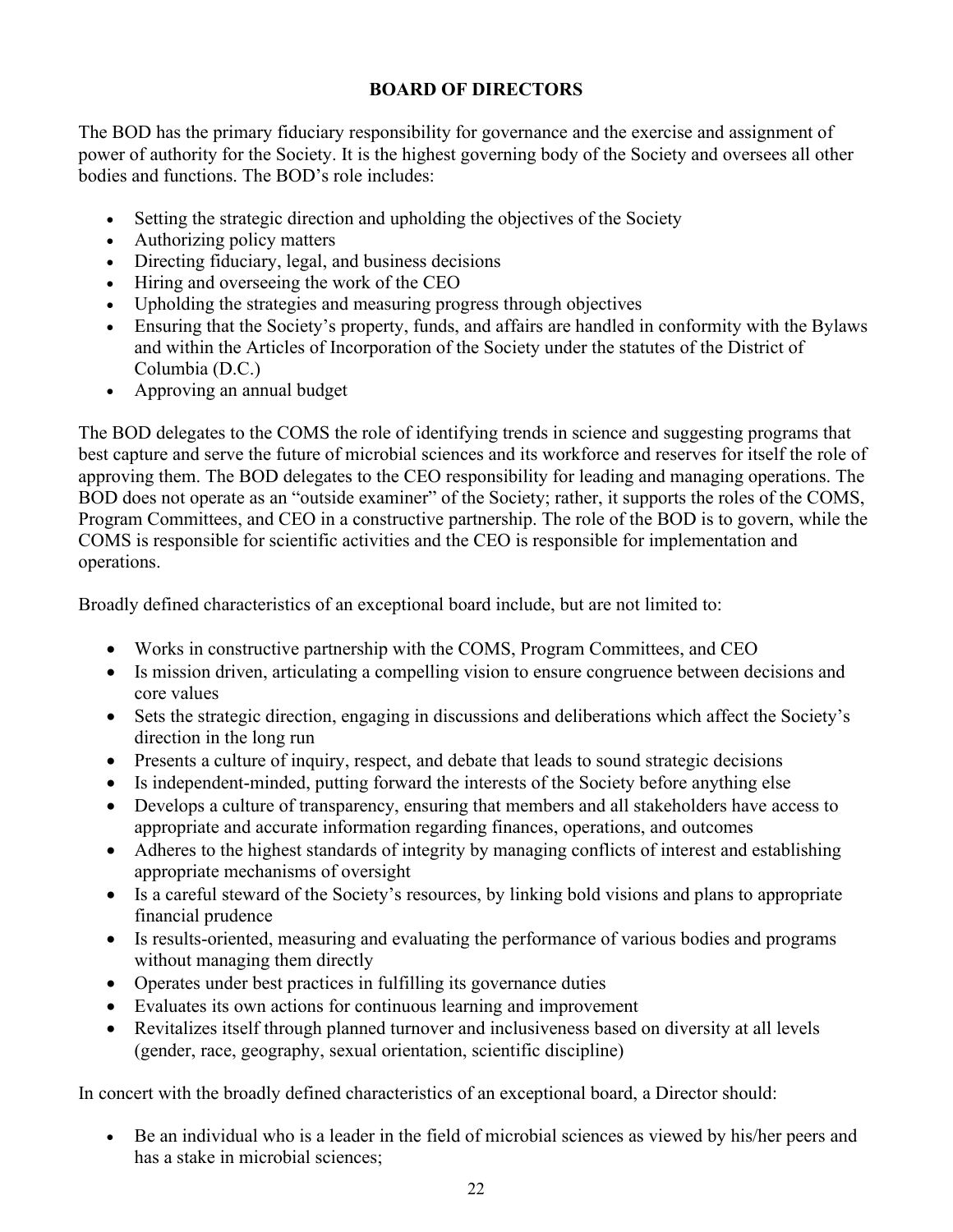# **BOARD OF DIRECTORS**

<span id="page-21-0"></span>The BOD has the primary fiduciary responsibility for governance and the exercise and assignment of power of authority for the Society. It is the highest governing body of the Society and oversees all other bodies and functions. The BOD's role includes:

- Setting the strategic direction and upholding the objectives of the Society
- Authorizing policy matters
- Directing fiduciary, legal, and business decisions
- Hiring and overseeing the work of the CEO
- Upholding the strategies and measuring progress through objectives
- Ensuring that the Society's property, funds, and affairs are handled in conformity with the Bylaws and within the Articles of Incorporation of the Society under the statutes of the District of Columbia (D.C.)
- Approving an annual budget

The BOD delegates to the COMS the role of identifying trends in science and suggesting programs that best capture and serve the future of microbial sciences and its workforce and reserves for itself the role of approving them. The BOD delegates to the CEO responsibility for leading and managing operations. The BOD does not operate as an "outside examiner" of the Society; rather, it supports the roles of the COMS, Program Committees, and CEO in a constructive partnership. The role of the BOD is to govern, while the COMS is responsible for scientific activities and the CEO is responsible for implementation and operations.

Broadly defined characteristics of an exceptional board include, but are not limited to:

- Works in constructive partnership with the COMS, Program Committees, and CEO
- Is mission driven, articulating a compelling vision to ensure congruence between decisions and core values
- Sets the strategic direction, engaging in discussions and deliberations which affect the Society's direction in the long run
- Presents a culture of inquiry, respect, and debate that leads to sound strategic decisions
- Is independent-minded, putting forward the interests of the Society before anything else
- Develops a culture of transparency, ensuring that members and all stakeholders have access to appropriate and accurate information regarding finances, operations, and outcomes
- Adheres to the highest standards of integrity by managing conflicts of interest and establishing appropriate mechanisms of oversight
- Is a careful steward of the Society's resources, by linking bold visions and plans to appropriate financial prudence
- Is results-oriented, measuring and evaluating the performance of various bodies and programs without managing them directly
- Operates under best practices in fulfilling its governance duties
- Evaluates its own actions for continuous learning and improvement
- Revitalizes itself through planned turnover and inclusiveness based on diversity at all levels (gender, race, geography, sexual orientation, scientific discipline)

In concert with the broadly defined characteristics of an exceptional board, a Director should:

• Be an individual who is a leader in the field of microbial sciences as viewed by his/her peers and has a stake in microbial sciences;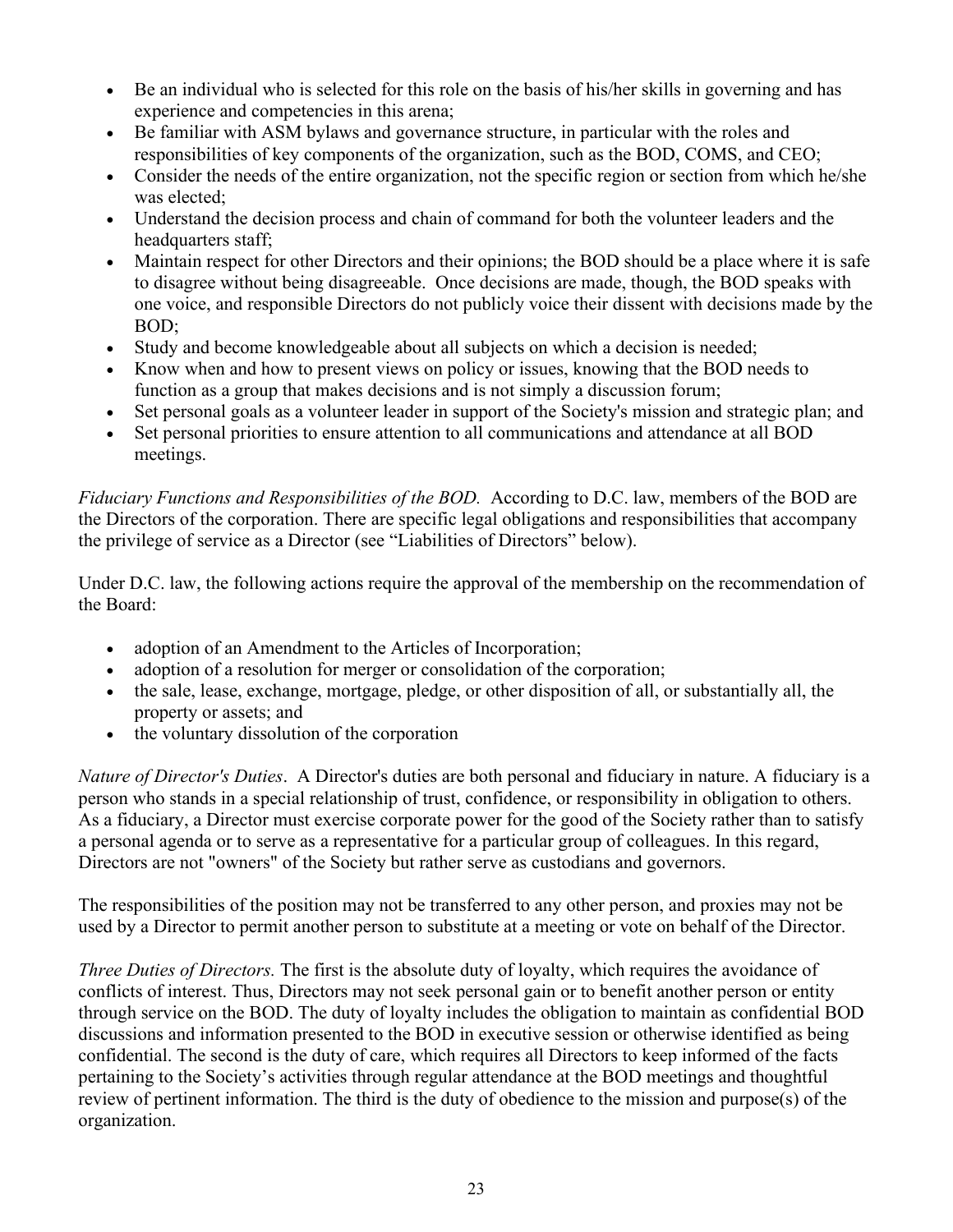- Be an individual who is selected for this role on the basis of his/her skills in governing and has experience and competencies in this arena;
- Be familiar with ASM bylaws and governance structure, in particular with the roles and responsibilities of key components of the organization, such as the BOD, COMS, and CEO;
- Consider the needs of the entire organization, not the specific region or section from which he/she was elected;
- Understand the decision process and chain of command for both the volunteer leaders and the headquarters staff;
- Maintain respect for other Directors and their opinions; the BOD should be a place where it is safe to disagree without being disagreeable. Once decisions are made, though, the BOD speaks with one voice, and responsible Directors do not publicly voice their dissent with decisions made by the BOD;
- Study and become knowledgeable about all subjects on which a decision is needed;
- Know when and how to present views on policy or issues, knowing that the BOD needs to function as a group that makes decisions and is not simply a discussion forum;
- Set personal goals as a volunteer leader in support of the Society's mission and strategic plan; and
- Set personal priorities to ensure attention to all communications and attendance at all BOD meetings.

*Fiduciary Functions and Responsibilities of the BOD.* According to D.C. law, members of the BOD are the Directors of the corporation. There are specific legal obligations and responsibilities that accompany the privilege of service as a Director (see "Liabilities of Directors" below).

Under D.C. law, the following actions require the approval of the membership on the recommendation of the Board:

- adoption of an Amendment to the Articles of Incorporation;
- adoption of a resolution for merger or consolidation of the corporation;
- the sale, lease, exchange, mortgage, pledge, or other disposition of all, or substantially all, the property or assets; and
- the voluntary dissolution of the corporation

*Nature of Director's Duties*. A Director's duties are both personal and fiduciary in nature. A fiduciary is a person who stands in a special relationship of trust, confidence, or responsibility in obligation to others. As a fiduciary, a Director must exercise corporate power for the good of the Society rather than to satisfy a personal agenda or to serve as a representative for a particular group of colleagues. In this regard, Directors are not "owners" of the Society but rather serve as custodians and governors.

The responsibilities of the position may not be transferred to any other person, and proxies may not be used by a Director to permit another person to substitute at a meeting or vote on behalf of the Director.

*Three Duties of Directors.* The first is the absolute duty of loyalty, which requires the avoidance of conflicts of interest. Thus, Directors may not seek personal gain or to benefit another person or entity through service on the BOD. The duty of loyalty includes the obligation to maintain as confidential BOD discussions and information presented to the BOD in executive session or otherwise identified as being confidential. The second is the duty of care, which requires all Directors to keep informed of the facts pertaining to the Society's activities through regular attendance at the BOD meetings and thoughtful review of pertinent information. The third is the duty of obedience to the mission and purpose(s) of the organization.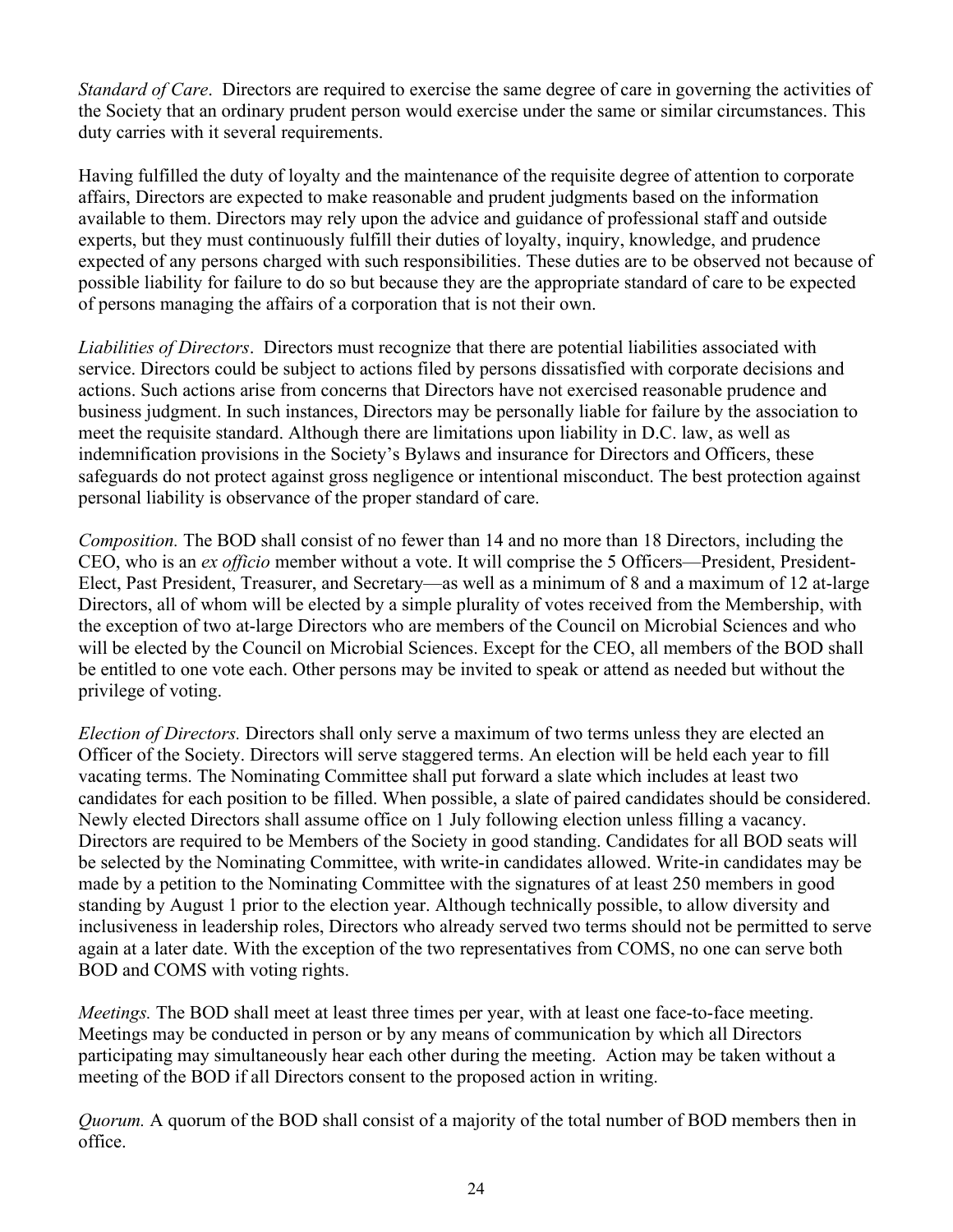*Standard of Care*. Directors are required to exercise the same degree of care in governing the activities of the Society that an ordinary prudent person would exercise under the same or similar circumstances. This duty carries with it several requirements.

Having fulfilled the duty of loyalty and the maintenance of the requisite degree of attention to corporate affairs, Directors are expected to make reasonable and prudent judgments based on the information available to them. Directors may rely upon the advice and guidance of professional staff and outside experts, but they must continuously fulfill their duties of loyalty, inquiry, knowledge, and prudence expected of any persons charged with such responsibilities. These duties are to be observed not because of possible liability for failure to do so but because they are the appropriate standard of care to be expected of persons managing the affairs of a corporation that is not their own.

*Liabilities of Directors*. Directors must recognize that there are potential liabilities associated with service. Directors could be subject to actions filed by persons dissatisfied with corporate decisions and actions. Such actions arise from concerns that Directors have not exercised reasonable prudence and business judgment. In such instances, Directors may be personally liable for failure by the association to meet the requisite standard. Although there are limitations upon liability in D.C. law, as well as indemnification provisions in the Society's Bylaws and insurance for Directors and Officers, these safeguards do not protect against gross negligence or intentional misconduct. The best protection against personal liability is observance of the proper standard of care.

*Composition.* The BOD shall consist of no fewer than 14 and no more than 18 Directors, including the CEO, who is an *ex officio* member without a vote. It will comprise the 5 Officers—President, President-Elect, Past President, Treasurer, and Secretary—as well as a minimum of 8 and a maximum of 12 at-large Directors, all of whom will be elected by a simple plurality of votes received from the Membership, with the exception of two at-large Directors who are members of the Council on Microbial Sciences and who will be elected by the Council on Microbial Sciences. Except for the CEO, all members of the BOD shall be entitled to one vote each. Other persons may be invited to speak or attend as needed but without the privilege of voting.

*Election of Directors.* Directors shall only serve a maximum of two terms unless they are elected an Officer of the Society. Directors will serve staggered terms. An election will be held each year to fill vacating terms. The Nominating Committee shall put forward a slate which includes at least two candidates for each position to be filled. When possible, a slate of paired candidates should be considered. Newly elected Directors shall assume office on 1 July following election unless filling a vacancy. Directors are required to be Members of the Society in good standing. Candidates for all BOD seats will be selected by the Nominating Committee, with write-in candidates allowed. Write-in candidates may be made by a petition to the Nominating Committee with the signatures of at least 250 members in good standing by August 1 prior to the election year. Although technically possible, to allow diversity and inclusiveness in leadership roles, Directors who already served two terms should not be permitted to serve again at a later date. With the exception of the two representatives from COMS, no one can serve both BOD and COMS with voting rights.

*Meetings.* The BOD shall meet at least three times per year, with at least one face-to-face meeting. Meetings may be conducted in person or by any means of communication by which all Directors participating may simultaneously hear each other during the meeting. Action may be taken without a meeting of the BOD if all Directors consent to the proposed action in writing.

*Quorum.* A quorum of the BOD shall consist of a majority of the total number of BOD members then in office.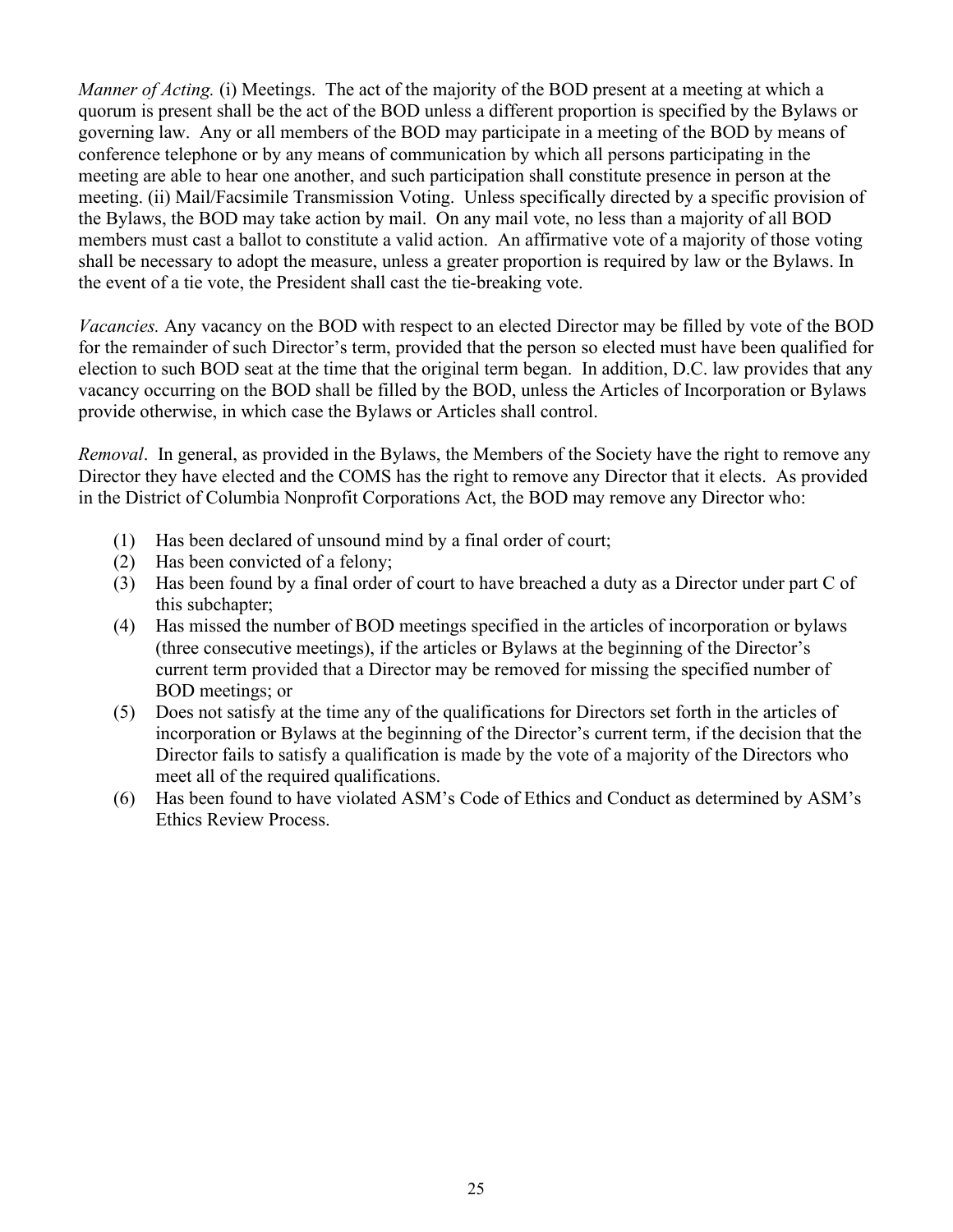*Manner of Acting.* (i) Meetings. The act of the majority of the BOD present at a meeting at which a quorum is present shall be the act of the BOD unless a different proportion is specified by the Bylaws or governing law. Any or all members of the BOD may participate in a meeting of the BOD by means of conference telephone or by any means of communication by which all persons participating in the meeting are able to hear one another, and such participation shall constitute presence in person at the meeting. (ii) Mail/Facsimile Transmission Voting. Unless specifically directed by a specific provision of the Bylaws, the BOD may take action by mail. On any mail vote, no less than a majority of all BOD members must cast a ballot to constitute a valid action. An affirmative vote of a majority of those voting shall be necessary to adopt the measure, unless a greater proportion is required by law or the Bylaws. In the event of a tie vote, the President shall cast the tie-breaking vote.

*Vacancies.* Any vacancy on the BOD with respect to an elected Director may be filled by vote of the BOD for the remainder of such Director's term, provided that the person so elected must have been qualified for election to such BOD seat at the time that the original term began. In addition, D.C. law provides that any vacancy occurring on the BOD shall be filled by the BOD, unless the Articles of Incorporation or Bylaws provide otherwise, in which case the Bylaws or Articles shall control.

*Removal*. In general, as provided in the Bylaws, the Members of the Society have the right to remove any Director they have elected and the COMS has the right to remove any Director that it elects. As provided in the District of Columbia Nonprofit Corporations Act, the BOD may remove any Director who:

- (1) Has been declared of unsound mind by a final order of court;
- (2) Has been convicted of a felony;
- (3) Has been found by a final order of court to have breached a duty as a Director under part C of this subchapter;
- (4) Has missed the number of BOD meetings specified in the articles of incorporation or bylaws (three consecutive meetings), if the articles or Bylaws at the beginning of the Director's current term provided that a Director may be removed for missing the specified number of BOD meetings; or
- (5) Does not satisfy at the time any of the qualifications for Directors set forth in the articles of incorporation or Bylaws at the beginning of the Director's current term, if the decision that the Director fails to satisfy a qualification is made by the vote of a majority of the Directors who meet all of the required qualifications.
- (6) Has been found to have violated ASM's Code of Ethics and Conduct as determined by ASM's Ethics Review Process.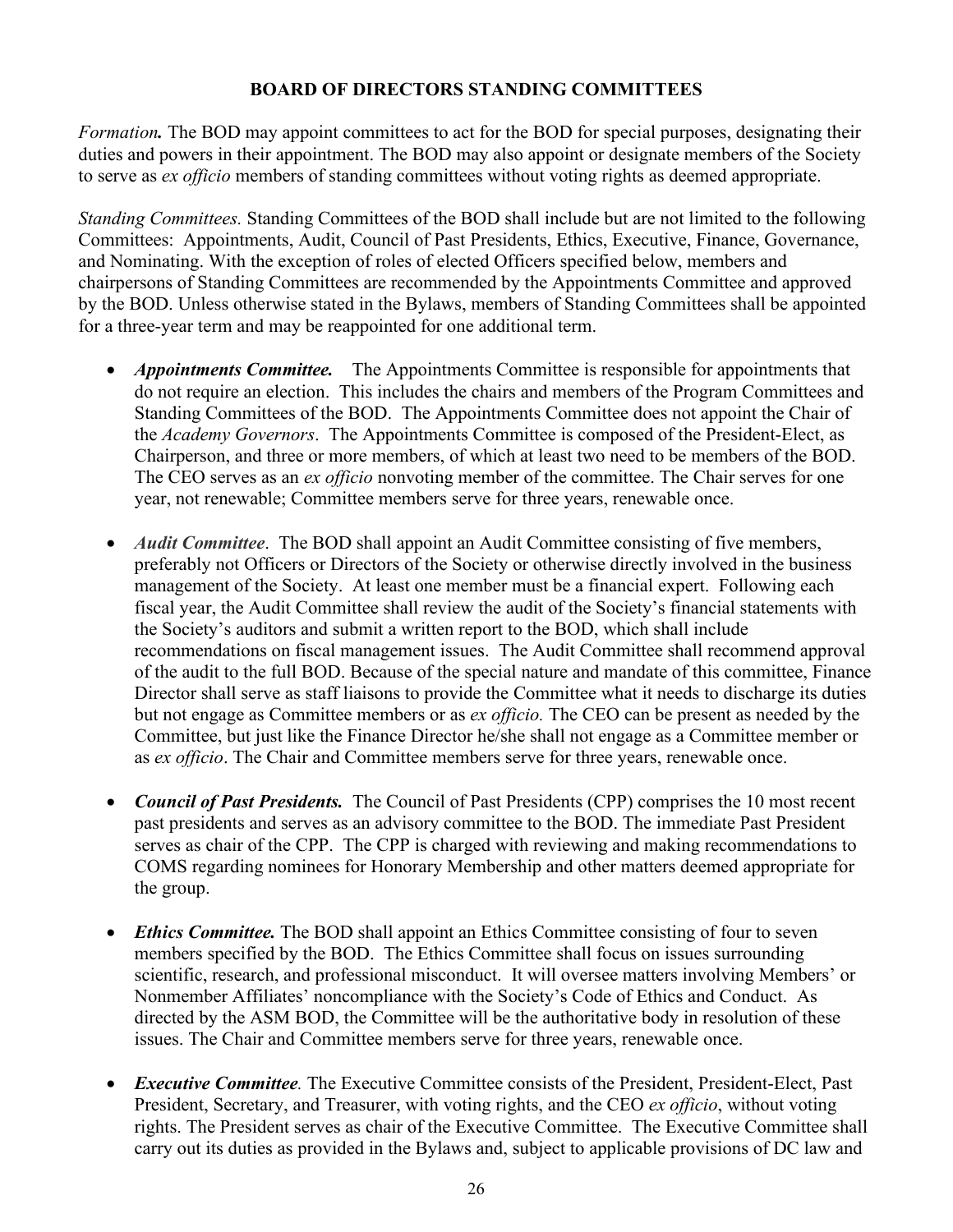# **BOARD OF DIRECTORS STANDING COMMITTEES**

<span id="page-25-0"></span>*Formation.* The BOD may appoint committees to act for the BOD for special purposes, designating their duties and powers in their appointment. The BOD may also appoint or designate members of the Society to serve as *ex officio* members of standing committees without voting rights as deemed appropriate.

*Standing Committees.* Standing Committees of the BOD shall include but are not limited to the following Committees: Appointments, Audit, Council of Past Presidents, Ethics, Executive, Finance, Governance, and Nominating. With the exception of roles of elected Officers specified below, members and chairpersons of Standing Committees are recommended by the Appointments Committee and approved by the BOD. Unless otherwise stated in the Bylaws, members of Standing Committees shall be appointed for a three-year term and may be reappointed for one additional term.

- *Appointments Committee.* The Appointments Committee is responsible for appointments that do not require an election. This includes the chairs and members of the Program Committees and Standing Committees of the BOD. The Appointments Committee does not appoint the Chair of the *Academy Governors*. The Appointments Committee is composed of the President-Elect, as Chairperson, and three or more members, of which at least two need to be members of the BOD. The CEO serves as an *ex officio* nonvoting member of the committee. The Chair serves for one year, not renewable; Committee members serve for three years, renewable once.
- *Audit Committee*. The BOD shall appoint an Audit Committee consisting of five members, preferably not Officers or Directors of the Society or otherwise directly involved in the business management of the Society. At least one member must be a financial expert. Following each fiscal year, the Audit Committee shall review the audit of the Society's financial statements with the Society's auditors and submit a written report to the BOD, which shall include recommendations on fiscal management issues. The Audit Committee shall recommend approval of the audit to the full BOD. Because of the special nature and mandate of this committee, Finance Director shall serve as staff liaisons to provide the Committee what it needs to discharge its duties but not engage as Committee members or as *ex officio.* The CEO can be present as needed by the Committee, but just like the Finance Director he/she shall not engage as a Committee member or as *ex officio*. The Chair and Committee members serve for three years, renewable once.
- *Council of Past Presidents.* The Council of Past Presidents (CPP) comprises the 10 most recent past presidents and serves as an advisory committee to the BOD. The immediate Past President serves as chair of the CPP. The CPP is charged with reviewing and making recommendations to COMS regarding nominees for Honorary Membership and other matters deemed appropriate for the group.
- *Ethics Committee.* The BOD shall appoint an Ethics Committee consisting of four to seven members specified by the BOD. The Ethics Committee shall focus on issues surrounding scientific, research, and professional misconduct. It will oversee matters involving Members' or Nonmember Affiliates' noncompliance with the Society's Code of Ethics and Conduct. As directed by the ASM BOD, the Committee will be the authoritative body in resolution of these issues. The Chair and Committee members serve for three years, renewable once.
- *Executive Committee.* The Executive Committee consists of the President, President-Elect, Past President, Secretary, and Treasurer, with voting rights, and the CEO *ex officio*, without voting rights. The President serves as chair of the Executive Committee. The Executive Committee shall carry out its duties as provided in the Bylaws and, subject to applicable provisions of DC law and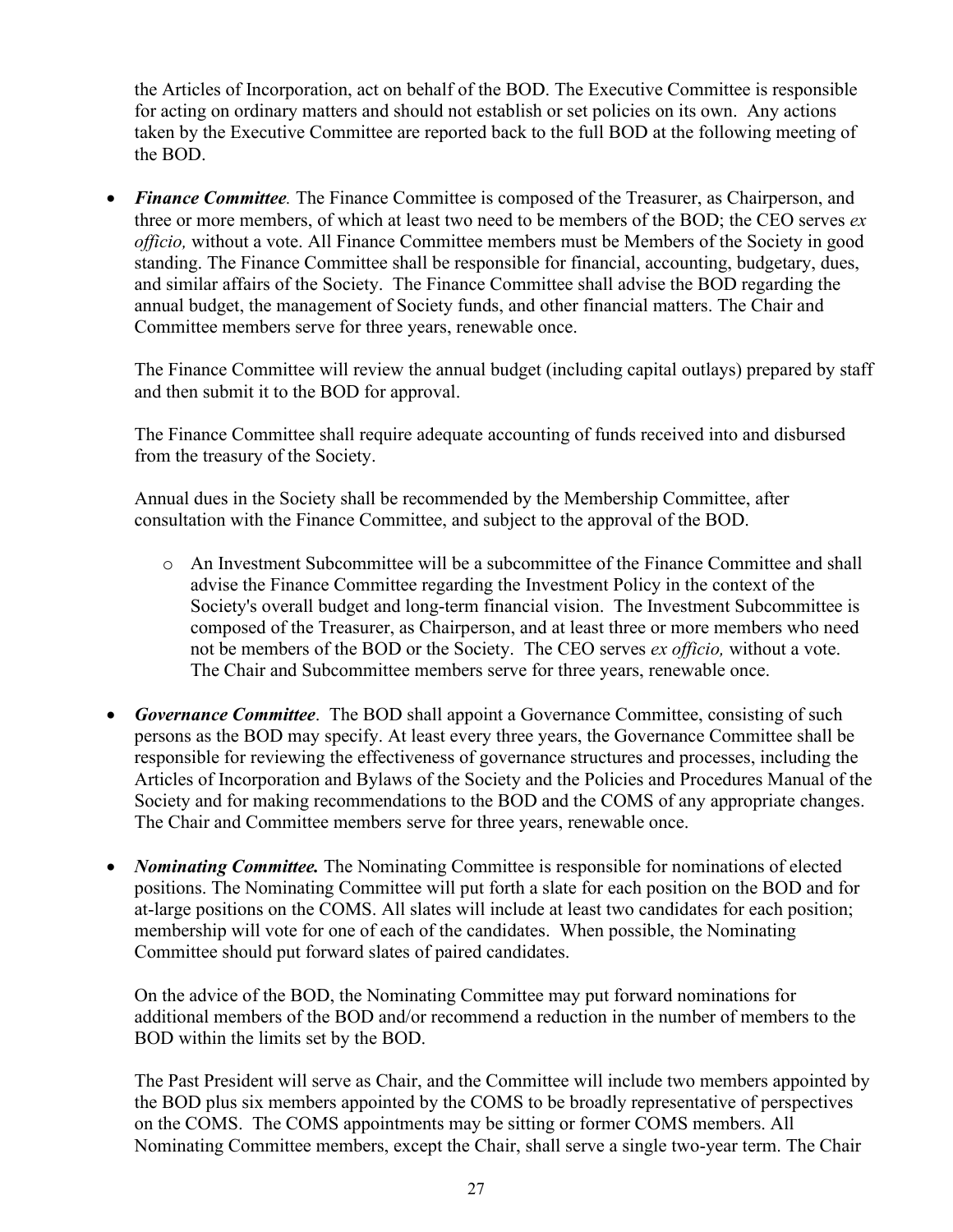the Articles of Incorporation, act on behalf of the BOD. The Executive Committee is responsible for acting on ordinary matters and should not establish or set policies on its own. Any actions taken by the Executive Committee are reported back to the full BOD at the following meeting of the BOD.

• *Finance Committee.* The Finance Committee is composed of the Treasurer, as Chairperson, and three or more members, of which at least two need to be members of the BOD; the CEO serves *ex officio,* without a vote. All Finance Committee members must be Members of the Society in good standing. The Finance Committee shall be responsible for financial, accounting, budgetary, dues, and similar affairs of the Society. The Finance Committee shall advise the BOD regarding the annual budget, the management of Society funds, and other financial matters. The Chair and Committee members serve for three years, renewable once.

The Finance Committee will review the annual budget (including capital outlays) prepared by staff and then submit it to the BOD for approval.

The Finance Committee shall require adequate accounting of funds received into and disbursed from the treasury of the Society.

Annual dues in the Society shall be recommended by the Membership Committee, after consultation with the Finance Committee, and subject to the approval of the BOD.

- o An Investment Subcommittee will be a subcommittee of the Finance Committee and shall advise the Finance Committee regarding the Investment Policy in the context of the Society's overall budget and long-term financial vision. The Investment Subcommittee is composed of the Treasurer, as Chairperson, and at least three or more members who need not be members of the BOD or the Society. The CEO serves *ex officio,* without a vote. The Chair and Subcommittee members serve for three years, renewable once.
- *Governance Committee*. The BOD shall appoint a Governance Committee, consisting of such persons as the BOD may specify. At least every three years, the Governance Committee shall be responsible for reviewing the effectiveness of governance structures and processes, including the Articles of Incorporation and Bylaws of the Society and the Policies and Procedures Manual of the Society and for making recommendations to the BOD and the COMS of any appropriate changes. The Chair and Committee members serve for three years, renewable once.
- *Nominating Committee.* The Nominating Committee is responsible for nominations of elected positions. The Nominating Committee will put forth a slate for each position on the BOD and for at-large positions on the COMS. All slates will include at least two candidates for each position; membership will vote for one of each of the candidates. When possible, the Nominating Committee should put forward slates of paired candidates.

On the advice of the BOD, the Nominating Committee may put forward nominations for additional members of the BOD and/or recommend a reduction in the number of members to the BOD within the limits set by the BOD.

The Past President will serve as Chair, and the Committee will include two members appointed by the BOD plus six members appointed by the COMS to be broadly representative of perspectives on the COMS. The COMS appointments may be sitting or former COMS members. All Nominating Committee members, except the Chair, shall serve a single two-year term. The Chair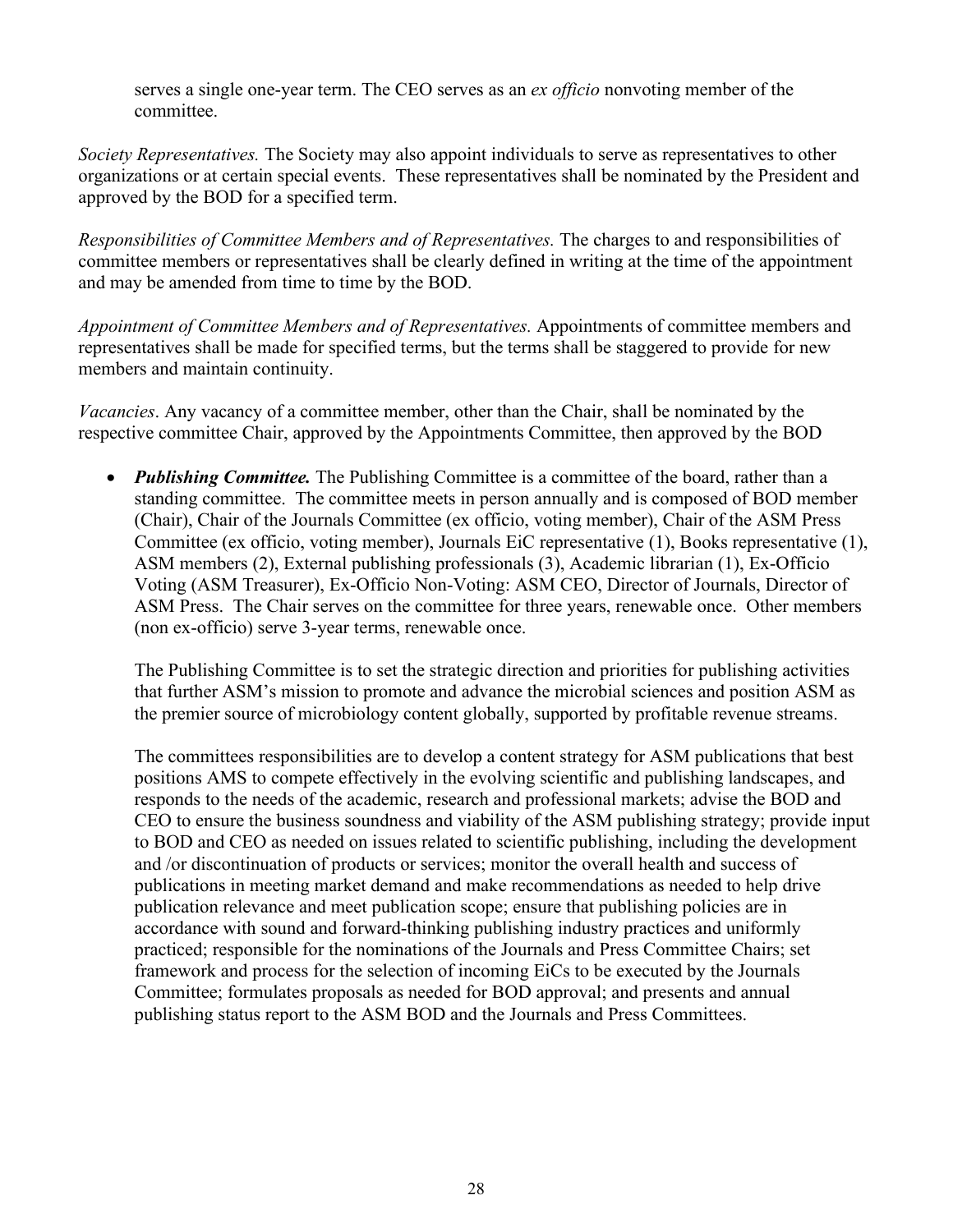serves a single one-year term. The CEO serves as an *ex officio* nonvoting member of the committee.

*Society Representatives.* The Society may also appoint individuals to serve as representatives to other organizations or at certain special events. These representatives shall be nominated by the President and approved by the BOD for a specified term.

*Responsibilities of Committee Members and of Representatives.* The charges to and responsibilities of committee members or representatives shall be clearly defined in writing at the time of the appointment and may be amended from time to time by the BOD.

*Appointment of Committee Members and of Representatives.* Appointments of committee members and representatives shall be made for specified terms, but the terms shall be staggered to provide for new members and maintain continuity.

*Vacancies*. Any vacancy of a committee member, other than the Chair, shall be nominated by the respective committee Chair, approved by the Appointments Committee, then approved by the BOD

• *Publishing Committee.* The Publishing Committee is a committee of the board, rather than a standing committee. The committee meets in person annually and is composed of BOD member (Chair), Chair of the Journals Committee (ex officio, voting member), Chair of the ASM Press Committee (ex officio, voting member), Journals EiC representative (1), Books representative (1), ASM members (2), External publishing professionals (3), Academic librarian (1), Ex-Officio Voting (ASM Treasurer), Ex-Officio Non-Voting: ASM CEO, Director of Journals, Director of ASM Press. The Chair serves on the committee for three years, renewable once. Other members (non ex-officio) serve 3-year terms, renewable once.

The Publishing Committee is to set the strategic direction and priorities for publishing activities that further ASM's mission to promote and advance the microbial sciences and position ASM as the premier source of microbiology content globally, supported by profitable revenue streams.

The committees responsibilities are to develop a content strategy for ASM publications that best positions AMS to compete effectively in the evolving scientific and publishing landscapes, and responds to the needs of the academic, research and professional markets; advise the BOD and CEO to ensure the business soundness and viability of the ASM publishing strategy; provide input to BOD and CEO as needed on issues related to scientific publishing, including the development and /or discontinuation of products or services; monitor the overall health and success of publications in meeting market demand and make recommendations as needed to help drive publication relevance and meet publication scope; ensure that publishing policies are in accordance with sound and forward-thinking publishing industry practices and uniformly practiced; responsible for the nominations of the Journals and Press Committee Chairs; set framework and process for the selection of incoming EiCs to be executed by the Journals Committee; formulates proposals as needed for BOD approval; and presents and annual publishing status report to the ASM BOD and the Journals and Press Committees.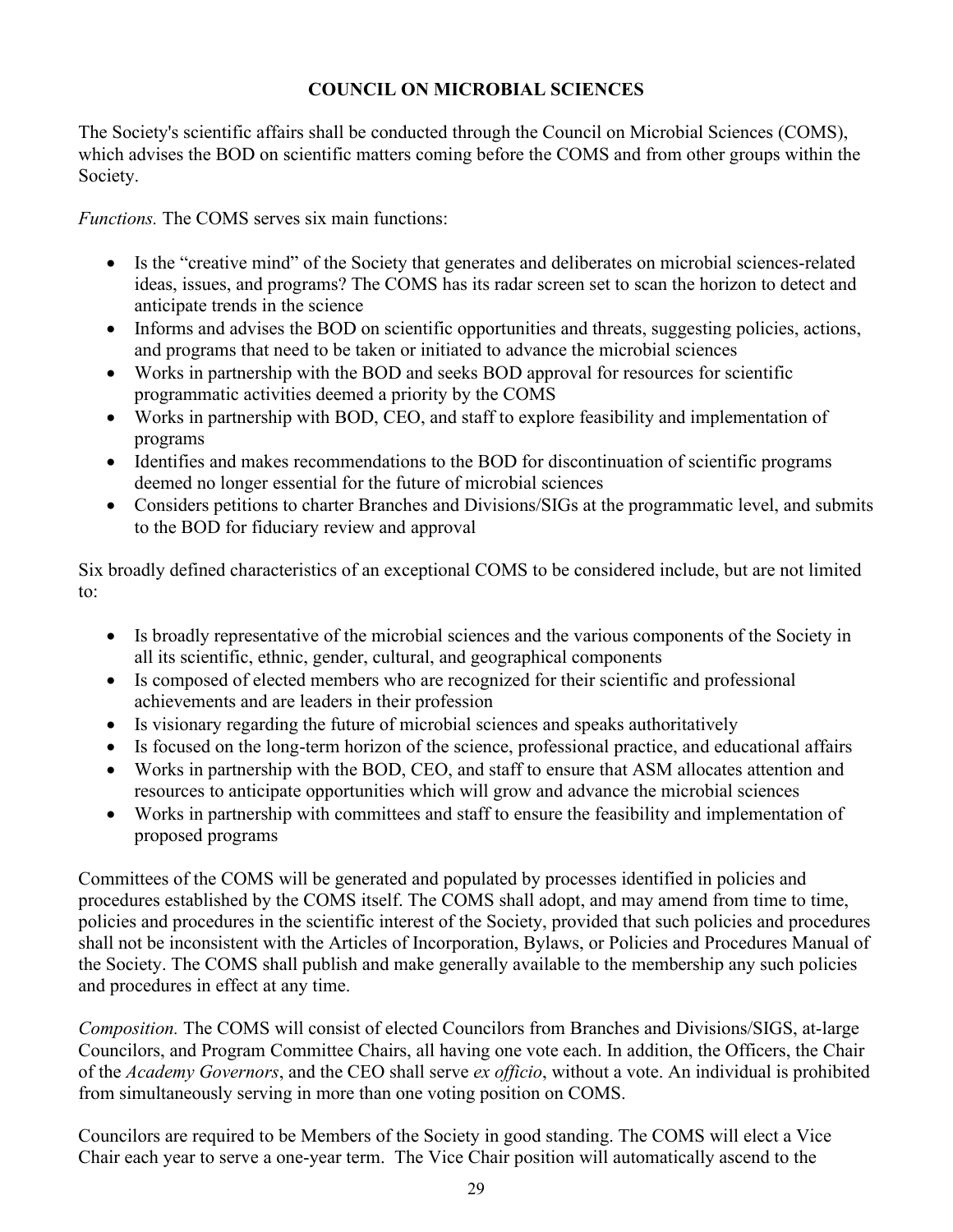# **COUNCIL ON MICROBIAL SCIENCES**

<span id="page-28-0"></span>The Society's scientific affairs shall be conducted through the Council on Microbial Sciences (COMS), which advises the BOD on scientific matters coming before the COMS and from other groups within the Society.

*Functions.* The COMS serves six main functions:

- Is the "creative mind" of the Society that generates and deliberates on microbial sciences-related ideas, issues, and programs? The COMS has its radar screen set to scan the horizon to detect and anticipate trends in the science
- Informs and advises the BOD on scientific opportunities and threats, suggesting policies, actions, and programs that need to be taken or initiated to advance the microbial sciences
- Works in partnership with the BOD and seeks BOD approval for resources for scientific programmatic activities deemed a priority by the COMS
- Works in partnership with BOD, CEO, and staff to explore feasibility and implementation of programs
- Identifies and makes recommendations to the BOD for discontinuation of scientific programs deemed no longer essential for the future of microbial sciences
- Considers petitions to charter Branches and Divisions/SIGs at the programmatic level, and submits to the BOD for fiduciary review and approval

Six broadly defined characteristics of an exceptional COMS to be considered include, but are not limited to:

- Is broadly representative of the microbial sciences and the various components of the Society in all its scientific, ethnic, gender, cultural, and geographical components
- Is composed of elected members who are recognized for their scientific and professional achievements and are leaders in their profession
- Is visionary regarding the future of microbial sciences and speaks authoritatively
- Is focused on the long-term horizon of the science, professional practice, and educational affairs
- Works in partnership with the BOD, CEO, and staff to ensure that ASM allocates attention and resources to anticipate opportunities which will grow and advance the microbial sciences
- Works in partnership with committees and staff to ensure the feasibility and implementation of proposed programs

Committees of the COMS will be generated and populated by processes identified in policies and procedures established by the COMS itself. The COMS shall adopt, and may amend from time to time, policies and procedures in the scientific interest of the Society, provided that such policies and procedures shall not be inconsistent with the Articles of Incorporation, Bylaws, or Policies and Procedures Manual of the Society. The COMS shall publish and make generally available to the membership any such policies and procedures in effect at any time.

*Composition.* The COMS will consist of elected Councilors from Branches and Divisions/SIGS, at-large Councilors, and Program Committee Chairs, all having one vote each. In addition, the Officers, the Chair of the *Academy Governors*, and the CEO shall serve *ex officio*, without a vote. An individual is prohibited from simultaneously serving in more than one voting position on COMS.

Councilors are required to be Members of the Society in good standing. The COMS will elect a Vice Chair each year to serve a one-year term. The Vice Chair position will automatically ascend to the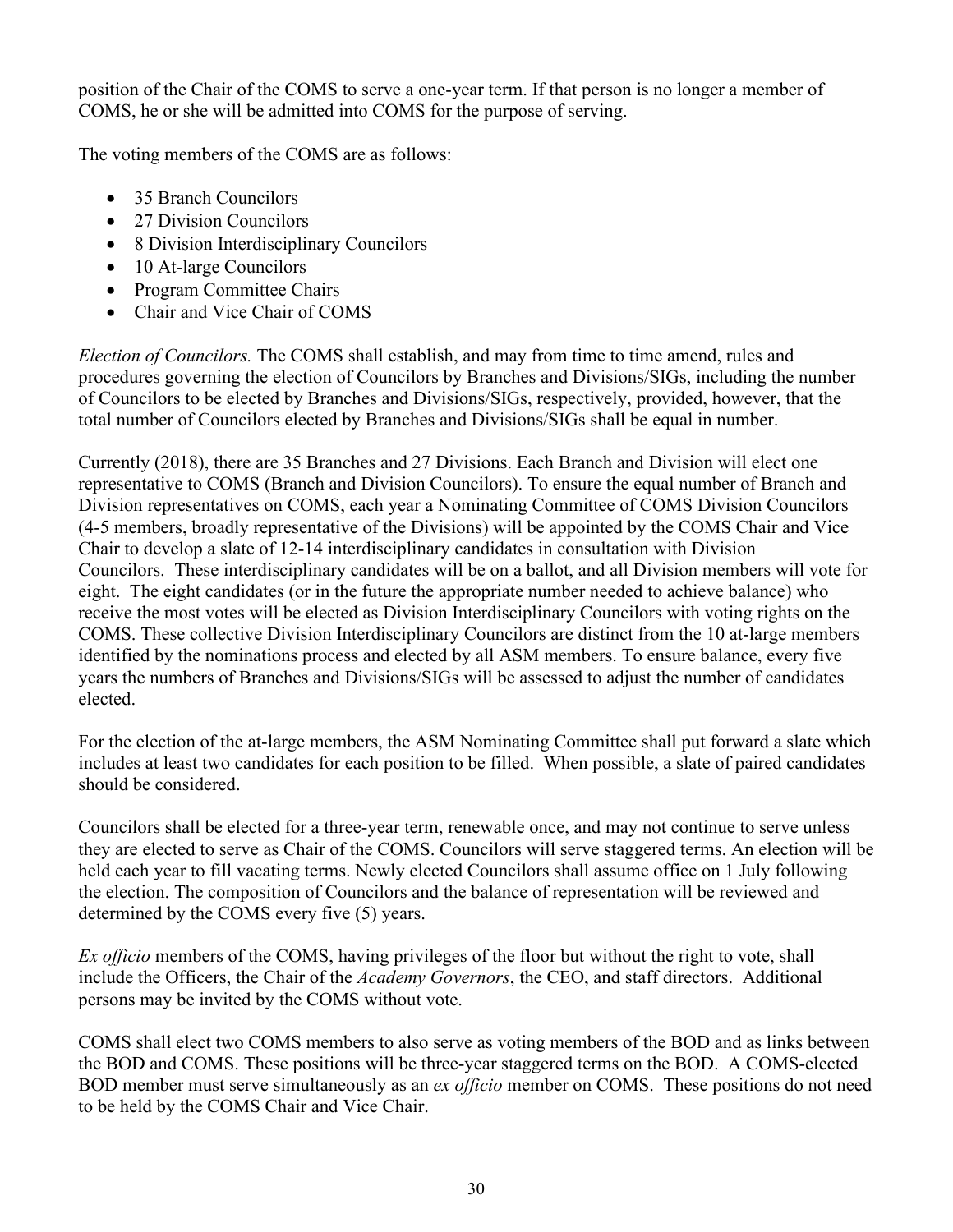position of the Chair of the COMS to serve a one-year term. If that person is no longer a member of COMS, he or she will be admitted into COMS for the purpose of serving.

The voting members of the COMS are as follows:

- 35 Branch Councilors
- 27 Division Councilors
- 8 Division Interdisciplinary Councilors
- 10 At-large Councilors
- Program Committee Chairs
- Chair and Vice Chair of COMS

*Election of Councilors.* The COMS shall establish, and may from time to time amend, rules and procedures governing the election of Councilors by Branches and Divisions/SIGs, including the number of Councilors to be elected by Branches and Divisions/SIGs, respectively, provided, however, that the total number of Councilors elected by Branches and Divisions/SIGs shall be equal in number.

Currently (2018), there are 35 Branches and 27 Divisions. Each Branch and Division will elect one representative to COMS (Branch and Division Councilors). To ensure the equal number of Branch and Division representatives on COMS, each year a Nominating Committee of COMS Division Councilors (4-5 members, broadly representative of the Divisions) will be appointed by the COMS Chair and Vice Chair to develop a slate of 12-14 interdisciplinary candidates in consultation with Division Councilors. These interdisciplinary candidates will be on a ballot, and all Division members will vote for eight. The eight candidates (or in the future the appropriate number needed to achieve balance) who receive the most votes will be elected as Division Interdisciplinary Councilors with voting rights on the COMS. These collective Division Interdisciplinary Councilors are distinct from the 10 at-large members identified by the nominations process and elected by all ASM members. To ensure balance, every five years the numbers of Branches and Divisions/SIGs will be assessed to adjust the number of candidates elected.

For the election of the at-large members, the ASM Nominating Committee shall put forward a slate which includes at least two candidates for each position to be filled. When possible, a slate of paired candidates should be considered.

Councilors shall be elected for a three-year term, renewable once, and may not continue to serve unless they are elected to serve as Chair of the COMS. Councilors will serve staggered terms. An election will be held each year to fill vacating terms. Newly elected Councilors shall assume office on 1 July following the election. The composition of Councilors and the balance of representation will be reviewed and determined by the COMS every five (5) years.

*Ex officio* members of the COMS, having privileges of the floor but without the right to vote, shall include the Officers, the Chair of the *Academy Governors*, the CEO, and staff directors. Additional persons may be invited by the COMS without vote.

COMS shall elect two COMS members to also serve as voting members of the BOD and as links between the BOD and COMS. These positions will be three-year staggered terms on the BOD. A COMS-elected BOD member must serve simultaneously as an *ex officio* member on COMS. These positions do not need to be held by the COMS Chair and Vice Chair.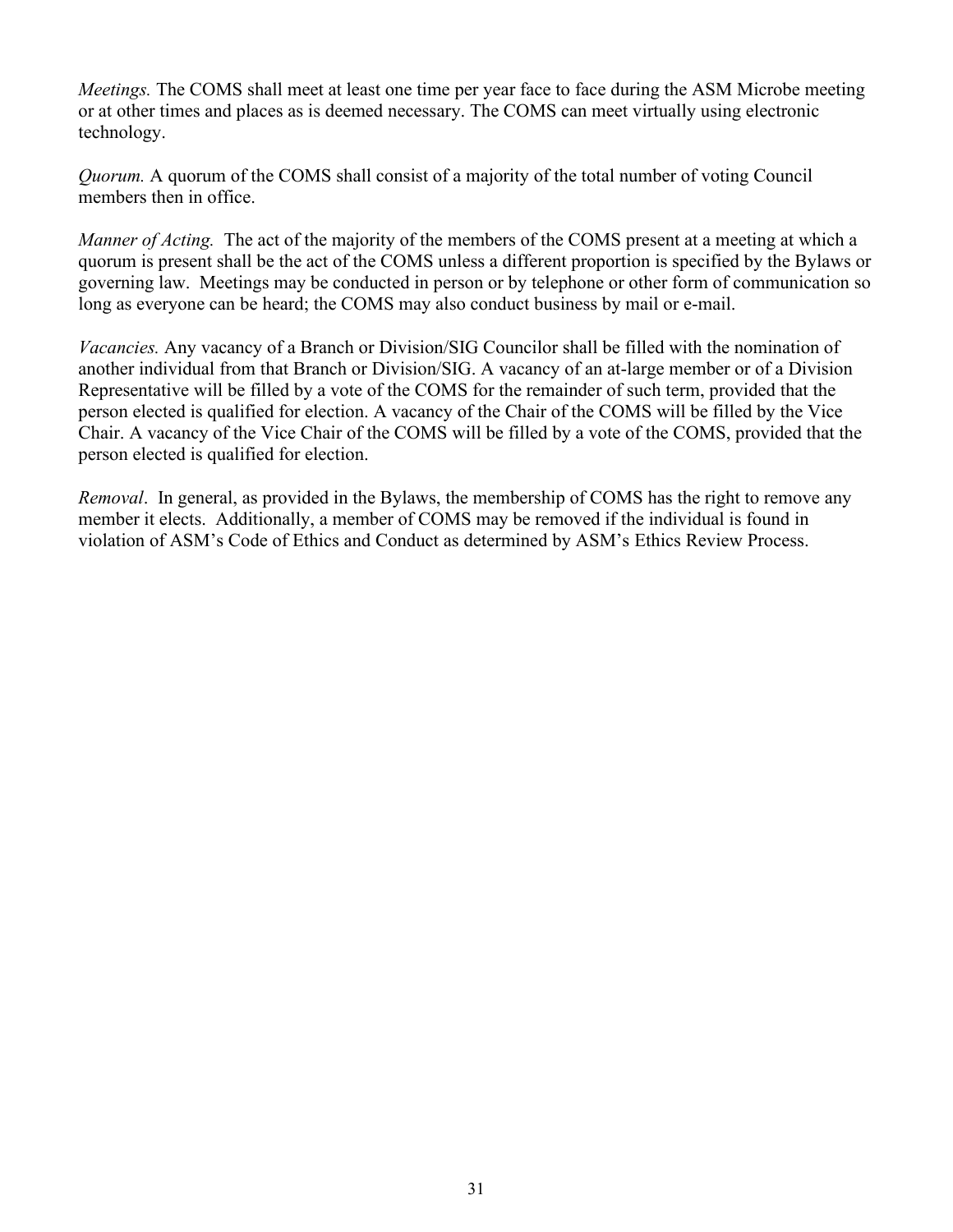*Meetings.* The COMS shall meet at least one time per year face to face during the ASM Microbe meeting or at other times and places as is deemed necessary. The COMS can meet virtually using electronic technology.

*Quorum.* A quorum of the COMS shall consist of a majority of the total number of voting Council members then in office.

*Manner of Acting.* The act of the majority of the members of the COMS present at a meeting at which a quorum is present shall be the act of the COMS unless a different proportion is specified by the Bylaws or governing law. Meetings may be conducted in person or by telephone or other form of communication so long as everyone can be heard; the COMS may also conduct business by mail or e-mail.

*Vacancies.* Any vacancy of a Branch or Division/SIG Councilor shall be filled with the nomination of another individual from that Branch or Division/SIG. A vacancy of an at-large member or of a Division Representative will be filled by a vote of the COMS for the remainder of such term, provided that the person elected is qualified for election. A vacancy of the Chair of the COMS will be filled by the Vice Chair. A vacancy of the Vice Chair of the COMS will be filled by a vote of the COMS, provided that the person elected is qualified for election.

*Removal*. In general, as provided in the Bylaws, the membership of COMS has the right to remove any member it elects. Additionally, a member of COMS may be removed if the individual is found in violation of ASM's Code of Ethics and Conduct as determined by ASM's Ethics Review Process.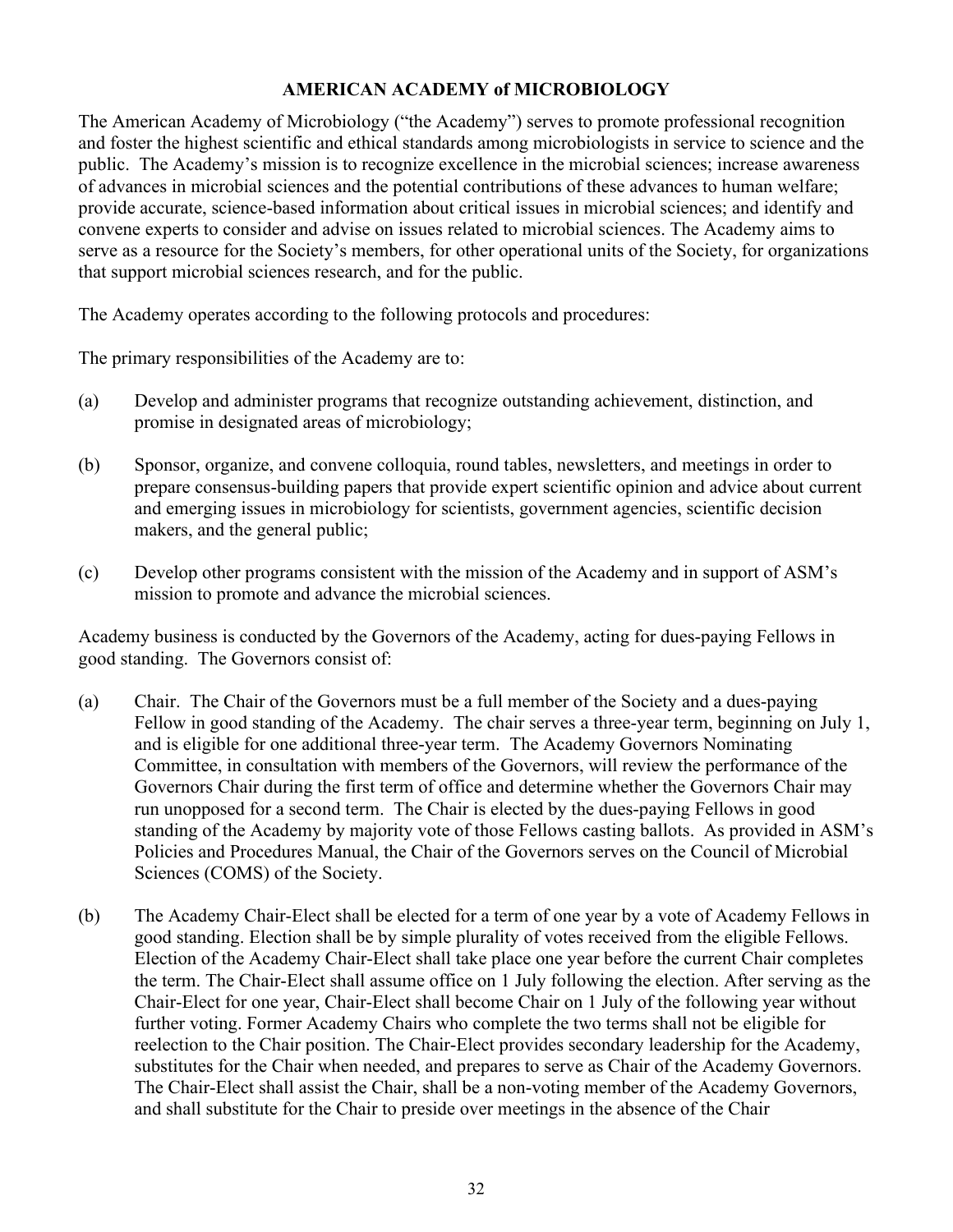# **AMERICAN ACADEMY of MICROBIOLOGY**

<span id="page-31-0"></span>The American Academy of Microbiology ("the Academy") serves to promote professional recognition and foster the highest scientific and ethical standards among microbiologists in service to science and the public. The Academy's mission is to recognize excellence in the microbial sciences; increase awareness of advances in microbial sciences and the potential contributions of these advances to human welfare; provide accurate, science-based information about critical issues in microbial sciences; and identify and convene experts to consider and advise on issues related to microbial sciences. The Academy aims to serve as a resource for the Society's members, for other operational units of the Society, for organizations that support microbial sciences research, and for the public.

The Academy operates according to the following protocols and procedures:

The primary responsibilities of the Academy are to:

- (a) Develop and administer programs that recognize outstanding achievement, distinction, and promise in designated areas of microbiology;
- (b) Sponsor, organize, and convene colloquia, round tables, newsletters, and meetings in order to prepare consensus-building papers that provide expert scientific opinion and advice about current and emerging issues in microbiology for scientists, government agencies, scientific decision makers, and the general public;
- (c) Develop other programs consistent with the mission of the Academy and in support of ASM's mission to promote and advance the microbial sciences.

Academy business is conducted by the Governors of the Academy, acting for dues-paying Fellows in good standing. The Governors consist of:

- (a) Chair. The Chair of the Governors must be a full member of the Society and a dues-paying Fellow in good standing of the Academy. The chair serves a three-year term, beginning on July 1, and is eligible for one additional three-year term. The Academy Governors Nominating Committee, in consultation with members of the Governors, will review the performance of the Governors Chair during the first term of office and determine whether the Governors Chair may run unopposed for a second term. The Chair is elected by the dues-paying Fellows in good standing of the Academy by majority vote of those Fellows casting ballots. As provided in ASM's Policies and Procedures Manual, the Chair of the Governors serves on the Council of Microbial Sciences (COMS) of the Society.
- (b) The Academy Chair-Elect shall be elected for a term of one year by a vote of Academy Fellows in good standing. Election shall be by simple plurality of votes received from the eligible Fellows. Election of the Academy Chair-Elect shall take place one year before the current Chair completes the term. The Chair-Elect shall assume office on 1 July following the election. After serving as the Chair-Elect for one year, Chair-Elect shall become Chair on 1 July of the following year without further voting. Former Academy Chairs who complete the two terms shall not be eligible for reelection to the Chair position. The Chair-Elect provides secondary leadership for the Academy, substitutes for the Chair when needed, and prepares to serve as Chair of the Academy Governors. The Chair-Elect shall assist the Chair, shall be a non-voting member of the Academy Governors, and shall substitute for the Chair to preside over meetings in the absence of the Chair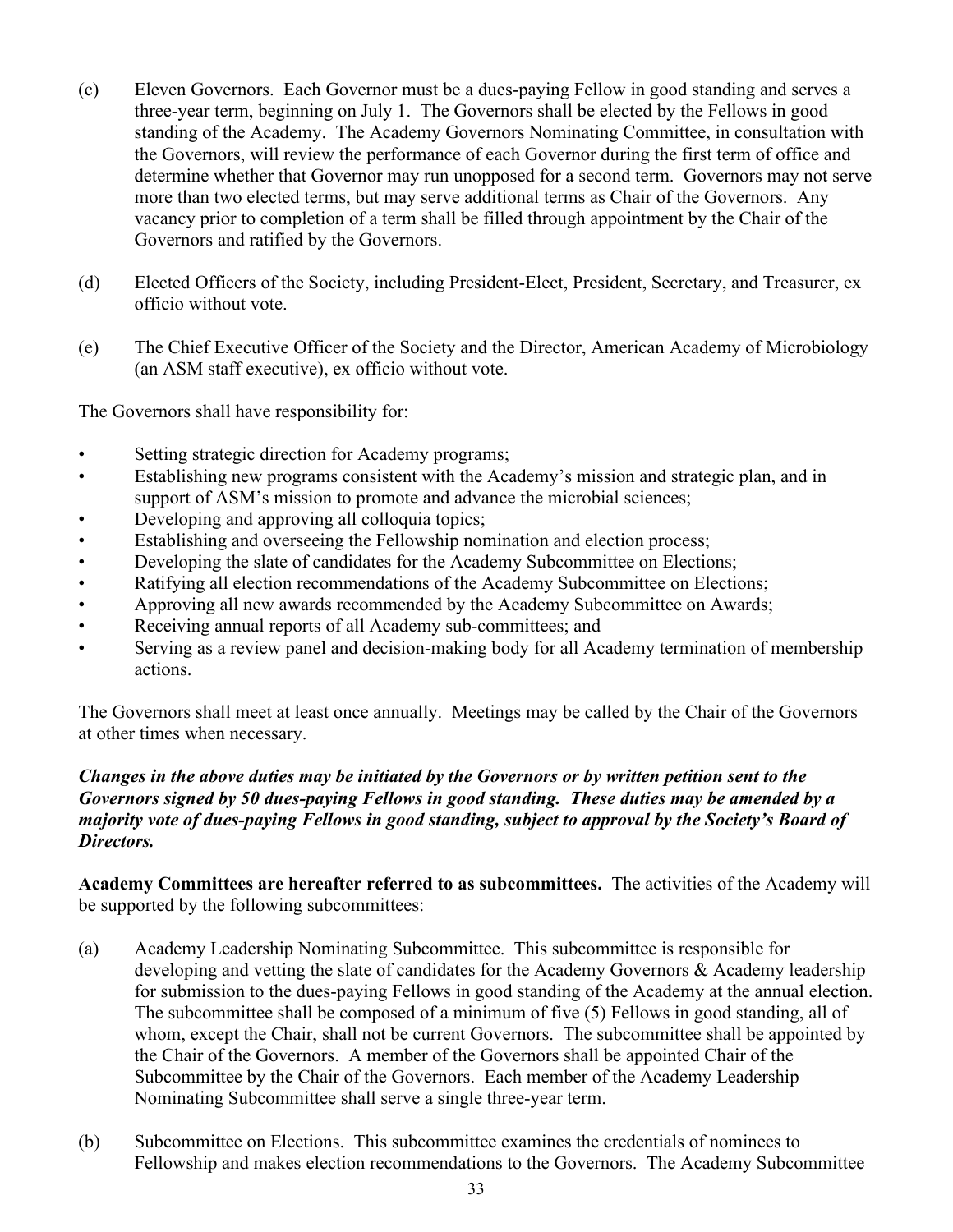- (c) Eleven Governors. Each Governor must be a dues-paying Fellow in good standing and serves a three-year term, beginning on July 1. The Governors shall be elected by the Fellows in good standing of the Academy. The Academy Governors Nominating Committee, in consultation with the Governors, will review the performance of each Governor during the first term of office and determine whether that Governor may run unopposed for a second term. Governors may not serve more than two elected terms, but may serve additional terms as Chair of the Governors. Any vacancy prior to completion of a term shall be filled through appointment by the Chair of the Governors and ratified by the Governors.
- (d) Elected Officers of the Society, including President-Elect, President, Secretary, and Treasurer, ex officio without vote.
- (e) The Chief Executive Officer of the Society and the Director, American Academy of Microbiology (an ASM staff executive), ex officio without vote.

The Governors shall have responsibility for:

- Setting strategic direction for Academy programs;
- Establishing new programs consistent with the Academy's mission and strategic plan, and in support of ASM's mission to promote and advance the microbial sciences;
- Developing and approving all colloquia topics;
- Establishing and overseeing the Fellowship nomination and election process;
- Developing the slate of candidates for the Academy Subcommittee on Elections;
- Ratifying all election recommendations of the Academy Subcommittee on Elections;
- Approving all new awards recommended by the Academy Subcommittee on Awards;
- Receiving annual reports of all Academy sub-committees; and
- Serving as a review panel and decision-making body for all Academy termination of membership actions.

The Governors shall meet at least once annually. Meetings may be called by the Chair of the Governors at other times when necessary.

# *Changes in the above duties may be initiated by the Governors or by written petition sent to the Governors signed by 50 dues-paying Fellows in good standing. These duties may be amended by a majority vote of dues-paying Fellows in good standing, subject to approval by the Society's Board of Directors.*

**Academy Committees are hereafter referred to as subcommittees.** The activities of the Academy will be supported by the following subcommittees:

- (a) Academy Leadership Nominating Subcommittee. This subcommittee is responsible for developing and vetting the slate of candidates for the Academy Governors & Academy leadership for submission to the dues-paying Fellows in good standing of the Academy at the annual election. The subcommittee shall be composed of a minimum of five (5) Fellows in good standing, all of whom, except the Chair, shall not be current Governors. The subcommittee shall be appointed by the Chair of the Governors. A member of the Governors shall be appointed Chair of the Subcommittee by the Chair of the Governors. Each member of the Academy Leadership Nominating Subcommittee shall serve a single three-year term.
- (b) Subcommittee on Elections. This subcommittee examines the credentials of nominees to Fellowship and makes election recommendations to the Governors. The Academy Subcommittee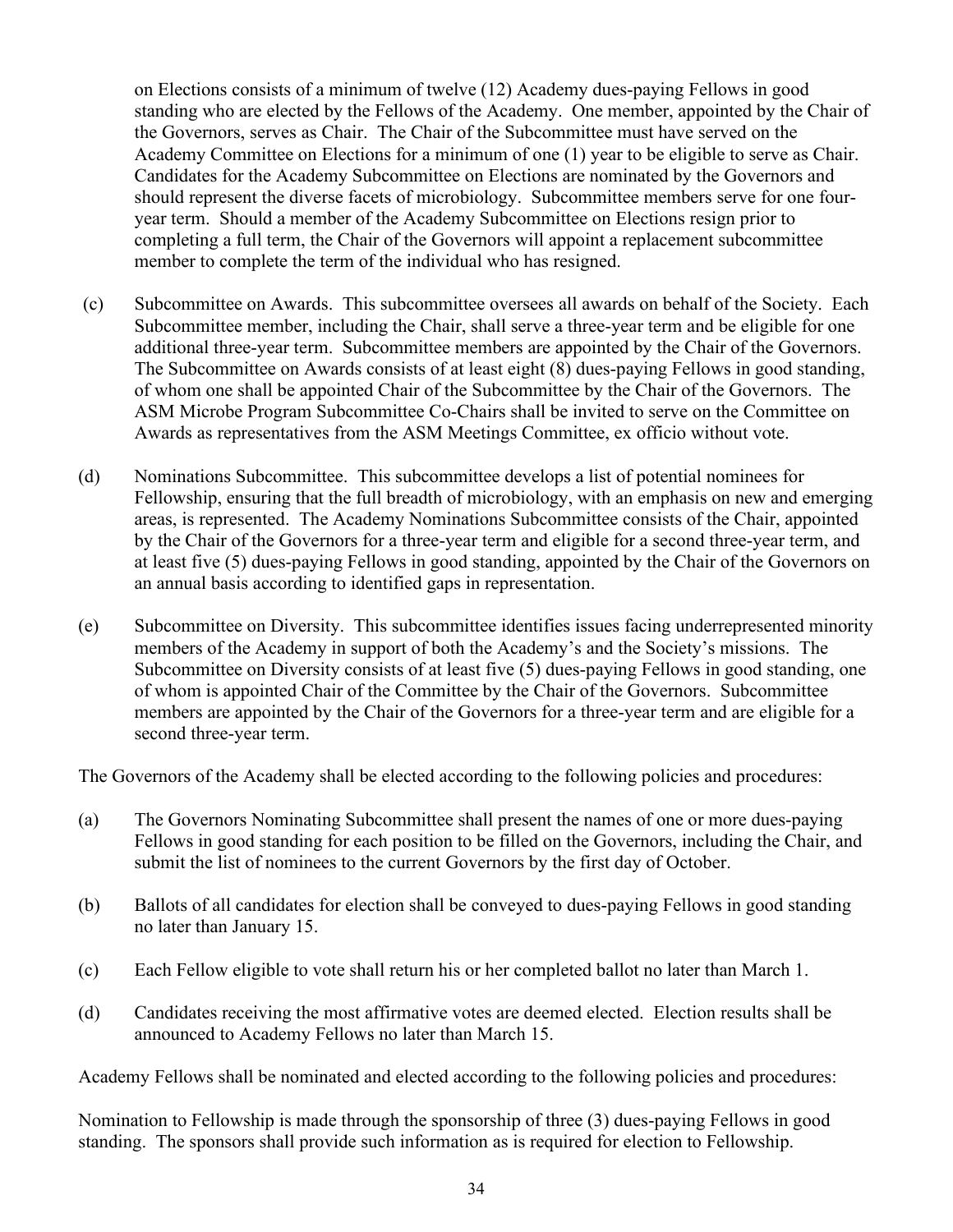on Elections consists of a minimum of twelve (12) Academy dues-paying Fellows in good standing who are elected by the Fellows of the Academy. One member, appointed by the Chair of the Governors, serves as Chair. The Chair of the Subcommittee must have served on the Academy Committee on Elections for a minimum of one (1) year to be eligible to serve as Chair. Candidates for the Academy Subcommittee on Elections are nominated by the Governors and should represent the diverse facets of microbiology. Subcommittee members serve for one fouryear term. Should a member of the Academy Subcommittee on Elections resign prior to completing a full term, the Chair of the Governors will appoint a replacement subcommittee member to complete the term of the individual who has resigned.

- (c) Subcommittee on Awards. This subcommittee oversees all awards on behalf of the Society. Each Subcommittee member, including the Chair, shall serve a three-year term and be eligible for one additional three-year term. Subcommittee members are appointed by the Chair of the Governors. The Subcommittee on Awards consists of at least eight (8) dues-paying Fellows in good standing, of whom one shall be appointed Chair of the Subcommittee by the Chair of the Governors. The ASM Microbe Program Subcommittee Co-Chairs shall be invited to serve on the Committee on Awards as representatives from the ASM Meetings Committee, ex officio without vote.
- (d) Nominations Subcommittee. This subcommittee develops a list of potential nominees for Fellowship, ensuring that the full breadth of microbiology, with an emphasis on new and emerging areas, is represented. The Academy Nominations Subcommittee consists of the Chair, appointed by the Chair of the Governors for a three-year term and eligible for a second three-year term, and at least five (5) dues-paying Fellows in good standing, appointed by the Chair of the Governors on an annual basis according to identified gaps in representation.
- (e) Subcommittee on Diversity. This subcommittee identifies issues facing underrepresented minority members of the Academy in support of both the Academy's and the Society's missions. The Subcommittee on Diversity consists of at least five (5) dues-paying Fellows in good standing, one of whom is appointed Chair of the Committee by the Chair of the Governors. Subcommittee members are appointed by the Chair of the Governors for a three-year term and are eligible for a second three-year term.

The Governors of the Academy shall be elected according to the following policies and procedures:

- (a) The Governors Nominating Subcommittee shall present the names of one or more dues-paying Fellows in good standing for each position to be filled on the Governors, including the Chair, and submit the list of nominees to the current Governors by the first day of October.
- (b) Ballots of all candidates for election shall be conveyed to dues-paying Fellows in good standing no later than January 15.
- (c) Each Fellow eligible to vote shall return his or her completed ballot no later than March 1.
- (d) Candidates receiving the most affirmative votes are deemed elected. Election results shall be announced to Academy Fellows no later than March 15.

Academy Fellows shall be nominated and elected according to the following policies and procedures:

Nomination to Fellowship is made through the sponsorship of three (3) dues-paying Fellows in good standing. The sponsors shall provide such information as is required for election to Fellowship.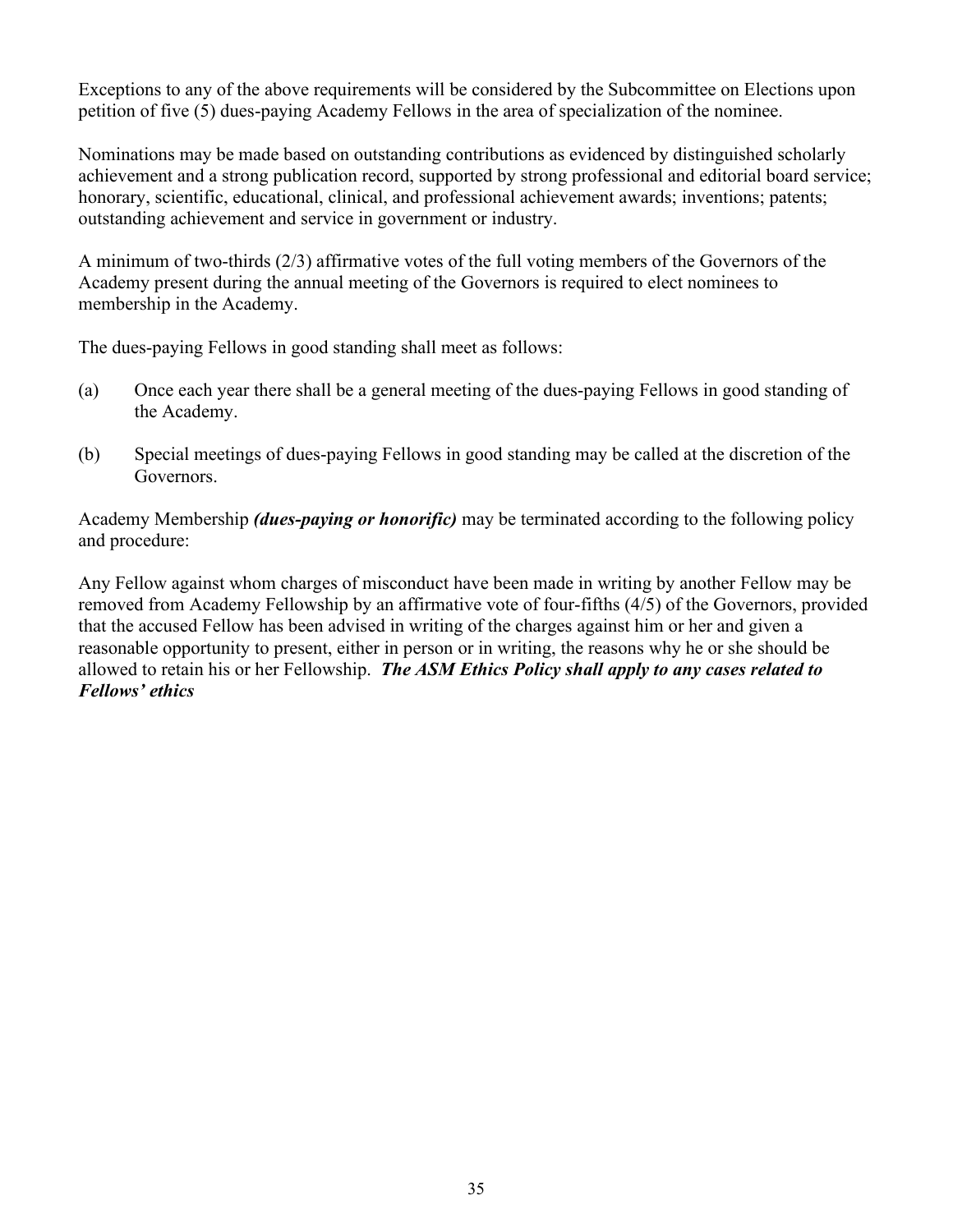Exceptions to any of the above requirements will be considered by the Subcommittee on Elections upon petition of five (5) dues-paying Academy Fellows in the area of specialization of the nominee.

Nominations may be made based on outstanding contributions as evidenced by distinguished scholarly achievement and a strong publication record, supported by strong professional and editorial board service; honorary, scientific, educational, clinical, and professional achievement awards; inventions; patents; outstanding achievement and service in government or industry.

A minimum of two-thirds (2/3) affirmative votes of the full voting members of the Governors of the Academy present during the annual meeting of the Governors is required to elect nominees to membership in the Academy.

The dues-paying Fellows in good standing shall meet as follows:

- (a) Once each year there shall be a general meeting of the dues-paying Fellows in good standing of the Academy.
- (b) Special meetings of dues-paying Fellows in good standing may be called at the discretion of the Governors.

Academy Membership *(dues-paying or honorific)* may be terminated according to the following policy and procedure:

Any Fellow against whom charges of misconduct have been made in writing by another Fellow may be removed from Academy Fellowship by an affirmative vote of four-fifths (4/5) of the Governors, provided that the accused Fellow has been advised in writing of the charges against him or her and given a reasonable opportunity to present, either in person or in writing, the reasons why he or she should be allowed to retain his or her Fellowship. *The ASM Ethics Policy shall apply to any cases related to Fellows' ethics*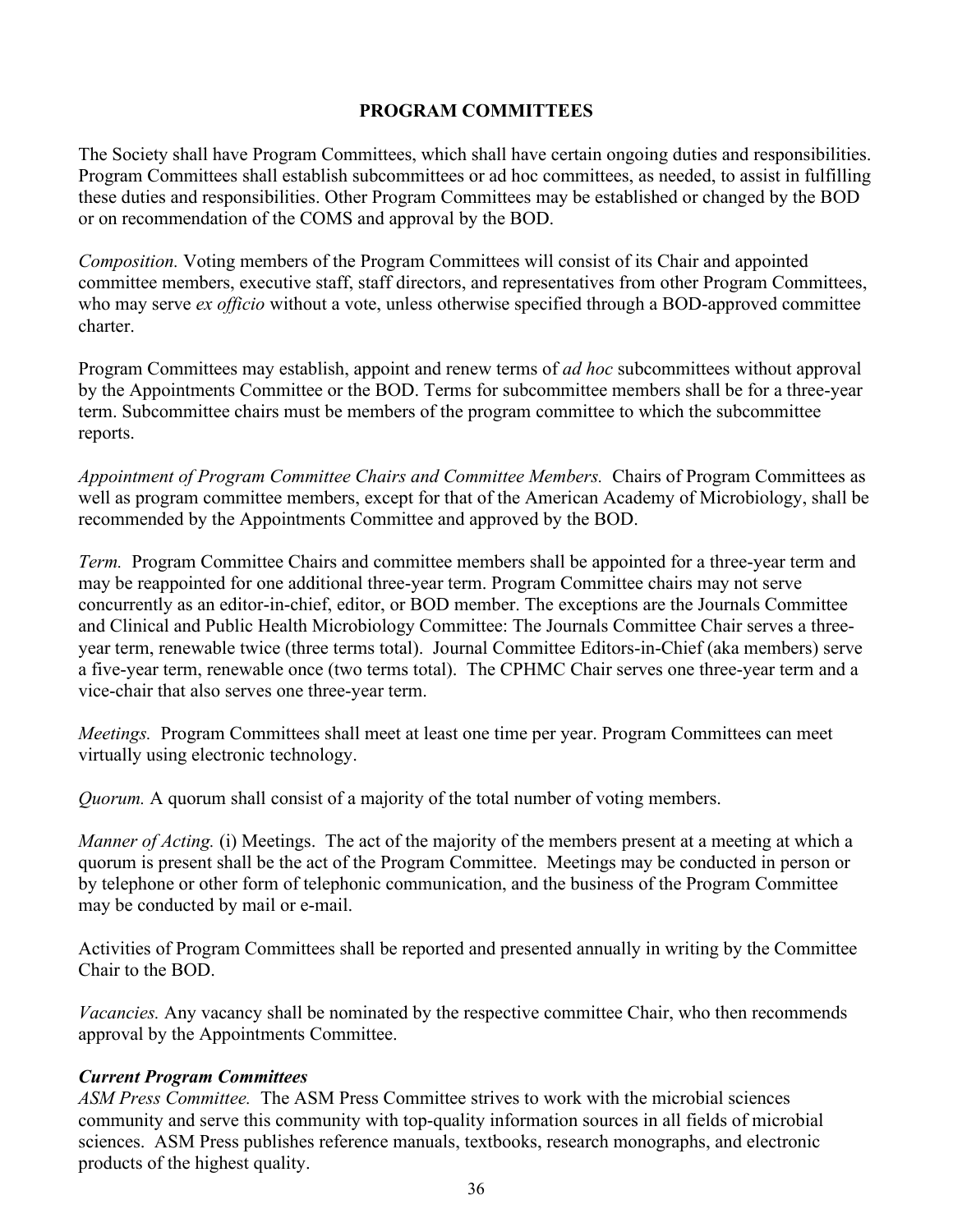# **PROGRAM COMMITTEES**

The Society shall have Program Committees, which shall have certain ongoing duties and responsibilities. Program Committees shall establish subcommittees or ad hoc committees, as needed, to assist in fulfilling these duties and responsibilities. Other Program Committees may be established or changed by the BOD or on recommendation of the COMS and approval by the BOD.

*Composition.* Voting members of the Program Committees will consist of its Chair and appointed committee members, executive staff, staff directors, and representatives from other Program Committees, who may serve *ex officio* without a vote, unless otherwise specified through a BOD-approved committee charter.

Program Committees may establish, appoint and renew terms of *ad hoc* subcommittees without approval by the Appointments Committee or the BOD. Terms for subcommittee members shall be for a three-year term. Subcommittee chairs must be members of the program committee to which the subcommittee reports.

*Appointment of Program Committee Chairs and Committee Members.* Chairs of Program Committees as well as program committee members, except for that of the American Academy of Microbiology, shall be recommended by the Appointments Committee and approved by the BOD.

*Term.* Program Committee Chairs and committee members shall be appointed for a three-year term and may be reappointed for one additional three-year term. Program Committee chairs may not serve concurrently as an editor-in-chief, editor, or BOD member. The exceptions are the Journals Committee and Clinical and Public Health Microbiology Committee: The Journals Committee Chair serves a threeyear term, renewable twice (three terms total). Journal Committee Editors-in-Chief (aka members) serve a five-year term, renewable once (two terms total). The CPHMC Chair serves one three-year term and a vice-chair that also serves one three-year term.

*Meetings.* Program Committees shall meet at least one time per year. Program Committees can meet virtually using electronic technology.

*Quorum.* A quorum shall consist of a majority of the total number of voting members.

*Manner of Acting.* (i) Meetings. The act of the majority of the members present at a meeting at which a quorum is present shall be the act of the Program Committee. Meetings may be conducted in person or by telephone or other form of telephonic communication, and the business of the Program Committee may be conducted by mail or e-mail.

Activities of Program Committees shall be reported and presented annually in writing by the Committee Chair to the BOD.

*Vacancies.* Any vacancy shall be nominated by the respective committee Chair, who then recommends approval by the Appointments Committee.

### *Current Program Committees*

*ASM Press Committee.* The ASM Press Committee strives to work with the microbial sciences community and serve this community with top-quality information sources in all fields of microbial sciences. ASM Press publishes reference manuals, textbooks, research monographs, and electronic products of the highest quality.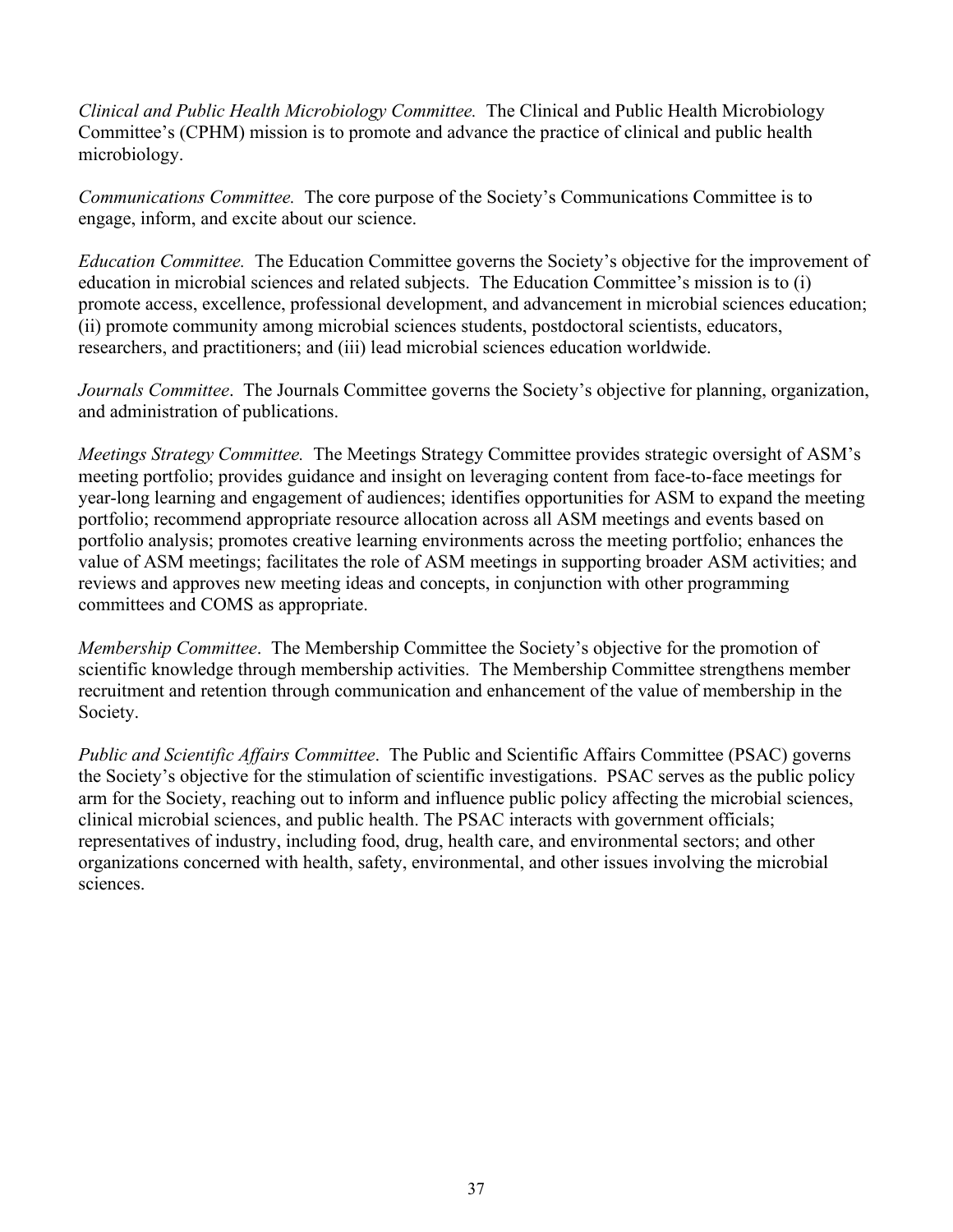*Clinical and Public Health Microbiology Committee.* The Clinical and Public Health Microbiology Committee's (CPHM) mission is to promote and advance the practice of clinical and public health microbiology.

*Communications Committee.* The core purpose of the Society's Communications Committee is to engage, inform, and excite about our science.

*Education Committee.* The Education Committee governs the Society's objective for the improvement of education in microbial sciences and related subjects. The Education Committee's mission is to (i) promote access, excellence, professional development, and advancement in microbial sciences education; (ii) promote community among microbial sciences students, postdoctoral scientists, educators, researchers, and practitioners; and (iii) lead microbial sciences education worldwide.

*Journals Committee.* The Journals Committee governs the Society's objective for planning, organization, and administration of publications.

*Meetings Strategy Committee.* The Meetings Strategy Committee provides strategic oversight of ASM's meeting portfolio; provides guidance and insight on leveraging content from face-to-face meetings for year-long learning and engagement of audiences; identifies opportunities for ASM to expand the meeting portfolio; recommend appropriate resource allocation across all ASM meetings and events based on portfolio analysis; promotes creative learning environments across the meeting portfolio; enhances the value of ASM meetings; facilitates the role of ASM meetings in supporting broader ASM activities; and reviews and approves new meeting ideas and concepts, in conjunction with other programming committees and COMS as appropriate.

*Membership Committee*. The Membership Committee the Society's objective for the promotion of scientific knowledge through membership activities. The Membership Committee strengthens member recruitment and retention through communication and enhancement of the value of membership in the Society.

*Public and Scientific Affairs Committee*. The Public and Scientific Affairs Committee (PSAC) governs the Society's objective for the stimulation of scientific investigations. PSAC serves as the public policy arm for the Society, reaching out to inform and influence public policy affecting the microbial sciences, clinical microbial sciences, and public health. The PSAC interacts with government officials; representatives of industry, including food, drug, health care, and environmental sectors; and other organizations concerned with health, safety, environmental, and other issues involving the microbial sciences.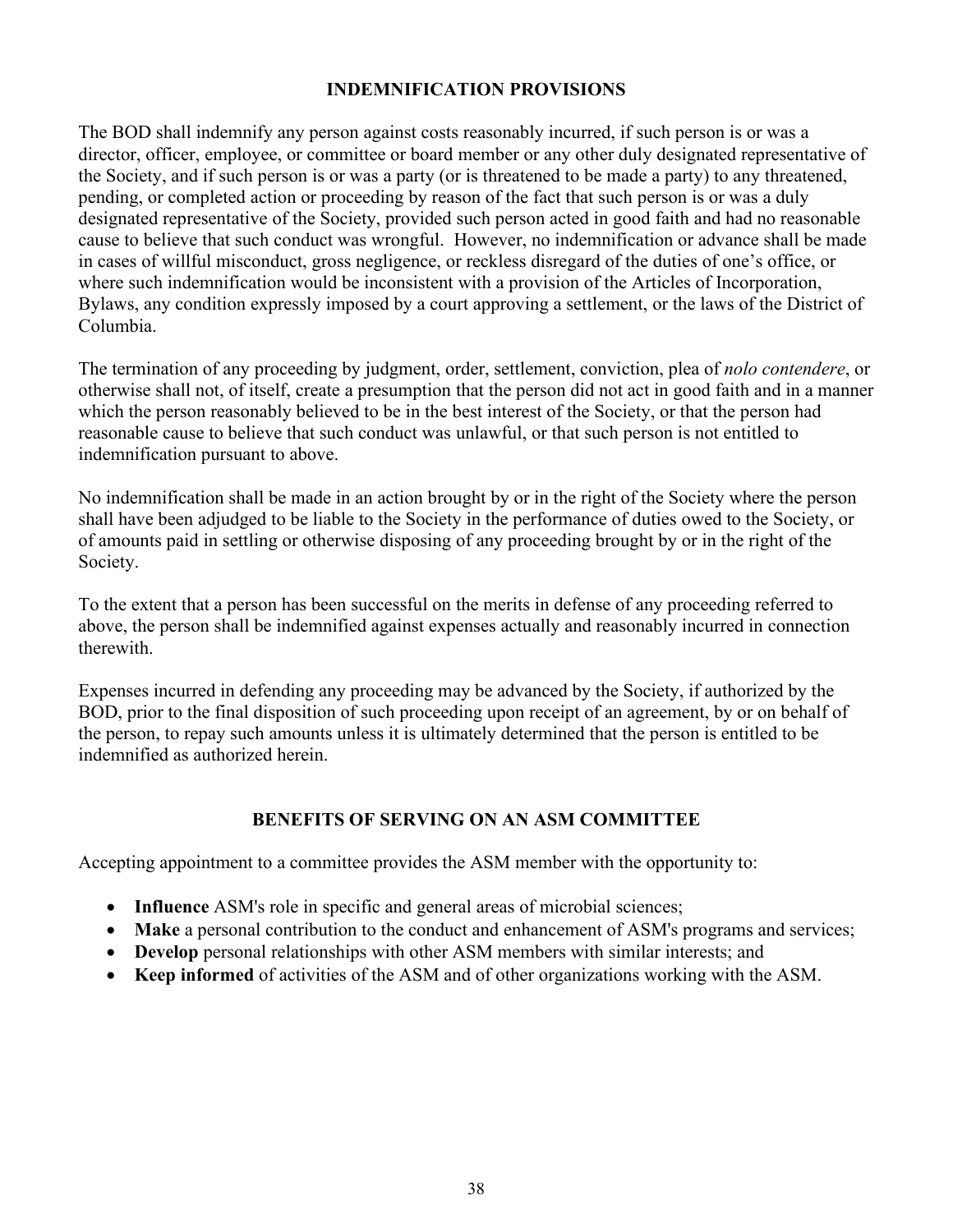### **INDEMNIFICATION PROVISIONS**

The BOD shall indemnify any person against costs reasonably incurred, if such person is or was a director, officer, employee, or committee or board member or any other duly designated representative of the Society, and if such person is or was a party (or is threatened to be made a party) to any threatened, pending, or completed action or proceeding by reason of the fact that such person is or was a duly designated representative of the Society, provided such person acted in good faith and had no reasonable cause to believe that such conduct was wrongful. However, no indemnification or advance shall be made in cases of willful misconduct, gross negligence, or reckless disregard of the duties of one's office, or where such indemnification would be inconsistent with a provision of the Articles of Incorporation, Bylaws, any condition expressly imposed by a court approving a settlement, or the laws of the District of Columbia.

The termination of any proceeding by judgment, order, settlement, conviction, plea of *nolo contendere*, or otherwise shall not, of itself, create a presumption that the person did not act in good faith and in a manner which the person reasonably believed to be in the best interest of the Society, or that the person had reasonable cause to believe that such conduct was unlawful, or that such person is not entitled to indemnification pursuant to above.

No indemnification shall be made in an action brought by or in the right of the Society where the person shall have been adjudged to be liable to the Society in the performance of duties owed to the Society, or of amounts paid in settling or otherwise disposing of any proceeding brought by or in the right of the Society.

To the extent that a person has been successful on the merits in defense of any proceeding referred to above, the person shall be indemnified against expenses actually and reasonably incurred in connection therewith.

Expenses incurred in defending any proceeding may be advanced by the Society, if authorized by the BOD, prior to the final disposition of such proceeding upon receipt of an agreement, by or on behalf of the person, to repay such amounts unless it is ultimately determined that the person is entitled to be indemnified as authorized herein.

### **BENEFITS OF SERVING ON AN ASM COMMITTEE**

Accepting appointment to a committee provides the ASM member with the opportunity to:

- **Influence** ASM's role in specific and general areas of microbial sciences;
- **Make** a personal contribution to the conduct and enhancement of ASM's programs and services;
- **Develop** personal relationships with other ASM members with similar interests; and
- **Keep informed** of activities of the ASM and of other organizations working with the ASM.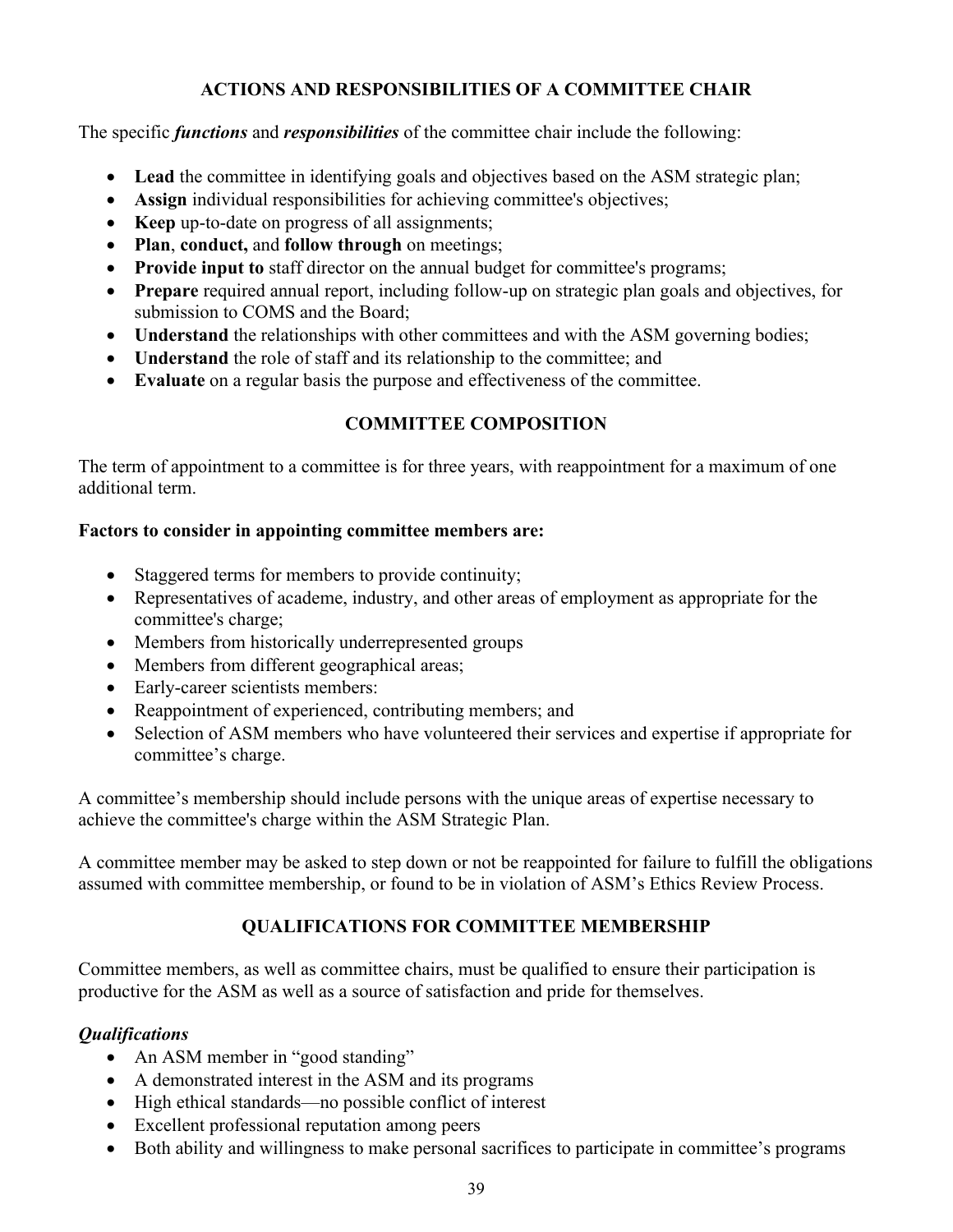### **ACTIONS AND RESPONSIBILITIES OF A COMMITTEE CHAIR**

The specific *functions* and *responsibilities* of the committee chair include the following:

- **Lead** the committee in identifying goals and objectives based on the ASM strategic plan;
- **Assign** individual responsibilities for achieving committee's objectives;
- **Keep** up-to-date on progress of all assignments;
- **Plan, conduct, and follow through** on meetings;
- **Provide input to** staff director on the annual budget for committee's programs;
- **Prepare** required annual report, including follow-up on strategic plan goals and objectives, for submission to COMS and the Board;
- **Understand** the relationships with other committees and with the ASM governing bodies;
- **Understand** the role of staff and its relationship to the committee; and
- **Evaluate** on a regular basis the purpose and effectiveness of the committee.

## **COMMITTEE COMPOSITION**

The term of appointment to a committee is for three years, with reappointment for a maximum of one additional term.

### **Factors to consider in appointing committee members are:**

- Staggered terms for members to provide continuity;
- Representatives of academe, industry, and other areas of employment as appropriate for the committee's charge;
- Members from historically underrepresented groups
- Members from different geographical areas;
- Early-career scientists members:
- Reappointment of experienced, contributing members; and
- Selection of ASM members who have volunteered their services and expertise if appropriate for committee's charge.

A committee's membership should include persons with the unique areas of expertise necessary to achieve the committee's charge within the ASM Strategic Plan.

A committee member may be asked to step down or not be reappointed for failure to fulfill the obligations assumed with committee membership, or found to be in violation of ASM's Ethics Review Process.

## **QUALIFICATIONS FOR COMMITTEE MEMBERSHIP**

Committee members, as well as committee chairs, must be qualified to ensure their participation is productive for the ASM as well as a source of satisfaction and pride for themselves.

## *Qualifications*

- An ASM member in "good standing"
- A demonstrated interest in the ASM and its programs
- High ethical standards—no possible conflict of interest
- Excellent professional reputation among peers
- Both ability and willingness to make personal sacrifices to participate in committee's programs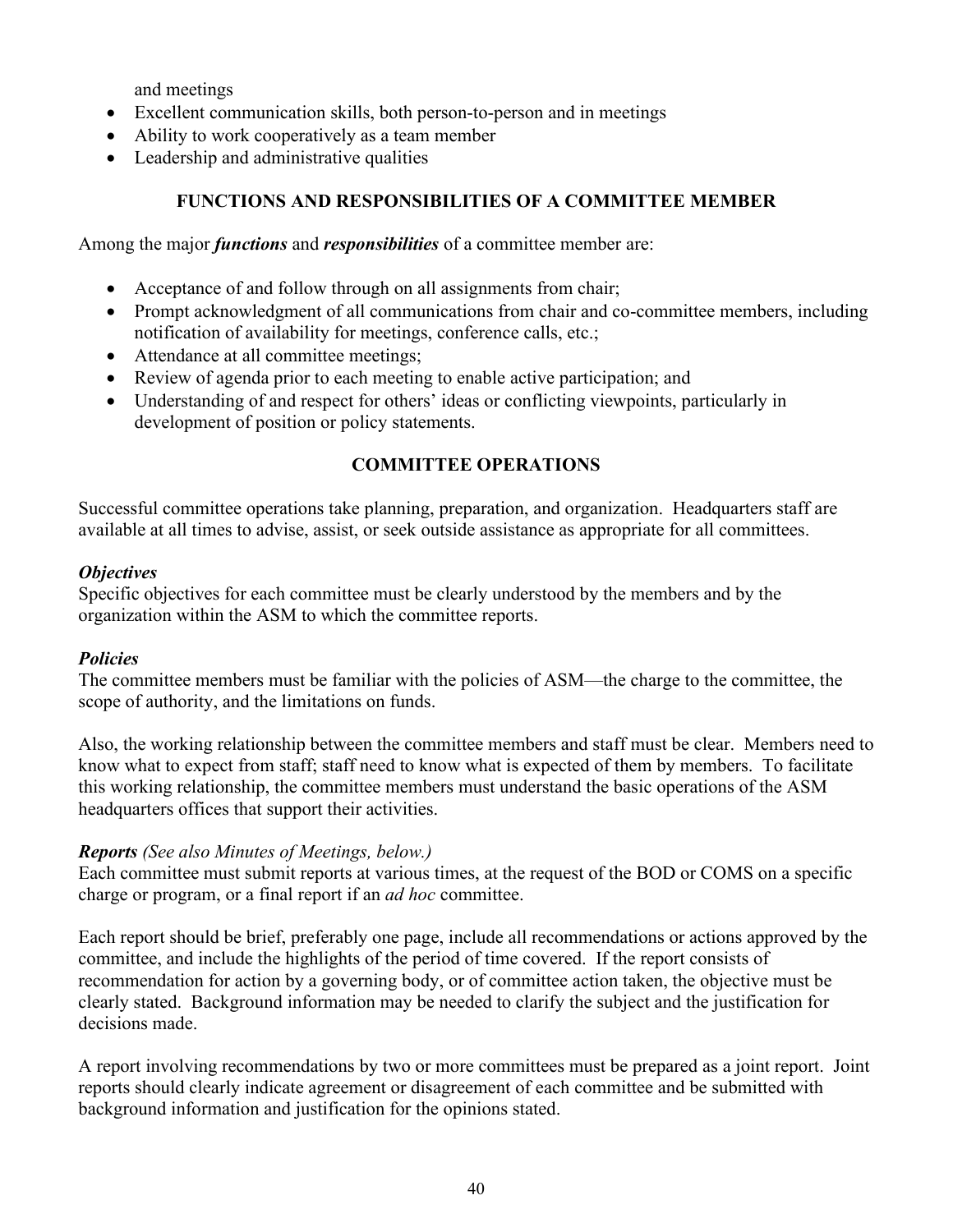and meetings

- Excellent communication skills, both person-to-person and in meetings
- Ability to work cooperatively as a team member
- Leadership and administrative qualities

## **FUNCTIONS AND RESPONSIBILITIES OF A COMMITTEE MEMBER**

Among the major *functions* and *responsibilities* of a committee member are:

- Acceptance of and follow through on all assignments from chair;
- Prompt acknowledgment of all communications from chair and co-committee members, including notification of availability for meetings, conference calls, etc.;
- Attendance at all committee meetings;
- Review of agenda prior to each meeting to enable active participation; and
- Understanding of and respect for others' ideas or conflicting viewpoints, particularly in development of position or policy statements.

### **COMMITTEE OPERATIONS**

Successful committee operations take planning, preparation, and organization. Headquarters staff are available at all times to advise, assist, or seek outside assistance as appropriate for all committees.

#### *Objectives*

Specific objectives for each committee must be clearly understood by the members and by the organization within the ASM to which the committee reports.

### *Policies*

The committee members must be familiar with the policies of ASM—the charge to the committee, the scope of authority, and the limitations on funds.

Also, the working relationship between the committee members and staff must be clear. Members need to know what to expect from staff; staff need to know what is expected of them by members. To facilitate this working relationship, the committee members must understand the basic operations of the ASM headquarters offices that support their activities.

### *Reports (See also Minutes of Meetings, below.)*

Each committee must submit reports at various times, at the request of the BOD or COMS on a specific charge or program, or a final report if an *ad hoc* committee.

Each report should be brief, preferably one page, include all recommendations or actions approved by the committee, and include the highlights of the period of time covered. If the report consists of recommendation for action by a governing body, or of committee action taken, the objective must be clearly stated. Background information may be needed to clarify the subject and the justification for decisions made.

A report involving recommendations by two or more committees must be prepared as a joint report. Joint reports should clearly indicate agreement or disagreement of each committee and be submitted with background information and justification for the opinions stated.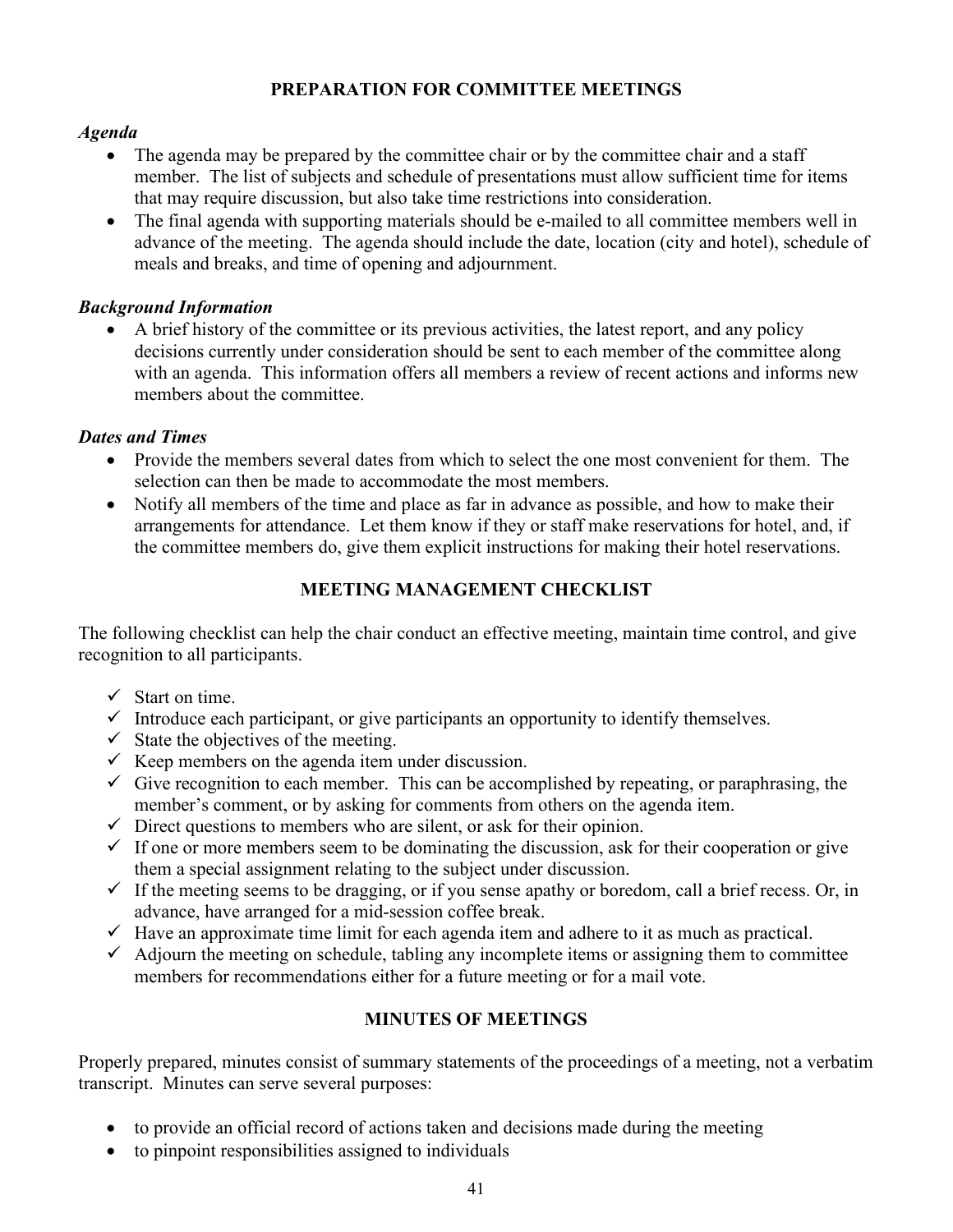## **PREPARATION FOR COMMITTEE MEETINGS**

#### *Agenda*

- The agenda may be prepared by the committee chair or by the committee chair and a staff member. The list of subjects and schedule of presentations must allow sufficient time for items that may require discussion, but also take time restrictions into consideration.
- The final agenda with supporting materials should be e-mailed to all committee members well in advance of the meeting. The agenda should include the date, location (city and hotel), schedule of meals and breaks, and time of opening and adjournment.

### *Background Information*

• A brief history of the committee or its previous activities, the latest report, and any policy decisions currently under consideration should be sent to each member of the committee along with an agenda. This information offers all members a review of recent actions and informs new members about the committee.

#### *Dates and Times*

- Provide the members several dates from which to select the one most convenient for them. The selection can then be made to accommodate the most members.
- Notify all members of the time and place as far in advance as possible, and how to make their arrangements for attendance. Let them know if they or staff make reservations for hotel, and, if the committee members do, give them explicit instructions for making their hotel reservations.

### **MEETING MANAGEMENT CHECKLIST**

The following checklist can help the chair conduct an effective meeting, maintain time control, and give recognition to all participants.

- $\checkmark$  Start on time.
- $\checkmark$  Introduce each participant, or give participants an opportunity to identify themselves.
- $\checkmark$  State the objectives of the meeting.
- $\checkmark$  Keep members on the agenda item under discussion.
- $\checkmark$  Give recognition to each member. This can be accomplished by repeating, or paraphrasing, the member's comment, or by asking for comments from others on the agenda item.
- $\checkmark$  Direct questions to members who are silent, or ask for their opinion.
- $\checkmark$  If one or more members seem to be dominating the discussion, ask for their cooperation or give them a special assignment relating to the subject under discussion.
- $\checkmark$  If the meeting seems to be dragging, or if you sense apathy or boredom, call a brief recess. Or, in advance, have arranged for a mid-session coffee break.
- $\checkmark$  Have an approximate time limit for each agenda item and adhere to it as much as practical.
- $\checkmark$  Adjourn the meeting on schedule, tabling any incomplete items or assigning them to committee members for recommendations either for a future meeting or for a mail vote.

### **MINUTES OF MEETINGS**

Properly prepared, minutes consist of summary statements of the proceedings of a meeting, not a verbatim transcript. Minutes can serve several purposes:

- to provide an official record of actions taken and decisions made during the meeting
- to pinpoint responsibilities assigned to individuals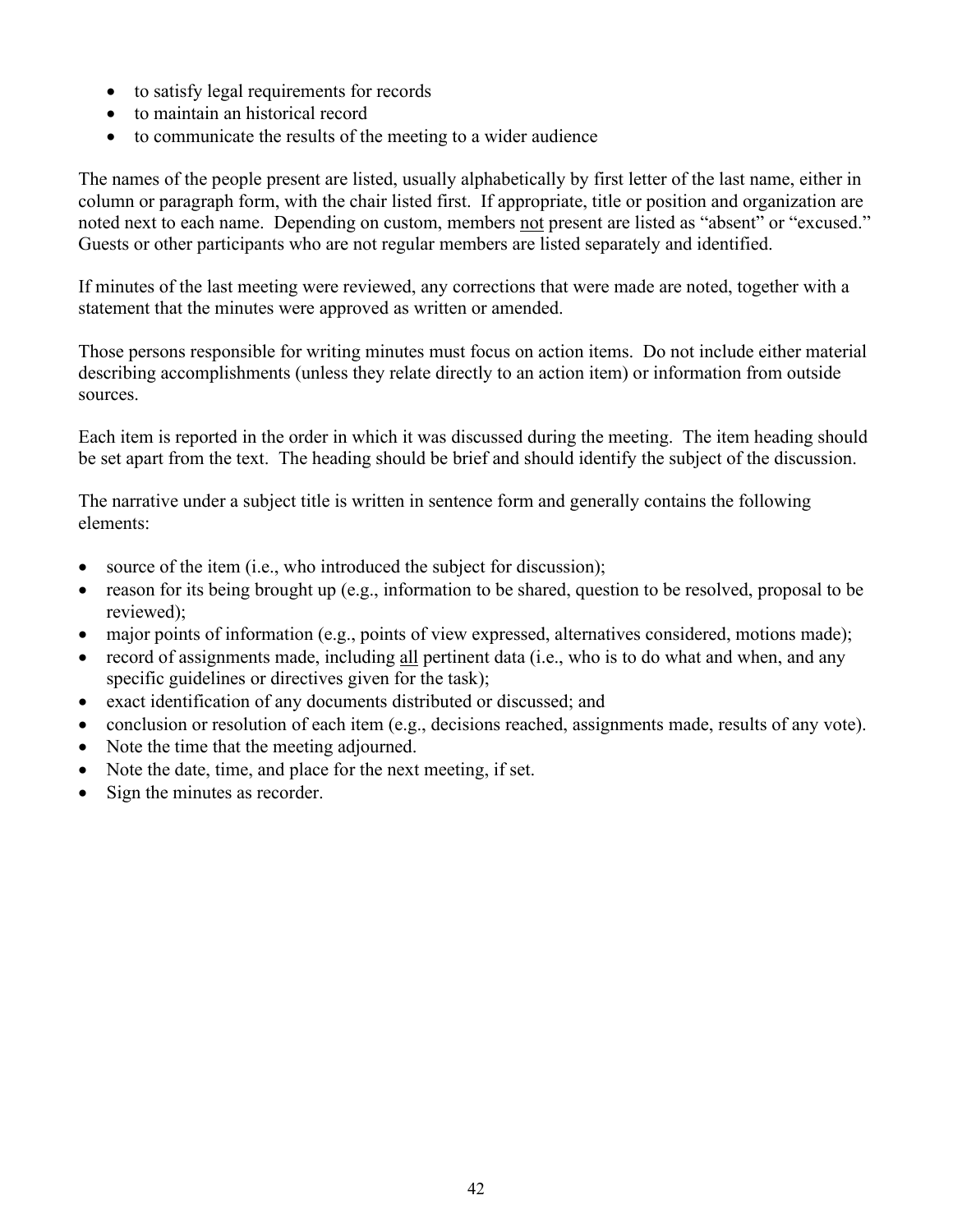- to satisfy legal requirements for records
- to maintain an historical record
- to communicate the results of the meeting to a wider audience

The names of the people present are listed, usually alphabetically by first letter of the last name, either in column or paragraph form, with the chair listed first. If appropriate, title or position and organization are noted next to each name. Depending on custom, members not present are listed as "absent" or "excused." Guests or other participants who are not regular members are listed separately and identified.

If minutes of the last meeting were reviewed, any corrections that were made are noted, together with a statement that the minutes were approved as written or amended.

Those persons responsible for writing minutes must focus on action items. Do not include either material describing accomplishments (unless they relate directly to an action item) or information from outside sources.

Each item is reported in the order in which it was discussed during the meeting. The item heading should be set apart from the text. The heading should be brief and should identify the subject of the discussion.

The narrative under a subject title is written in sentence form and generally contains the following elements:

- source of the item (i.e., who introduced the subject for discussion);
- reason for its being brought up (e.g., information to be shared, question to be resolved, proposal to be reviewed);
- major points of information (e.g., points of view expressed, alternatives considered, motions made);
- record of assignments made, including all pertinent data (i.e., who is to do what and when, and any specific guidelines or directives given for the task);
- exact identification of any documents distributed or discussed; and
- conclusion or resolution of each item (e.g., decisions reached, assignments made, results of any vote).
- Note the time that the meeting adjourned.
- Note the date, time, and place for the next meeting, if set.
- Sign the minutes as recorder.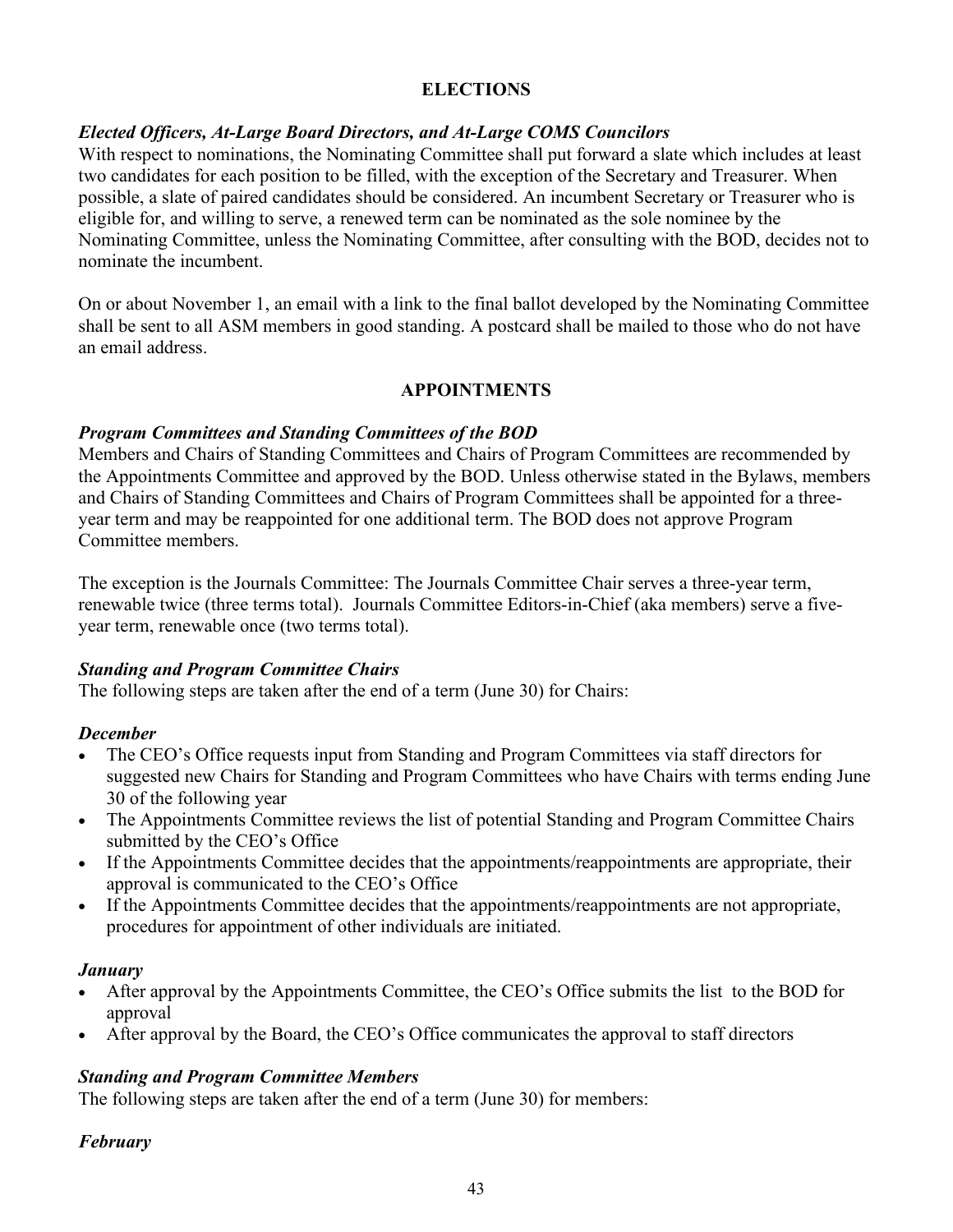### **ELECTIONS**

### *Elected Officers, At-Large Board Directors, and At-Large COMS Councilors*

With respect to nominations, the Nominating Committee shall put forward a slate which includes at least two candidates for each position to be filled, with the exception of the Secretary and Treasurer. When possible, a slate of paired candidates should be considered. An incumbent Secretary or Treasurer who is eligible for, and willing to serve, a renewed term can be nominated as the sole nominee by the Nominating Committee, unless the Nominating Committee, after consulting with the BOD, decides not to nominate the incumbent.

On or about November 1, an email with a link to the final ballot developed by the Nominating Committee shall be sent to all ASM members in good standing. A postcard shall be mailed to those who do not have an email address.

### **APPOINTMENTS**

#### *Program Committees and Standing Committees of the BOD*

Members and Chairs of Standing Committees and Chairs of Program Committees are recommended by the Appointments Committee and approved by the BOD. Unless otherwise stated in the Bylaws, members and Chairs of Standing Committees and Chairs of Program Committees shall be appointed for a threeyear term and may be reappointed for one additional term. The BOD does not approve Program Committee members.

The exception is the Journals Committee: The Journals Committee Chair serves a three-year term, renewable twice (three terms total). Journals Committee Editors-in-Chief (aka members) serve a fiveyear term, renewable once (two terms total).

#### *Standing and Program Committee Chairs*

The following steps are taken after the end of a term (June 30) for Chairs:

#### *December*

- The CEO's Office requests input from Standing and Program Committees via staff directors for suggested new Chairs for Standing and Program Committees who have Chairs with terms ending June 30 of the following year
- The Appointments Committee reviews the list of potential Standing and Program Committee Chairs submitted by the CEO's Office
- If the Appointments Committee decides that the appointments/reappointments are appropriate, their approval is communicated to the CEO's Office
- If the Appointments Committee decides that the appointments/reappointments are not appropriate, procedures for appointment of other individuals are initiated.

### *January*

- After approval by the Appointments Committee, the CEO's Office submits the list to the BOD for approval
- After approval by the Board, the CEO's Office communicates the approval to staff directors

### *Standing and Program Committee Members*

The following steps are taken after the end of a term (June 30) for members:

#### *February*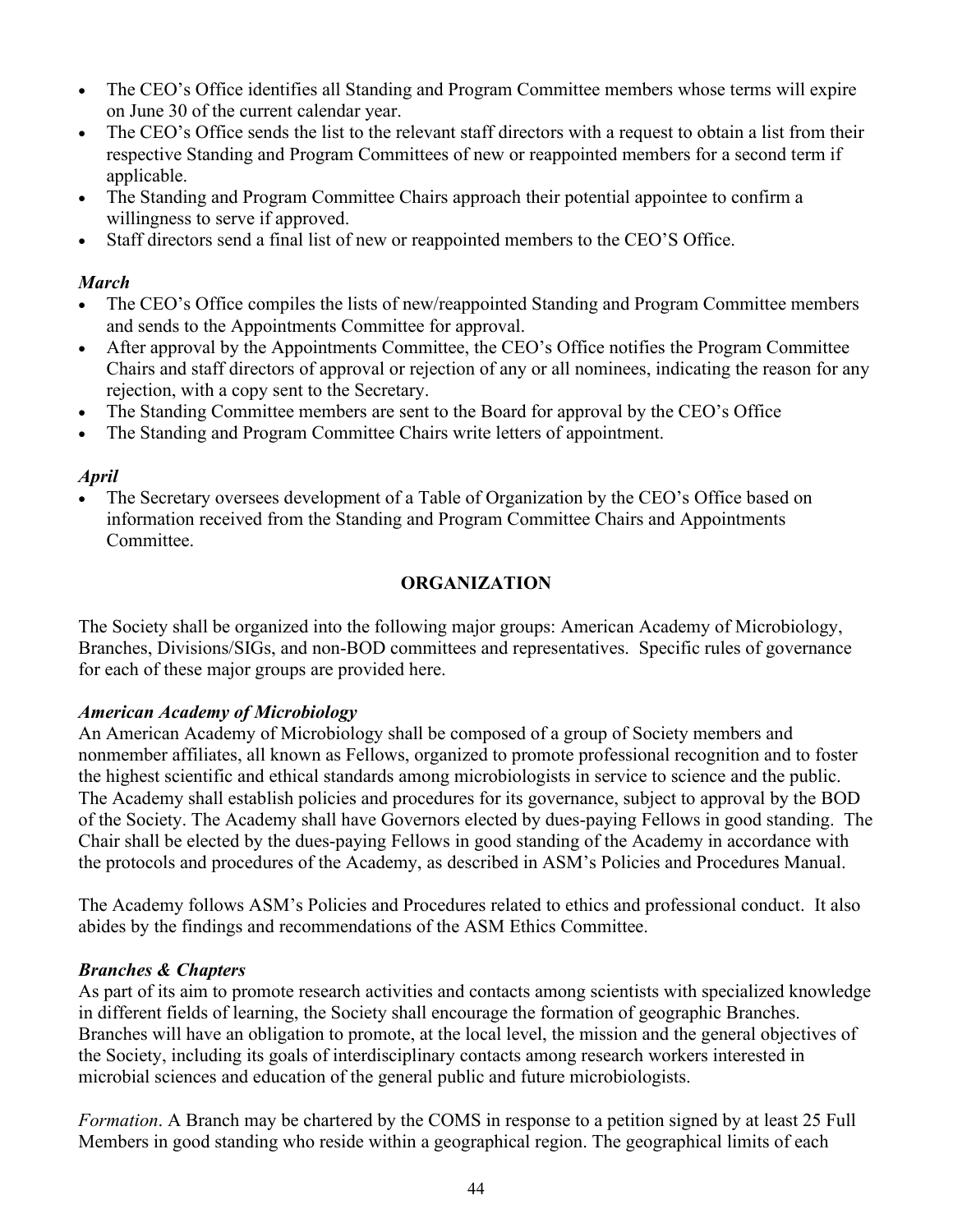- The CEO's Office identifies all Standing and Program Committee members whose terms will expire on June 30 of the current calendar year.
- The CEO's Office sends the list to the relevant staff directors with a request to obtain a list from their respective Standing and Program Committees of new or reappointed members for a second term if applicable.
- The Standing and Program Committee Chairs approach their potential appointee to confirm a willingness to serve if approved.
- Staff directors send a final list of new or reappointed members to the CEO'S Office.

### *March*

- The CEO's Office compiles the lists of new/reappointed Standing and Program Committee members and sends to the Appointments Committee for approval.
- After approval by the Appointments Committee, the CEO's Office notifies the Program Committee Chairs and staff directors of approval or rejection of any or all nominees, indicating the reason for any rejection, with a copy sent to the Secretary.
- The Standing Committee members are sent to the Board for approval by the CEO's Office
- The Standing and Program Committee Chairs write letters of appointment.

## *April*

• The Secretary oversees development of a Table of Organization by the CEO's Office based on information received from the Standing and Program Committee Chairs and Appointments Committee.

## **ORGANIZATION**

The Society shall be organized into the following major groups: American Academy of Microbiology, Branches, Divisions/SIGs, and non-BOD committees and representatives. Specific rules of governance for each of these major groups are provided here.

### *American Academy of Microbiology*

An American Academy of Microbiology shall be composed of a group of Society members and nonmember affiliates, all known as Fellows, organized to promote professional recognition and to foster the highest scientific and ethical standards among microbiologists in service to science and the public. The Academy shall establish policies and procedures for its governance, subject to approval by the BOD of the Society. The Academy shall have Governors elected by dues-paying Fellows in good standing. The Chair shall be elected by the dues-paying Fellows in good standing of the Academy in accordance with the protocols and procedures of the Academy, as described in ASM's Policies and Procedures Manual.

The Academy follows ASM's Policies and Procedures related to ethics and professional conduct. It also abides by the findings and recommendations of the ASM Ethics Committee.

## *Branches & Chapters*

As part of its aim to promote research activities and contacts among scientists with specialized knowledge in different fields of learning, the Society shall encourage the formation of geographic Branches. Branches will have an obligation to promote, at the local level, the mission and the general objectives of the Society, including its goals of interdisciplinary contacts among research workers interested in microbial sciences and education of the general public and future microbiologists.

*Formation*. A Branch may be chartered by the COMS in response to a petition signed by at least 25 Full Members in good standing who reside within a geographical region. The geographical limits of each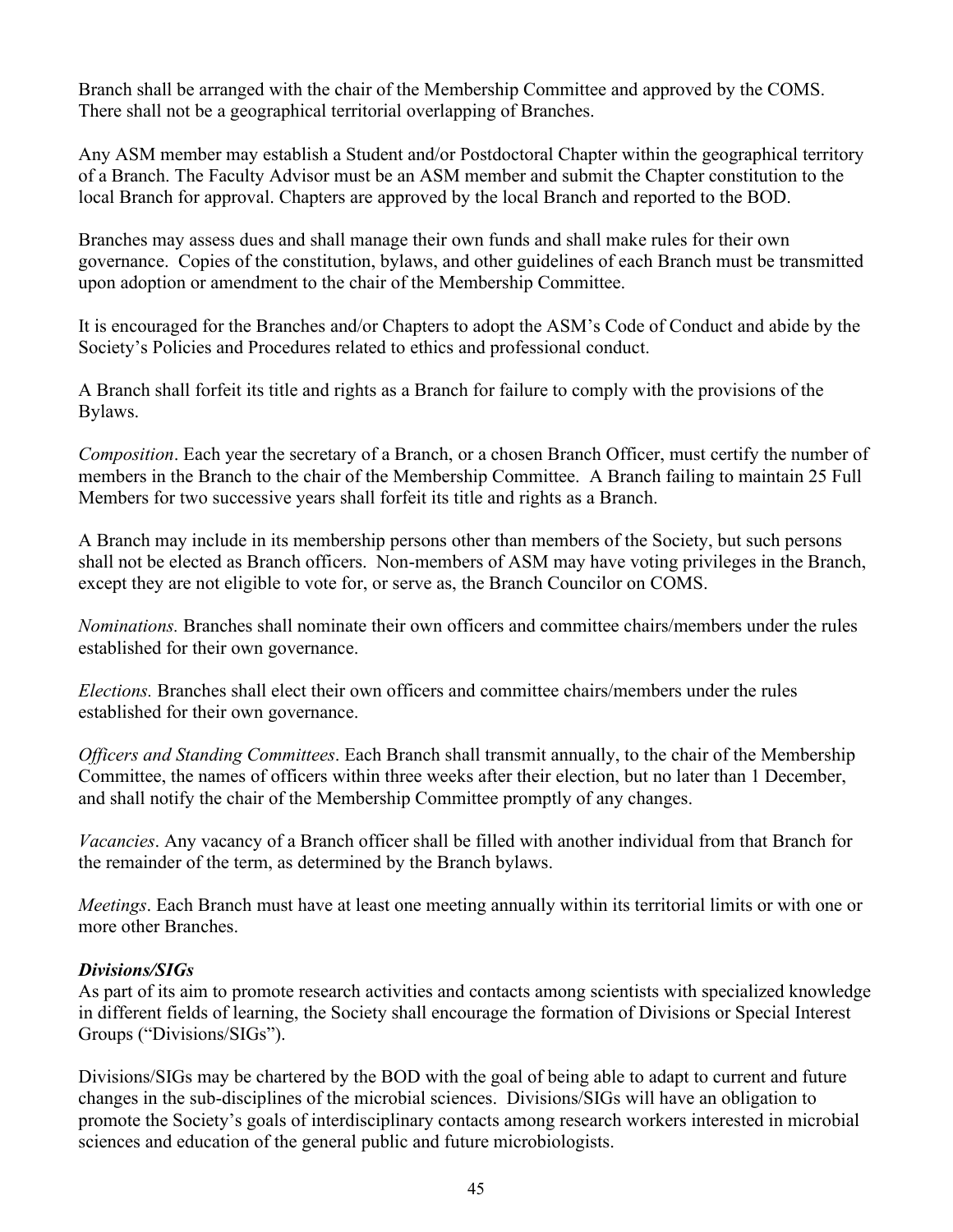Branch shall be arranged with the chair of the Membership Committee and approved by the COMS. There shall not be a geographical territorial overlapping of Branches.

Any ASM member may establish a Student and/or Postdoctoral Chapter within the geographical territory of a Branch. The Faculty Advisor must be an ASM member and submit the Chapter constitution to the local Branch for approval. Chapters are approved by the local Branch and reported to the BOD.

Branches may assess dues and shall manage their own funds and shall make rules for their own governance. Copies of the constitution, bylaws, and other guidelines of each Branch must be transmitted upon adoption or amendment to the chair of the Membership Committee.

It is encouraged for the Branches and/or Chapters to adopt the ASM's Code of Conduct and abide by the Society's Policies and Procedures related to ethics and professional conduct.

A Branch shall forfeit its title and rights as a Branch for failure to comply with the provisions of the Bylaws.

*Composition*. Each year the secretary of a Branch, or a chosen Branch Officer, must certify the number of members in the Branch to the chair of the Membership Committee. A Branch failing to maintain 25 Full Members for two successive years shall forfeit its title and rights as a Branch.

A Branch may include in its membership persons other than members of the Society, but such persons shall not be elected as Branch officers. Non-members of ASM may have voting privileges in the Branch, except they are not eligible to vote for, or serve as, the Branch Councilor on COMS.

*Nominations.* Branches shall nominate their own officers and committee chairs/members under the rules established for their own governance.

*Elections.* Branches shall elect their own officers and committee chairs/members under the rules established for their own governance.

*Officers and Standing Committees*. Each Branch shall transmit annually, to the chair of the Membership Committee, the names of officers within three weeks after their election, but no later than 1 December, and shall notify the chair of the Membership Committee promptly of any changes.

*Vacancies*. Any vacancy of a Branch officer shall be filled with another individual from that Branch for the remainder of the term, as determined by the Branch bylaws.

*Meetings*. Each Branch must have at least one meeting annually within its territorial limits or with one or more other Branches.

### *Divisions/SIGs*

As part of its aim to promote research activities and contacts among scientists with specialized knowledge in different fields of learning, the Society shall encourage the formation of Divisions or Special Interest Groups ("Divisions/SIGs").

Divisions/SIGs may be chartered by the BOD with the goal of being able to adapt to current and future changes in the sub-disciplines of the microbial sciences. Divisions/SIGs will have an obligation to promote the Society's goals of interdisciplinary contacts among research workers interested in microbial sciences and education of the general public and future microbiologists.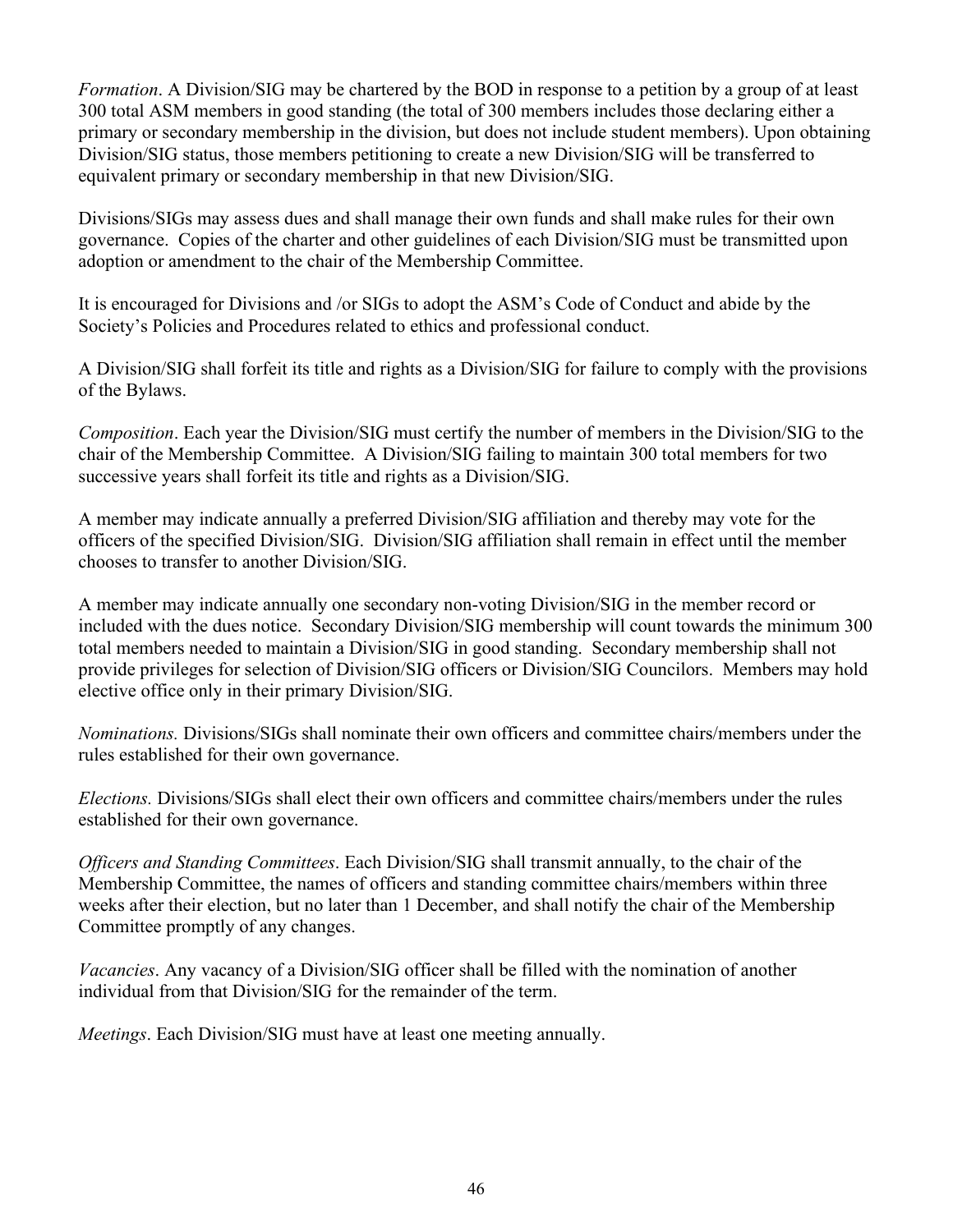*Formation*. A Division/SIG may be chartered by the BOD in response to a petition by a group of at least 300 total ASM members in good standing (the total of 300 members includes those declaring either a primary or secondary membership in the division, but does not include student members). Upon obtaining Division/SIG status, those members petitioning to create a new Division/SIG will be transferred to equivalent primary or secondary membership in that new Division/SIG.

Divisions/SIGs may assess dues and shall manage their own funds and shall make rules for their own governance. Copies of the charter and other guidelines of each Division/SIG must be transmitted upon adoption or amendment to the chair of the Membership Committee.

It is encouraged for Divisions and /or SIGs to adopt the ASM's Code of Conduct and abide by the Society's Policies and Procedures related to ethics and professional conduct.

A Division/SIG shall forfeit its title and rights as a Division/SIG for failure to comply with the provisions of the Bylaws.

*Composition*. Each year the Division/SIG must certify the number of members in the Division/SIG to the chair of the Membership Committee. A Division/SIG failing to maintain 300 total members for two successive years shall forfeit its title and rights as a Division/SIG.

A member may indicate annually a preferred Division/SIG affiliation and thereby may vote for the officers of the specified Division/SIG. Division/SIG affiliation shall remain in effect until the member chooses to transfer to another Division/SIG.

A member may indicate annually one secondary non-voting Division/SIG in the member record or included with the dues notice. Secondary Division/SIG membership will count towards the minimum 300 total members needed to maintain a Division/SIG in good standing. Secondary membership shall not provide privileges for selection of Division/SIG officers or Division/SIG Councilors. Members may hold elective office only in their primary Division/SIG.

*Nominations.* Divisions/SIGs shall nominate their own officers and committee chairs/members under the rules established for their own governance.

*Elections.* Divisions/SIGs shall elect their own officers and committee chairs/members under the rules established for their own governance.

*Officers and Standing Committees*. Each Division/SIG shall transmit annually, to the chair of the Membership Committee, the names of officers and standing committee chairs/members within three weeks after their election, but no later than 1 December, and shall notify the chair of the Membership Committee promptly of any changes.

*Vacancies*. Any vacancy of a Division/SIG officer shall be filled with the nomination of another individual from that Division/SIG for the remainder of the term.

*Meetings*. Each Division/SIG must have at least one meeting annually.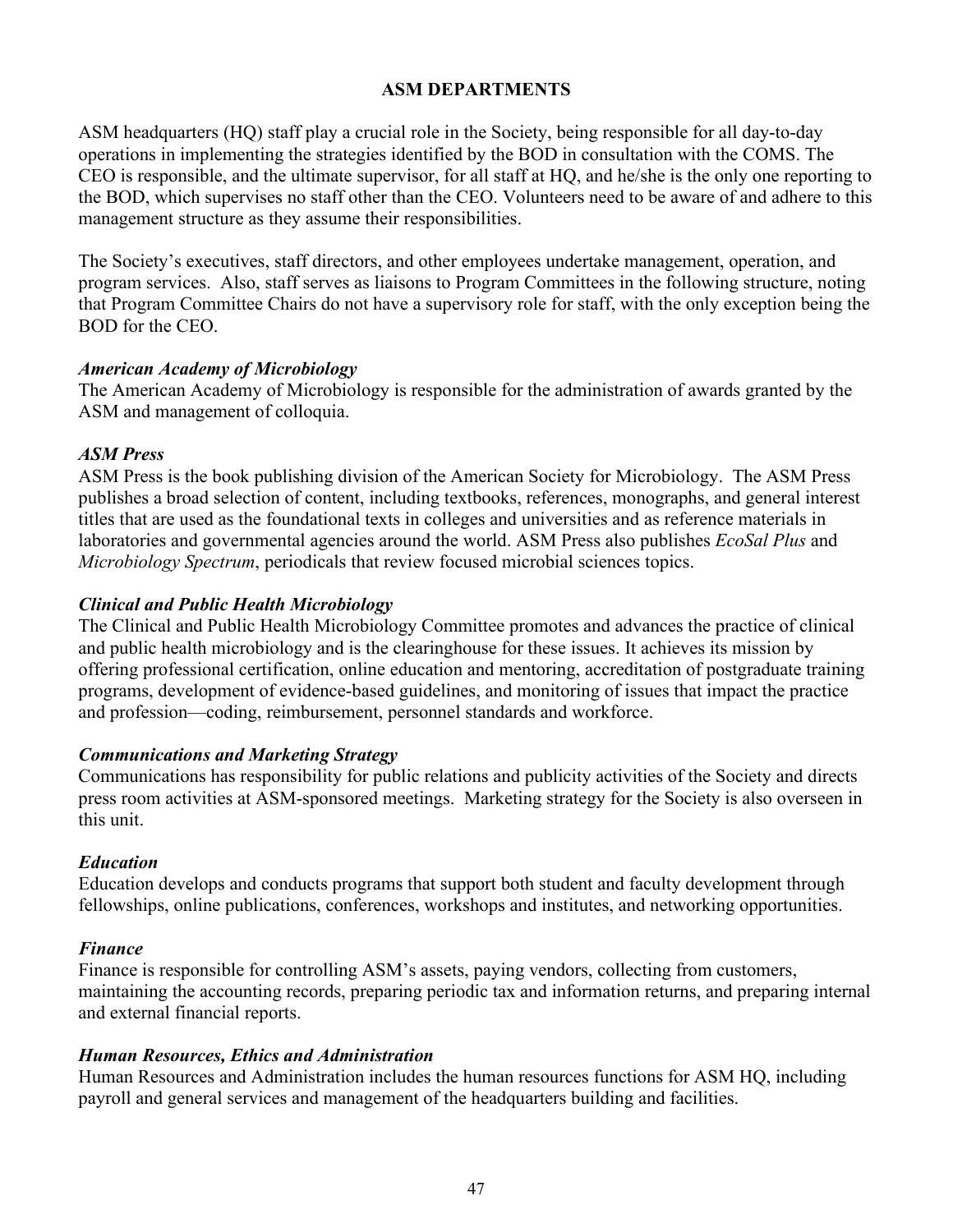#### **ASM DEPARTMENTS**

ASM headquarters (HQ) staff play a crucial role in the Society, being responsible for all day-to-day operations in implementing the strategies identified by the BOD in consultation with the COMS. The CEO is responsible, and the ultimate supervisor, for all staff at HQ, and he/she is the only one reporting to the BOD, which supervises no staff other than the CEO. Volunteers need to be aware of and adhere to this management structure as they assume their responsibilities.

The Society's executives, staff directors, and other employees undertake management, operation, and program services. Also, staff serves as liaisons to Program Committees in the following structure, noting that Program Committee Chairs do not have a supervisory role for staff, with the only exception being the BOD for the CEO.

#### *American Academy of Microbiology*

The American Academy of Microbiology is responsible for the administration of awards granted by the ASM and management of colloquia.

#### *ASM Press*

ASM Press is the book publishing division of the American Society for Microbiology. The ASM Press publishes a broad selection of content, including textbooks, references, monographs, and general interest titles that are used as the foundational texts in colleges and universities and as reference materials in laboratories and governmental agencies around the world. ASM Press also publishes *EcoSal Plus* and *Microbiology Spectrum*, periodicals that review focused microbial sciences topics.

### *Clinical and Public Health Microbiology*

The Clinical and Public Health Microbiology Committee promotes and advances the practice of clinical and public health microbiology and is the clearinghouse for these issues. It achieves its mission by offering professional certification, online education and mentoring, accreditation of postgraduate training programs, development of evidence-based guidelines, and monitoring of issues that impact the practice and profession—coding, reimbursement, personnel standards and workforce.

### *Communications and Marketing Strategy*

Communications has responsibility for public relations and publicity activities of the Society and directs press room activities at ASM-sponsored meetings. Marketing strategy for the Society is also overseen in this unit.

### *Education*

Education develops and conducts programs that support both student and faculty development through fellowships, online publications, conferences, workshops and institutes, and networking opportunities.

### *Finance*

Finance is responsible for controlling ASM's assets, paying vendors, collecting from customers, maintaining the accounting records, preparing periodic tax and information returns, and preparing internal and external financial reports.

### *Human Resources, Ethics and Administration*

Human Resources and Administration includes the human resources functions for ASM HQ, including payroll and general services and management of the headquarters building and facilities.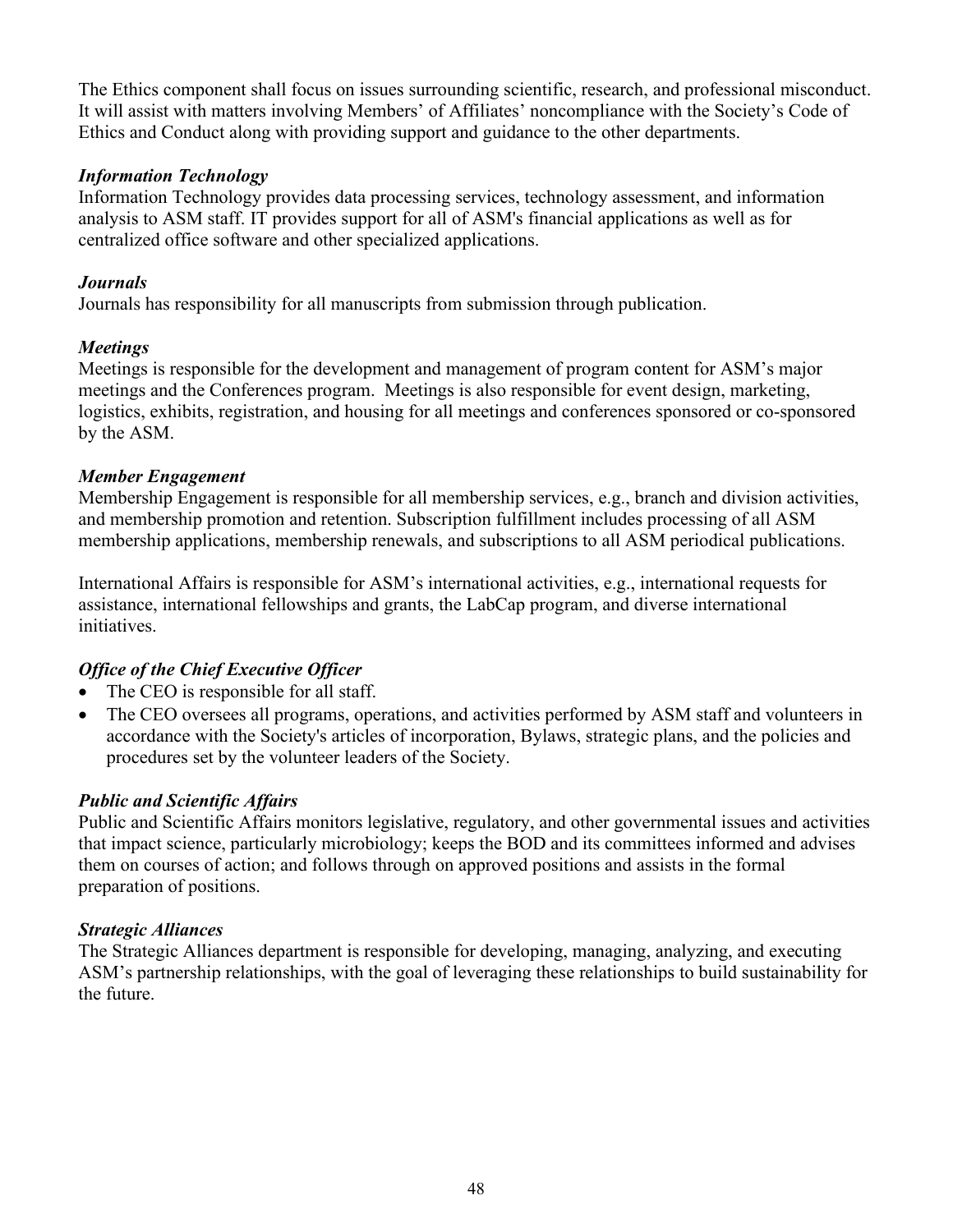The Ethics component shall focus on issues surrounding scientific, research, and professional misconduct. It will assist with matters involving Members' of Affiliates' noncompliance with the Society's Code of Ethics and Conduct along with providing support and guidance to the other departments.

### *Information Technology*

Information Technology provides data processing services, technology assessment, and information analysis to ASM staff. IT provides support for all of ASM's financial applications as well as for centralized office software and other specialized applications.

### *Journals*

Journals has responsibility for all manuscripts from submission through publication.

### *Meetings*

Meetings is responsible for the development and management of program content for ASM's major meetings and the Conferences program. Meetings is also responsible for event design, marketing, logistics, exhibits, registration, and housing for all meetings and conferences sponsored or co-sponsored by the ASM.

### *Member Engagement*

Membership Engagement is responsible for all membership services, e.g., branch and division activities, and membership promotion and retention. Subscription fulfillment includes processing of all ASM membership applications, membership renewals, and subscriptions to all ASM periodical publications.

International Affairs is responsible for ASM's international activities, e.g., international requests for assistance, international fellowships and grants, the LabCap program, and diverse international initiatives.

## *Office of the Chief Executive Officer*

- The CEO is responsible for all staff.
- The CEO oversees all programs, operations, and activities performed by ASM staff and volunteers in accordance with the Society's articles of incorporation, Bylaws, strategic plans, and the policies and procedures set by the volunteer leaders of the Society.

## *Public and Scientific Affairs*

Public and Scientific Affairs monitors legislative, regulatory, and other governmental issues and activities that impact science, particularly microbiology; keeps the BOD and its committees informed and advises them on courses of action; and follows through on approved positions and assists in the formal preparation of positions.

### *Strategic Alliances*

The Strategic Alliances department is responsible for developing, managing, analyzing, and executing ASM's partnership relationships, with the goal of leveraging these relationships to build sustainability for the future.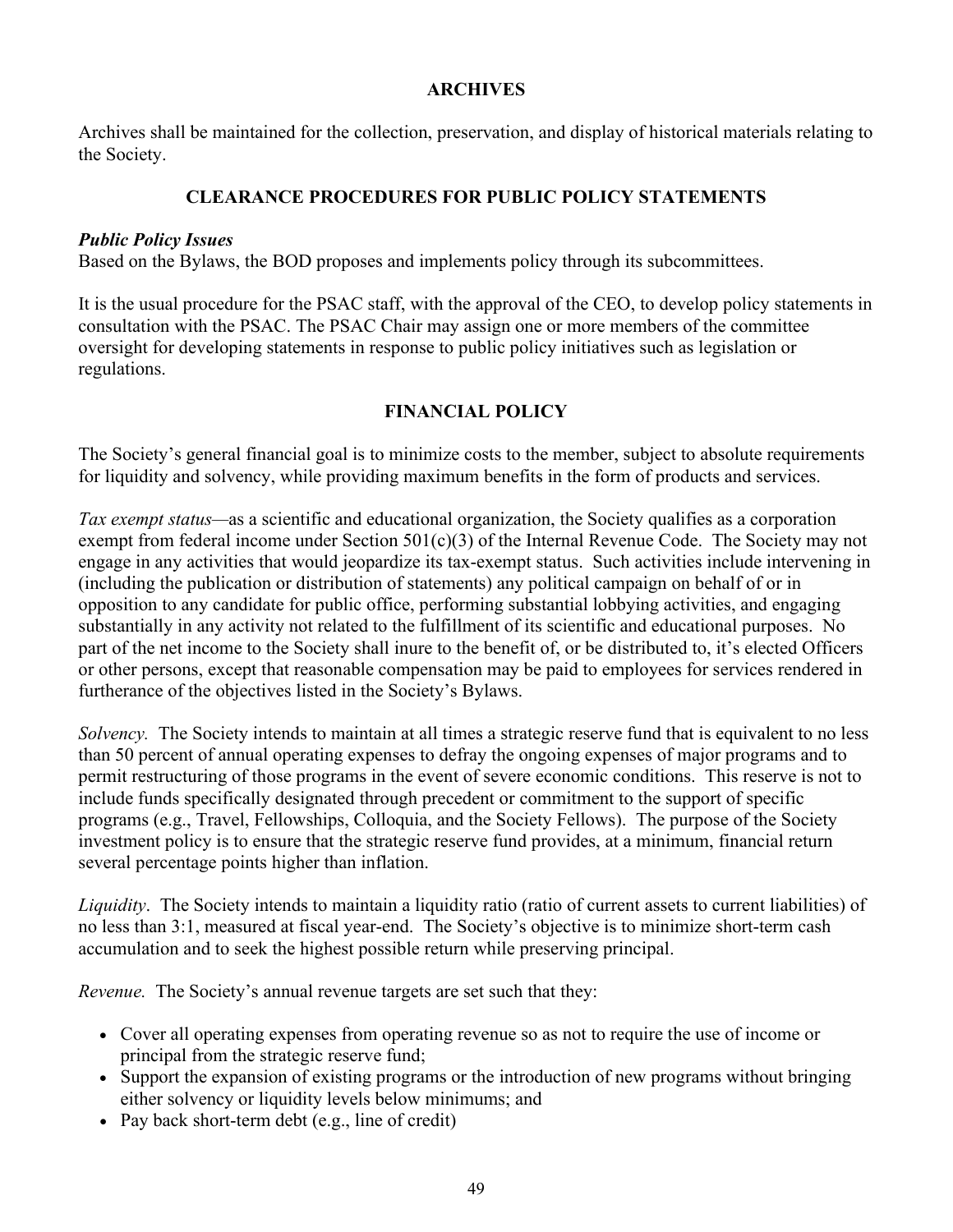#### **ARCHIVES**

Archives shall be maintained for the collection, preservation, and display of historical materials relating to the Society.

### **CLEARANCE PROCEDURES FOR PUBLIC POLICY STATEMENTS**

#### *Public Policy Issues*

Based on the Bylaws, the BOD proposes and implements policy through its subcommittees.

It is the usual procedure for the PSAC staff, with the approval of the CEO, to develop policy statements in consultation with the PSAC. The PSAC Chair may assign one or more members of the committee oversight for developing statements in response to public policy initiatives such as legislation or regulations.

### **FINANCIAL POLICY**

The Society's general financial goal is to minimize costs to the member, subject to absolute requirements for liquidity and solvency, while providing maximum benefits in the form of products and services.

*Tax exempt status—*as a scientific and educational organization, the Society qualifies as a corporation exempt from federal income under Section  $501(c)(3)$  of the Internal Revenue Code. The Society may not engage in any activities that would jeopardize its tax-exempt status. Such activities include intervening in (including the publication or distribution of statements) any political campaign on behalf of or in opposition to any candidate for public office, performing substantial lobbying activities, and engaging substantially in any activity not related to the fulfillment of its scientific and educational purposes. No part of the net income to the Society shall inure to the benefit of, or be distributed to, it's elected Officers or other persons, except that reasonable compensation may be paid to employees for services rendered in furtherance of the objectives listed in the Society's Bylaws.

*Solvency.* The Society intends to maintain at all times a strategic reserve fund that is equivalent to no less than 50 percent of annual operating expenses to defray the ongoing expenses of major programs and to permit restructuring of those programs in the event of severe economic conditions. This reserve is not to include funds specifically designated through precedent or commitment to the support of specific programs (e.g., Travel, Fellowships, Colloquia, and the Society Fellows). The purpose of the Society investment policy is to ensure that the strategic reserve fund provides, at a minimum, financial return several percentage points higher than inflation.

*Liquidity*. The Society intends to maintain a liquidity ratio (ratio of current assets to current liabilities) of no less than 3:1, measured at fiscal year-end. The Society's objective is to minimize short-term cash accumulation and to seek the highest possible return while preserving principal.

*Revenue.* The Society's annual revenue targets are set such that they:

- Cover all operating expenses from operating revenue so as not to require the use of income or principal from the strategic reserve fund;
- Support the expansion of existing programs or the introduction of new programs without bringing either solvency or liquidity levels below minimums; and
- Pay back short-term debt (e.g., line of credit)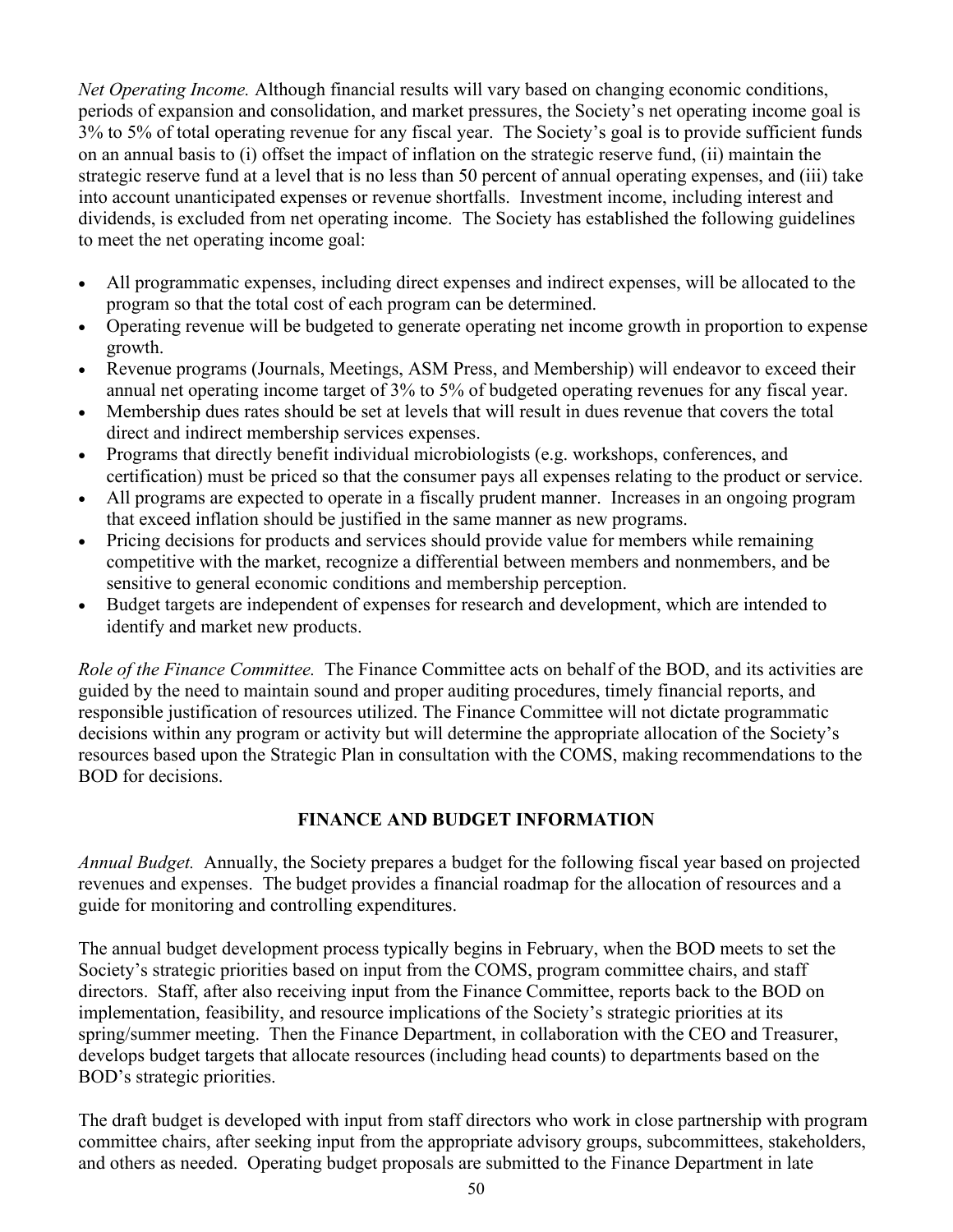*Net Operating Income.* Although financial results will vary based on changing economic conditions, periods of expansion and consolidation, and market pressures, the Society's net operating income goal is 3% to 5% of total operating revenue for any fiscal year. The Society's goal is to provide sufficient funds on an annual basis to (i) offset the impact of inflation on the strategic reserve fund, (ii) maintain the strategic reserve fund at a level that is no less than 50 percent of annual operating expenses, and (iii) take into account unanticipated expenses or revenue shortfalls. Investment income, including interest and dividends, is excluded from net operating income. The Society has established the following guidelines to meet the net operating income goal:

- All programmatic expenses, including direct expenses and indirect expenses, will be allocated to the program so that the total cost of each program can be determined.
- Operating revenue will be budgeted to generate operating net income growth in proportion to expense growth.
- Revenue programs (Journals, Meetings, ASM Press, and Membership) will endeavor to exceed their annual net operating income target of 3% to 5% of budgeted operating revenues for any fiscal year.
- Membership dues rates should be set at levels that will result in dues revenue that covers the total direct and indirect membership services expenses.
- Programs that directly benefit individual microbiologists (e.g. workshops, conferences, and certification) must be priced so that the consumer pays all expenses relating to the product or service.
- All programs are expected to operate in a fiscally prudent manner. Increases in an ongoing program that exceed inflation should be justified in the same manner as new programs.
- Pricing decisions for products and services should provide value for members while remaining competitive with the market, recognize a differential between members and nonmembers, and be sensitive to general economic conditions and membership perception.
- Budget targets are independent of expenses for research and development, which are intended to identify and market new products.

*Role of the Finance Committee.* The Finance Committee acts on behalf of the BOD, and its activities are guided by the need to maintain sound and proper auditing procedures, timely financial reports, and responsible justification of resources utilized. The Finance Committee will not dictate programmatic decisions within any program or activity but will determine the appropriate allocation of the Society's resources based upon the Strategic Plan in consultation with the COMS, making recommendations to the BOD for decisions.

## **FINANCE AND BUDGET INFORMATION**

*Annual Budget.* Annually, the Society prepares a budget for the following fiscal year based on projected revenues and expenses. The budget provides a financial roadmap for the allocation of resources and a guide for monitoring and controlling expenditures.

The annual budget development process typically begins in February, when the BOD meets to set the Society's strategic priorities based on input from the COMS, program committee chairs, and staff directors. Staff, after also receiving input from the Finance Committee, reports back to the BOD on implementation, feasibility, and resource implications of the Society's strategic priorities at its spring/summer meeting. Then the Finance Department, in collaboration with the CEO and Treasurer, develops budget targets that allocate resources (including head counts) to departments based on the BOD's strategic priorities.

The draft budget is developed with input from staff directors who work in close partnership with program committee chairs, after seeking input from the appropriate advisory groups, subcommittees, stakeholders, and others as needed. Operating budget proposals are submitted to the Finance Department in late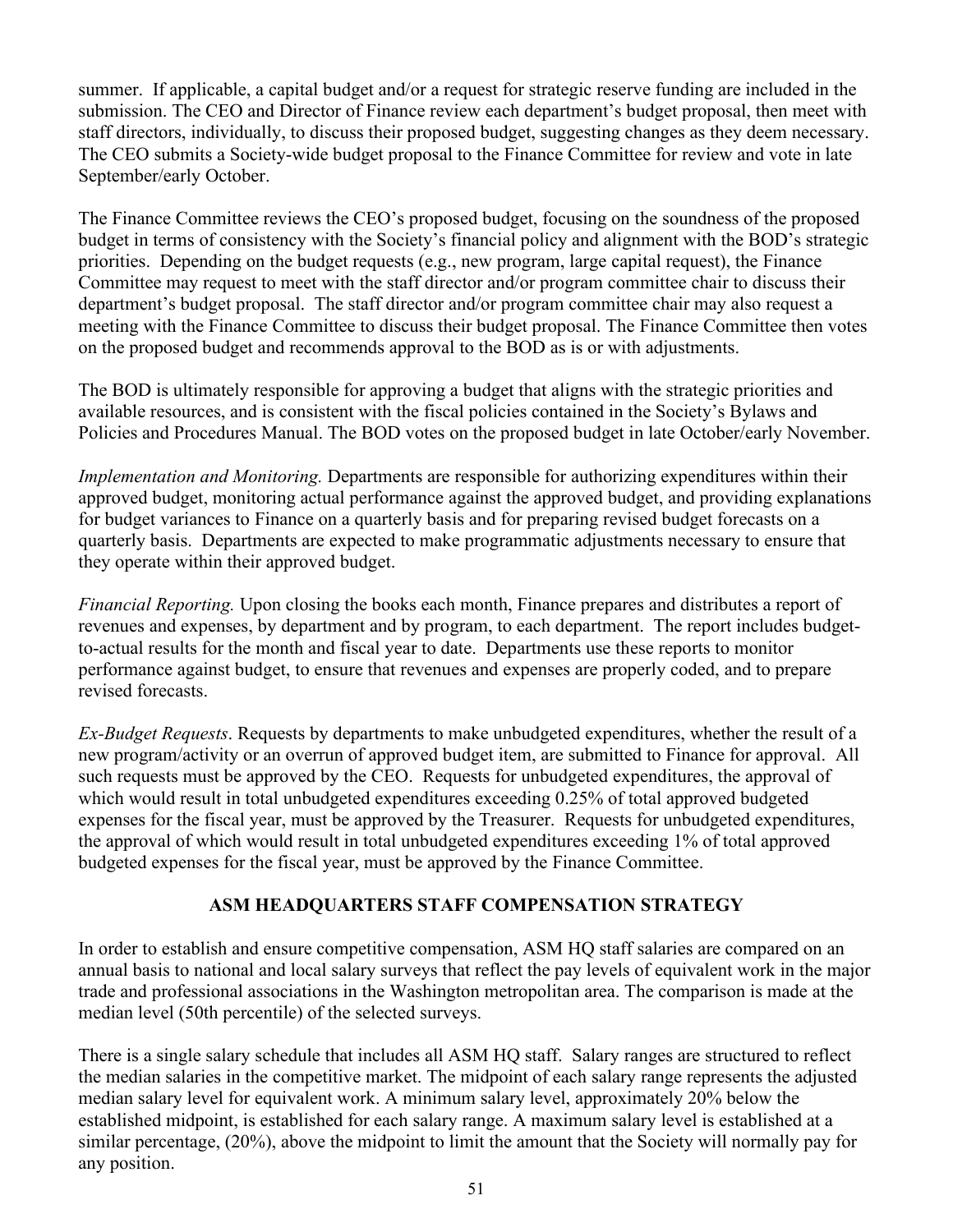summer. If applicable, a capital budget and/or a request for strategic reserve funding are included in the submission. The CEO and Director of Finance review each department's budget proposal, then meet with staff directors, individually, to discuss their proposed budget, suggesting changes as they deem necessary. The CEO submits a Society-wide budget proposal to the Finance Committee for review and vote in late September/early October.

The Finance Committee reviews the CEO's proposed budget, focusing on the soundness of the proposed budget in terms of consistency with the Society's financial policy and alignment with the BOD's strategic priorities. Depending on the budget requests (e.g., new program, large capital request), the Finance Committee may request to meet with the staff director and/or program committee chair to discuss their department's budget proposal. The staff director and/or program committee chair may also request a meeting with the Finance Committee to discuss their budget proposal. The Finance Committee then votes on the proposed budget and recommends approval to the BOD as is or with adjustments.

The BOD is ultimately responsible for approving a budget that aligns with the strategic priorities and available resources, and is consistent with the fiscal policies contained in the Society's Bylaws and Policies and Procedures Manual. The BOD votes on the proposed budget in late October/early November.

*Implementation and Monitoring.* Departments are responsible for authorizing expenditures within their approved budget, monitoring actual performance against the approved budget, and providing explanations for budget variances to Finance on a quarterly basis and for preparing revised budget forecasts on a quarterly basis. Departments are expected to make programmatic adjustments necessary to ensure that they operate within their approved budget.

*Financial Reporting.* Upon closing the books each month, Finance prepares and distributes a report of revenues and expenses, by department and by program, to each department. The report includes budgetto-actual results for the month and fiscal year to date. Departments use these reports to monitor performance against budget, to ensure that revenues and expenses are properly coded, and to prepare revised forecasts.

*Ex-Budget Requests*. Requests by departments to make unbudgeted expenditures, whether the result of a new program/activity or an overrun of approved budget item, are submitted to Finance for approval. All such requests must be approved by the CEO. Requests for unbudgeted expenditures, the approval of which would result in total unbudgeted expenditures exceeding 0.25% of total approved budgeted expenses for the fiscal year, must be approved by the Treasurer. Requests for unbudgeted expenditures, the approval of which would result in total unbudgeted expenditures exceeding 1% of total approved budgeted expenses for the fiscal year, must be approved by the Finance Committee.

### **ASM HEADQUARTERS STAFF COMPENSATION STRATEGY**

In order to establish and ensure competitive compensation, ASM HQ staff salaries are compared on an annual basis to national and local salary surveys that reflect the pay levels of equivalent work in the major trade and professional associations in the Washington metropolitan area. The comparison is made at the median level (50th percentile) of the selected surveys.

There is a single salary schedule that includes all ASM HQ staff. Salary ranges are structured to reflect the median salaries in the competitive market. The midpoint of each salary range represents the adjusted median salary level for equivalent work. A minimum salary level, approximately 20% below the established midpoint, is established for each salary range. A maximum salary level is established at a similar percentage, (20%), above the midpoint to limit the amount that the Society will normally pay for any position.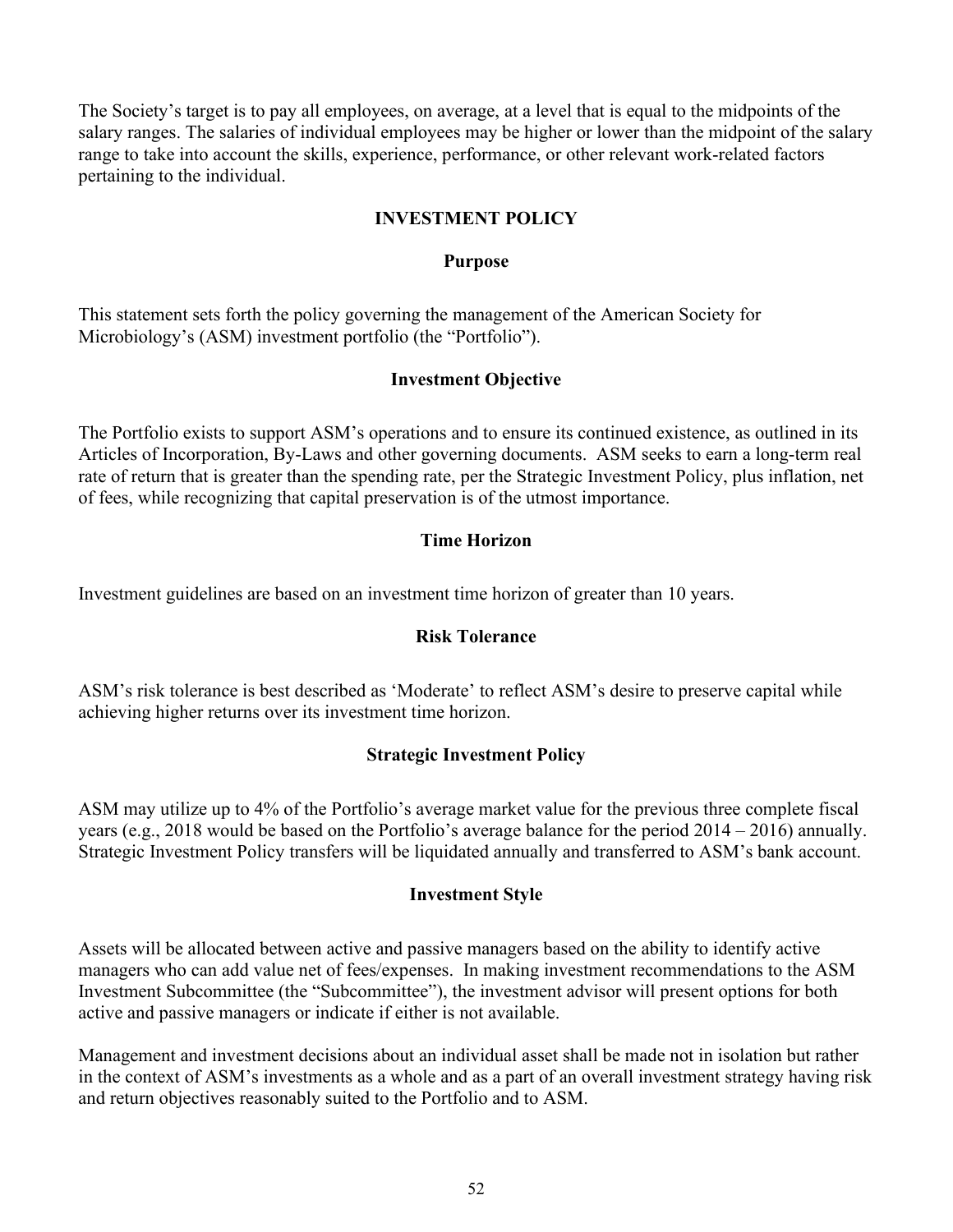The Society's target is to pay all employees, on average, at a level that is equal to the midpoints of the salary ranges. The salaries of individual employees may be higher or lower than the midpoint of the salary range to take into account the skills, experience, performance, or other relevant work-related factors pertaining to the individual.

#### **INVESTMENT POLICY**

#### **Purpose**

This statement sets forth the policy governing the management of the American Society for Microbiology's (ASM) investment portfolio (the "Portfolio").

#### **Investment Objective**

The Portfolio exists to support ASM's operations and to ensure its continued existence, as outlined in its Articles of Incorporation, By-Laws and other governing documents. ASM seeks to earn a long-term real rate of return that is greater than the spending rate, per the Strategic Investment Policy, plus inflation, net of fees, while recognizing that capital preservation is of the utmost importance.

### **Time Horizon**

Investment guidelines are based on an investment time horizon of greater than 10 years.

### **Risk Tolerance**

ASM's risk tolerance is best described as 'Moderate' to reflect ASM's desire to preserve capital while achieving higher returns over its investment time horizon.

### **Strategic Investment Policy**

ASM may utilize up to 4% of the Portfolio's average market value for the previous three complete fiscal years (e.g., 2018 would be based on the Portfolio's average balance for the period 2014 – 2016) annually. Strategic Investment Policy transfers will be liquidated annually and transferred to ASM's bank account.

### **Investment Style**

Assets will be allocated between active and passive managers based on the ability to identify active managers who can add value net of fees/expenses. In making investment recommendations to the ASM Investment Subcommittee (the "Subcommittee"), the investment advisor will present options for both active and passive managers or indicate if either is not available.

Management and investment decisions about an individual asset shall be made not in isolation but rather in the context of ASM's investments as a whole and as a part of an overall investment strategy having risk and return objectives reasonably suited to the Portfolio and to ASM.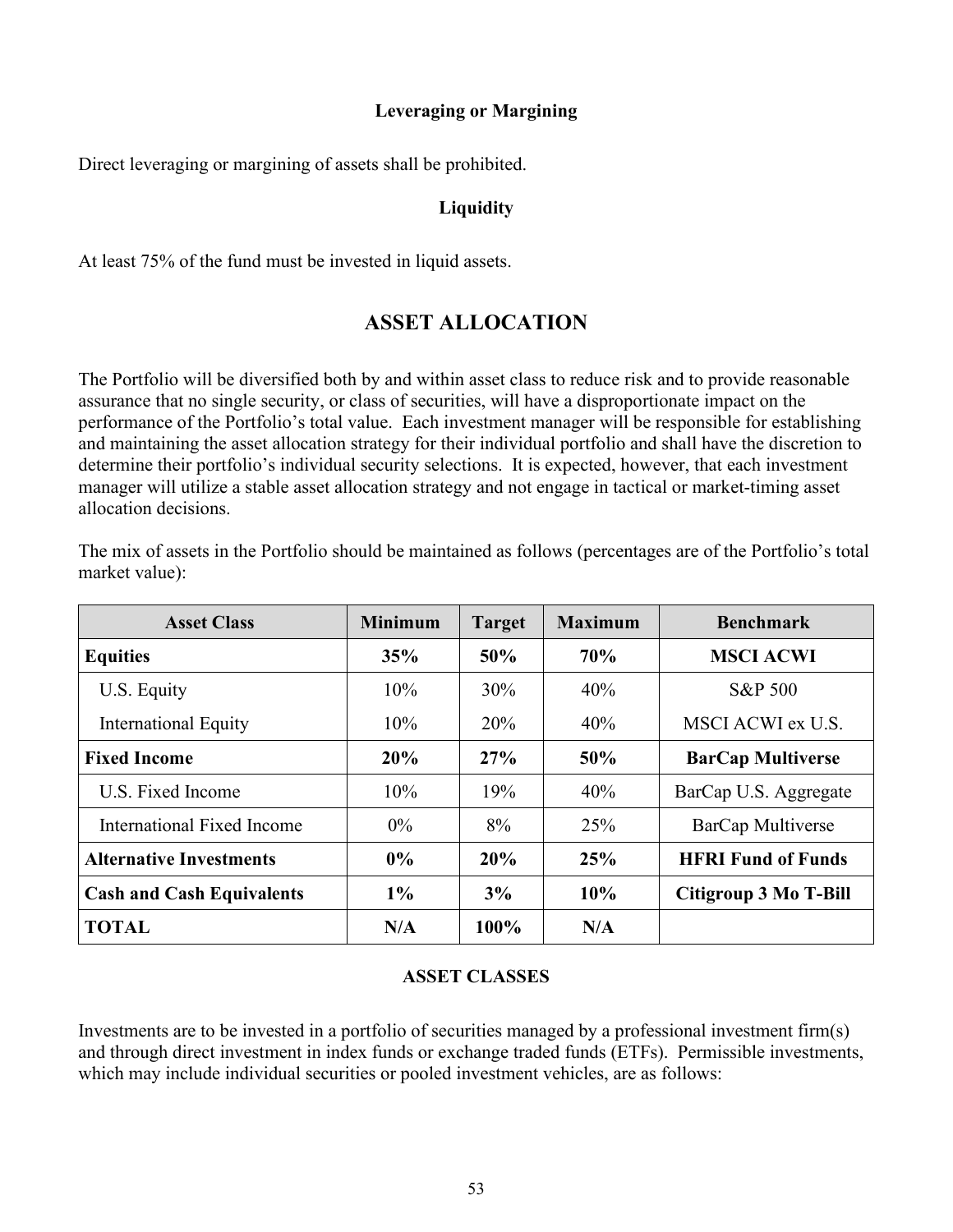#### **Leveraging or Margining**

Direct leveraging or margining of assets shall be prohibited.

#### **Liquidity**

At least 75% of the fund must be invested in liquid assets.

## **ASSET ALLOCATION**

The Portfolio will be diversified both by and within asset class to reduce risk and to provide reasonable assurance that no single security, or class of securities, will have a disproportionate impact on the performance of the Portfolio's total value. Each investment manager will be responsible for establishing and maintaining the asset allocation strategy for their individual portfolio and shall have the discretion to determine their portfolio's individual security selections. It is expected, however, that each investment manager will utilize a stable asset allocation strategy and not engage in tactical or market-timing asset allocation decisions.

| <b>Asset Class</b>               | <b>Minimum</b> | <b>Target</b> | <b>Maximum</b> | <b>Benchmark</b>          |
|----------------------------------|----------------|---------------|----------------|---------------------------|
| <b>Equities</b>                  | 35%            | 50%           | 70%            | <b>MSCI ACWI</b>          |
| U.S. Equity                      | 10%            | 30%           | 40%            | <b>S&amp;P 500</b>        |
| International Equity             | 10%            | 20%           | 40%            | MSCI ACWI ex U.S.         |
| <b>Fixed Income</b>              | 20%            | 27%           | 50%            | <b>BarCap Multiverse</b>  |
| U.S. Fixed Income                | 10%            | 19%           | 40%            | BarCap U.S. Aggregate     |
| International Fixed Income       | $0\%$          | 8%            | 25%            | BarCap Multiverse         |
| <b>Alternative Investments</b>   | $0\%$          | 20%           | 25%            | <b>HFRI Fund of Funds</b> |
| <b>Cash and Cash Equivalents</b> | $1\%$          | 3%            | 10%            | Citigroup 3 Mo T-Bill     |
| <b>TOTAL</b>                     | N/A            | 100%          | N/A            |                           |

The mix of assets in the Portfolio should be maintained as follows (percentages are of the Portfolio's total market value):

### **ASSET CLASSES**

Investments are to be invested in a portfolio of securities managed by a professional investment firm(s) and through direct investment in index funds or exchange traded funds (ETFs). Permissible investments, which may include individual securities or pooled investment vehicles, are as follows: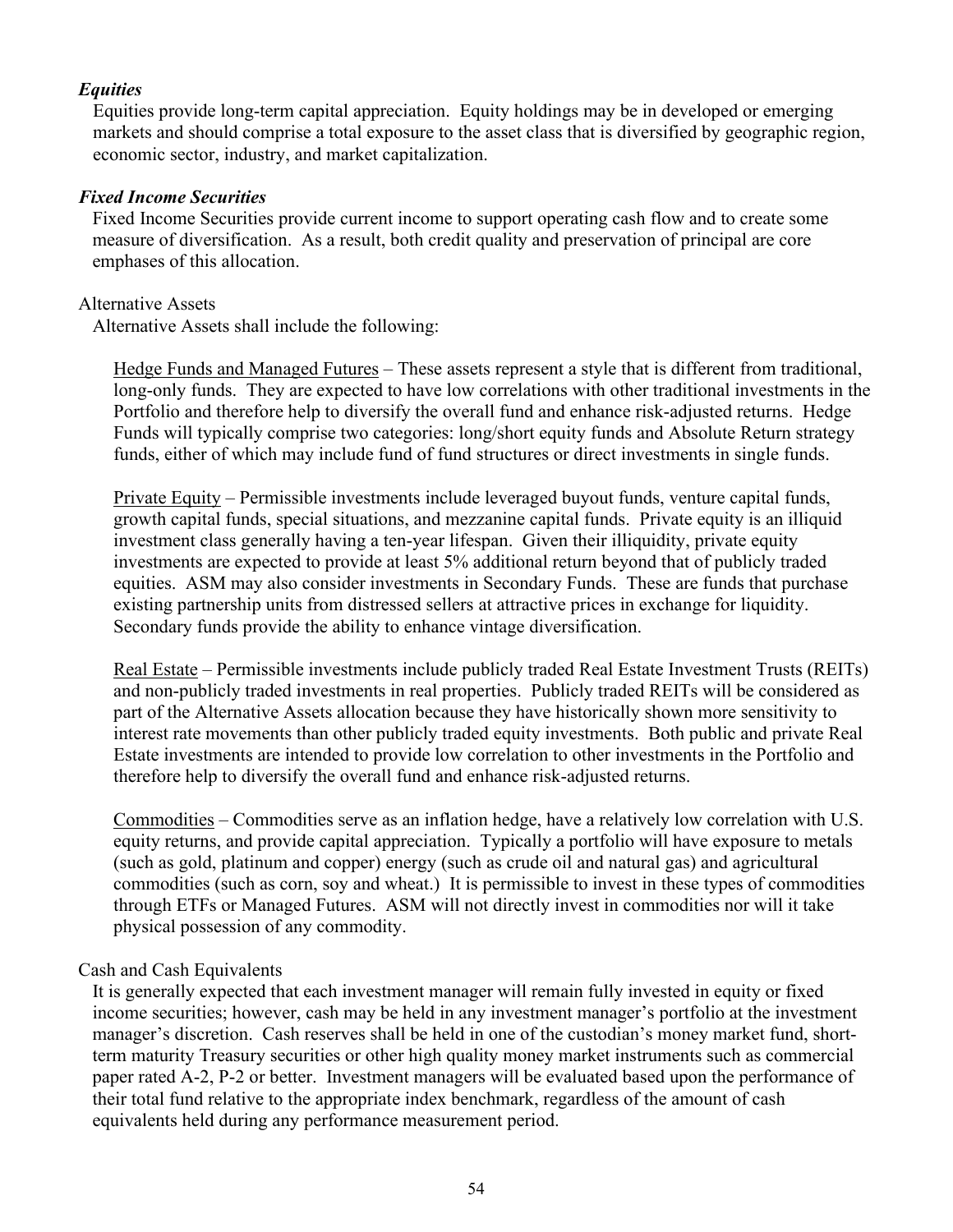#### *Equities*

Equities provide long-term capital appreciation. Equity holdings may be in developed or emerging markets and should comprise a total exposure to the asset class that is diversified by geographic region, economic sector, industry, and market capitalization.

#### *Fixed Income Securities*

Fixed Income Securities provide current income to support operating cash flow and to create some measure of diversification. As a result, both credit quality and preservation of principal are core emphases of this allocation.

#### Alternative Assets

Alternative Assets shall include the following:

Hedge Funds and Managed Futures – These assets represent a style that is different from traditional, long-only funds. They are expected to have low correlations with other traditional investments in the Portfolio and therefore help to diversify the overall fund and enhance risk-adjusted returns. Hedge Funds will typically comprise two categories: long/short equity funds and Absolute Return strategy funds, either of which may include fund of fund structures or direct investments in single funds.

Private Equity – Permissible investments include leveraged buyout funds, venture capital funds, growth capital funds, special situations, and mezzanine capital funds. Private equity is an illiquid investment class generally having a ten-year lifespan. Given their illiquidity, private equity investments are expected to provide at least 5% additional return beyond that of publicly traded equities. ASM may also consider investments in Secondary Funds. These are funds that purchase existing partnership units from distressed sellers at attractive prices in exchange for liquidity. Secondary funds provide the ability to enhance vintage diversification.

Real Estate – Permissible investments include publicly traded Real Estate Investment Trusts (REITs) and non-publicly traded investments in real properties. Publicly traded REITs will be considered as part of the Alternative Assets allocation because they have historically shown more sensitivity to interest rate movements than other publicly traded equity investments. Both public and private Real Estate investments are intended to provide low correlation to other investments in the Portfolio and therefore help to diversify the overall fund and enhance risk-adjusted returns.

Commodities – Commodities serve as an inflation hedge, have a relatively low correlation with U.S. equity returns, and provide capital appreciation. Typically a portfolio will have exposure to metals (such as gold, platinum and copper) energy (such as crude oil and natural gas) and agricultural commodities (such as corn, soy and wheat.) It is permissible to invest in these types of commodities through ETFs or Managed Futures. ASM will not directly invest in commodities nor will it take physical possession of any commodity.

#### Cash and Cash Equivalents

It is generally expected that each investment manager will remain fully invested in equity or fixed income securities; however, cash may be held in any investment manager's portfolio at the investment manager's discretion. Cash reserves shall be held in one of the custodian's money market fund, shortterm maturity Treasury securities or other high quality money market instruments such as commercial paper rated A-2, P-2 or better. Investment managers will be evaluated based upon the performance of their total fund relative to the appropriate index benchmark, regardless of the amount of cash equivalents held during any performance measurement period.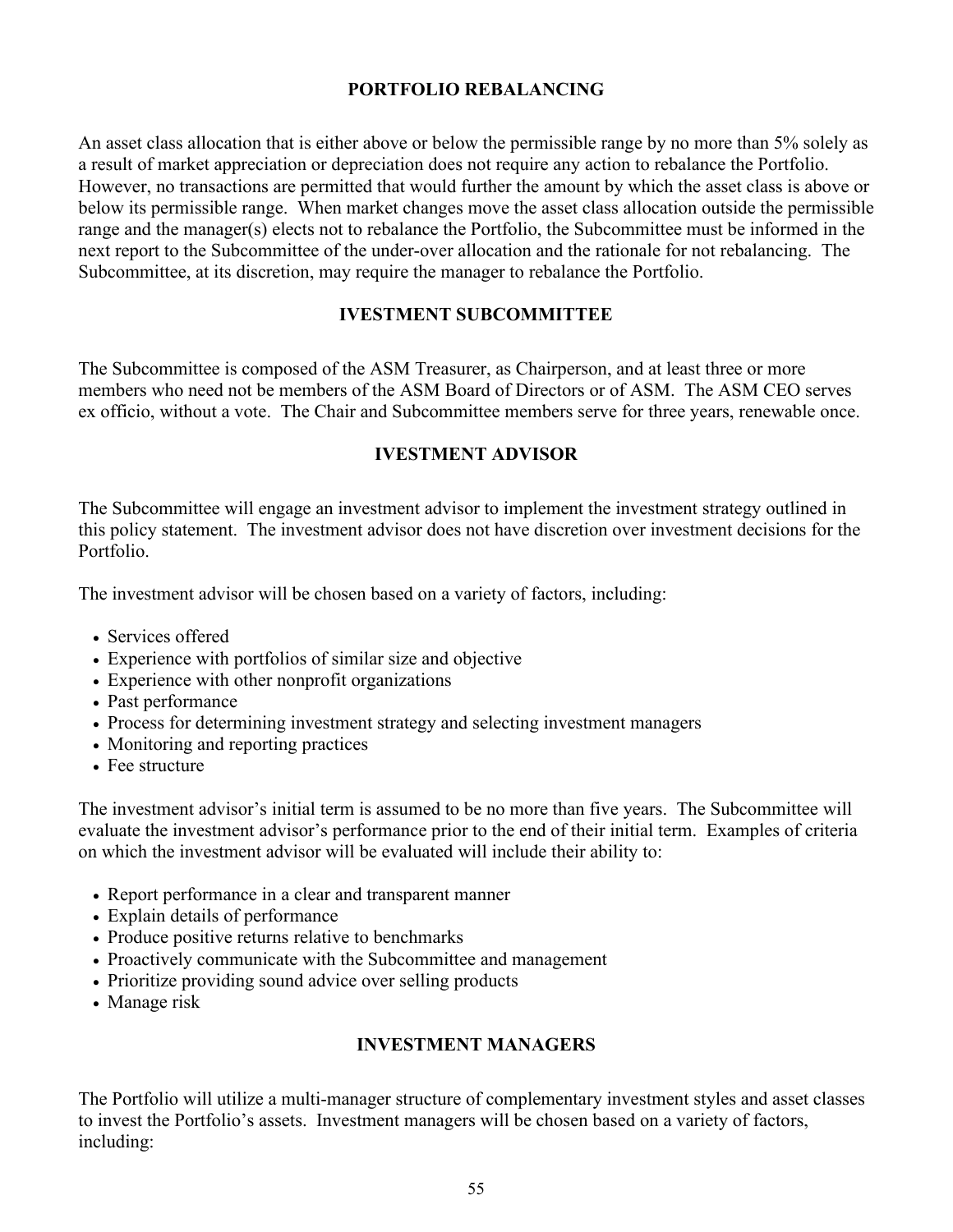#### **PORTFOLIO REBALANCING**

An asset class allocation that is either above or below the permissible range by no more than 5% solely as a result of market appreciation or depreciation does not require any action to rebalance the Portfolio. However, no transactions are permitted that would further the amount by which the asset class is above or below its permissible range. When market changes move the asset class allocation outside the permissible range and the manager(s) elects not to rebalance the Portfolio, the Subcommittee must be informed in the next report to the Subcommittee of the under-over allocation and the rationale for not rebalancing. The Subcommittee, at its discretion, may require the manager to rebalance the Portfolio.

#### **IVESTMENT SUBCOMMITTEE**

The Subcommittee is composed of the ASM Treasurer, as Chairperson, and at least three or more members who need not be members of the ASM Board of Directors or of ASM. The ASM CEO serves ex officio, without a vote. The Chair and Subcommittee members serve for three years, renewable once.

#### **IVESTMENT ADVISOR**

The Subcommittee will engage an investment advisor to implement the investment strategy outlined in this policy statement. The investment advisor does not have discretion over investment decisions for the Portfolio.

The investment advisor will be chosen based on a variety of factors, including:

- Services offered
- Experience with portfolios of similar size and objective
- Experience with other nonprofit organizations
- Past performance
- Process for determining investment strategy and selecting investment managers
- Monitoring and reporting practices
- Fee structure

The investment advisor's initial term is assumed to be no more than five years. The Subcommittee will evaluate the investment advisor's performance prior to the end of their initial term. Examples of criteria on which the investment advisor will be evaluated will include their ability to:

- Report performance in a clear and transparent manner
- Explain details of performance
- Produce positive returns relative to benchmarks
- Proactively communicate with the Subcommittee and management
- Prioritize providing sound advice over selling products
- Manage risk

#### **INVESTMENT MANAGERS**

The Portfolio will utilize a multi-manager structure of complementary investment styles and asset classes to invest the Portfolio's assets. Investment managers will be chosen based on a variety of factors, including: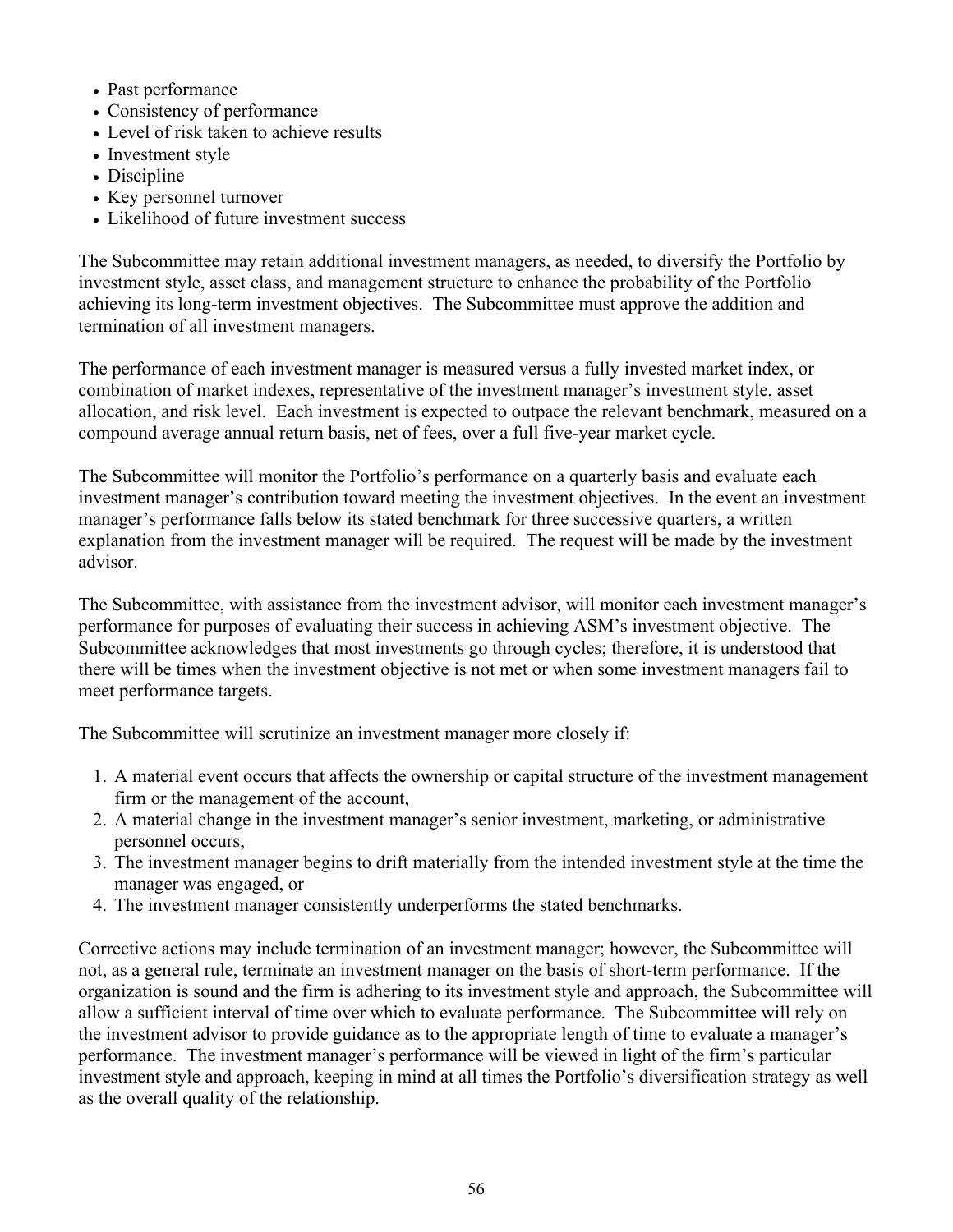- Past performance
- Consistency of performance
- Level of risk taken to achieve results
- Investment style
- Discipline
- Key personnel turnover
- Likelihood of future investment success

The Subcommittee may retain additional investment managers, as needed, to diversify the Portfolio by investment style, asset class, and management structure to enhance the probability of the Portfolio achieving its long-term investment objectives. The Subcommittee must approve the addition and termination of all investment managers.

The performance of each investment manager is measured versus a fully invested market index, or combination of market indexes, representative of the investment manager's investment style, asset allocation, and risk level. Each investment is expected to outpace the relevant benchmark, measured on a compound average annual return basis, net of fees, over a full five-year market cycle.

The Subcommittee will monitor the Portfolio's performance on a quarterly basis and evaluate each investment manager's contribution toward meeting the investment objectives. In the event an investment manager's performance falls below its stated benchmark for three successive quarters, a written explanation from the investment manager will be required. The request will be made by the investment advisor.

The Subcommittee, with assistance from the investment advisor, will monitor each investment manager's performance for purposes of evaluating their success in achieving ASM's investment objective. The Subcommittee acknowledges that most investments go through cycles; therefore, it is understood that there will be times when the investment objective is not met or when some investment managers fail to meet performance targets.

The Subcommittee will scrutinize an investment manager more closely if:

- 1. A material event occurs that affects the ownership or capital structure of the investment management firm or the management of the account,
- 2. A material change in the investment manager's senior investment, marketing, or administrative personnel occurs,
- 3. The investment manager begins to drift materially from the intended investment style at the time the manager was engaged, or
- 4. The investment manager consistently underperforms the stated benchmarks.

Corrective actions may include termination of an investment manager; however, the Subcommittee will not, as a general rule, terminate an investment manager on the basis of short-term performance. If the organization is sound and the firm is adhering to its investment style and approach, the Subcommittee will allow a sufficient interval of time over which to evaluate performance. The Subcommittee will rely on the investment advisor to provide guidance as to the appropriate length of time to evaluate a manager's performance. The investment manager's performance will be viewed in light of the firm's particular investment style and approach, keeping in mind at all times the Portfolio's diversification strategy as well as the overall quality of the relationship.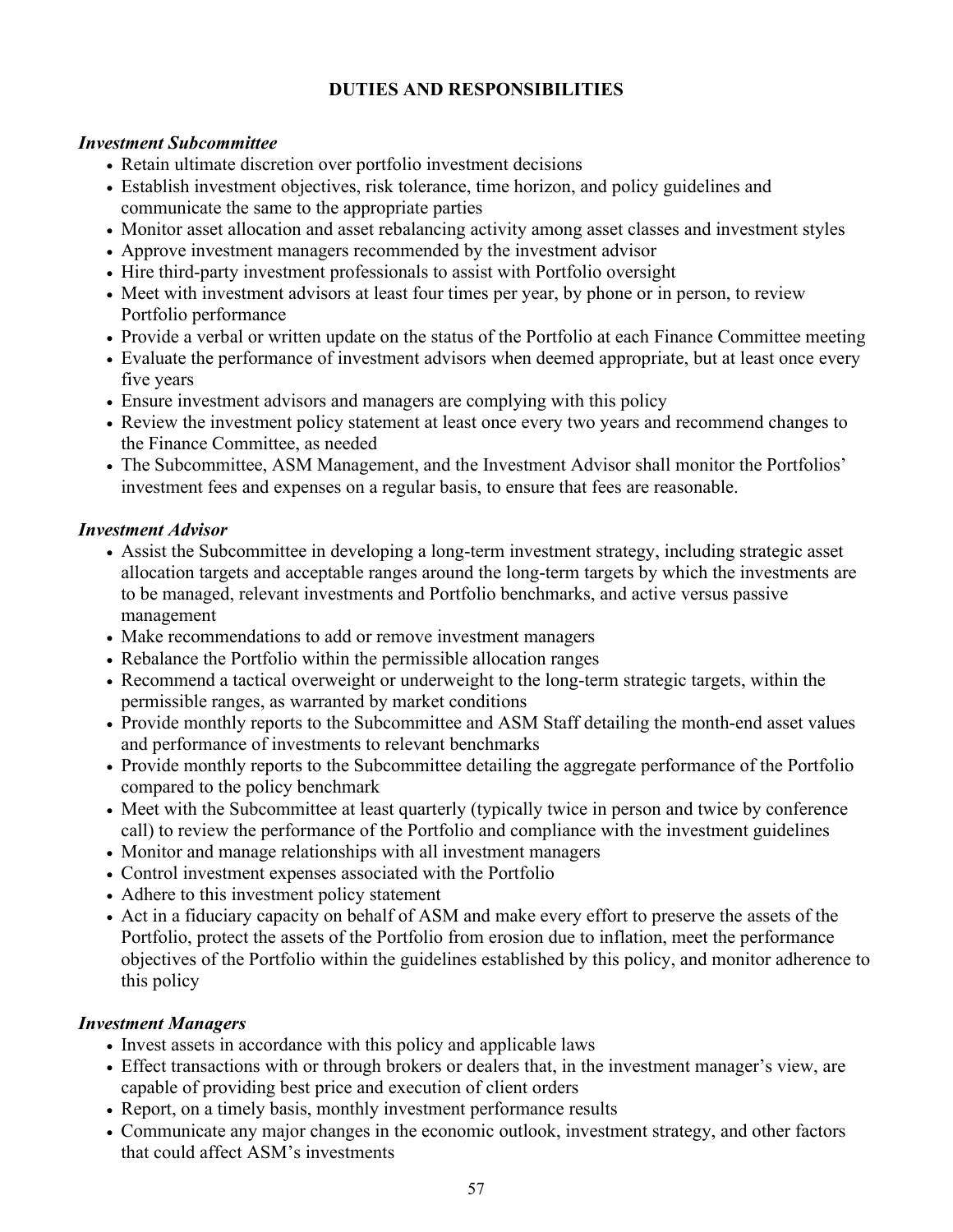## **DUTIES AND RESPONSIBILITIES**

#### *Investment Subcommittee*

- Retain ultimate discretion over portfolio investment decisions
- Establish investment objectives, risk tolerance, time horizon, and policy guidelines and communicate the same to the appropriate parties
- Monitor asset allocation and asset rebalancing activity among asset classes and investment styles
- Approve investment managers recommended by the investment advisor
- Hire third-party investment professionals to assist with Portfolio oversight
- Meet with investment advisors at least four times per year, by phone or in person, to review Portfolio performance
- Provide a verbal or written update on the status of the Portfolio at each Finance Committee meeting
- Evaluate the performance of investment advisors when deemed appropriate, but at least once every five years
- Ensure investment advisors and managers are complying with this policy
- Review the investment policy statement at least once every two years and recommend changes to the Finance Committee, as needed
- The Subcommittee, ASM Management, and the Investment Advisor shall monitor the Portfolios' investment fees and expenses on a regular basis, to ensure that fees are reasonable.

#### *Investment Advisor*

- Assist the Subcommittee in developing a long-term investment strategy, including strategic asset allocation targets and acceptable ranges around the long-term targets by which the investments are to be managed, relevant investments and Portfolio benchmarks, and active versus passive management
- Make recommendations to add or remove investment managers
- Rebalance the Portfolio within the permissible allocation ranges
- Recommend a tactical overweight or underweight to the long-term strategic targets, within the permissible ranges, as warranted by market conditions
- Provide monthly reports to the Subcommittee and ASM Staff detailing the month-end asset values and performance of investments to relevant benchmarks
- Provide monthly reports to the Subcommittee detailing the aggregate performance of the Portfolio compared to the policy benchmark
- Meet with the Subcommittee at least quarterly (typically twice in person and twice by conference call) to review the performance of the Portfolio and compliance with the investment guidelines
- Monitor and manage relationships with all investment managers
- Control investment expenses associated with the Portfolio
- Adhere to this investment policy statement
- Act in a fiduciary capacity on behalf of ASM and make every effort to preserve the assets of the Portfolio, protect the assets of the Portfolio from erosion due to inflation, meet the performance objectives of the Portfolio within the guidelines established by this policy, and monitor adherence to this policy

### *Investment Managers*

- Invest assets in accordance with this policy and applicable laws
- Effect transactions with or through brokers or dealers that, in the investment manager's view, are capable of providing best price and execution of client orders
- Report, on a timely basis, monthly investment performance results
- Communicate any major changes in the economic outlook, investment strategy, and other factors that could affect ASM's investments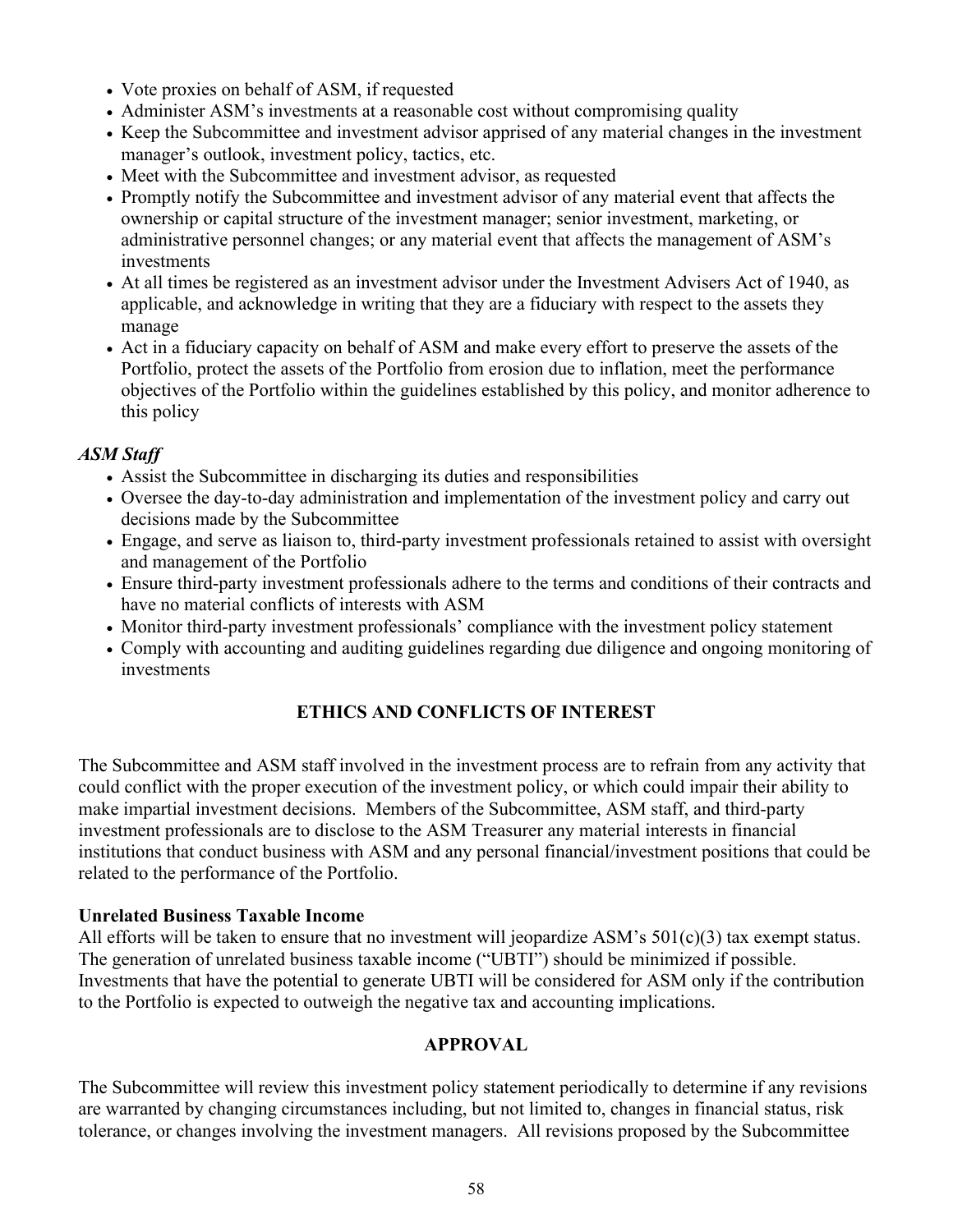- Vote proxies on behalf of ASM, if requested
- Administer ASM's investments at a reasonable cost without compromising quality
- Keep the Subcommittee and investment advisor apprised of any material changes in the investment manager's outlook, investment policy, tactics, etc.
- Meet with the Subcommittee and investment advisor, as requested
- Promptly notify the Subcommittee and investment advisor of any material event that affects the ownership or capital structure of the investment manager; senior investment, marketing, or administrative personnel changes; or any material event that affects the management of ASM's investments
- At all times be registered as an investment advisor under the Investment Advisers Act of 1940, as applicable, and acknowledge in writing that they are a fiduciary with respect to the assets they manage
- Act in a fiduciary capacity on behalf of ASM and make every effort to preserve the assets of the Portfolio, protect the assets of the Portfolio from erosion due to inflation, meet the performance objectives of the Portfolio within the guidelines established by this policy, and monitor adherence to this policy

### *ASM Staff*

- Assist the Subcommittee in discharging its duties and responsibilities
- Oversee the day-to-day administration and implementation of the investment policy and carry out decisions made by the Subcommittee
- Engage, and serve as liaison to, third-party investment professionals retained to assist with oversight and management of the Portfolio
- Ensure third-party investment professionals adhere to the terms and conditions of their contracts and have no material conflicts of interests with ASM
- Monitor third-party investment professionals' compliance with the investment policy statement
- Comply with accounting and auditing guidelines regarding due diligence and ongoing monitoring of investments

## **ETHICS AND CONFLICTS OF INTEREST**

The Subcommittee and ASM staff involved in the investment process are to refrain from any activity that could conflict with the proper execution of the investment policy, or which could impair their ability to make impartial investment decisions. Members of the Subcommittee, ASM staff, and third-party investment professionals are to disclose to the ASM Treasurer any material interests in financial institutions that conduct business with ASM and any personal financial/investment positions that could be related to the performance of the Portfolio.

### **Unrelated Business Taxable Income**

All efforts will be taken to ensure that no investment will jeopardize ASM's  $501(c)(3)$  tax exempt status. The generation of unrelated business taxable income ("UBTI") should be minimized if possible. Investments that have the potential to generate UBTI will be considered for ASM only if the contribution to the Portfolio is expected to outweigh the negative tax and accounting implications.

### **APPROVAL**

The Subcommittee will review this investment policy statement periodically to determine if any revisions are warranted by changing circumstances including, but not limited to, changes in financial status, risk tolerance, or changes involving the investment managers. All revisions proposed by the Subcommittee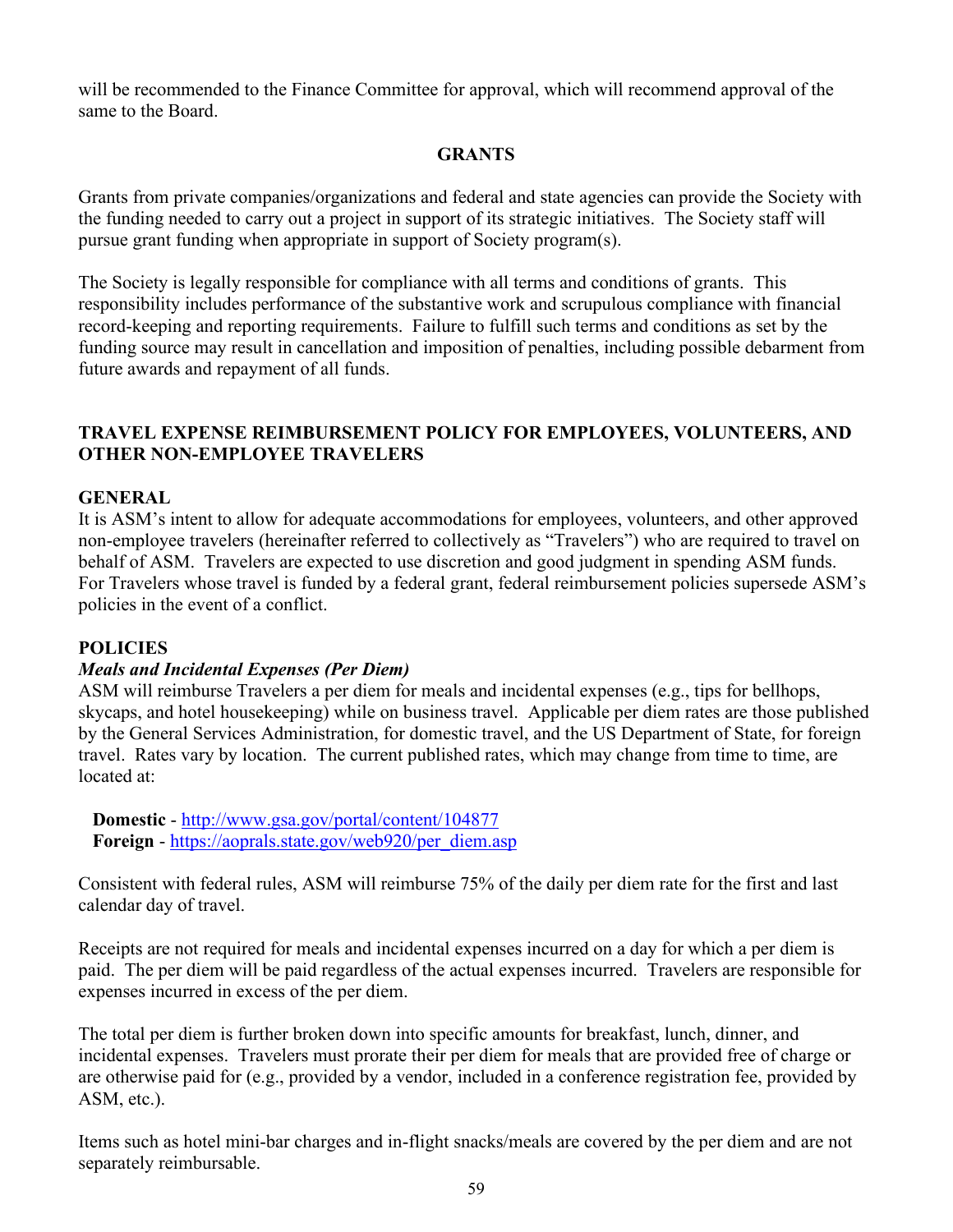will be recommended to the Finance Committee for approval, which will recommend approval of the same to the Board.

### **GRANTS**

Grants from private companies/organizations and federal and state agencies can provide the Society with the funding needed to carry out a project in support of its strategic initiatives. The Society staff will pursue grant funding when appropriate in support of Society program(s).

The Society is legally responsible for compliance with all terms and conditions of grants. This responsibility includes performance of the substantive work and scrupulous compliance with financial record-keeping and reporting requirements. Failure to fulfill such terms and conditions as set by the funding source may result in cancellation and imposition of penalties, including possible debarment from future awards and repayment of all funds.

### **TRAVEL EXPENSE REIMBURSEMENT POLICY FOR EMPLOYEES, VOLUNTEERS, AND OTHER NON-EMPLOYEE TRAVELERS**

#### **GENERAL**

It is ASM's intent to allow for adequate accommodations for employees, volunteers, and other approved non-employee travelers (hereinafter referred to collectively as "Travelers") who are required to travel on behalf of ASM. Travelers are expected to use discretion and good judgment in spending ASM funds. For Travelers whose travel is funded by a federal grant, federal reimbursement policies supersede ASM's policies in the event of a conflict.

#### **POLICIES**

#### *Meals and Incidental Expenses (Per Diem)*

ASM will reimburse Travelers a per diem for meals and incidental expenses (e.g., tips for bellhops, skycaps, and hotel housekeeping) while on business travel. Applicable per diem rates are those published by the General Services Administration, for domestic travel, and the US Department of State, for foreign travel. Rates vary by location. The current published rates, which may change from time to time, are located at:

**Domestic** -<http://www.gsa.gov/portal/content/104877> **Foreign** - [https://aoprals.state.gov/web920/per\\_diem.asp](https://aoprals.state.gov/web920/per_diem.asp)

Consistent with federal rules, ASM will reimburse 75% of the daily per diem rate for the first and last calendar day of travel.

Receipts are not required for meals and incidental expenses incurred on a day for which a per diem is paid. The per diem will be paid regardless of the actual expenses incurred. Travelers are responsible for expenses incurred in excess of the per diem.

The total per diem is further broken down into specific amounts for breakfast, lunch, dinner, and incidental expenses. Travelers must prorate their per diem for meals that are provided free of charge or are otherwise paid for (e.g., provided by a vendor, included in a conference registration fee, provided by ASM, etc.).

Items such as hotel mini-bar charges and in-flight snacks/meals are covered by the per diem and are not separately reimbursable.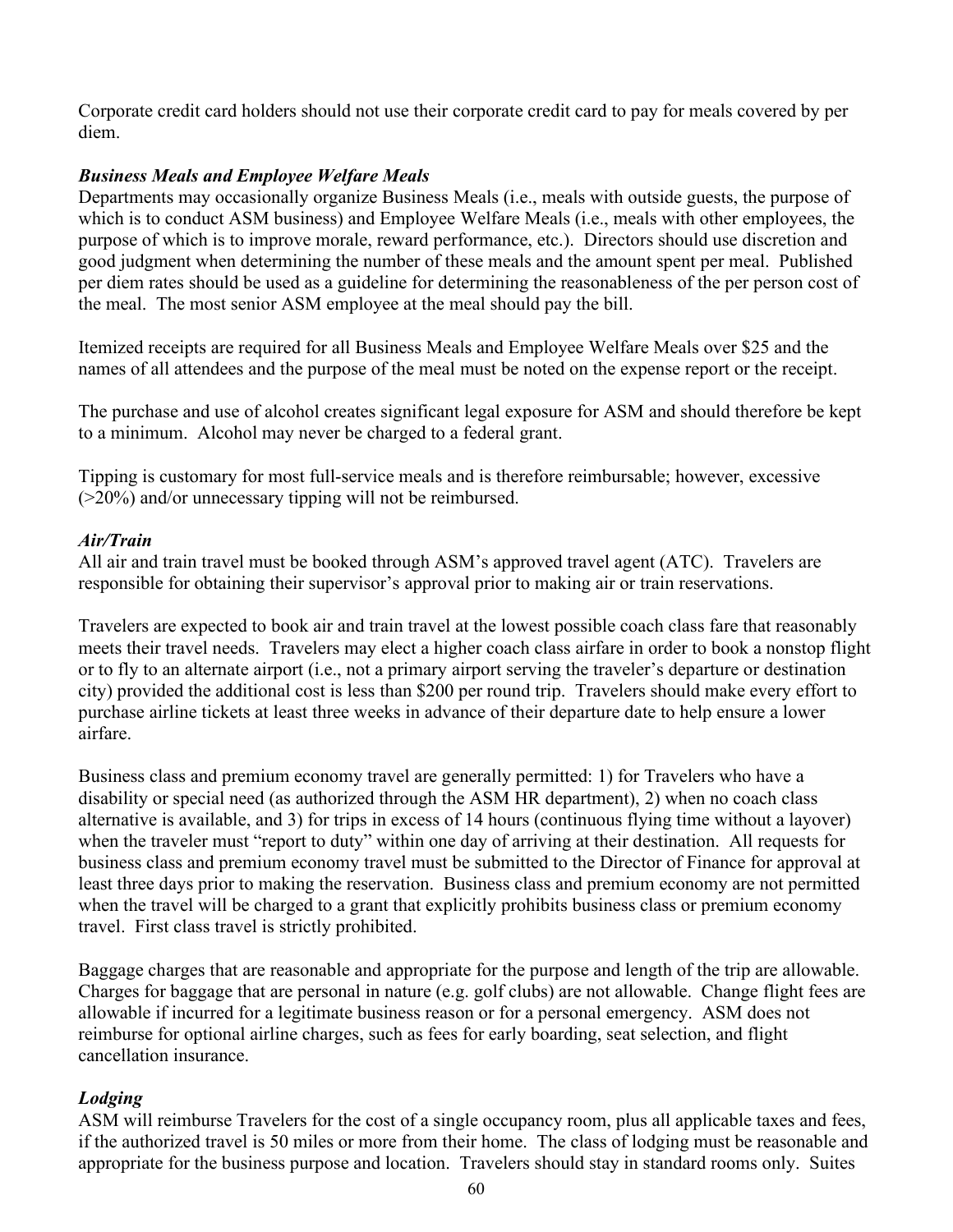Corporate credit card holders should not use their corporate credit card to pay for meals covered by per diem.

### *Business Meals and Employee Welfare Meals*

Departments may occasionally organize Business Meals (i.e., meals with outside guests, the purpose of which is to conduct ASM business) and Employee Welfare Meals (i.e., meals with other employees, the purpose of which is to improve morale, reward performance, etc.). Directors should use discretion and good judgment when determining the number of these meals and the amount spent per meal. Published per diem rates should be used as a guideline for determining the reasonableness of the per person cost of the meal. The most senior ASM employee at the meal should pay the bill.

Itemized receipts are required for all Business Meals and Employee Welfare Meals over \$25 and the names of all attendees and the purpose of the meal must be noted on the expense report or the receipt.

The purchase and use of alcohol creates significant legal exposure for ASM and should therefore be kept to a minimum. Alcohol may never be charged to a federal grant.

Tipping is customary for most full-service meals and is therefore reimbursable; however, excessive (>20%) and/or unnecessary tipping will not be reimbursed.

#### *Air/Train*

All air and train travel must be booked through ASM's approved travel agent (ATC). Travelers are responsible for obtaining their supervisor's approval prior to making air or train reservations.

Travelers are expected to book air and train travel at the lowest possible coach class fare that reasonably meets their travel needs. Travelers may elect a higher coach class airfare in order to book a nonstop flight or to fly to an alternate airport (i.e., not a primary airport serving the traveler's departure or destination city) provided the additional cost is less than \$200 per round trip. Travelers should make every effort to purchase airline tickets at least three weeks in advance of their departure date to help ensure a lower airfare.

Business class and premium economy travel are generally permitted: 1) for Travelers who have a disability or special need (as authorized through the ASM HR department), 2) when no coach class alternative is available, and 3) for trips in excess of 14 hours (continuous flying time without a layover) when the traveler must "report to duty" within one day of arriving at their destination. All requests for business class and premium economy travel must be submitted to the Director of Finance for approval at least three days prior to making the reservation. Business class and premium economy are not permitted when the travel will be charged to a grant that explicitly prohibits business class or premium economy travel. First class travel is strictly prohibited.

Baggage charges that are reasonable and appropriate for the purpose and length of the trip are allowable. Charges for baggage that are personal in nature (e.g. golf clubs) are not allowable. Change flight fees are allowable if incurred for a legitimate business reason or for a personal emergency. ASM does not reimburse for optional airline charges, such as fees for early boarding, seat selection, and flight cancellation insurance.

### *Lodging*

ASM will reimburse Travelers for the cost of a single occupancy room, plus all applicable taxes and fees, if the authorized travel is 50 miles or more from their home. The class of lodging must be reasonable and appropriate for the business purpose and location. Travelers should stay in standard rooms only. Suites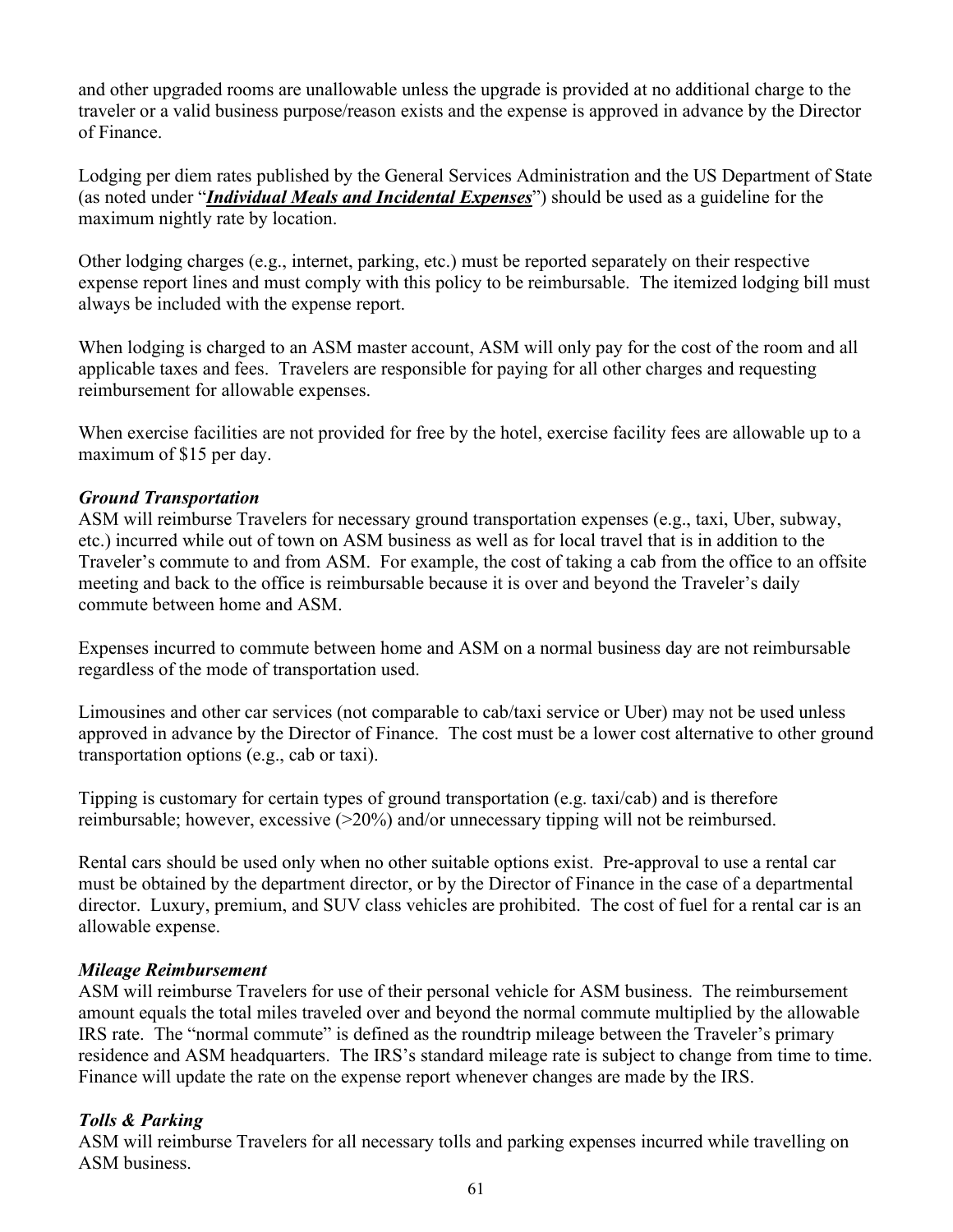and other upgraded rooms are unallowable unless the upgrade is provided at no additional charge to the traveler or a valid business purpose/reason exists and the expense is approved in advance by the Director of Finance.

Lodging per diem rates published by the General Services Administration and the US Department of State (as noted under "*Individual Meals and Incidental Expenses*") should be used as a guideline for the maximum nightly rate by location.

Other lodging charges (e.g., internet, parking, etc.) must be reported separately on their respective expense report lines and must comply with this policy to be reimbursable. The itemized lodging bill must always be included with the expense report.

When lodging is charged to an ASM master account, ASM will only pay for the cost of the room and all applicable taxes and fees. Travelers are responsible for paying for all other charges and requesting reimbursement for allowable expenses.

When exercise facilities are not provided for free by the hotel, exercise facility fees are allowable up to a maximum of \$15 per day.

### *Ground Transportation*

ASM will reimburse Travelers for necessary ground transportation expenses (e.g., taxi, Uber, subway, etc.) incurred while out of town on ASM business as well as for local travel that is in addition to the Traveler's commute to and from ASM. For example, the cost of taking a cab from the office to an offsite meeting and back to the office is reimbursable because it is over and beyond the Traveler's daily commute between home and ASM.

Expenses incurred to commute between home and ASM on a normal business day are not reimbursable regardless of the mode of transportation used.

Limousines and other car services (not comparable to cab/taxi service or Uber) may not be used unless approved in advance by the Director of Finance. The cost must be a lower cost alternative to other ground transportation options (e.g., cab or taxi).

Tipping is customary for certain types of ground transportation (e.g. taxi/cab) and is therefore reimbursable; however, excessive (>20%) and/or unnecessary tipping will not be reimbursed.

Rental cars should be used only when no other suitable options exist. Pre-approval to use a rental car must be obtained by the department director, or by the Director of Finance in the case of a departmental director. Luxury, premium, and SUV class vehicles are prohibited. The cost of fuel for a rental car is an allowable expense.

### *Mileage Reimbursement*

ASM will reimburse Travelers for use of their personal vehicle for ASM business. The reimbursement amount equals the total miles traveled over and beyond the normal commute multiplied by the allowable IRS rate. The "normal commute" is defined as the roundtrip mileage between the Traveler's primary residence and ASM headquarters. The IRS's standard mileage rate is subject to change from time to time. Finance will update the rate on the expense report whenever changes are made by the IRS.

## *Tolls & Parking*

ASM will reimburse Travelers for all necessary tolls and parking expenses incurred while travelling on ASM business.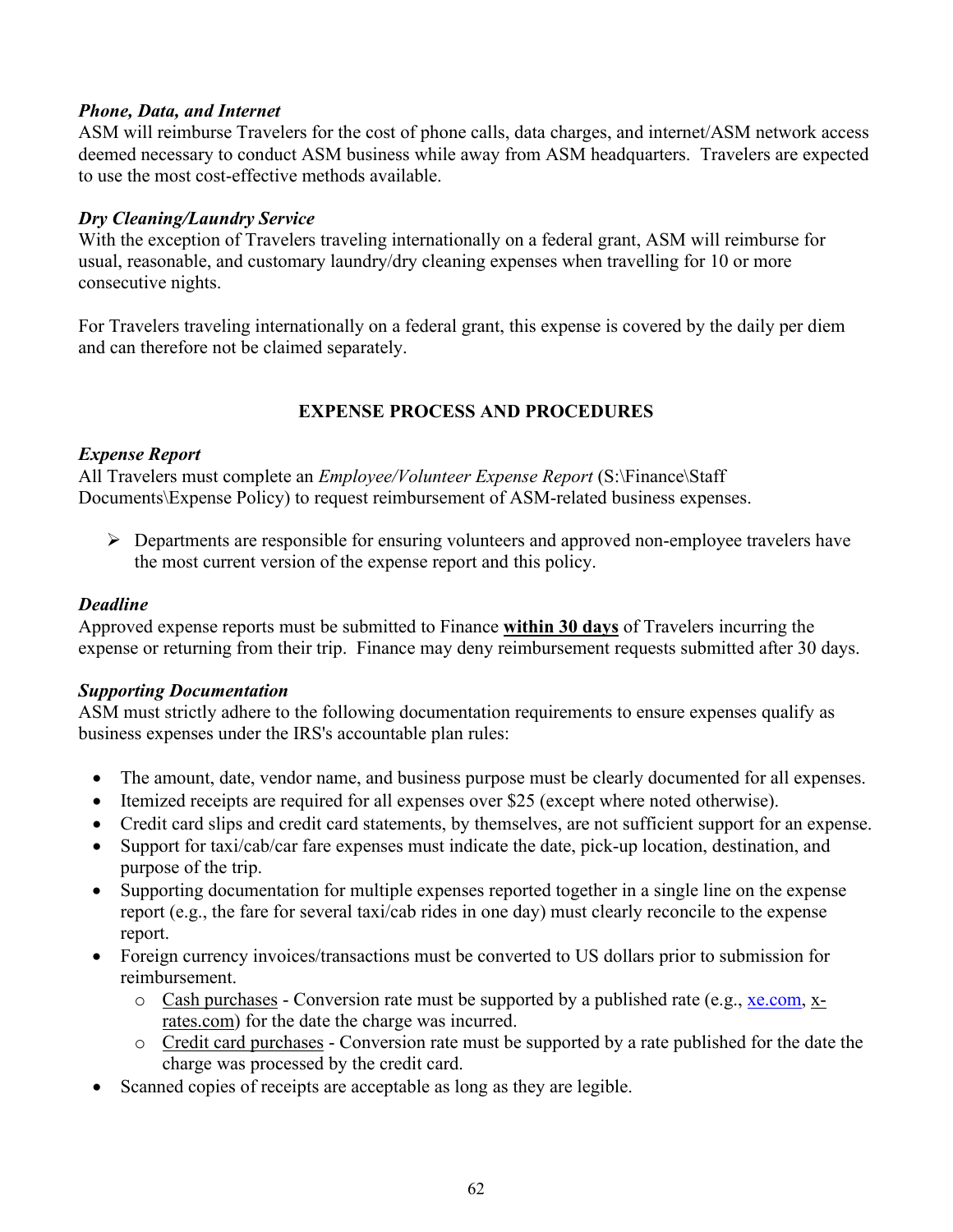#### *Phone, Data, and Internet*

ASM will reimburse Travelers for the cost of phone calls, data charges, and internet/ASM network access deemed necessary to conduct ASM business while away from ASM headquarters. Travelers are expected to use the most cost-effective methods available.

### *Dry Cleaning/Laundry Service*

With the exception of Travelers traveling internationally on a federal grant, ASM will reimburse for usual, reasonable, and customary laundry/dry cleaning expenses when travelling for 10 or more consecutive nights.

For Travelers traveling internationally on a federal grant, this expense is covered by the daily per diem and can therefore not be claimed separately.

### **EXPENSE PROCESS AND PROCEDURES**

#### *Expense Report*

All Travelers must complete an *Employee/Volunteer Expense Report* (S:\Finance\Staff Documents\Expense Policy) to request reimbursement of ASM-related business expenses.

 $\triangleright$  Departments are responsible for ensuring volunteers and approved non-employee travelers have the most current version of the expense report and this policy.

#### *Deadline*

Approved expense reports must be submitted to Finance **within 30 days** of Travelers incurring the expense or returning from their trip. Finance may deny reimbursement requests submitted after 30 days.

### *Supporting Documentation*

ASM must strictly adhere to the following documentation requirements to ensure expenses qualify as business expenses under the IRS's accountable plan rules:

- The amount, date, vendor name, and business purpose must be clearly documented for all expenses.
- Itemized receipts are required for all expenses over \$25 (except where noted otherwise).
- Credit card slips and credit card statements, by themselves, are not sufficient support for an expense.
- Support for taxi/cab/car fare expenses must indicate the date, pick-up location, destination, and purpose of the trip.
- Supporting documentation for multiple expenses reported together in a single line on the expense report (e.g., the fare for several taxi/cab rides in one day) must clearly reconcile to the expense report.
- Foreign currency invoices/transactions must be converted to US dollars prior to submission for reimbursement.
	- $\circ$  Cash purchases Conversion rate must be supported by a published rate (e.g., [xe.com,](http://www.xe.com/) xrates.com) for the date the charge was incurred.
	- o Credit card purchases Conversion rate must be supported by a rate published for the date the charge was processed by the credit card.
- Scanned copies of receipts are acceptable as long as they are legible.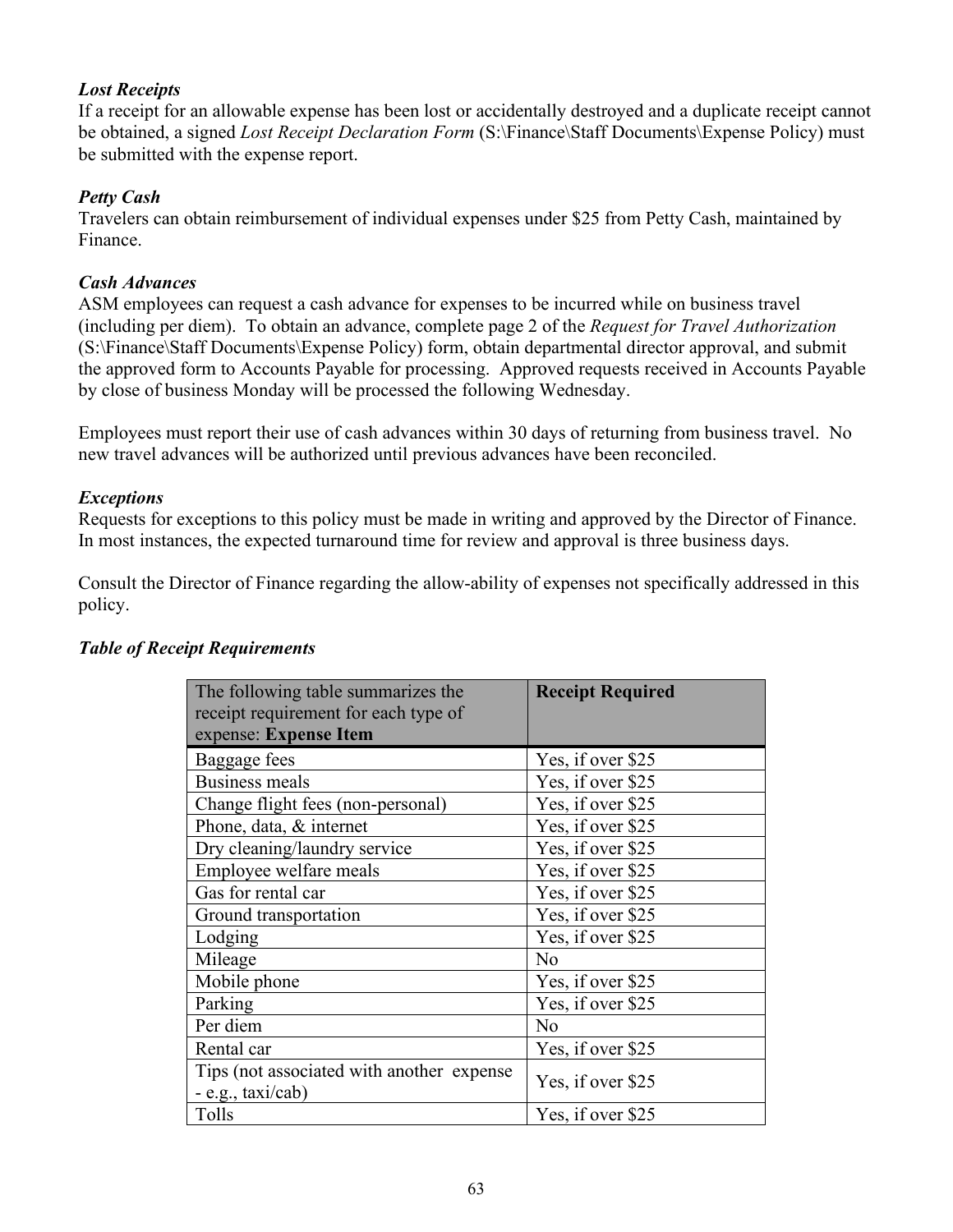### *Lost Receipts*

If a receipt for an allowable expense has been lost or accidentally destroyed and a duplicate receipt cannot be obtained, a signed *Lost Receipt Declaration Form* (S:\Finance\Staff Documents\Expense Policy) must be submitted with the expense report.

### *Petty Cash*

Travelers can obtain reimbursement of individual expenses under \$25 from Petty Cash, maintained by Finance.

### *Cash Advances*

ASM employees can request a cash advance for expenses to be incurred while on business travel (including per diem). To obtain an advance, complete page 2 of the *Request for Travel Authorization*  (S:\Finance\Staff Documents\Expense Policy) form, obtain departmental director approval, and submit the approved form to Accounts Payable for processing. Approved requests received in Accounts Payable by close of business Monday will be processed the following Wednesday.

Employees must report their use of cash advances within 30 days of returning from business travel. No new travel advances will be authorized until previous advances have been reconciled.

#### *Exceptions*

Requests for exceptions to this policy must be made in writing and approved by the Director of Finance. In most instances, the expected turnaround time for review and approval is three business days.

Consult the Director of Finance regarding the allow-ability of expenses not specifically addressed in this policy.

| The following table summarizes the        | <b>Receipt Required</b> |  |
|-------------------------------------------|-------------------------|--|
| receipt requirement for each type of      |                         |  |
| expense: Expense Item                     |                         |  |
| Baggage fees                              | Yes, if over \$25       |  |
| <b>Business meals</b>                     | Yes, if over \$25       |  |
| Change flight fees (non-personal)         | Yes, if over \$25       |  |
| Phone, data, & internet                   | Yes, if over \$25       |  |
| Dry cleaning/laundry service              | Yes, if over \$25       |  |
| Employee welfare meals                    | Yes, if over \$25       |  |
| Gas for rental car                        | Yes, if over \$25       |  |
| Ground transportation                     | Yes, if over \$25       |  |
| Lodging                                   | Yes, if over \$25       |  |
| Mileage                                   | No                      |  |
| Mobile phone                              | Yes, if over \$25       |  |
| Parking                                   | Yes, if over \$25       |  |
| Per diem                                  | No                      |  |
| Rental car                                | Yes, if over \$25       |  |
| Tips (not associated with another expense | Yes, if over \$25       |  |
| - e.g., taxi/cab)                         |                         |  |
| Tolls                                     | Yes, if over \$25       |  |

### *Table of Receipt Requirements*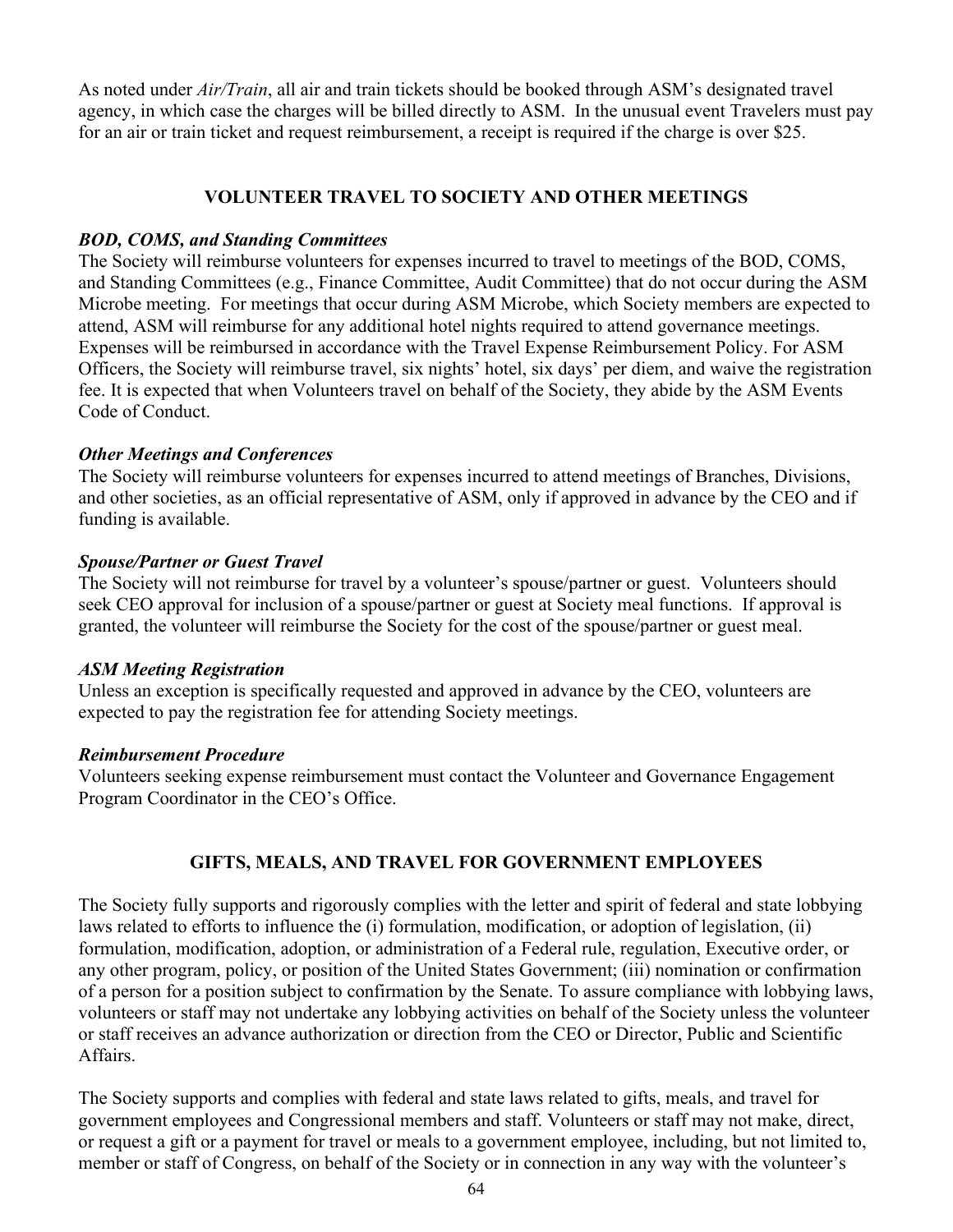As noted under *Air/Train*, all air and train tickets should be booked through ASM's designated travel agency, in which case the charges will be billed directly to ASM. In the unusual event Travelers must pay for an air or train ticket and request reimbursement, a receipt is required if the charge is over \$25.

### **VOLUNTEER TRAVEL TO SOCIETY AND OTHER MEETINGS**

#### *BOD, COMS, and Standing Committees*

The Society will reimburse volunteers for expenses incurred to travel to meetings of the BOD, COMS, and Standing Committees (e.g., Finance Committee, Audit Committee) that do not occur during the ASM Microbe meeting. For meetings that occur during ASM Microbe, which Society members are expected to attend, ASM will reimburse for any additional hotel nights required to attend governance meetings. Expenses will be reimbursed in accordance with the Travel Expense Reimbursement Policy. For ASM Officers, the Society will reimburse travel, six nights' hotel, six days' per diem, and waive the registration fee. It is expected that when Volunteers travel on behalf of the Society, they abide by the ASM Events Code of Conduct.

### *Other Meetings and Conferences*

The Society will reimburse volunteers for expenses incurred to attend meetings of Branches, Divisions, and other societies, as an official representative of ASM, only if approved in advance by the CEO and if funding is available.

#### *Spouse/Partner or Guest Travel*

The Society will not reimburse for travel by a volunteer's spouse/partner or guest. Volunteers should seek CEO approval for inclusion of a spouse/partner or guest at Society meal functions. If approval is granted, the volunteer will reimburse the Society for the cost of the spouse/partner or guest meal.

#### *ASM Meeting Registration*

Unless an exception is specifically requested and approved in advance by the CEO, volunteers are expected to pay the registration fee for attending Society meetings.

#### *Reimbursement Procedure*

Volunteers seeking expense reimbursement must contact the Volunteer and Governance Engagement Program Coordinator in the CEO's Office.

### **GIFTS, MEALS, AND TRAVEL FOR GOVERNMENT EMPLOYEES**

The Society fully supports and rigorously complies with the letter and spirit of federal and state lobbying laws related to efforts to influence the (i) formulation, modification, or adoption of legislation, (ii) formulation, modification, adoption, or administration of a Federal rule, regulation, Executive order, or any other program, policy, or position of the United States Government; (iii) nomination or confirmation of a person for a position subject to confirmation by the Senate. To assure compliance with lobbying laws, volunteers or staff may not undertake any lobbying activities on behalf of the Society unless the volunteer or staff receives an advance authorization or direction from the CEO or Director, Public and Scientific Affairs.

The Society supports and complies with federal and state laws related to gifts, meals, and travel for government employees and Congressional members and staff. Volunteers or staff may not make, direct, or request a gift or a payment for travel or meals to a government employee, including, but not limited to, member or staff of Congress, on behalf of the Society or in connection in any way with the volunteer's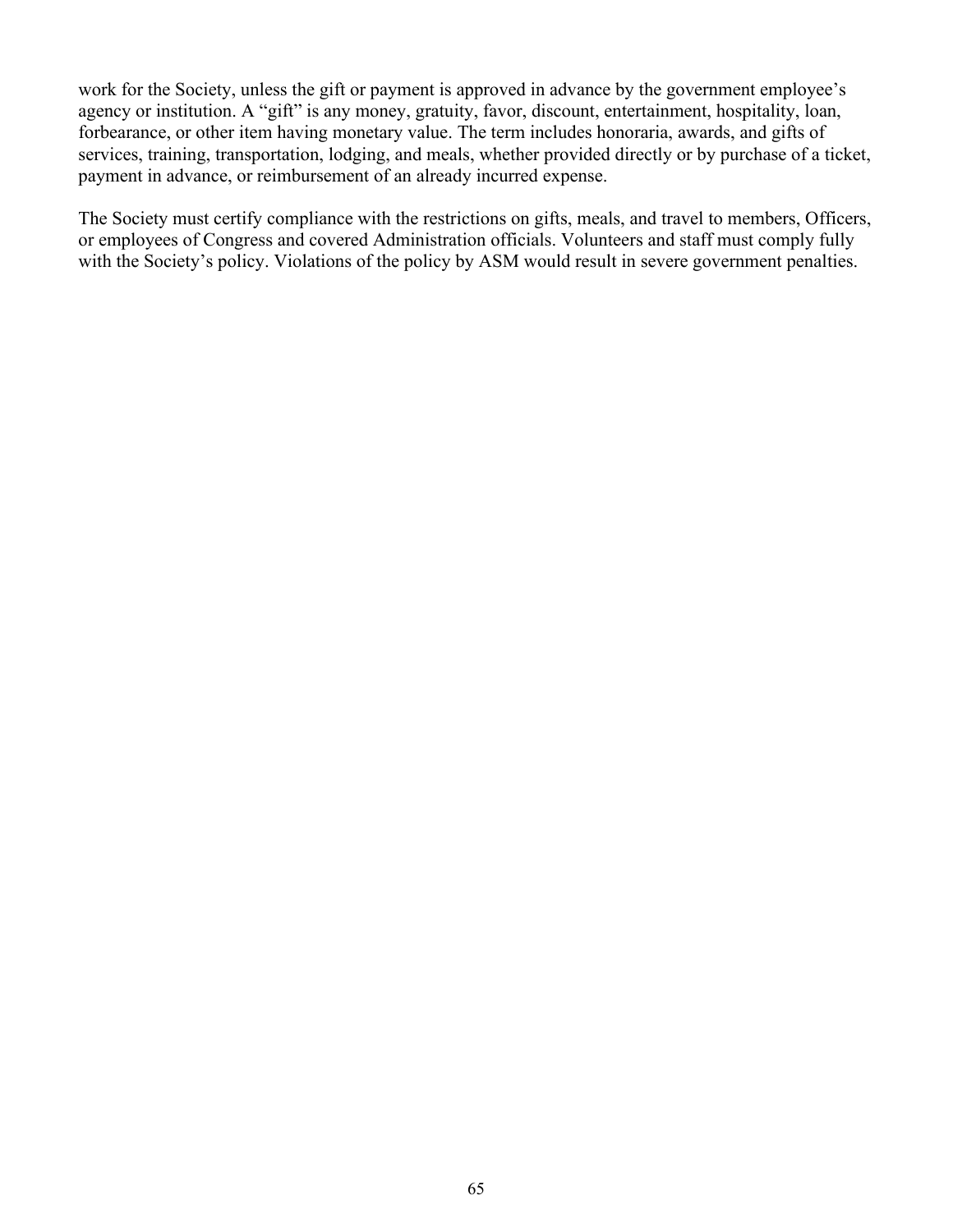work for the Society, unless the gift or payment is approved in advance by the government employee's agency or institution. A "gift" is any money, gratuity, favor, discount, entertainment, hospitality, loan, forbearance, or other item having monetary value. The term includes honoraria, awards, and gifts of services, training, transportation, lodging, and meals, whether provided directly or by purchase of a ticket, payment in advance, or reimbursement of an already incurred expense.

The Society must certify compliance with the restrictions on gifts, meals, and travel to members, Officers, or employees of Congress and covered Administration officials. Volunteers and staff must comply fully with the Society's policy. Violations of the policy by ASM would result in severe government penalties.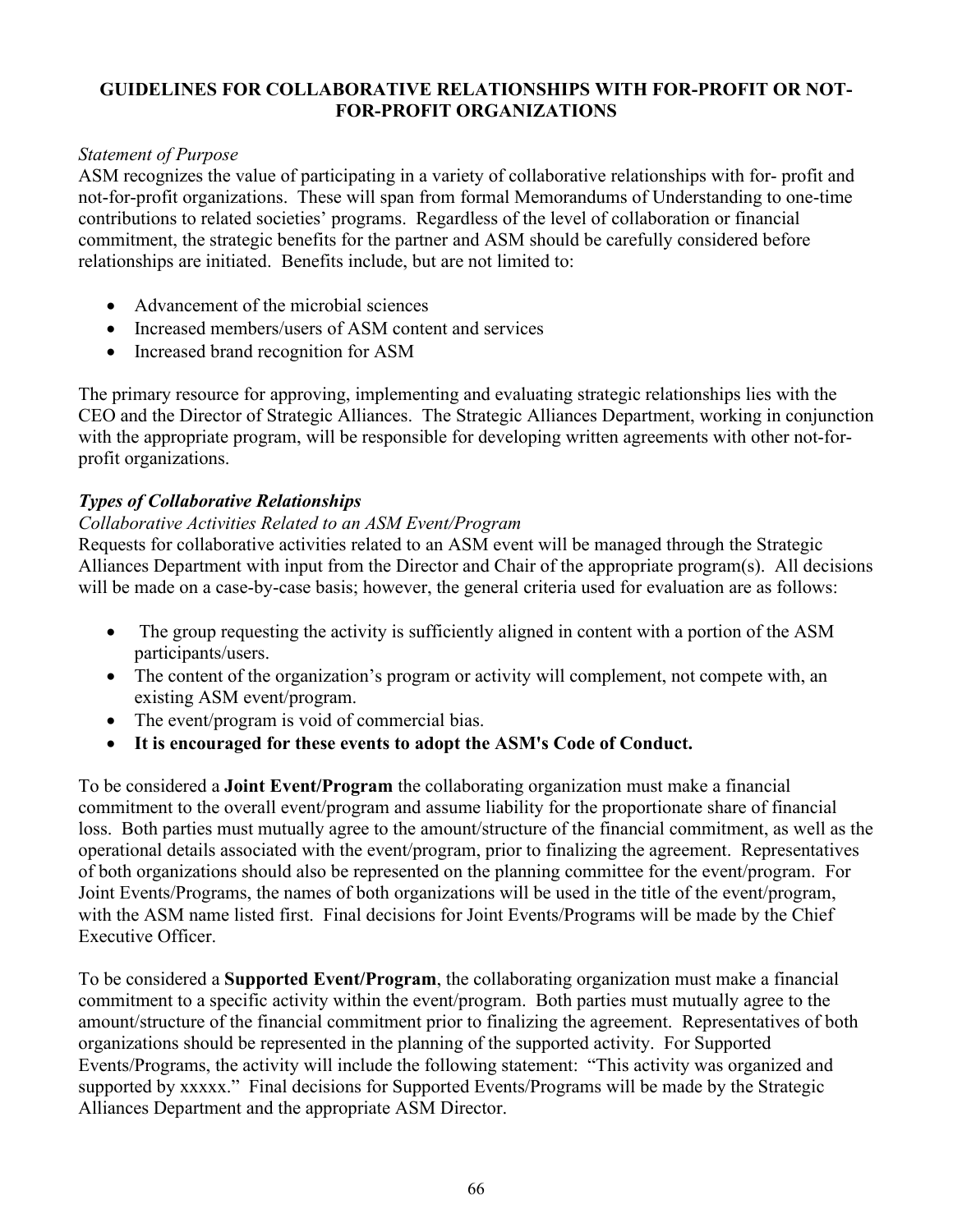#### **GUIDELINES FOR COLLABORATIVE RELATIONSHIPS WITH FOR-PROFIT OR NOT-FOR-PROFIT ORGANIZATIONS**

### *Statement of Purpose*

ASM recognizes the value of participating in a variety of collaborative relationships with for- profit and not-for-profit organizations. These will span from formal Memorandums of Understanding to one-time contributions to related societies' programs. Regardless of the level of collaboration or financial commitment, the strategic benefits for the partner and ASM should be carefully considered before relationships are initiated. Benefits include, but are not limited to:

- Advancement of the microbial sciences
- Increased members/users of ASM content and services
- Increased brand recognition for ASM

The primary resource for approving, implementing and evaluating strategic relationships lies with the CEO and the Director of Strategic Alliances. The Strategic Alliances Department, working in conjunction with the appropriate program, will be responsible for developing written agreements with other not-forprofit organizations.

### *Types of Collaborative Relationships*

### *Collaborative Activities Related to an ASM Event/Program*

Requests for collaborative activities related to an ASM event will be managed through the Strategic Alliances Department with input from the Director and Chair of the appropriate program(s). All decisions will be made on a case-by-case basis; however, the general criteria used for evaluation are as follows:

- The group requesting the activity is sufficiently aligned in content with a portion of the ASM participants/users.
- The content of the organization's program or activity will complement, not compete with, an existing ASM event/program.
- The event/program is void of commercial bias.
- **It is encouraged for these events to adopt the ASM's Code of Conduct.**

To be considered a **Joint Event/Program** the collaborating organization must make a financial commitment to the overall event/program and assume liability for the proportionate share of financial loss. Both parties must mutually agree to the amount/structure of the financial commitment, as well as the operational details associated with the event/program, prior to finalizing the agreement. Representatives of both organizations should also be represented on the planning committee for the event/program. For Joint Events/Programs, the names of both organizations will be used in the title of the event/program, with the ASM name listed first. Final decisions for Joint Events/Programs will be made by the Chief Executive Officer.

To be considered a **Supported Event/Program**, the collaborating organization must make a financial commitment to a specific activity within the event/program. Both parties must mutually agree to the amount/structure of the financial commitment prior to finalizing the agreement. Representatives of both organizations should be represented in the planning of the supported activity. For Supported Events/Programs, the activity will include the following statement: "This activity was organized and supported by xxxxx." Final decisions for Supported Events/Programs will be made by the Strategic Alliances Department and the appropriate ASM Director.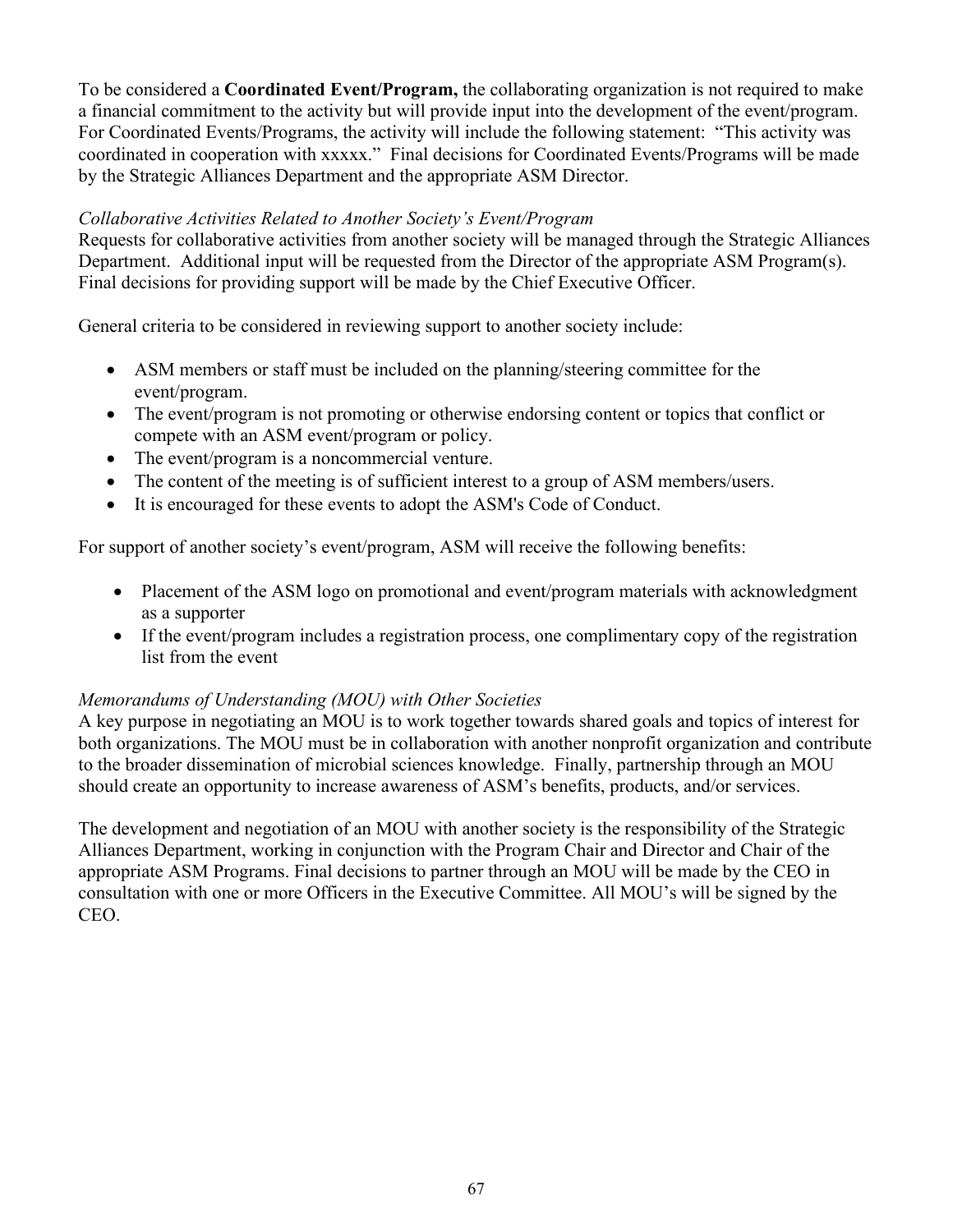To be considered a **Coordinated Event/Program,** the collaborating organization is not required to make a financial commitment to the activity but will provide input into the development of the event/program. For Coordinated Events/Programs, the activity will include the following statement: "This activity was coordinated in cooperation with xxxxx." Final decisions for Coordinated Events/Programs will be made by the Strategic Alliances Department and the appropriate ASM Director.

### *Collaborative Activities Related to Another Society's Event/Program*

Requests for collaborative activities from another society will be managed through the Strategic Alliances Department. Additional input will be requested from the Director of the appropriate ASM Program(s). Final decisions for providing support will be made by the Chief Executive Officer.

General criteria to be considered in reviewing support to another society include:

- ASM members or staff must be included on the planning/steering committee for the event/program.
- The event/program is not promoting or otherwise endorsing content or topics that conflict or compete with an ASM event/program or policy.
- The event/program is a noncommercial venture.
- The content of the meeting is of sufficient interest to a group of ASM members/users.
- It is encouraged for these events to adopt the ASM's Code of Conduct.

For support of another society's event/program, ASM will receive the following benefits:

- Placement of the ASM logo on promotional and event/program materials with acknowledgment as a supporter
- If the event/program includes a registration process, one complimentary copy of the registration list from the event

### *Memorandums of Understanding (MOU) with Other Societies*

A key purpose in negotiating an MOU is to work together towards shared goals and topics of interest for both organizations. The MOU must be in collaboration with another nonprofit organization and contribute to the broader dissemination of microbial sciences knowledge. Finally, partnership through an MOU should create an opportunity to increase awareness of ASM's benefits, products, and/or services.

The development and negotiation of an MOU with another society is the responsibility of the Strategic Alliances Department, working in conjunction with the Program Chair and Director and Chair of the appropriate ASM Programs. Final decisions to partner through an MOU will be made by the CEO in consultation with one or more Officers in the Executive Committee. All MOU's will be signed by the CEO.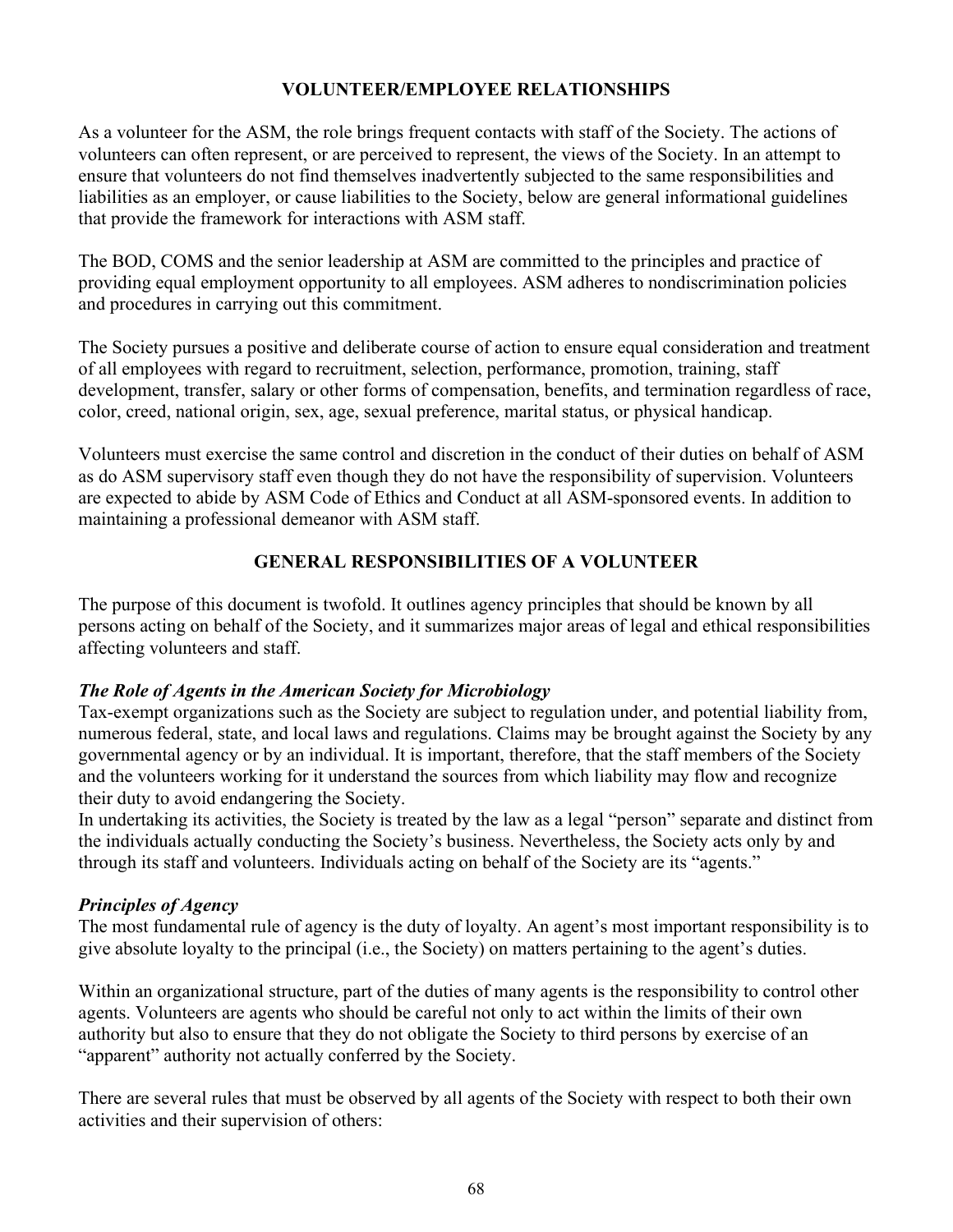### **VOLUNTEER/EMPLOYEE RELATIONSHIPS**

As a volunteer for the ASM, the role brings frequent contacts with staff of the Society. The actions of volunteers can often represent, or are perceived to represent, the views of the Society. In an attempt to ensure that volunteers do not find themselves inadvertently subjected to the same responsibilities and liabilities as an employer, or cause liabilities to the Society, below are general informational guidelines that provide the framework for interactions with ASM staff.

The BOD, COMS and the senior leadership at ASM are committed to the principles and practice of providing equal employment opportunity to all employees. ASM adheres to nondiscrimination policies and procedures in carrying out this commitment.

The Society pursues a positive and deliberate course of action to ensure equal consideration and treatment of all employees with regard to recruitment, selection, performance, promotion, training, staff development, transfer, salary or other forms of compensation, benefits, and termination regardless of race, color, creed, national origin, sex, age, sexual preference, marital status, or physical handicap.

Volunteers must exercise the same control and discretion in the conduct of their duties on behalf of ASM as do ASM supervisory staff even though they do not have the responsibility of supervision. Volunteers are expected to abide by ASM Code of Ethics and Conduct at all ASM-sponsored events. In addition to maintaining a professional demeanor with ASM staff.

### **GENERAL RESPONSIBILITIES OF A VOLUNTEER**

The purpose of this document is twofold. It outlines agency principles that should be known by all persons acting on behalf of the Society, and it summarizes major areas of legal and ethical responsibilities affecting volunteers and staff.

### *The Role of Agents in the American Society for Microbiology*

Tax-exempt organizations such as the Society are subject to regulation under, and potential liability from, numerous federal, state, and local laws and regulations. Claims may be brought against the Society by any governmental agency or by an individual. It is important, therefore, that the staff members of the Society and the volunteers working for it understand the sources from which liability may flow and recognize their duty to avoid endangering the Society.

In undertaking its activities, the Society is treated by the law as a legal "person" separate and distinct from the individuals actually conducting the Society's business. Nevertheless, the Society acts only by and through its staff and volunteers. Individuals acting on behalf of the Society are its "agents."

### *Principles of Agency*

The most fundamental rule of agency is the duty of loyalty. An agent's most important responsibility is to give absolute loyalty to the principal (i.e., the Society) on matters pertaining to the agent's duties.

Within an organizational structure, part of the duties of many agents is the responsibility to control other agents. Volunteers are agents who should be careful not only to act within the limits of their own authority but also to ensure that they do not obligate the Society to third persons by exercise of an "apparent" authority not actually conferred by the Society.

There are several rules that must be observed by all agents of the Society with respect to both their own activities and their supervision of others: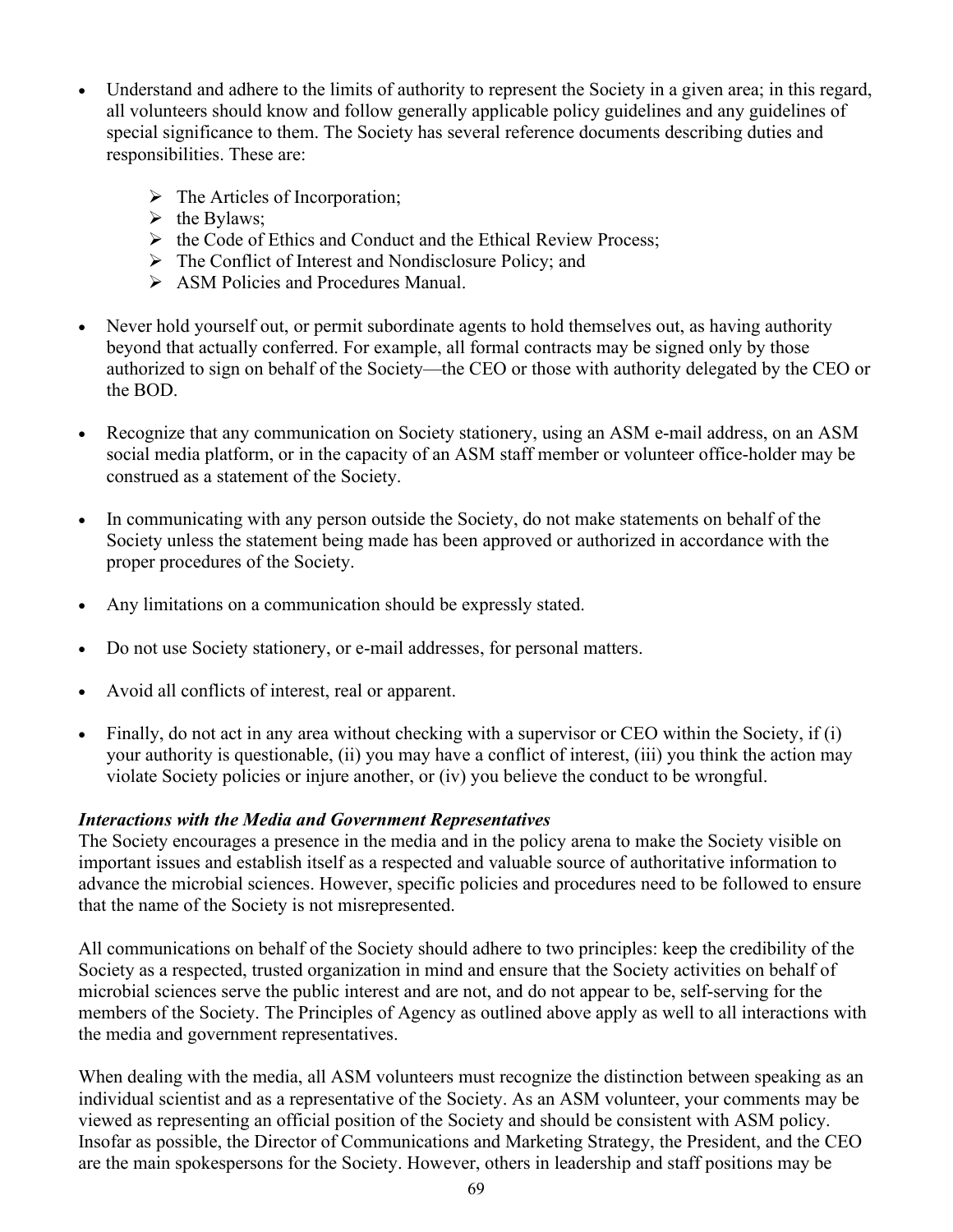- Understand and adhere to the limits of authority to represent the Society in a given area; in this regard, all volunteers should know and follow generally applicable policy guidelines and any guidelines of special significance to them. The Society has several reference documents describing duties and responsibilities. These are:
	- > The Articles of Incorporation;
	- $\triangleright$  the Bylaws;
	- $\triangleright$  the Code of Ethics and Conduct and the Ethical Review Process;
	- $\triangleright$  The Conflict of Interest and Nondisclosure Policy; and
	- ASM Policies and Procedures Manual.
- Never hold yourself out, or permit subordinate agents to hold themselves out, as having authority beyond that actually conferred. For example, all formal contracts may be signed only by those authorized to sign on behalf of the Society—the CEO or those with authority delegated by the CEO or the BOD.
- Recognize that any communication on Society stationery, using an ASM e-mail address, on an ASM social media platform, or in the capacity of an ASM staff member or volunteer office-holder may be construed as a statement of the Society.
- In communicating with any person outside the Society, do not make statements on behalf of the Society unless the statement being made has been approved or authorized in accordance with the proper procedures of the Society.
- Any limitations on a communication should be expressly stated.
- Do not use Society stationery, or e-mail addresses, for personal matters.
- Avoid all conflicts of interest, real or apparent.
- Finally, do not act in any area without checking with a supervisor or CEO within the Society, if (i) your authority is questionable, (ii) you may have a conflict of interest, (iii) you think the action may violate Society policies or injure another, or (iv) you believe the conduct to be wrongful.

### *Interactions with the Media and Government Representatives*

The Society encourages a presence in the media and in the policy arena to make the Society visible on important issues and establish itself as a respected and valuable source of authoritative information to advance the microbial sciences. However, specific policies and procedures need to be followed to ensure that the name of the Society is not misrepresented.

All communications on behalf of the Society should adhere to two principles: keep the credibility of the Society as a respected, trusted organization in mind and ensure that the Society activities on behalf of microbial sciences serve the public interest and are not, and do not appear to be, self-serving for the members of the Society. The Principles of Agency as outlined above apply as well to all interactions with the media and government representatives.

When dealing with the media, all ASM volunteers must recognize the distinction between speaking as an individual scientist and as a representative of the Society. As an ASM volunteer, your comments may be viewed as representing an official position of the Society and should be consistent with ASM policy. Insofar as possible, the Director of Communications and Marketing Strategy, the President, and the CEO are the main spokespersons for the Society. However, others in leadership and staff positions may be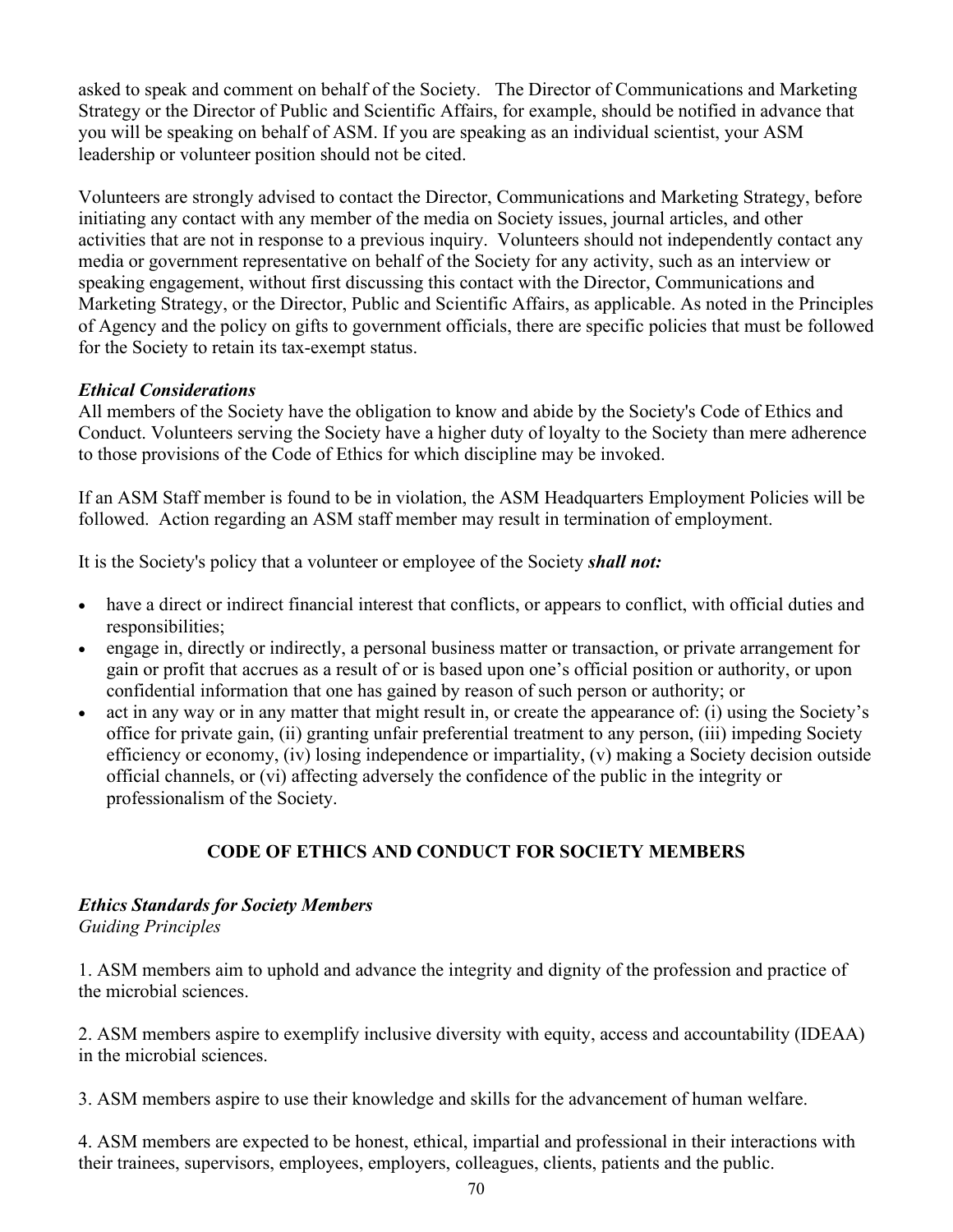asked to speak and comment on behalf of the Society. The Director of Communications and Marketing Strategy or the Director of Public and Scientific Affairs, for example, should be notified in advance that you will be speaking on behalf of ASM. If you are speaking as an individual scientist, your ASM leadership or volunteer position should not be cited.

Volunteers are strongly advised to contact the Director, Communications and Marketing Strategy, before initiating any contact with any member of the media on Society issues, journal articles, and other activities that are not in response to a previous inquiry. Volunteers should not independently contact any media or government representative on behalf of the Society for any activity, such as an interview or speaking engagement, without first discussing this contact with the Director, Communications and Marketing Strategy, or the Director, Public and Scientific Affairs, as applicable. As noted in the Principles of Agency and the policy on gifts to government officials, there are specific policies that must be followed for the Society to retain its tax-exempt status.

### *Ethical Considerations*

All members of the Society have the obligation to know and abide by the Society's Code of Ethics and Conduct. Volunteers serving the Society have a higher duty of loyalty to the Society than mere adherence to those provisions of the Code of Ethics for which discipline may be invoked.

If an ASM Staff member is found to be in violation, the ASM Headquarters Employment Policies will be followed. Action regarding an ASM staff member may result in termination of employment.

It is the Society's policy that a volunteer or employee of the Society *shall not:*

- have a direct or indirect financial interest that conflicts, or appears to conflict, with official duties and responsibilities;
- engage in, directly or indirectly, a personal business matter or transaction, or private arrangement for gain or profit that accrues as a result of or is based upon one's official position or authority, or upon confidential information that one has gained by reason of such person or authority; or
- act in any way or in any matter that might result in, or create the appearance of: (i) using the Society's office for private gain, (ii) granting unfair preferential treatment to any person, (iii) impeding Society efficiency or economy, (iv) losing independence or impartiality, (v) making a Society decision outside official channels, or (vi) affecting adversely the confidence of the public in the integrity or professionalism of the Society.

## **CODE OF ETHICS AND CONDUCT FOR SOCIETY MEMBERS**

# *Ethics Standards for Society Members*

*Guiding Principles* 

1. ASM members aim to uphold and advance the integrity and dignity of the profession and practice of the microbial sciences.

2. ASM members aspire to exemplify inclusive diversity with equity, access and accountability (IDEAA) in the microbial sciences.

3. ASM members aspire to use their knowledge and skills for the advancement of human welfare.

4. ASM members are expected to be honest, ethical, impartial and professional in their interactions with their trainees, supervisors, employees, employers, colleagues, clients, patients and the public.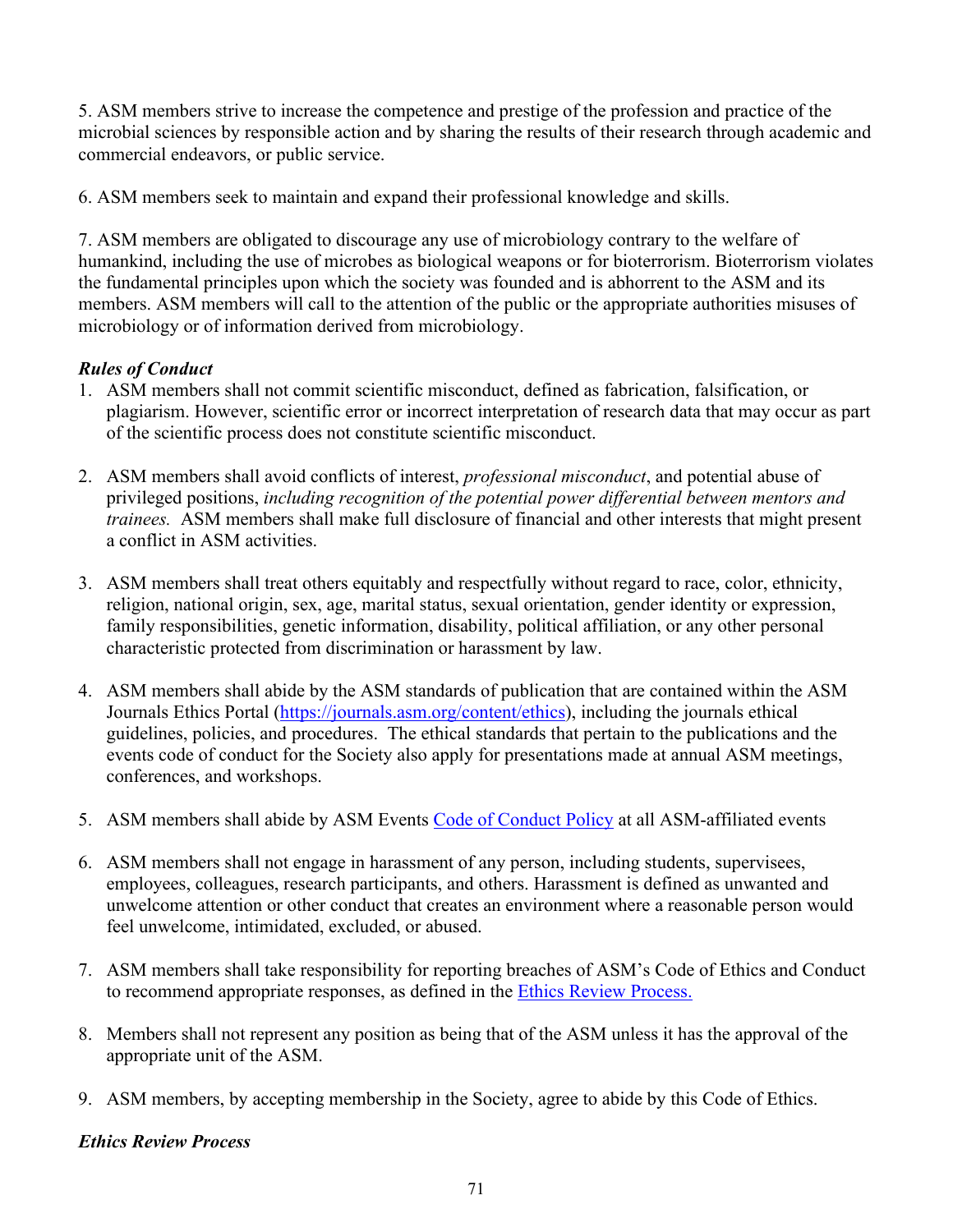5. ASM members strive to increase the competence and prestige of the profession and practice of the microbial sciences by responsible action and by sharing the results of their research through academic and commercial endeavors, or public service.

6. ASM members seek to maintain and expand their professional knowledge and skills.

7. ASM members are obligated to discourage any use of microbiology contrary to the welfare of humankind, including the use of microbes as biological weapons or for bioterrorism. Bioterrorism violates the fundamental principles upon which the society was founded and is abhorrent to the ASM and its members. ASM members will call to the attention of the public or the appropriate authorities misuses of microbiology or of information derived from microbiology.

## *Rules of Conduct*

- 1. ASM members shall not commit scientific misconduct, defined as fabrication, falsification, or plagiarism. However, scientific error or incorrect interpretation of research data that may occur as part of the scientific process does not constitute scientific misconduct.
- 2. ASM members shall avoid conflicts of interest, *professional misconduct*, and potential abuse of privileged positions, *including recognition of the potential power differential between mentors and trainees.* ASM members shall make full disclosure of financial and other interests that might present a conflict in ASM activities.
- 3. ASM members shall treat others equitably and respectfully without regard to race, color, ethnicity, religion, national origin, sex, age, marital status, sexual orientation, gender identity or expression, family responsibilities, genetic information, disability, political affiliation, or any other personal characteristic protected from discrimination or harassment by law.
- 4. ASM members shall abide by the ASM standards of publication that are contained within the ASM Journals Ethics Portal [\(https://journals.asm.org/content/ethics\)](https://journals.asm.org/content/ethics), including the journals ethical guidelines, policies, and procedures. The ethical standards that pertain to the publications and the events code of conduct for the Society also apply for presentations made at annual ASM meetings, conferences, and workshops.
- 5. ASM members shall abide by ASM Events [Code of Conduct Policy](https://asm.org/Articles/Meetings/ASM-Events-Code-of-Conduct) at all ASM-affiliated events
- 6. ASM members shall not engage in harassment of any person, including students, supervisees, employees, colleagues, research participants, and others. Harassment is defined as unwanted and unwelcome attention or other conduct that creates an environment where a reasonable person would feel unwelcome, intimidated, excluded, or abused.
- 7. ASM members shall take responsibility for reporting breaches of ASM's Code of Ethics and Conduct to recommend appropriate responses, as defined in the [Ethics Review Process.](https://asm.org/ASM/media/AM-Governance/Ethics-Review-Flowchart.pdf)
- 8. Members shall not represent any position as being that of the ASM unless it has the approval of the appropriate unit of the ASM.
- 9. ASM members, by accepting membership in the Society, agree to abide by this Code of Ethics.

### *Ethics Review Process*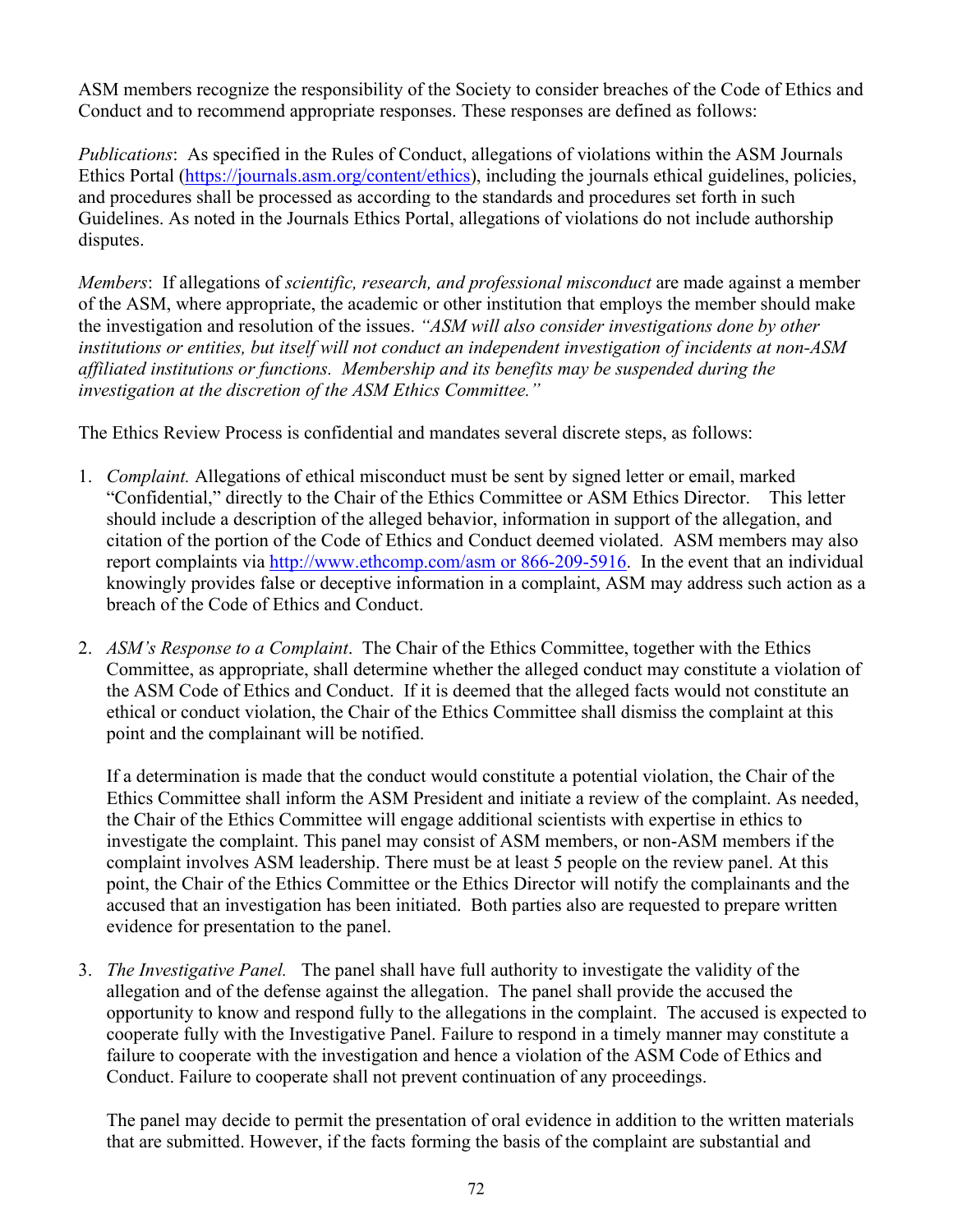ASM members recognize the responsibility of the Society to consider breaches of the Code of Ethics and Conduct and to recommend appropriate responses. These responses are defined as follows:

*Publications*: As specified in the Rules of Conduct, allegations of violations within the ASM Journals Ethics Portal [\(https://journals.asm.org/content/ethics\)](https://journals.asm.org/content/ethics), including the journals ethical guidelines, policies, and procedures shall be processed as according to the standards and procedures set forth in such Guidelines. As noted in the Journals Ethics Portal, allegations of violations do not include authorship disputes.

*Members*: If allegations of *scientific, research, and professional misconduct* are made against a member of the ASM, where appropriate, the academic or other institution that employs the member should make the investigation and resolution of the issues. *"ASM will also consider investigations done by other institutions or entities, but itself will not conduct an independent investigation of incidents at non-ASM affiliated institutions or functions. Membership and its benefits may be suspended during the investigation at the discretion of the ASM Ethics Committee."*

The Ethics Review Process is confidential and mandates several discrete steps, as follows:

- 1. *Complaint.* Allegations of ethical misconduct must be sent by signed letter or email, marked "Confidential," directly to the Chair of the Ethics Committee or ASM Ethics Director. This letter should include a description of the alleged behavior, information in support of the allegation, and citation of the portion of the Code of Ethics and Conduct deemed violated. ASM members may also report complaints via [http://www.ethcomp.com/asm or 866-209-5916.](http://www.ethcomp.com/asm%20or%20866-209-5916) In the event that an individual knowingly provides false or deceptive information in a complaint, ASM may address such action as a breach of the Code of Ethics and Conduct.
- 2. *ASM's Response to a Complaint*. The Chair of the Ethics Committee, together with the Ethics Committee, as appropriate, shall determine whether the alleged conduct may constitute a violation of the ASM Code of Ethics and Conduct. If it is deemed that the alleged facts would not constitute an ethical or conduct violation, the Chair of the Ethics Committee shall dismiss the complaint at this point and the complainant will be notified.

If a determination is made that the conduct would constitute a potential violation, the Chair of the Ethics Committee shall inform the ASM President and initiate a review of the complaint. As needed, the Chair of the Ethics Committee will engage additional scientists with expertise in ethics to investigate the complaint. This panel may consist of ASM members, or non-ASM members if the complaint involves ASM leadership. There must be at least 5 people on the review panel. At this point, the Chair of the Ethics Committee or the Ethics Director will notify the complainants and the accused that an investigation has been initiated. Both parties also are requested to prepare written evidence for presentation to the panel.

3. *The Investigative Panel.* The panel shall have full authority to investigate the validity of the allegation and of the defense against the allegation. The panel shall provide the accused the opportunity to know and respond fully to the allegations in the complaint. The accused is expected to cooperate fully with the Investigative Panel. Failure to respond in a timely manner may constitute a failure to cooperate with the investigation and hence a violation of the ASM Code of Ethics and Conduct. Failure to cooperate shall not prevent continuation of any proceedings.

The panel may decide to permit the presentation of oral evidence in addition to the written materials that are submitted. However, if the facts forming the basis of the complaint are substantial and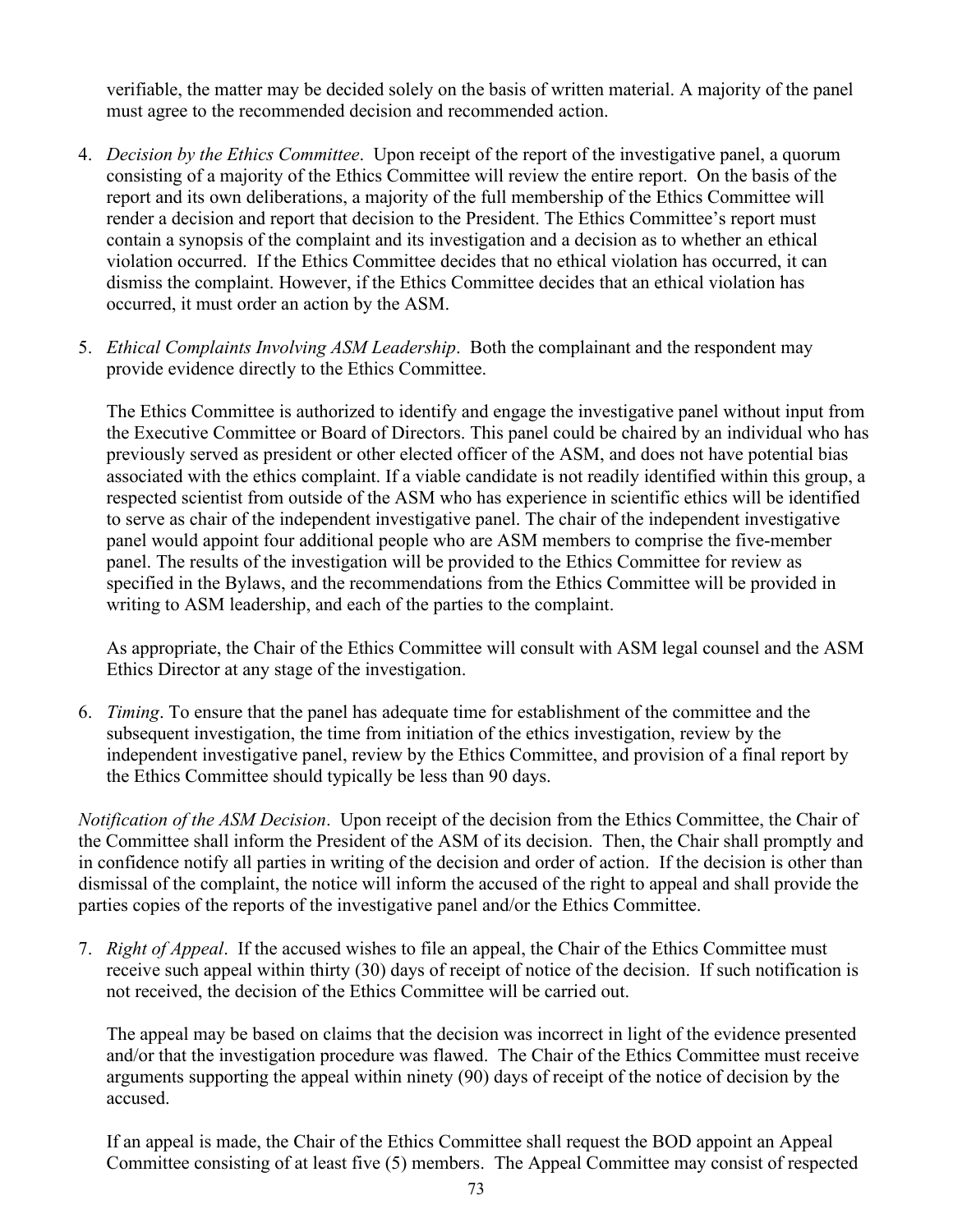verifiable, the matter may be decided solely on the basis of written material. A majority of the panel must agree to the recommended decision and recommended action.

- 4. *Decision by the Ethics Committee*. Upon receipt of the report of the investigative panel, a quorum consisting of a majority of the Ethics Committee will review the entire report. On the basis of the report and its own deliberations, a majority of the full membership of the Ethics Committee will render a decision and report that decision to the President. The Ethics Committee's report must contain a synopsis of the complaint and its investigation and a decision as to whether an ethical violation occurred. If the Ethics Committee decides that no ethical violation has occurred, it can dismiss the complaint. However, if the Ethics Committee decides that an ethical violation has occurred, it must order an action by the ASM.
- 5. *Ethical Complaints Involving ASM Leadership*. Both the complainant and the respondent may provide evidence directly to the Ethics Committee.

The Ethics Committee is authorized to identify and engage the investigative panel without input from the Executive Committee or Board of Directors. This panel could be chaired by an individual who has previously served as president or other elected officer of the ASM, and does not have potential bias associated with the ethics complaint. If a viable candidate is not readily identified within this group, a respected scientist from outside of the ASM who has experience in scientific ethics will be identified to serve as chair of the independent investigative panel. The chair of the independent investigative panel would appoint four additional people who are ASM members to comprise the five-member panel. The results of the investigation will be provided to the Ethics Committee for review as specified in the Bylaws, and the recommendations from the Ethics Committee will be provided in writing to ASM leadership, and each of the parties to the complaint.

As appropriate, the Chair of the Ethics Committee will consult with ASM legal counsel and the ASM Ethics Director at any stage of the investigation.

6. *Timing*. To ensure that the panel has adequate time for establishment of the committee and the subsequent investigation, the time from initiation of the ethics investigation, review by the independent investigative panel, review by the Ethics Committee, and provision of a final report by the Ethics Committee should typically be less than 90 days.

*Notification of the ASM Decision*. Upon receipt of the decision from the Ethics Committee, the Chair of the Committee shall inform the President of the ASM of its decision. Then, the Chair shall promptly and in confidence notify all parties in writing of the decision and order of action. If the decision is other than dismissal of the complaint, the notice will inform the accused of the right to appeal and shall provide the parties copies of the reports of the investigative panel and/or the Ethics Committee.

7. *Right of Appeal*. If the accused wishes to file an appeal, the Chair of the Ethics Committee must receive such appeal within thirty (30) days of receipt of notice of the decision. If such notification is not received, the decision of the Ethics Committee will be carried out.

The appeal may be based on claims that the decision was incorrect in light of the evidence presented and/or that the investigation procedure was flawed. The Chair of the Ethics Committee must receive arguments supporting the appeal within ninety (90) days of receipt of the notice of decision by the accused.

If an appeal is made, the Chair of the Ethics Committee shall request the BOD appoint an Appeal Committee consisting of at least five (5) members. The Appeal Committee may consist of respected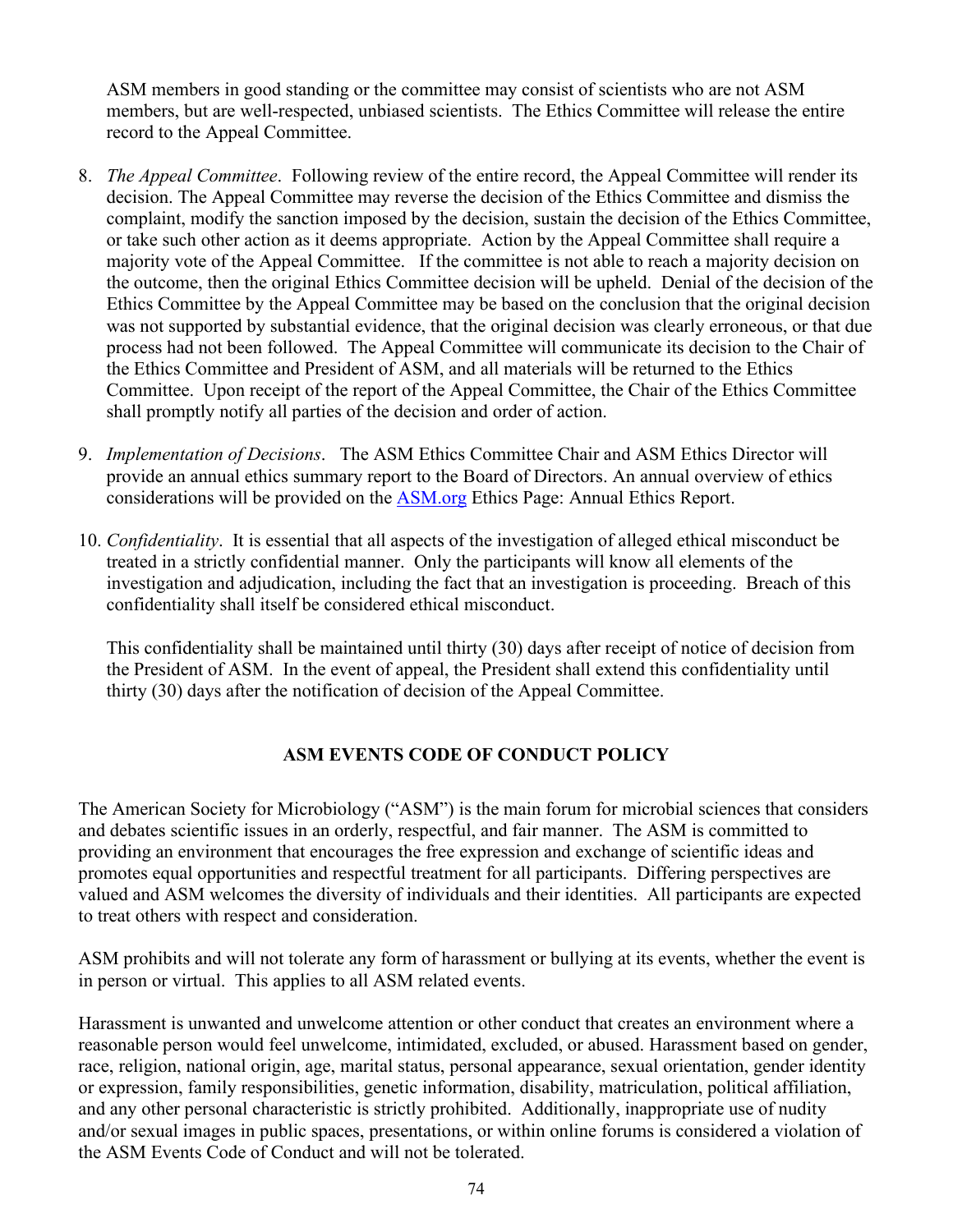ASM members in good standing or the committee may consist of scientists who are not ASM members, but are well-respected, unbiased scientists. The Ethics Committee will release the entire record to the Appeal Committee.

- 8. *The Appeal Committee*. Following review of the entire record, the Appeal Committee will render its decision. The Appeal Committee may reverse the decision of the Ethics Committee and dismiss the complaint, modify the sanction imposed by the decision, sustain the decision of the Ethics Committee, or take such other action as it deems appropriate. Action by the Appeal Committee shall require a majority vote of the Appeal Committee. If the committee is not able to reach a majority decision on the outcome, then the original Ethics Committee decision will be upheld. Denial of the decision of the Ethics Committee by the Appeal Committee may be based on the conclusion that the original decision was not supported by substantial evidence, that the original decision was clearly erroneous, or that due process had not been followed. The Appeal Committee will communicate its decision to the Chair of the Ethics Committee and President of ASM, and all materials will be returned to the Ethics Committee. Upon receipt of the report of the Appeal Committee, the Chair of the Ethics Committee shall promptly notify all parties of the decision and order of action.
- 9. *Implementation of Decisions*. The ASM Ethics Committee Chair and ASM Ethics Director will provide an annual ethics summary report to the Board of Directors. An annual overview of ethics considerations will be provided on the [ASM.org](http://asm.org/) Ethics Page: Annual Ethics Report.
- 10. *Confidentiality*. It is essential that all aspects of the investigation of alleged ethical misconduct be treated in a strictly confidential manner. Only the participants will know all elements of the investigation and adjudication, including the fact that an investigation is proceeding. Breach of this confidentiality shall itself be considered ethical misconduct.

This confidentiality shall be maintained until thirty (30) days after receipt of notice of decision from the President of ASM. In the event of appeal, the President shall extend this confidentiality until thirty (30) days after the notification of decision of the Appeal Committee.

### **ASM EVENTS CODE OF CONDUCT POLICY**

The American Society for Microbiology ("ASM") is the main forum for microbial sciences that considers and debates scientific issues in an orderly, respectful, and fair manner. The ASM is committed to providing an environment that encourages the free expression and exchange of scientific ideas and promotes equal opportunities and respectful treatment for all participants. Differing perspectives are valued and ASM welcomes the diversity of individuals and their identities. All participants are expected to treat others with respect and consideration.

ASM prohibits and will not tolerate any form of harassment or bullying at its events, whether the event is in person or virtual. This applies to all ASM related events.

Harassment is unwanted and unwelcome attention or other conduct that creates an environment where a reasonable person would feel unwelcome, intimidated, excluded, or abused. Harassment based on gender, race, religion, national origin, age, marital status, personal appearance, sexual orientation, gender identity or expression, family responsibilities, genetic information, disability, matriculation, political affiliation, and any other personal characteristic is strictly prohibited. Additionally, inappropriate use of nudity and/or sexual images in public spaces, presentations, or within online forums is considered a violation of the ASM Events Code of Conduct and will not be tolerated.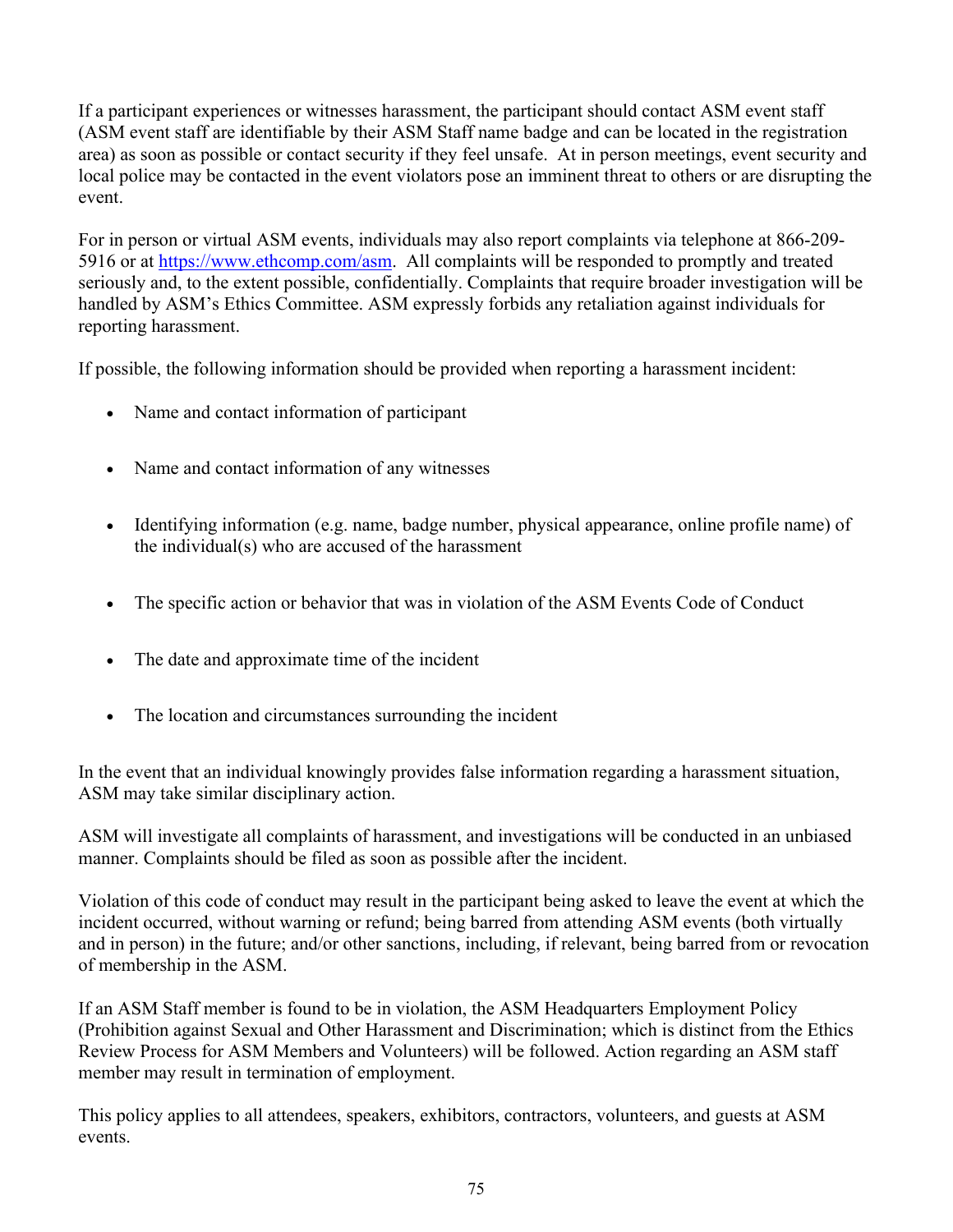If a participant experiences or witnesses harassment, the participant should contact ASM event staff (ASM event staff are identifiable by their ASM Staff name badge and can be located in the registration area) as soon as possible or contact security if they feel unsafe. At in person meetings, event security and local police may be contacted in the event violators pose an imminent threat to others or are disrupting the event.

For in person or virtual ASM events, individuals may also report complaints via telephone at 866-209- 5916 or at [https://www.ethcomp.com/asm.](https://www.ethcomp.com/asm) All complaints will be responded to promptly and treated seriously and, to the extent possible, confidentially. Complaints that require broader investigation will be handled by ASM's Ethics Committee. ASM expressly forbids any retaliation against individuals for reporting harassment.

If possible, the following information should be provided when reporting a harassment incident:

- Name and contact information of participant
- Name and contact information of any witnesses
- Identifying information (e.g. name, badge number, physical appearance, online profile name) of the individual(s) who are accused of the harassment
- The specific action or behavior that was in violation of the ASM Events Code of Conduct
- The date and approximate time of the incident
- The location and circumstances surrounding the incident

In the event that an individual knowingly provides false information regarding a harassment situation, ASM may take similar disciplinary action.

ASM will investigate all complaints of harassment, and investigations will be conducted in an unbiased manner. Complaints should be filed as soon as possible after the incident.

Violation of this code of conduct may result in the participant being asked to leave the event at which the incident occurred, without warning or refund; being barred from attending ASM events (both virtually and in person) in the future; and/or other sanctions, including, if relevant, being barred from or revocation of membership in the ASM.

If an ASM Staff member is found to be in violation, the ASM Headquarters Employment Policy (Prohibition against Sexual and Other Harassment and Discrimination; which is distinct from the Ethics Review Process for ASM Members and Volunteers) will be followed. Action regarding an ASM staff member may result in termination of employment.

This policy applies to all attendees, speakers, exhibitors, contractors, volunteers, and guests at ASM events.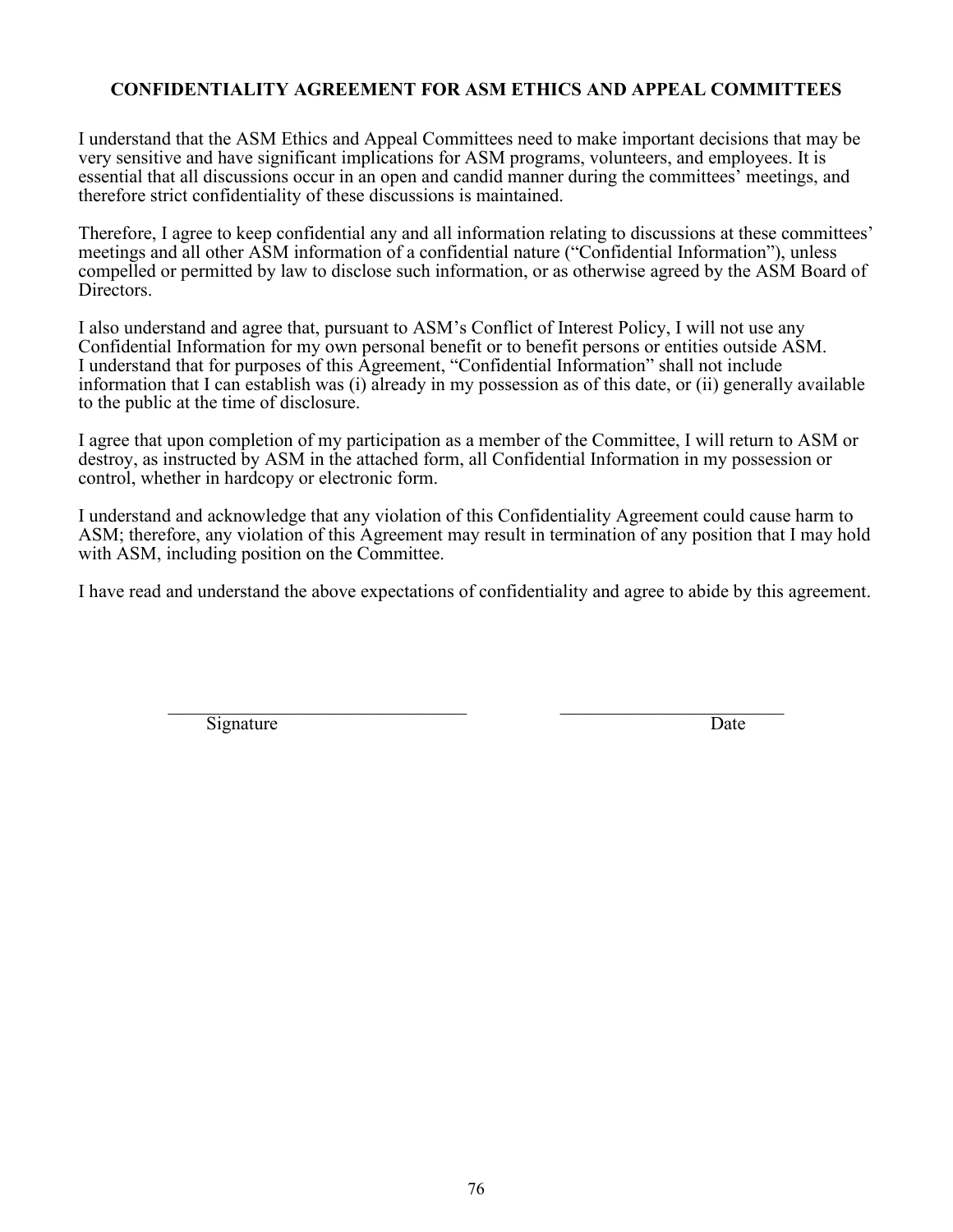#### **CONFIDENTIALITY AGREEMENT FOR ASM ETHICS AND APPEAL COMMITTEES**

I understand that the ASM Ethics and Appeal Committees need to make important decisions that may be very sensitive and have significant implications for ASM programs, volunteers, and employees. It is essential that all discussions occur in an open and candid manner during the committees' meetings, and therefore strict confidentiality of these discussions is maintained.

Therefore, I agree to keep confidential any and all information relating to discussions at these committees' meetings and all other ASM information of a confidential nature ("Confidential Information"), unless compelled or permitted by law to disclose such information, or as otherwise agreed by the ASM Board of Directors.

I also understand and agree that, pursuant to ASM's Conflict of Interest Policy, I will not use any Confidential Information for my own personal benefit or to benefit persons or entities outside ASM. I understand that for purposes of this Agreement, "Confidential Information" shall not include information that I can establish was (i) already in my possession as of this date, or (ii) generally available to the public at the time of disclosure.

I agree that upon completion of my participation as a member of the Committee, I will return to ASM or destroy, as instructed by ASM in the attached form, all Confidential Information in my possession or control, whether in hardcopy or electronic form.

I understand and acknowledge that any violation of this Confidentiality Agreement could cause harm to ASM; therefore, any violation of this Agreement may result in termination of any position that I may hold with ASM, including position on the Committee.

I have read and understand the above expectations of confidentiality and agree to abide by this agreement.

 $\_$  , and the set of the set of the set of the set of the set of the set of the set of the set of the set of the set of the set of the set of the set of the set of the set of the set of the set of the set of the set of th Signature Date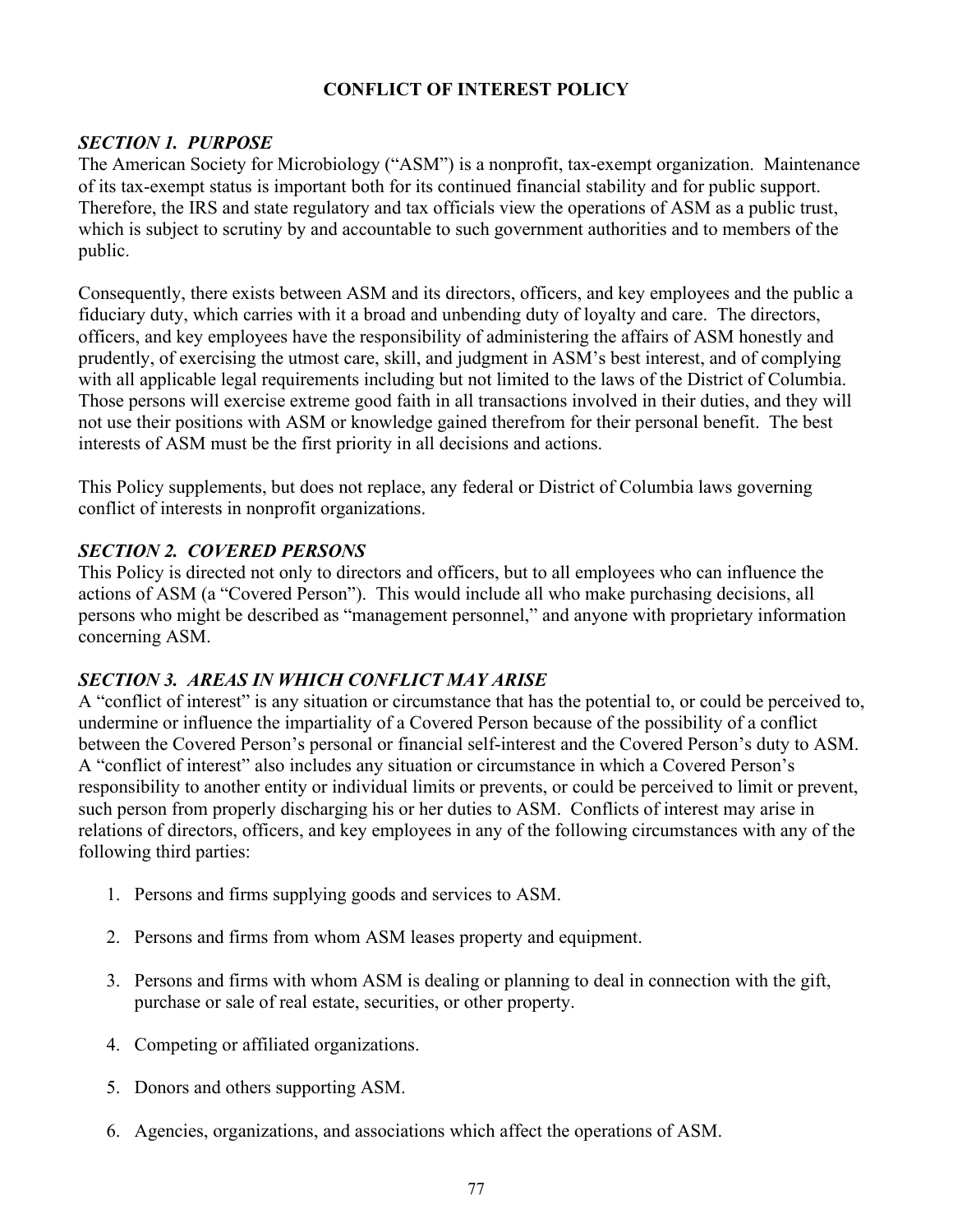#### **CONFLICT OF INTEREST POLICY**

#### *SECTION 1. PURPOSE*

The American Society for Microbiology ("ASM") is a nonprofit, tax-exempt organization. Maintenance of its tax-exempt status is important both for its continued financial stability and for public support. Therefore, the IRS and state regulatory and tax officials view the operations of ASM as a public trust, which is subject to scrutiny by and accountable to such government authorities and to members of the public.

Consequently, there exists between ASM and its directors, officers, and key employees and the public a fiduciary duty, which carries with it a broad and unbending duty of loyalty and care. The directors, officers, and key employees have the responsibility of administering the affairs of ASM honestly and prudently, of exercising the utmost care, skill, and judgment in ASM's best interest, and of complying with all applicable legal requirements including but not limited to the laws of the District of Columbia. Those persons will exercise extreme good faith in all transactions involved in their duties, and they will not use their positions with ASM or knowledge gained therefrom for their personal benefit. The best interests of ASM must be the first priority in all decisions and actions.

This Policy supplements, but does not replace, any federal or District of Columbia laws governing conflict of interests in nonprofit organizations.

#### *SECTION 2. COVERED PERSONS*

This Policy is directed not only to directors and officers, but to all employees who can influence the actions of ASM (a "Covered Person"). This would include all who make purchasing decisions, all persons who might be described as "management personnel," and anyone with proprietary information concerning ASM.

#### *SECTION 3. AREAS IN WHICH CONFLICT MAY ARISE*

A "conflict of interest" is any situation or circumstance that has the potential to, or could be perceived to, undermine or influence the impartiality of a Covered Person because of the possibility of a conflict between the Covered Person's personal or financial self-interest and the Covered Person's duty to ASM. A "conflict of interest" also includes any situation or circumstance in which a Covered Person's responsibility to another entity or individual limits or prevents, or could be perceived to limit or prevent, such person from properly discharging his or her duties to ASM. Conflicts of interest may arise in relations of directors, officers, and key employees in any of the following circumstances with any of the following third parties:

- 1. Persons and firms supplying goods and services to ASM.
- 2. Persons and firms from whom ASM leases property and equipment.
- 3. Persons and firms with whom ASM is dealing or planning to deal in connection with the gift, purchase or sale of real estate, securities, or other property.
- 4. Competing or affiliated organizations.
- 5. Donors and others supporting ASM.
- 6. Agencies, organizations, and associations which affect the operations of ASM.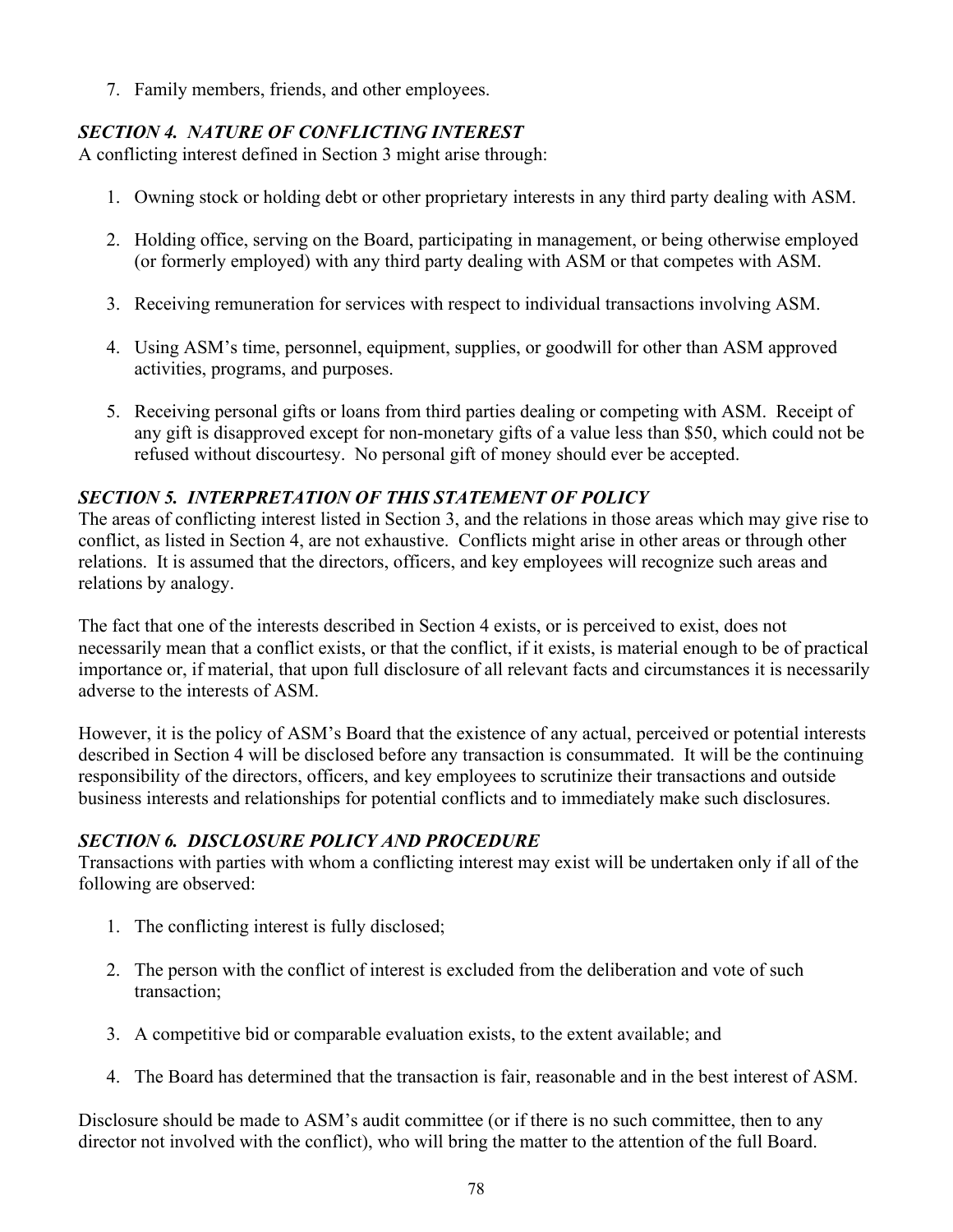7. Family members, friends, and other employees.

## *SECTION 4. NATURE OF CONFLICTING INTEREST*

A conflicting interest defined in Section 3 might arise through:

- 1. Owning stock or holding debt or other proprietary interests in any third party dealing with ASM.
- 2. Holding office, serving on the Board, participating in management, or being otherwise employed (or formerly employed) with any third party dealing with ASM or that competes with ASM.
- 3. Receiving remuneration for services with respect to individual transactions involving ASM.
- 4. Using ASM's time, personnel, equipment, supplies, or goodwill for other than ASM approved activities, programs, and purposes.
- 5. Receiving personal gifts or loans from third parties dealing or competing with ASM. Receipt of any gift is disapproved except for non-monetary gifts of a value less than \$50, which could not be refused without discourtesy. No personal gift of money should ever be accepted.

### *SECTION 5. INTERPRETATION OF THIS STATEMENT OF POLICY*

The areas of conflicting interest listed in Section 3, and the relations in those areas which may give rise to conflict, as listed in Section 4, are not exhaustive. Conflicts might arise in other areas or through other relations. It is assumed that the directors, officers, and key employees will recognize such areas and relations by analogy.

The fact that one of the interests described in Section 4 exists, or is perceived to exist, does not necessarily mean that a conflict exists, or that the conflict, if it exists, is material enough to be of practical importance or, if material, that upon full disclosure of all relevant facts and circumstances it is necessarily adverse to the interests of ASM.

However, it is the policy of ASM's Board that the existence of any actual, perceived or potential interests described in Section 4 will be disclosed before any transaction is consummated. It will be the continuing responsibility of the directors, officers, and key employees to scrutinize their transactions and outside business interests and relationships for potential conflicts and to immediately make such disclosures.

### *SECTION 6. DISCLOSURE POLICY AND PROCEDURE*

Transactions with parties with whom a conflicting interest may exist will be undertaken only if all of the following are observed:

- 1. The conflicting interest is fully disclosed;
- 2. The person with the conflict of interest is excluded from the deliberation and vote of such transaction;
- 3. A competitive bid or comparable evaluation exists, to the extent available; and
- 4. The Board has determined that the transaction is fair, reasonable and in the best interest of ASM.

Disclosure should be made to ASM's audit committee (or if there is no such committee, then to any director not involved with the conflict), who will bring the matter to the attention of the full Board.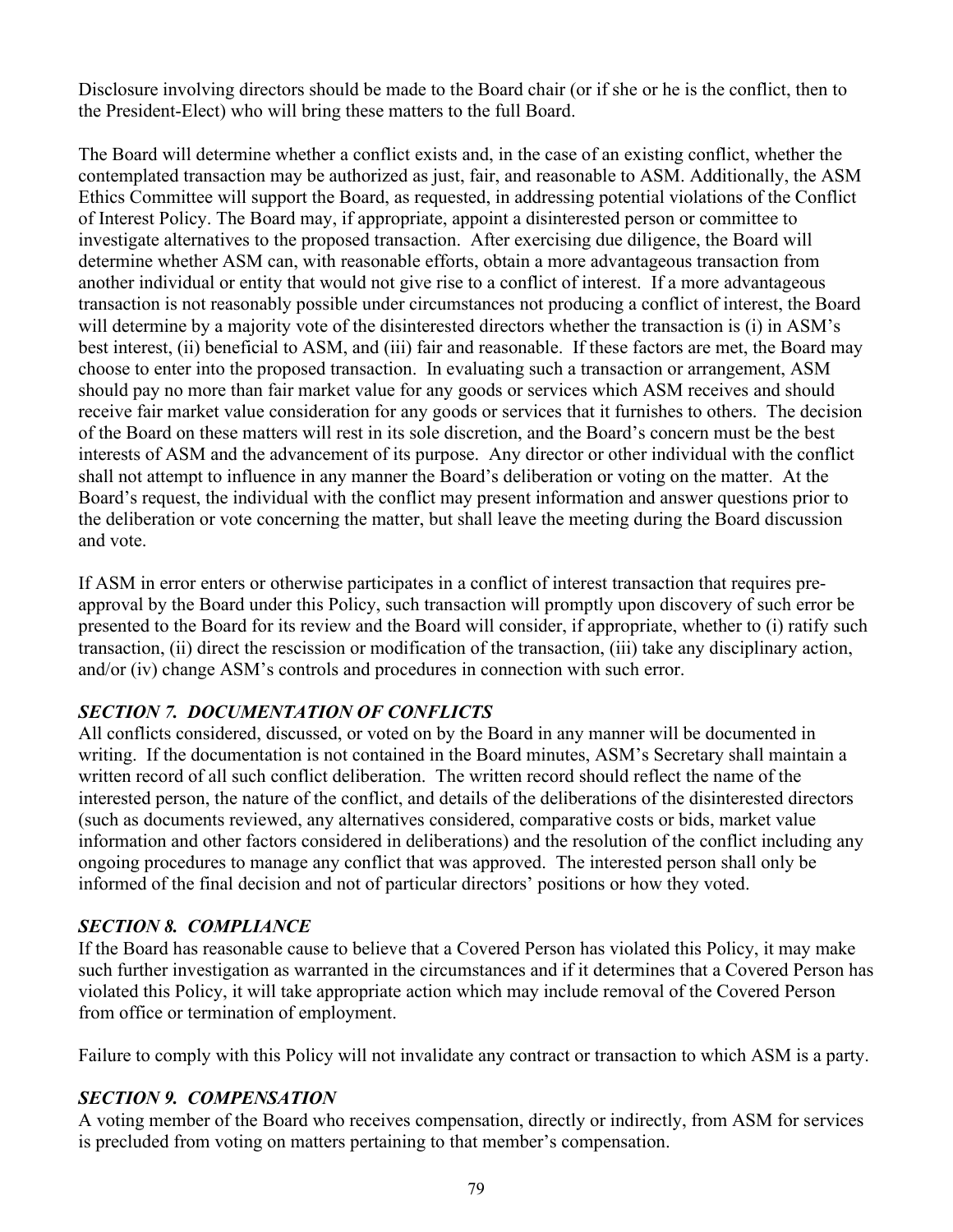Disclosure involving directors should be made to the Board chair (or if she or he is the conflict, then to the President-Elect) who will bring these matters to the full Board.

The Board will determine whether a conflict exists and, in the case of an existing conflict, whether the contemplated transaction may be authorized as just, fair, and reasonable to ASM. Additionally, the ASM Ethics Committee will support the Board, as requested, in addressing potential violations of the Conflict of Interest Policy. The Board may, if appropriate, appoint a disinterested person or committee to investigate alternatives to the proposed transaction. After exercising due diligence, the Board will determine whether ASM can, with reasonable efforts, obtain a more advantageous transaction from another individual or entity that would not give rise to a conflict of interest. If a more advantageous transaction is not reasonably possible under circumstances not producing a conflict of interest, the Board will determine by a majority vote of the disinterested directors whether the transaction is (i) in ASM's best interest, (ii) beneficial to ASM, and (iii) fair and reasonable. If these factors are met, the Board may choose to enter into the proposed transaction. In evaluating such a transaction or arrangement, ASM should pay no more than fair market value for any goods or services which ASM receives and should receive fair market value consideration for any goods or services that it furnishes to others. The decision of the Board on these matters will rest in its sole discretion, and the Board's concern must be the best interests of ASM and the advancement of its purpose. Any director or other individual with the conflict shall not attempt to influence in any manner the Board's deliberation or voting on the matter. At the Board's request, the individual with the conflict may present information and answer questions prior to the deliberation or vote concerning the matter, but shall leave the meeting during the Board discussion and vote.

If ASM in error enters or otherwise participates in a conflict of interest transaction that requires preapproval by the Board under this Policy, such transaction will promptly upon discovery of such error be presented to the Board for its review and the Board will consider, if appropriate, whether to (i) ratify such transaction, (ii) direct the rescission or modification of the transaction, (iii) take any disciplinary action, and/or (iv) change ASM's controls and procedures in connection with such error.

### *SECTION 7. DOCUMENTATION OF CONFLICTS*

All conflicts considered, discussed, or voted on by the Board in any manner will be documented in writing. If the documentation is not contained in the Board minutes, ASM's Secretary shall maintain a written record of all such conflict deliberation. The written record should reflect the name of the interested person, the nature of the conflict, and details of the deliberations of the disinterested directors (such as documents reviewed, any alternatives considered, comparative costs or bids, market value information and other factors considered in deliberations) and the resolution of the conflict including any ongoing procedures to manage any conflict that was approved. The interested person shall only be informed of the final decision and not of particular directors' positions or how they voted.

#### *SECTION 8. COMPLIANCE*

If the Board has reasonable cause to believe that a Covered Person has violated this Policy, it may make such further investigation as warranted in the circumstances and if it determines that a Covered Person has violated this Policy, it will take appropriate action which may include removal of the Covered Person from office or termination of employment.

Failure to comply with this Policy will not invalidate any contract or transaction to which ASM is a party.

#### *SECTION 9. COMPENSATION*

A voting member of the Board who receives compensation, directly or indirectly, from ASM for services is precluded from voting on matters pertaining to that member's compensation.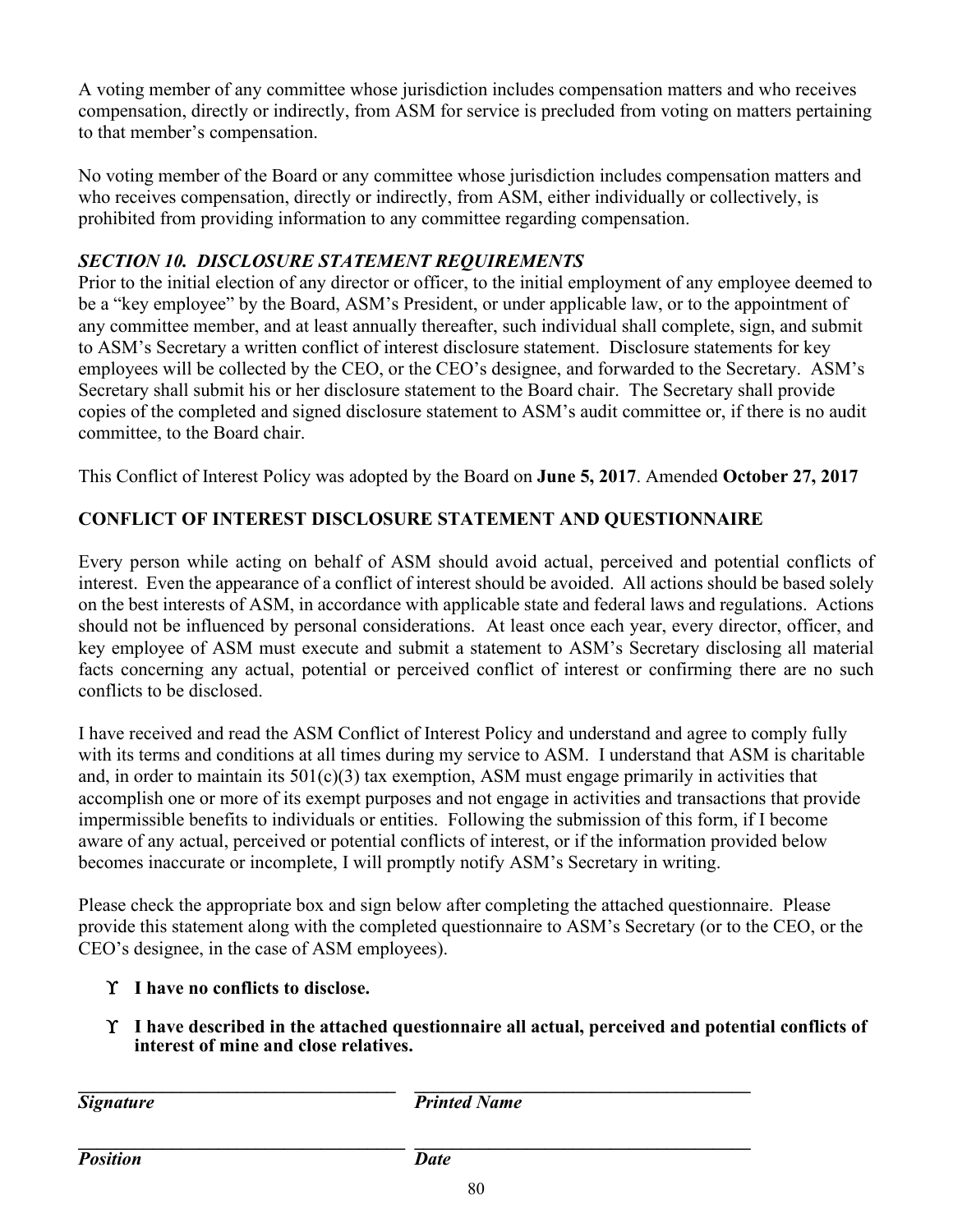A voting member of any committee whose jurisdiction includes compensation matters and who receives compensation, directly or indirectly, from ASM for service is precluded from voting on matters pertaining to that member's compensation.

No voting member of the Board or any committee whose jurisdiction includes compensation matters and who receives compensation, directly or indirectly, from ASM, either individually or collectively, is prohibited from providing information to any committee regarding compensation.

## *SECTION 10. DISCLOSURE STATEMENT REQUIREMENTS*

Prior to the initial election of any director or officer, to the initial employment of any employee deemed to be a "key employee" by the Board, ASM's President, or under applicable law, or to the appointment of any committee member, and at least annually thereafter, such individual shall complete, sign, and submit to ASM's Secretary a written conflict of interest disclosure statement. Disclosure statements for key employees will be collected by the CEO, or the CEO's designee, and forwarded to the Secretary. ASM's Secretary shall submit his or her disclosure statement to the Board chair. The Secretary shall provide copies of the completed and signed disclosure statement to ASM's audit committee or, if there is no audit committee, to the Board chair.

This Conflict of Interest Policy was adopted by the Board on **June 5, 2017**. Amended **October 27, 2017**

# **CONFLICT OF INTEREST DISCLOSURE STATEMENT AND QUESTIONNAIRE**

Every person while acting on behalf of ASM should avoid actual, perceived and potential conflicts of interest. Even the appearance of a conflict of interest should be avoided. All actions should be based solely on the best interests of ASM, in accordance with applicable state and federal laws and regulations. Actions should not be influenced by personal considerations. At least once each year, every director, officer, and key employee of ASM must execute and submit a statement to ASM's Secretary disclosing all material facts concerning any actual, potential or perceived conflict of interest or confirming there are no such conflicts to be disclosed.

I have received and read the ASM Conflict of Interest Policy and understand and agree to comply fully with its terms and conditions at all times during my service to ASM. I understand that ASM is charitable and, in order to maintain its  $501(c)(3)$  tax exemption, ASM must engage primarily in activities that accomplish one or more of its exempt purposes and not engage in activities and transactions that provide impermissible benefits to individuals or entities. Following the submission of this form, if I become aware of any actual, perceived or potential conflicts of interest, or if the information provided below becomes inaccurate or incomplete, I will promptly notify ASM's Secretary in writing.

Please check the appropriate box and sign below after completing the attached questionnaire. Please provide this statement along with the completed questionnaire to ASM's Secretary (or to the CEO, or the CEO's designee, in the case of ASM employees).

### ϒ **I have no conflicts to disclose.**

ϒ **I have described in the attached questionnaire all actual, perceived and potential conflicts of interest of mine and close relatives.**

**\_\_\_\_\_\_\_\_\_\_\_\_\_\_\_\_\_\_\_\_\_\_\_\_\_\_\_\_\_\_\_\_\_\_ \_\_\_\_\_\_\_\_\_\_\_\_\_\_\_\_\_\_\_\_\_\_\_\_\_\_\_\_\_\_\_\_\_\_\_\_** *Signature* Printed Name

**\_\_\_\_\_\_\_\_\_\_\_\_\_\_\_\_\_\_\_\_\_\_\_\_\_\_\_\_\_\_\_\_\_\_\_ \_\_\_\_\_\_\_\_\_\_\_\_\_\_\_\_\_\_\_\_\_\_\_\_\_\_\_\_\_\_\_\_\_\_\_\_** *Position Date*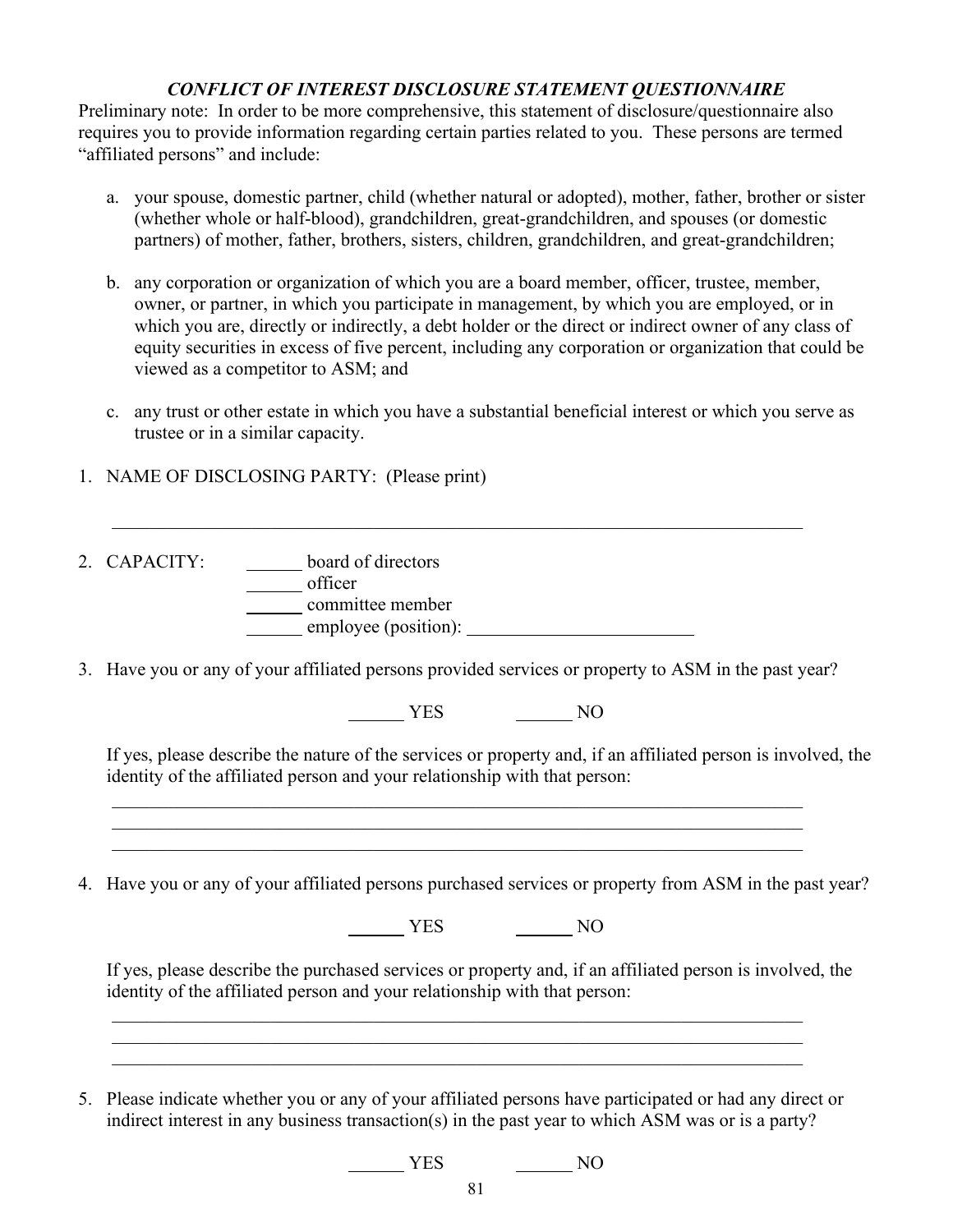#### *CONFLICT OF INTEREST DISCLOSURE STATEMENT QUESTIONNAIRE*

Preliminary note: In order to be more comprehensive, this statement of disclosure/questionnaire also requires you to provide information regarding certain parties related to you. These persons are termed "affiliated persons" and include:

- a. your spouse, domestic partner, child (whether natural or adopted), mother, father, brother or sister (whether whole or half-blood), grandchildren, great-grandchildren, and spouses (or domestic partners) of mother, father, brothers, sisters, children, grandchildren, and great-grandchildren;
- b. any corporation or organization of which you are a board member, officer, trustee, member, owner, or partner, in which you participate in management, by which you are employed, or in which you are, directly or indirectly, a debt holder or the direct or indirect owner of any class of equity securities in excess of five percent, including any corporation or organization that could be viewed as a competitor to ASM; and
- c. any trust or other estate in which you have a substantial beneficial interest or which you serve as trustee or in a similar capacity.
- 1. NAME OF DISCLOSING PARTY: (Please print)
- 2. CAPACITY: **board of directors COLORED CONTECT** committee member employee (position):
- 3. Have you or any of your affiliated persons provided services or property to ASM in the past year?

\_\_\_\_\_\_\_\_\_\_\_\_\_\_\_\_\_\_\_\_\_\_\_\_\_\_\_\_\_\_\_\_\_\_\_\_\_\_\_\_\_\_\_\_\_\_\_\_\_\_\_\_\_\_\_\_\_\_\_\_\_\_\_\_\_\_\_\_\_\_\_\_\_\_

 $\frac{1}{2}$  ,  $\frac{1}{2}$  ,  $\frac{1}{2}$  ,  $\frac{1}{2}$  ,  $\frac{1}{2}$  ,  $\frac{1}{2}$  ,  $\frac{1}{2}$  ,  $\frac{1}{2}$  ,  $\frac{1}{2}$  ,  $\frac{1}{2}$  ,  $\frac{1}{2}$  ,  $\frac{1}{2}$  ,  $\frac{1}{2}$  ,  $\frac{1}{2}$  ,  $\frac{1}{2}$  ,  $\frac{1}{2}$  ,  $\frac{1}{2}$  ,  $\frac{1}{2}$  ,  $\frac{1$ 

YES NO

If yes, please describe the nature of the services or property and, if an affiliated person is involved, the identity of the affiliated person and your relationship with that person:

4. Have you or any of your affiliated persons purchased services or property from ASM in the past year?

NO<sub>N</sub> YES NO

\_\_\_\_\_\_\_\_\_\_\_\_\_\_\_\_\_\_\_\_\_\_\_\_\_\_\_\_\_\_\_\_\_\_\_\_\_\_\_\_\_\_\_\_\_\_\_\_\_\_\_\_\_\_\_\_\_\_\_\_\_\_\_\_\_\_\_\_\_\_\_\_\_\_

 $\frac{1}{2}$  ,  $\frac{1}{2}$  ,  $\frac{1}{2}$  ,  $\frac{1}{2}$  ,  $\frac{1}{2}$  ,  $\frac{1}{2}$  ,  $\frac{1}{2}$  ,  $\frac{1}{2}$  ,  $\frac{1}{2}$  ,  $\frac{1}{2}$  ,  $\frac{1}{2}$  ,  $\frac{1}{2}$  ,  $\frac{1}{2}$  ,  $\frac{1}{2}$  ,  $\frac{1}{2}$  ,  $\frac{1}{2}$  ,  $\frac{1}{2}$  ,  $\frac{1}{2}$  ,  $\frac{1$ 

If yes, please describe the purchased services or property and, if an affiliated person is involved, the identity of the affiliated person and your relationship with that person:

5. Please indicate whether you or any of your affiliated persons have participated or had any direct or indirect interest in any business transaction(s) in the past year to which ASM was or is a party?

NO<sub>N</sub> YES NO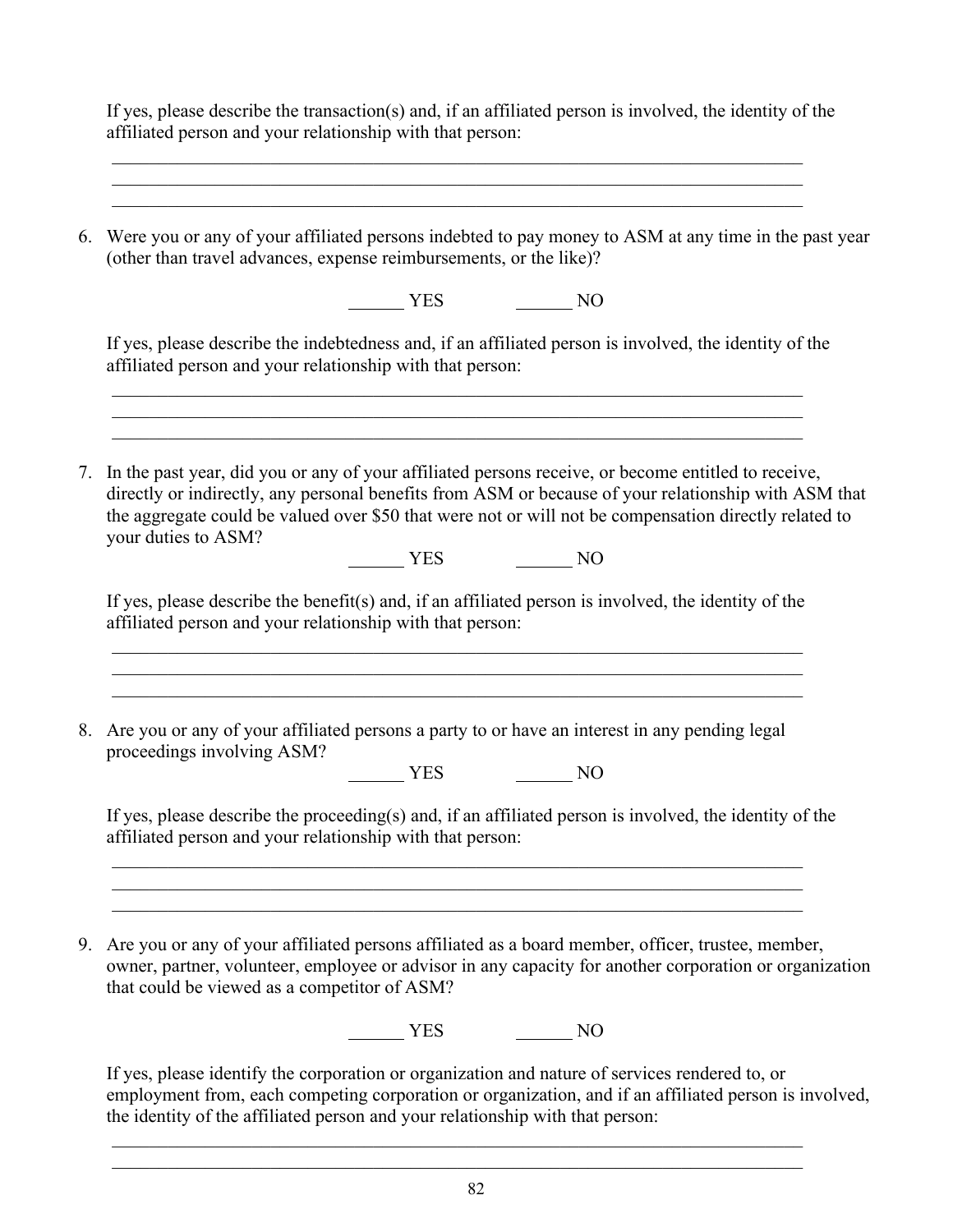If yes, please describe the transaction(s) and, if an affiliated person is involved, the identity of the affiliated person and your relationship with that person: \_\_\_\_\_\_\_\_\_\_\_\_\_\_\_\_\_\_\_\_\_\_\_\_\_\_\_\_\_\_\_\_\_\_\_\_\_\_\_\_\_\_\_\_\_\_\_\_\_\_\_\_\_\_\_\_\_\_\_\_\_\_\_\_\_\_\_\_\_\_\_\_\_\_  $\frac{1}{2}$  ,  $\frac{1}{2}$  ,  $\frac{1}{2}$  ,  $\frac{1}{2}$  ,  $\frac{1}{2}$  ,  $\frac{1}{2}$  ,  $\frac{1}{2}$  ,  $\frac{1}{2}$  ,  $\frac{1}{2}$  ,  $\frac{1}{2}$  ,  $\frac{1}{2}$  ,  $\frac{1}{2}$  ,  $\frac{1}{2}$  ,  $\frac{1}{2}$  ,  $\frac{1}{2}$  ,  $\frac{1}{2}$  ,  $\frac{1}{2}$  ,  $\frac{1}{2}$  ,  $\frac{1$ 6. Were you or any of your affiliated persons indebted to pay money to ASM at any time in the past year (other than travel advances, expense reimbursements, or the like)? NO VES NO If yes, please describe the indebtedness and, if an affiliated person is involved, the identity of the affiliated person and your relationship with that person:  $\frac{1}{2}$  ,  $\frac{1}{2}$  ,  $\frac{1}{2}$  ,  $\frac{1}{2}$  ,  $\frac{1}{2}$  ,  $\frac{1}{2}$  ,  $\frac{1}{2}$  ,  $\frac{1}{2}$  ,  $\frac{1}{2}$  ,  $\frac{1}{2}$  ,  $\frac{1}{2}$  ,  $\frac{1}{2}$  ,  $\frac{1}{2}$  ,  $\frac{1}{2}$  ,  $\frac{1}{2}$  ,  $\frac{1}{2}$  ,  $\frac{1}{2}$  ,  $\frac{1}{2}$  ,  $\frac{1$ 7. In the past year, did you or any of your affiliated persons receive, or become entitled to receive, directly or indirectly, any personal benefits from ASM or because of your relationship with ASM that the aggregate could be valued over \$50 that were not or will not be compensation directly related to your duties to ASM? NO<sub>N</sub> YES NO If yes, please describe the benefit(s) and, if an affiliated person is involved, the identity of the affiliated person and your relationship with that person:  $\frac{1}{2}$  ,  $\frac{1}{2}$  ,  $\frac{1}{2}$  ,  $\frac{1}{2}$  ,  $\frac{1}{2}$  ,  $\frac{1}{2}$  ,  $\frac{1}{2}$  ,  $\frac{1}{2}$  ,  $\frac{1}{2}$  ,  $\frac{1}{2}$  ,  $\frac{1}{2}$  ,  $\frac{1}{2}$  ,  $\frac{1}{2}$  ,  $\frac{1}{2}$  ,  $\frac{1}{2}$  ,  $\frac{1}{2}$  ,  $\frac{1}{2}$  ,  $\frac{1}{2}$  ,  $\frac{1$ 8. Are you or any of your affiliated persons a party to or have an interest in any pending legal proceedings involving ASM? NO<sub>N</sub> YES NO If yes, please describe the proceeding(s) and, if an affiliated person is involved, the identity of the affiliated person and your relationship with that person: \_\_\_\_\_\_\_\_\_\_\_\_\_\_\_\_\_\_\_\_\_\_\_\_\_\_\_\_\_\_\_\_\_\_\_\_\_\_\_\_\_\_\_\_\_\_\_\_\_\_\_\_\_\_\_\_\_\_\_\_\_\_\_\_\_\_\_\_\_\_\_\_\_\_ \_\_\_\_\_\_\_\_\_\_\_\_\_\_\_\_\_\_\_\_\_\_\_\_\_\_\_\_\_\_\_\_\_\_\_\_\_\_\_\_\_\_\_\_\_\_\_\_\_\_\_\_\_\_\_\_\_\_\_\_\_\_\_\_\_\_\_\_\_\_\_\_\_\_ 9. Are you or any of your affiliated persons affiliated as a board member, officer, trustee, member, owner, partner, volunteer, employee or advisor in any capacity for another corporation or organization that could be viewed as a competitor of ASM?  $\frac{1}{\sqrt{1-\frac{1}{\sqrt{1-\frac{1}{\sqrt{1-\frac{1}{\sqrt{1-\frac{1}{\sqrt{1-\frac{1}{\sqrt{1-\frac{1}{\sqrt{1-\frac{1}{\sqrt{1-\frac{1}{\sqrt{1-\frac{1}{\sqrt{1-\frac{1}{\sqrt{1-\frac{1}{\sqrt{1-\frac{1}{\sqrt{1-\frac{1}{\sqrt{1-\frac{1}{\sqrt{1-\frac{1}{\sqrt{1-\frac{1}{\sqrt{1-\frac{1}{\sqrt{1-\frac{1}{\sqrt{1-\frac{1}{\sqrt{1-\frac{1}{\sqrt{1-\frac{1}{\sqrt{1-\frac{1}{\sqrt{1-\frac{1}{\sqrt{1-\frac{1$ If yes, please identify the corporation or organization and nature of services rendered to, or

employment from, each competing corporation or organization, and if an affiliated person is involved, the identity of the affiliated person and your relationship with that person:

 $\frac{1}{2}$  ,  $\frac{1}{2}$  ,  $\frac{1}{2}$  ,  $\frac{1}{2}$  ,  $\frac{1}{2}$  ,  $\frac{1}{2}$  ,  $\frac{1}{2}$  ,  $\frac{1}{2}$  ,  $\frac{1}{2}$  ,  $\frac{1}{2}$  ,  $\frac{1}{2}$  ,  $\frac{1}{2}$  ,  $\frac{1}{2}$  ,  $\frac{1}{2}$  ,  $\frac{1}{2}$  ,  $\frac{1}{2}$  ,  $\frac{1}{2}$  ,  $\frac{1}{2}$  ,  $\frac{1$  $\frac{1}{2}$  ,  $\frac{1}{2}$  ,  $\frac{1}{2}$  ,  $\frac{1}{2}$  ,  $\frac{1}{2}$  ,  $\frac{1}{2}$  ,  $\frac{1}{2}$  ,  $\frac{1}{2}$  ,  $\frac{1}{2}$  ,  $\frac{1}{2}$  ,  $\frac{1}{2}$  ,  $\frac{1}{2}$  ,  $\frac{1}{2}$  ,  $\frac{1}{2}$  ,  $\frac{1}{2}$  ,  $\frac{1}{2}$  ,  $\frac{1}{2}$  ,  $\frac{1}{2}$  ,  $\frac{1$